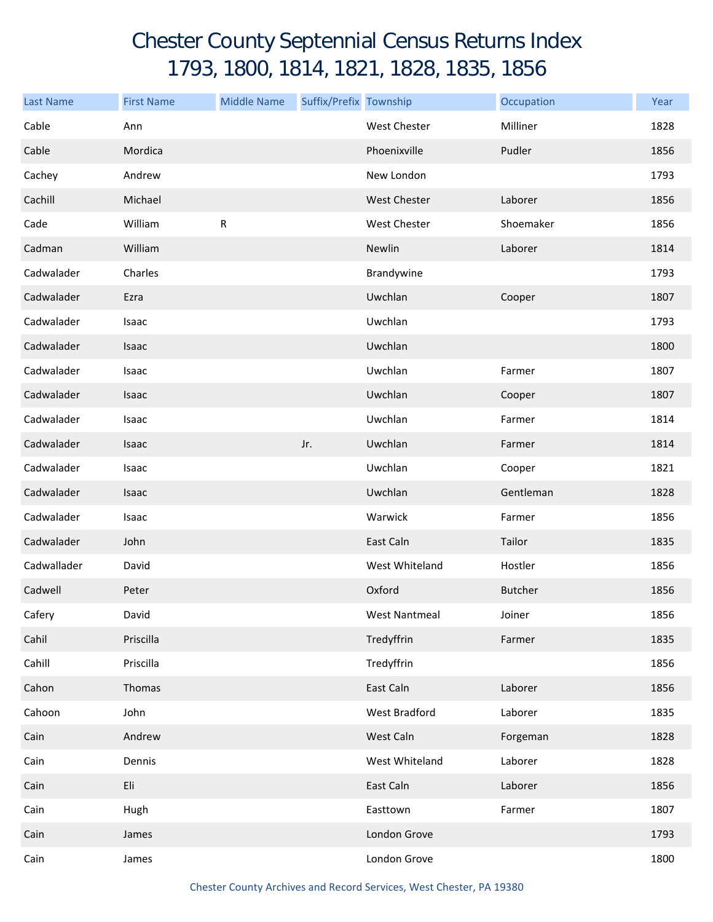## Chester County Septennial Census Returns Index 1793, 1800, 1814, 1821, 1828, 1835, 1856

| <b>Last Name</b> | <b>First Name</b> | <b>Middle Name</b> | Suffix/Prefix Township |                     | Occupation     | Year |
|------------------|-------------------|--------------------|------------------------|---------------------|----------------|------|
| Cable            | Ann               |                    |                        | <b>West Chester</b> | Milliner       | 1828 |
| Cable            | Mordica           |                    |                        | Phoenixville        | Pudler         | 1856 |
| Cachey           | Andrew            |                    |                        | New London          |                | 1793 |
| Cachill          | Michael           |                    |                        | <b>West Chester</b> | Laborer        | 1856 |
| Cade             | William           | ${\sf R}$          |                        | West Chester        | Shoemaker      | 1856 |
| Cadman           | William           |                    |                        | Newlin              | Laborer        | 1814 |
| Cadwalader       | Charles           |                    |                        | Brandywine          |                | 1793 |
| Cadwalader       | Ezra              |                    |                        | Uwchlan             | Cooper         | 1807 |
| Cadwalader       | Isaac             |                    |                        | Uwchlan             |                | 1793 |
| Cadwalader       | Isaac             |                    |                        | Uwchlan             |                | 1800 |
| Cadwalader       | Isaac             |                    |                        | Uwchlan             | Farmer         | 1807 |
| Cadwalader       | Isaac             |                    |                        | Uwchlan             | Cooper         | 1807 |
| Cadwalader       | Isaac             |                    |                        | Uwchlan             | Farmer         | 1814 |
| Cadwalader       | Isaac             |                    | Jr.                    | Uwchlan             | Farmer         | 1814 |
| Cadwalader       | Isaac             |                    |                        | Uwchlan             | Cooper         | 1821 |
| Cadwalader       | Isaac             |                    |                        | Uwchlan             | Gentleman      | 1828 |
| Cadwalader       | Isaac             |                    |                        | Warwick             | Farmer         | 1856 |
| Cadwalader       | John              |                    |                        | East Caln           | Tailor         | 1835 |
| Cadwallader      | David             |                    |                        | West Whiteland      | Hostler        | 1856 |
| Cadwell          | Peter             |                    |                        | Oxford              | <b>Butcher</b> | 1856 |
| Cafery           | David             |                    |                        | West Nantmeal       | Joiner         | 1856 |
| Cahil            | Priscilla         |                    |                        | Tredyffrin          | Farmer         | 1835 |
| Cahill           | Priscilla         |                    |                        | Tredyffrin          |                | 1856 |
| Cahon            | Thomas            |                    |                        | East Caln           | Laborer        | 1856 |
| Cahoon           | John              |                    |                        | West Bradford       | Laborer        | 1835 |
| Cain             | Andrew            |                    |                        | West Caln           | Forgeman       | 1828 |
| Cain             | Dennis            |                    |                        | West Whiteland      | Laborer        | 1828 |
| Cain             | Eli               |                    |                        | East Caln           | Laborer        | 1856 |
| Cain             | Hugh              |                    |                        | Easttown            | Farmer         | 1807 |
| Cain             | James             |                    |                        | London Grove        |                | 1793 |
| Cain             | James             |                    |                        | London Grove        |                | 1800 |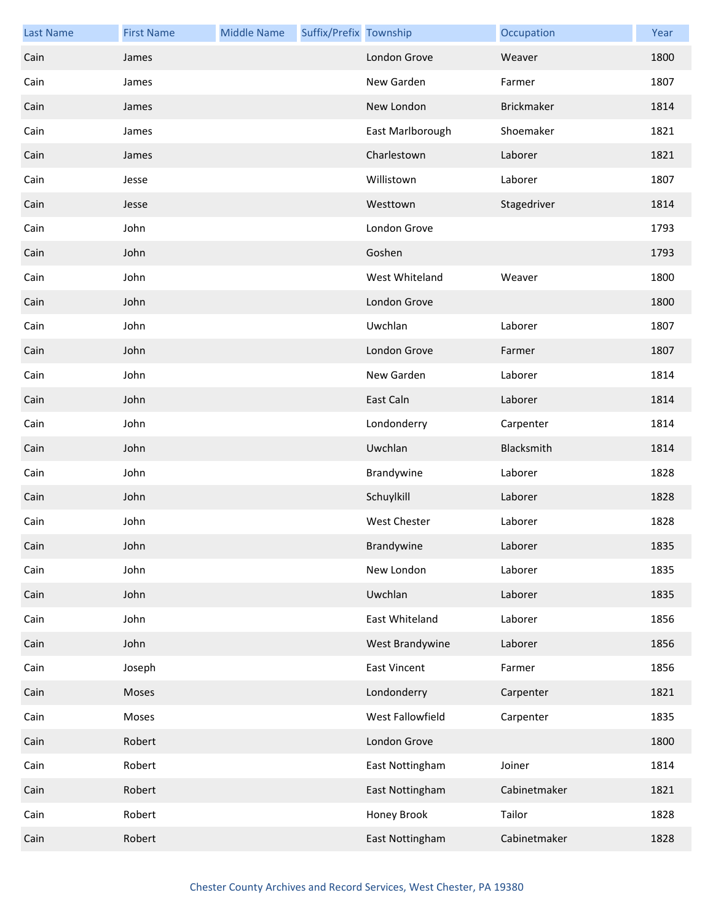| <b>Last Name</b> | <b>First Name</b> | <b>Middle Name</b> | Suffix/Prefix Township |                     | Occupation   | Year |
|------------------|-------------------|--------------------|------------------------|---------------------|--------------|------|
| Cain             | James             |                    |                        | London Grove        | Weaver       | 1800 |
| Cain             | James             |                    |                        | New Garden          | Farmer       | 1807 |
| Cain             | James             |                    |                        | New London          | Brickmaker   | 1814 |
| Cain             | James             |                    |                        | East Marlborough    | Shoemaker    | 1821 |
| Cain             | James             |                    |                        | Charlestown         | Laborer      | 1821 |
| Cain             | Jesse             |                    |                        | Willistown          | Laborer      | 1807 |
| Cain             | Jesse             |                    |                        | Westtown            | Stagedriver  | 1814 |
| Cain             | John              |                    |                        | London Grove        |              | 1793 |
| Cain             | John              |                    |                        | Goshen              |              | 1793 |
| Cain             | John              |                    |                        | West Whiteland      | Weaver       | 1800 |
| Cain             | John              |                    |                        | London Grove        |              | 1800 |
| Cain             | John              |                    |                        | Uwchlan             | Laborer      | 1807 |
| Cain             | John              |                    |                        | London Grove        | Farmer       | 1807 |
| Cain             | John              |                    |                        | New Garden          | Laborer      | 1814 |
| Cain             | John              |                    |                        | East Caln           | Laborer      | 1814 |
| Cain             | John              |                    |                        | Londonderry         | Carpenter    | 1814 |
| Cain             | John              |                    |                        | Uwchlan             | Blacksmith   | 1814 |
| Cain             | John              |                    |                        | Brandywine          | Laborer      | 1828 |
| Cain             | John              |                    |                        | Schuylkill          | Laborer      | 1828 |
| Cain             | John              |                    |                        | <b>West Chester</b> | Laborer      | 1828 |
| Cain             | John              |                    |                        | Brandywine          | Laborer      | 1835 |
| Cain             | John              |                    |                        | New London          | Laborer      | 1835 |
| Cain             | John              |                    |                        | Uwchlan             | Laborer      | 1835 |
| Cain             | John              |                    |                        | East Whiteland      | Laborer      | 1856 |
| Cain             | John              |                    |                        | West Brandywine     | Laborer      | 1856 |
| Cain             | Joseph            |                    |                        | <b>East Vincent</b> | Farmer       | 1856 |
| Cain             | Moses             |                    |                        | Londonderry         | Carpenter    | 1821 |
| Cain             | Moses             |                    |                        | West Fallowfield    | Carpenter    | 1835 |
| Cain             | Robert            |                    |                        | London Grove        |              | 1800 |
| Cain             | Robert            |                    |                        | East Nottingham     | Joiner       | 1814 |
| Cain             | Robert            |                    |                        | East Nottingham     | Cabinetmaker | 1821 |
| Cain             | Robert            |                    |                        | Honey Brook         | Tailor       | 1828 |
| Cain             | Robert            |                    |                        | East Nottingham     | Cabinetmaker | 1828 |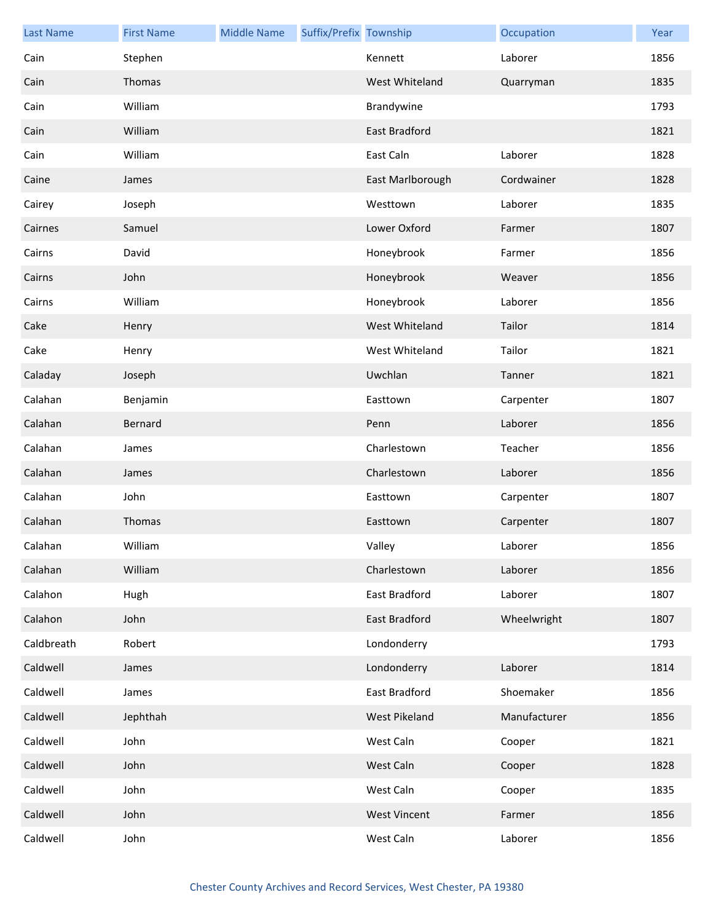| <b>Last Name</b> | <b>First Name</b> | <b>Middle Name</b> | Suffix/Prefix Township |                      | Occupation   | Year |
|------------------|-------------------|--------------------|------------------------|----------------------|--------------|------|
| Cain             | Stephen           |                    |                        | Kennett              | Laborer      | 1856 |
| Cain             | Thomas            |                    |                        | West Whiteland       | Quarryman    | 1835 |
| Cain             | William           |                    |                        | Brandywine           |              | 1793 |
| Cain             | William           |                    |                        | <b>East Bradford</b> |              | 1821 |
| Cain             | William           |                    |                        | East Caln            | Laborer      | 1828 |
| Caine            | James             |                    |                        | East Marlborough     | Cordwainer   | 1828 |
| Cairey           | Joseph            |                    |                        | Westtown             | Laborer      | 1835 |
| Cairnes          | Samuel            |                    |                        | Lower Oxford         | Farmer       | 1807 |
| Cairns           | David             |                    |                        | Honeybrook           | Farmer       | 1856 |
| Cairns           | John              |                    |                        | Honeybrook           | Weaver       | 1856 |
| Cairns           | William           |                    |                        | Honeybrook           | Laborer      | 1856 |
| Cake             | Henry             |                    |                        | West Whiteland       | Tailor       | 1814 |
| Cake             | Henry             |                    |                        | West Whiteland       | Tailor       | 1821 |
| Caladay          | Joseph            |                    |                        | Uwchlan              | Tanner       | 1821 |
| Calahan          | Benjamin          |                    |                        | Easttown             | Carpenter    | 1807 |
| Calahan          | Bernard           |                    |                        | Penn                 | Laborer      | 1856 |
| Calahan          | James             |                    |                        | Charlestown          | Teacher      | 1856 |
| Calahan          | James             |                    |                        | Charlestown          | Laborer      | 1856 |
| Calahan          | John              |                    |                        | Easttown             | Carpenter    | 1807 |
| Calahan          | Thomas            |                    |                        | Easttown             | Carpenter    | 1807 |
| Calahan          | William           |                    |                        | Valley               | Laborer      | 1856 |
| Calahan          | William           |                    |                        | Charlestown          | Laborer      | 1856 |
| Calahon          | Hugh              |                    |                        | East Bradford        | Laborer      | 1807 |
| Calahon          | John              |                    |                        | East Bradford        | Wheelwright  | 1807 |
| Caldbreath       | Robert            |                    |                        | Londonderry          |              | 1793 |
| Caldwell         | James             |                    |                        | Londonderry          | Laborer      | 1814 |
| Caldwell         | James             |                    |                        | East Bradford        | Shoemaker    | 1856 |
| Caldwell         | Jephthah          |                    |                        | West Pikeland        | Manufacturer | 1856 |
| Caldwell         | John              |                    |                        | West Caln            | Cooper       | 1821 |
| Caldwell         | John              |                    |                        | West Caln            | Cooper       | 1828 |
| Caldwell         | John              |                    |                        | West Caln            | Cooper       | 1835 |
| Caldwell         | John              |                    |                        | <b>West Vincent</b>  | Farmer       | 1856 |
| Caldwell         | John              |                    |                        | West Caln            | Laborer      | 1856 |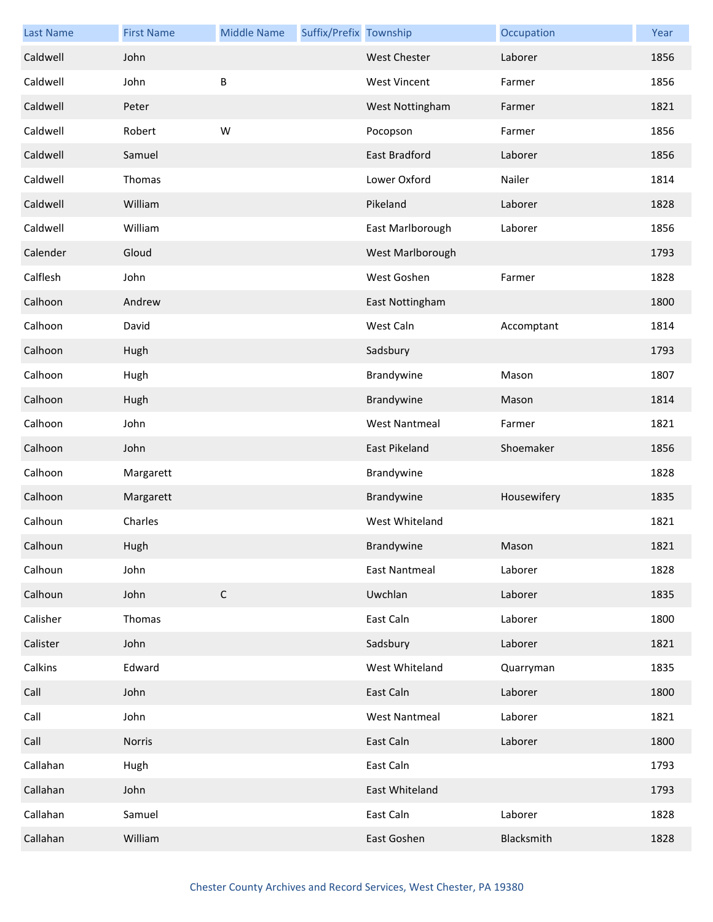| <b>Last Name</b> | <b>First Name</b> | <b>Middle Name</b> | Suffix/Prefix Township |                      | Occupation  | Year |
|------------------|-------------------|--------------------|------------------------|----------------------|-------------|------|
| Caldwell         | John              |                    |                        | <b>West Chester</b>  | Laborer     | 1856 |
| Caldwell         | John              | B                  |                        | <b>West Vincent</b>  | Farmer      | 1856 |
| Caldwell         | Peter             |                    |                        | West Nottingham      | Farmer      | 1821 |
| Caldwell         | Robert            | W                  |                        | Pocopson             | Farmer      | 1856 |
| Caldwell         | Samuel            |                    |                        | East Bradford        | Laborer     | 1856 |
| Caldwell         | Thomas            |                    |                        | Lower Oxford         | Nailer      | 1814 |
| Caldwell         | William           |                    |                        | Pikeland             | Laborer     | 1828 |
| Caldwell         | William           |                    |                        | East Marlborough     | Laborer     | 1856 |
| Calender         | Gloud             |                    |                        | West Marlborough     |             | 1793 |
| Calflesh         | John              |                    |                        | West Goshen          | Farmer      | 1828 |
| Calhoon          | Andrew            |                    |                        | East Nottingham      |             | 1800 |
| Calhoon          | David             |                    |                        | West Caln            | Accomptant  | 1814 |
| Calhoon          | Hugh              |                    |                        | Sadsbury             |             | 1793 |
| Calhoon          | Hugh              |                    |                        | Brandywine           | Mason       | 1807 |
| Calhoon          | Hugh              |                    |                        | Brandywine           | Mason       | 1814 |
| Calhoon          | John              |                    |                        | <b>West Nantmeal</b> | Farmer      | 1821 |
| Calhoon          | John              |                    |                        | East Pikeland        | Shoemaker   | 1856 |
| Calhoon          | Margarett         |                    |                        | Brandywine           |             | 1828 |
| Calhoon          | Margarett         |                    |                        | Brandywine           | Housewifery | 1835 |
| Calhoun          | Charles           |                    |                        | West Whiteland       |             | 1821 |
| Calhoun          | Hugh              |                    |                        | Brandywine           | Mason       | 1821 |
| Calhoun          | John              |                    |                        | East Nantmeal        | Laborer     | 1828 |
| Calhoun          | John              | $\mathsf C$        |                        | Uwchlan              | Laborer     | 1835 |
| Calisher         | Thomas            |                    |                        | East Caln            | Laborer     | 1800 |
| Calister         | John              |                    |                        | Sadsbury             | Laborer     | 1821 |
| Calkins          | Edward            |                    |                        | West Whiteland       | Quarryman   | 1835 |
| Call             | John              |                    |                        | East Caln            | Laborer     | 1800 |
| Call             | John              |                    |                        | <b>West Nantmeal</b> | Laborer     | 1821 |
| Call             | Norris            |                    |                        | East Caln            | Laborer     | 1800 |
| Callahan         | Hugh              |                    |                        | East Caln            |             | 1793 |
| Callahan         | John              |                    |                        | East Whiteland       |             | 1793 |
| Callahan         | Samuel            |                    |                        | East Caln            | Laborer     | 1828 |
| Callahan         | William           |                    |                        | East Goshen          | Blacksmith  | 1828 |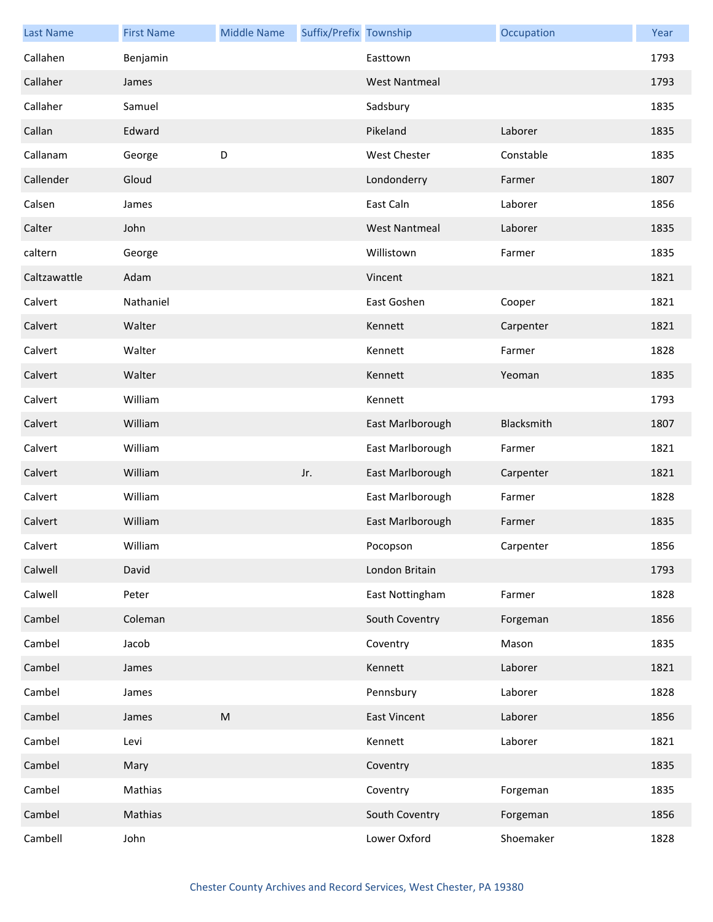| <b>Last Name</b> | <b>First Name</b> | <b>Middle Name</b> | Suffix/Prefix Township |                      | Occupation | Year |
|------------------|-------------------|--------------------|------------------------|----------------------|------------|------|
| Callahen         | Benjamin          |                    |                        | Easttown             |            | 1793 |
| Callaher         | James             |                    |                        | <b>West Nantmeal</b> |            | 1793 |
| Callaher         | Samuel            |                    |                        | Sadsbury             |            | 1835 |
| Callan           | Edward            |                    |                        | Pikeland             | Laborer    | 1835 |
| Callanam         | George            | D                  |                        | West Chester         | Constable  | 1835 |
| Callender        | Gloud             |                    |                        | Londonderry          | Farmer     | 1807 |
| Calsen           | James             |                    |                        | East Caln            | Laborer    | 1856 |
| Calter           | John              |                    |                        | <b>West Nantmeal</b> | Laborer    | 1835 |
| caltern          | George            |                    |                        | Willistown           | Farmer     | 1835 |
| Caltzawattle     | Adam              |                    |                        | Vincent              |            | 1821 |
| Calvert          | Nathaniel         |                    |                        | East Goshen          | Cooper     | 1821 |
| Calvert          | Walter            |                    |                        | Kennett              | Carpenter  | 1821 |
| Calvert          | Walter            |                    |                        | Kennett              | Farmer     | 1828 |
| Calvert          | Walter            |                    |                        | Kennett              | Yeoman     | 1835 |
| Calvert          | William           |                    |                        | Kennett              |            | 1793 |
| Calvert          | William           |                    |                        | East Marlborough     | Blacksmith | 1807 |
| Calvert          | William           |                    |                        | East Marlborough     | Farmer     | 1821 |
| Calvert          | William           |                    | Jr.                    | East Marlborough     | Carpenter  | 1821 |
| Calvert          | William           |                    |                        | East Marlborough     | Farmer     | 1828 |
| Calvert          | William           |                    |                        | East Marlborough     | Farmer     | 1835 |
| Calvert          | William           |                    |                        | Pocopson             | Carpenter  | 1856 |
| Calwell          | David             |                    |                        | London Britain       |            | 1793 |
| Calwell          | Peter             |                    |                        | East Nottingham      | Farmer     | 1828 |
| Cambel           | Coleman           |                    |                        | South Coventry       | Forgeman   | 1856 |
| Cambel           | Jacob             |                    |                        | Coventry             | Mason      | 1835 |
| Cambel           | James             |                    |                        | Kennett              | Laborer    | 1821 |
| Cambel           | James             |                    |                        | Pennsbury            | Laborer    | 1828 |
| Cambel           | James             | ${\sf M}$          |                        | <b>East Vincent</b>  | Laborer    | 1856 |
| Cambel           | Levi              |                    |                        | Kennett              | Laborer    | 1821 |
| Cambel           | Mary              |                    |                        | Coventry             |            | 1835 |
| Cambel           | Mathias           |                    |                        | Coventry             | Forgeman   | 1835 |
| Cambel           | Mathias           |                    |                        | South Coventry       | Forgeman   | 1856 |
| Cambell          | John              |                    |                        | Lower Oxford         | Shoemaker  | 1828 |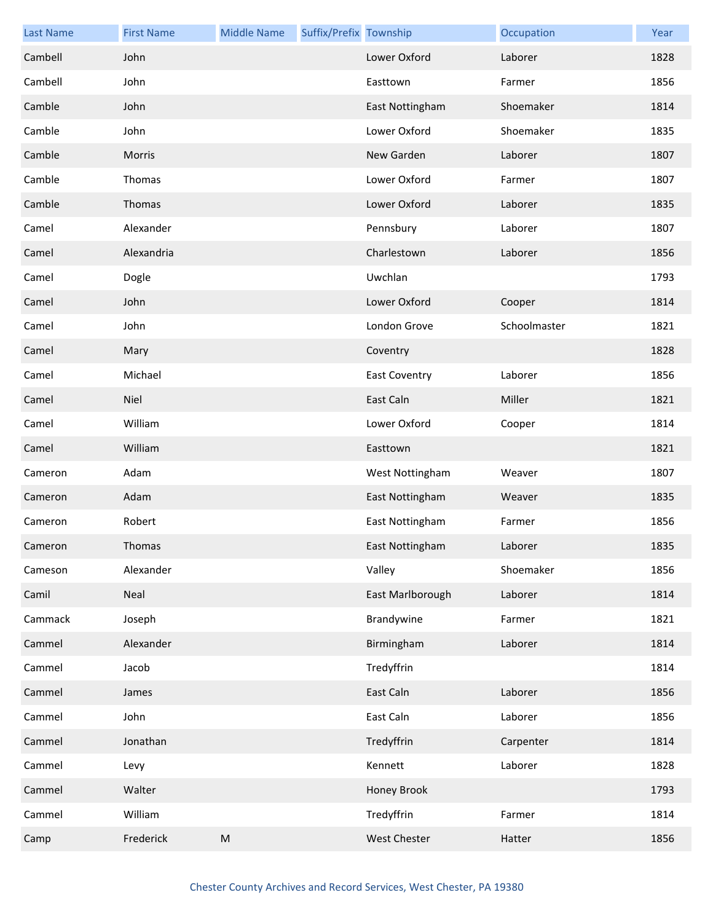| <b>Last Name</b> | <b>First Name</b> | <b>Middle Name</b> | Suffix/Prefix Township |                      | Occupation   | Year |
|------------------|-------------------|--------------------|------------------------|----------------------|--------------|------|
| Cambell          | John              |                    |                        | Lower Oxford         | Laborer      | 1828 |
| Cambell          | John              |                    |                        | Easttown             | Farmer       | 1856 |
| Camble           | John              |                    |                        | East Nottingham      | Shoemaker    | 1814 |
| Camble           | John              |                    |                        | Lower Oxford         | Shoemaker    | 1835 |
| Camble           | <b>Morris</b>     |                    |                        | New Garden           | Laborer      | 1807 |
| Camble           | Thomas            |                    |                        | Lower Oxford         | Farmer       | 1807 |
| Camble           | Thomas            |                    |                        | Lower Oxford         | Laborer      | 1835 |
| Camel            | Alexander         |                    |                        | Pennsbury            | Laborer      | 1807 |
| Camel            | Alexandria        |                    |                        | Charlestown          | Laborer      | 1856 |
| Camel            | Dogle             |                    |                        | Uwchlan              |              | 1793 |
| Camel            | John              |                    |                        | Lower Oxford         | Cooper       | 1814 |
| Camel            | John              |                    |                        | London Grove         | Schoolmaster | 1821 |
| Camel            | Mary              |                    |                        | Coventry             |              | 1828 |
| Camel            | Michael           |                    |                        | <b>East Coventry</b> | Laborer      | 1856 |
| Camel            | Niel              |                    |                        | East Caln            | Miller       | 1821 |
| Camel            | William           |                    |                        | Lower Oxford         | Cooper       | 1814 |
| Camel            | William           |                    |                        | Easttown             |              | 1821 |
| Cameron          | Adam              |                    |                        | West Nottingham      | Weaver       | 1807 |
| Cameron          | Adam              |                    |                        | East Nottingham      | Weaver       | 1835 |
| Cameron          | Robert            |                    |                        | East Nottingham      | Farmer       | 1856 |
| Cameron          | <b>Thomas</b>     |                    |                        | East Nottingham      | Laborer      | 1835 |
| Cameson          | Alexander         |                    |                        | Valley               | Shoemaker    | 1856 |
| Camil            | Neal              |                    |                        | East Marlborough     | Laborer      | 1814 |
| Cammack          | Joseph            |                    |                        | Brandywine           | Farmer       | 1821 |
| Cammel           | Alexander         |                    |                        | Birmingham           | Laborer      | 1814 |
| Cammel           | Jacob             |                    |                        | Tredyffrin           |              | 1814 |
| Cammel           | James             |                    |                        | East Caln            | Laborer      | 1856 |
| Cammel           | John              |                    |                        | East Caln            | Laborer      | 1856 |
| Cammel           | Jonathan          |                    |                        | Tredyffrin           | Carpenter    | 1814 |
| Cammel           | Levy              |                    |                        | Kennett              | Laborer      | 1828 |
| Cammel           | Walter            |                    |                        | Honey Brook          |              | 1793 |
| Cammel           | William           |                    |                        | Tredyffrin           | Farmer       | 1814 |
| Camp             | Frederick         | ${\sf M}$          |                        | West Chester         | Hatter       | 1856 |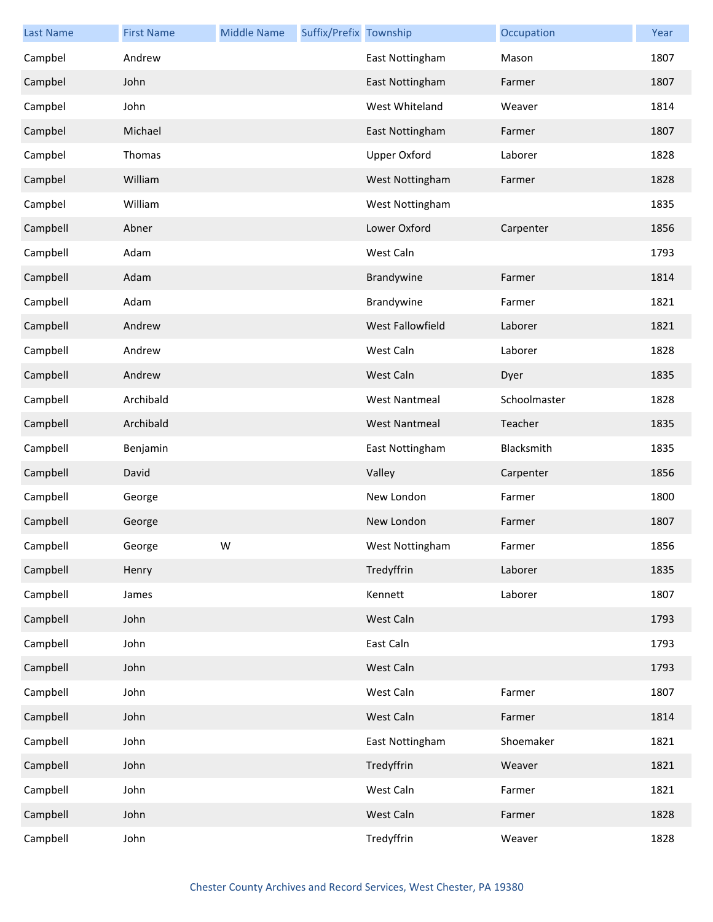| <b>Last Name</b> | <b>First Name</b> | <b>Middle Name</b> | Suffix/Prefix Township |                      | Occupation   | Year |
|------------------|-------------------|--------------------|------------------------|----------------------|--------------|------|
| Campbel          | Andrew            |                    |                        | East Nottingham      | Mason        | 1807 |
| Campbel          | John              |                    |                        | East Nottingham      | Farmer       | 1807 |
| Campbel          | John              |                    |                        | West Whiteland       | Weaver       | 1814 |
| Campbel          | Michael           |                    |                        | East Nottingham      | Farmer       | 1807 |
| Campbel          | Thomas            |                    |                        | <b>Upper Oxford</b>  | Laborer      | 1828 |
| Campbel          | William           |                    |                        | West Nottingham      | Farmer       | 1828 |
| Campbel          | William           |                    |                        | West Nottingham      |              | 1835 |
| Campbell         | Abner             |                    |                        | Lower Oxford         | Carpenter    | 1856 |
| Campbell         | Adam              |                    |                        | West Caln            |              | 1793 |
| Campbell         | Adam              |                    |                        | Brandywine           | Farmer       | 1814 |
| Campbell         | Adam              |                    |                        | Brandywine           | Farmer       | 1821 |
| Campbell         | Andrew            |                    |                        | West Fallowfield     | Laborer      | 1821 |
| Campbell         | Andrew            |                    |                        | West Caln            | Laborer      | 1828 |
| Campbell         | Andrew            |                    |                        | West Caln            | Dyer         | 1835 |
| Campbell         | Archibald         |                    |                        | <b>West Nantmeal</b> | Schoolmaster | 1828 |
| Campbell         | Archibald         |                    |                        | <b>West Nantmeal</b> | Teacher      | 1835 |
| Campbell         | Benjamin          |                    |                        | East Nottingham      | Blacksmith   | 1835 |
| Campbell         | David             |                    |                        | Valley               | Carpenter    | 1856 |
| Campbell         | George            |                    |                        | New London           | Farmer       | 1800 |
| Campbell         | George            |                    |                        | New London           | Farmer       | 1807 |
| Campbell         | George            | W                  |                        | West Nottingham      | Farmer       | 1856 |
| Campbell         | Henry             |                    |                        | Tredyffrin           | Laborer      | 1835 |
| Campbell         | James             |                    |                        | Kennett              | Laborer      | 1807 |
| Campbell         | John              |                    |                        | West Caln            |              | 1793 |
| Campbell         | John              |                    |                        | East Caln            |              | 1793 |
| Campbell         | John              |                    |                        | West Caln            |              | 1793 |
| Campbell         | John              |                    |                        | West Caln            | Farmer       | 1807 |
| Campbell         | John              |                    |                        | West Caln            | Farmer       | 1814 |
| Campbell         | John              |                    |                        | East Nottingham      | Shoemaker    | 1821 |
| Campbell         | John              |                    |                        | Tredyffrin           | Weaver       | 1821 |
| Campbell         | John              |                    |                        | West Caln            | Farmer       | 1821 |
| Campbell         | John              |                    |                        | West Caln            | Farmer       | 1828 |
| Campbell         | John              |                    |                        | Tredyffrin           | Weaver       | 1828 |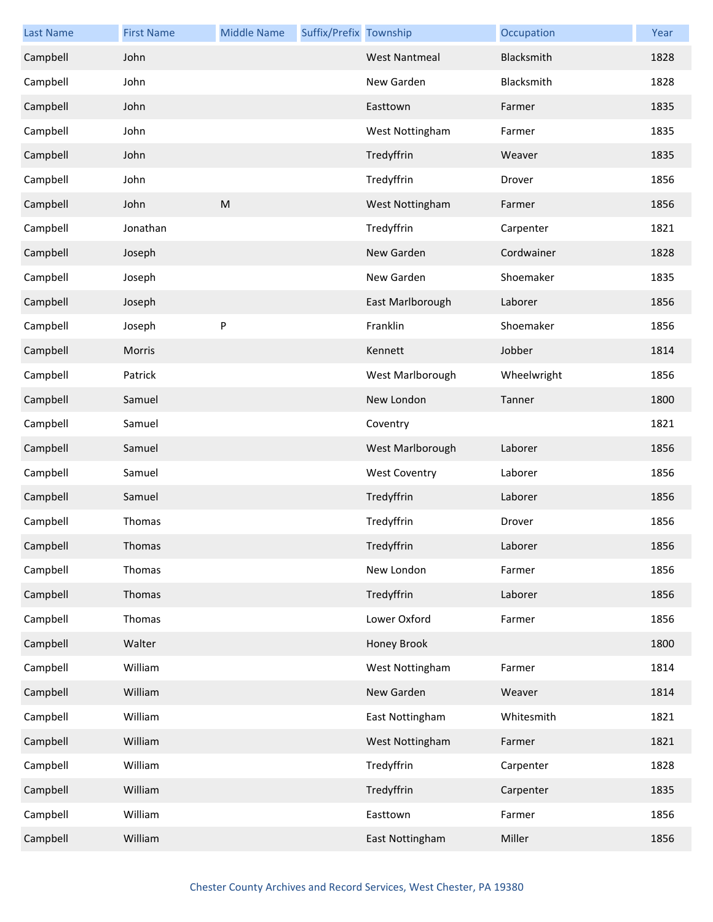| <b>Last Name</b> | <b>First Name</b> | <b>Middle Name</b> | Suffix/Prefix Township |                      | Occupation  | Year |
|------------------|-------------------|--------------------|------------------------|----------------------|-------------|------|
| Campbell         | John              |                    |                        | <b>West Nantmeal</b> | Blacksmith  | 1828 |
| Campbell         | John              |                    |                        | New Garden           | Blacksmith  | 1828 |
| Campbell         | John              |                    |                        | Easttown             | Farmer      | 1835 |
| Campbell         | John              |                    |                        | West Nottingham      | Farmer      | 1835 |
| Campbell         | John              |                    |                        | Tredyffrin           | Weaver      | 1835 |
| Campbell         | John              |                    |                        | Tredyffrin           | Drover      | 1856 |
| Campbell         | John              | M                  |                        | West Nottingham      | Farmer      | 1856 |
| Campbell         | Jonathan          |                    |                        | Tredyffrin           | Carpenter   | 1821 |
| Campbell         | Joseph            |                    |                        | New Garden           | Cordwainer  | 1828 |
| Campbell         | Joseph            |                    |                        | New Garden           | Shoemaker   | 1835 |
| Campbell         | Joseph            |                    |                        | East Marlborough     | Laborer     | 1856 |
| Campbell         | Joseph            | P                  |                        | Franklin             | Shoemaker   | 1856 |
| Campbell         | Morris            |                    |                        | Kennett              | Jobber      | 1814 |
| Campbell         | Patrick           |                    |                        | West Marlborough     | Wheelwright | 1856 |
| Campbell         | Samuel            |                    |                        | New London           | Tanner      | 1800 |
| Campbell         | Samuel            |                    |                        | Coventry             |             | 1821 |
| Campbell         | Samuel            |                    |                        | West Marlborough     | Laborer     | 1856 |
| Campbell         | Samuel            |                    |                        | <b>West Coventry</b> | Laborer     | 1856 |
| Campbell         | Samuel            |                    |                        | Tredyffrin           | Laborer     | 1856 |
| Campbell         | Thomas            |                    |                        | Tredyffrin           | Drover      | 1856 |
| Campbell         | Thomas            |                    |                        | Tredyffrin           | Laborer     | 1856 |
| Campbell         | Thomas            |                    |                        | New London           | Farmer      | 1856 |
| Campbell         | Thomas            |                    |                        | Tredyffrin           | Laborer     | 1856 |
| Campbell         | Thomas            |                    |                        | Lower Oxford         | Farmer      | 1856 |
| Campbell         | Walter            |                    |                        | Honey Brook          |             | 1800 |
| Campbell         | William           |                    |                        | West Nottingham      | Farmer      | 1814 |
| Campbell         | William           |                    |                        | New Garden           | Weaver      | 1814 |
| Campbell         | William           |                    |                        | East Nottingham      | Whitesmith  | 1821 |
| Campbell         | William           |                    |                        | West Nottingham      | Farmer      | 1821 |
| Campbell         | William           |                    |                        | Tredyffrin           | Carpenter   | 1828 |
| Campbell         | William           |                    |                        | Tredyffrin           | Carpenter   | 1835 |
| Campbell         | William           |                    |                        | Easttown             | Farmer      | 1856 |
| Campbell         | William           |                    |                        | East Nottingham      | Miller      | 1856 |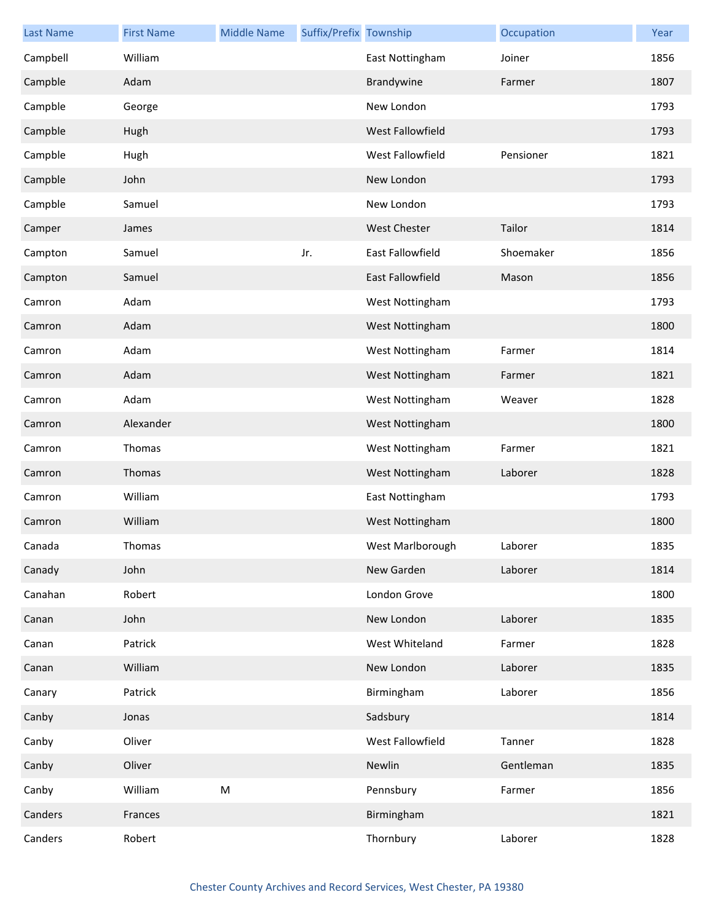| <b>Last Name</b> | <b>First Name</b> | <b>Middle Name</b> | Suffix/Prefix Township |                     | Occupation | Year |
|------------------|-------------------|--------------------|------------------------|---------------------|------------|------|
| Campbell         | William           |                    |                        | East Nottingham     | Joiner     | 1856 |
| Campble          | Adam              |                    |                        | Brandywine          | Farmer     | 1807 |
| Campble          | George            |                    |                        | New London          |            | 1793 |
| Campble          | Hugh              |                    |                        | West Fallowfield    |            | 1793 |
| Campble          | Hugh              |                    |                        | West Fallowfield    | Pensioner  | 1821 |
| Campble          | John              |                    |                        | New London          |            | 1793 |
| Campble          | Samuel            |                    |                        | New London          |            | 1793 |
| Camper           | James             |                    |                        | <b>West Chester</b> | Tailor     | 1814 |
| Campton          | Samuel            |                    | Jr.                    | East Fallowfield    | Shoemaker  | 1856 |
| Campton          | Samuel            |                    |                        | East Fallowfield    | Mason      | 1856 |
| Camron           | Adam              |                    |                        | West Nottingham     |            | 1793 |
| Camron           | Adam              |                    |                        | West Nottingham     |            | 1800 |
| Camron           | Adam              |                    |                        | West Nottingham     | Farmer     | 1814 |
| Camron           | Adam              |                    |                        | West Nottingham     | Farmer     | 1821 |
| Camron           | Adam              |                    |                        | West Nottingham     | Weaver     | 1828 |
| Camron           | Alexander         |                    |                        | West Nottingham     |            | 1800 |
| Camron           | Thomas            |                    |                        | West Nottingham     | Farmer     | 1821 |
| Camron           | Thomas            |                    |                        | West Nottingham     | Laborer    | 1828 |
| Camron           | William           |                    |                        | East Nottingham     |            | 1793 |
| Camron           | William           |                    |                        | West Nottingham     |            | 1800 |
| Canada           | Thomas            |                    |                        | West Marlborough    | Laborer    | 1835 |
| Canady           | John              |                    |                        | New Garden          | Laborer    | 1814 |
| Canahan          | Robert            |                    |                        | London Grove        |            | 1800 |
| Canan            | John              |                    |                        | New London          | Laborer    | 1835 |
| Canan            | Patrick           |                    |                        | West Whiteland      | Farmer     | 1828 |
| Canan            | William           |                    |                        | New London          | Laborer    | 1835 |
| Canary           | Patrick           |                    |                        | Birmingham          | Laborer    | 1856 |
| Canby            | Jonas             |                    |                        | Sadsbury            |            | 1814 |
| Canby            | Oliver            |                    |                        | West Fallowfield    | Tanner     | 1828 |
| Canby            | Oliver            |                    |                        | Newlin              | Gentleman  | 1835 |
| Canby            | William           | M                  |                        | Pennsbury           | Farmer     | 1856 |
| Canders          | Frances           |                    |                        | Birmingham          |            | 1821 |
| Canders          | Robert            |                    |                        | Thornbury           | Laborer    | 1828 |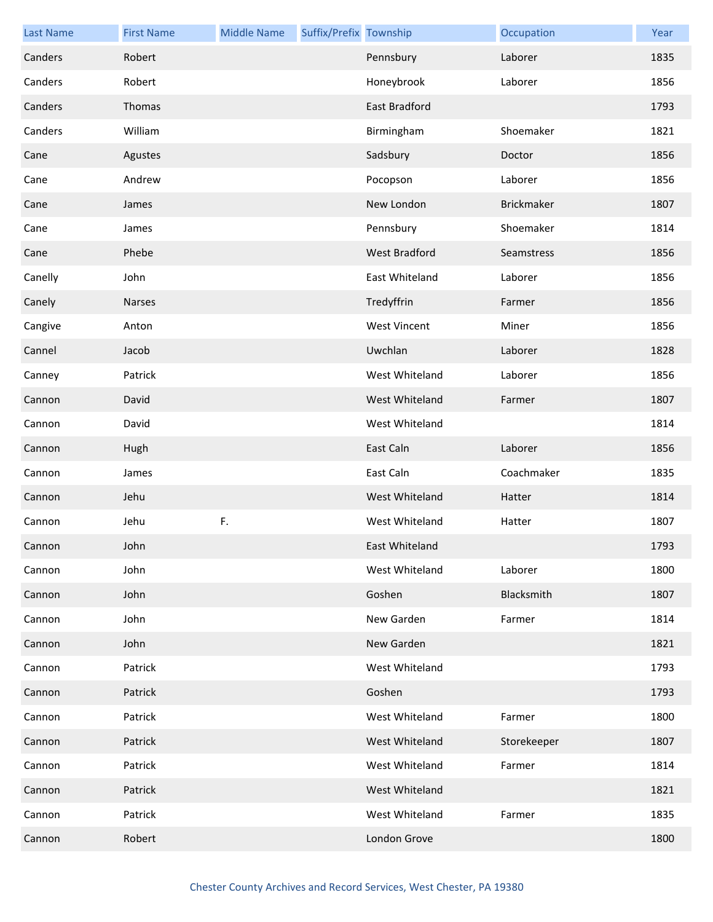| <b>Last Name</b> | <b>First Name</b> | <b>Middle Name</b> | Suffix/Prefix Township |                      | Occupation  | Year |
|------------------|-------------------|--------------------|------------------------|----------------------|-------------|------|
| Canders          | Robert            |                    |                        | Pennsbury            | Laborer     | 1835 |
| Canders          | Robert            |                    |                        | Honeybrook           | Laborer     | 1856 |
| Canders          | Thomas            |                    |                        | East Bradford        |             | 1793 |
| Canders          | William           |                    |                        | Birmingham           | Shoemaker   | 1821 |
| Cane             | Agustes           |                    |                        | Sadsbury             | Doctor      | 1856 |
| Cane             | Andrew            |                    |                        | Pocopson             | Laborer     | 1856 |
| Cane             | James             |                    |                        | New London           | Brickmaker  | 1807 |
| Cane             | James             |                    |                        | Pennsbury            | Shoemaker   | 1814 |
| Cane             | Phebe             |                    |                        | <b>West Bradford</b> | Seamstress  | 1856 |
| Canelly          | John              |                    |                        | East Whiteland       | Laborer     | 1856 |
| Canely           | Narses            |                    |                        | Tredyffrin           | Farmer      | 1856 |
| Cangive          | Anton             |                    |                        | <b>West Vincent</b>  | Miner       | 1856 |
| Cannel           | Jacob             |                    |                        | Uwchlan              | Laborer     | 1828 |
| Canney           | Patrick           |                    |                        | West Whiteland       | Laborer     | 1856 |
| Cannon           | David             |                    |                        | West Whiteland       | Farmer      | 1807 |
| Cannon           | David             |                    |                        | West Whiteland       |             | 1814 |
| Cannon           | Hugh              |                    |                        | East Caln            | Laborer     | 1856 |
| Cannon           | James             |                    |                        | East Caln            | Coachmaker  | 1835 |
| Cannon           | Jehu              |                    |                        | West Whiteland       | Hatter      | 1814 |
| Cannon           | Jehu              | F.                 |                        | West Whiteland       | Hatter      | 1807 |
| Cannon           | John              |                    |                        | East Whiteland       |             | 1793 |
| Cannon           | John              |                    |                        | West Whiteland       | Laborer     | 1800 |
| Cannon           | John              |                    |                        | Goshen               | Blacksmith  | 1807 |
| Cannon           | John              |                    |                        | New Garden           | Farmer      | 1814 |
| Cannon           | John              |                    |                        | New Garden           |             | 1821 |
| Cannon           | Patrick           |                    |                        | West Whiteland       |             | 1793 |
| Cannon           | Patrick           |                    |                        | Goshen               |             | 1793 |
| Cannon           | Patrick           |                    |                        | West Whiteland       | Farmer      | 1800 |
| Cannon           | Patrick           |                    |                        | West Whiteland       | Storekeeper | 1807 |
| Cannon           | Patrick           |                    |                        | West Whiteland       | Farmer      | 1814 |
| Cannon           | Patrick           |                    |                        | West Whiteland       |             | 1821 |
| Cannon           | Patrick           |                    |                        | West Whiteland       | Farmer      | 1835 |
| Cannon           | Robert            |                    |                        | London Grove         |             | 1800 |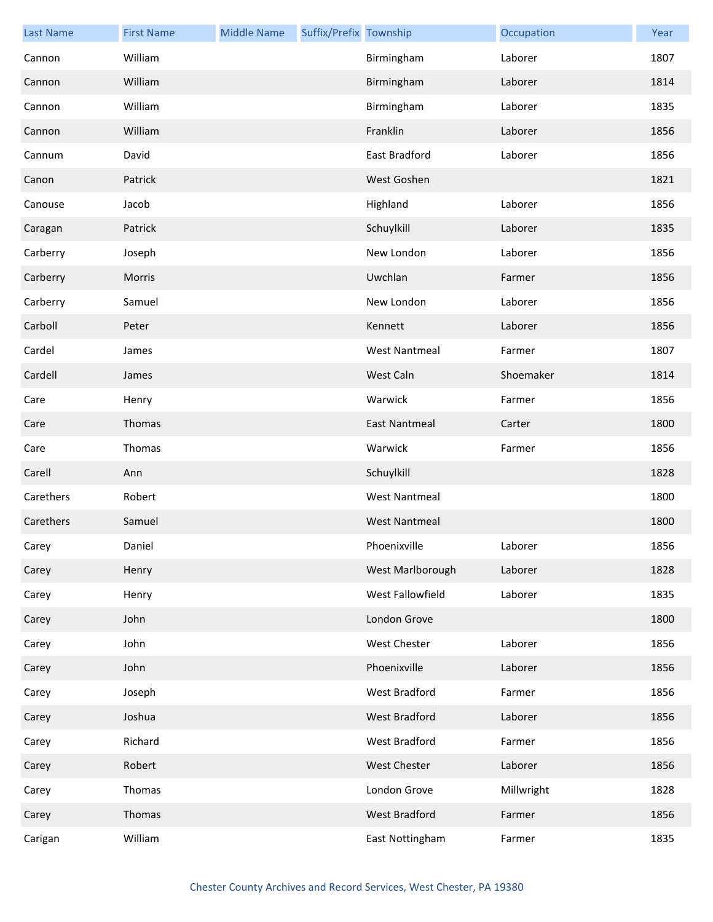| <b>Last Name</b> | <b>First Name</b> | <b>Middle Name</b> | Suffix/Prefix Township |                      | Occupation | Year |
|------------------|-------------------|--------------------|------------------------|----------------------|------------|------|
| Cannon           | William           |                    |                        | Birmingham           | Laborer    | 1807 |
| Cannon           | William           |                    |                        | Birmingham           | Laborer    | 1814 |
| Cannon           | William           |                    |                        | Birmingham           | Laborer    | 1835 |
| Cannon           | William           |                    |                        | Franklin             | Laborer    | 1856 |
| Cannum           | David             |                    |                        | East Bradford        | Laborer    | 1856 |
| Canon            | Patrick           |                    |                        | West Goshen          |            | 1821 |
| Canouse          | Jacob             |                    |                        | Highland             | Laborer    | 1856 |
| Caragan          | Patrick           |                    |                        | Schuylkill           | Laborer    | 1835 |
| Carberry         | Joseph            |                    |                        | New London           | Laborer    | 1856 |
| Carberry         | Morris            |                    |                        | Uwchlan              | Farmer     | 1856 |
| Carberry         | Samuel            |                    |                        | New London           | Laborer    | 1856 |
| Carboll          | Peter             |                    |                        | Kennett              | Laborer    | 1856 |
| Cardel           | James             |                    |                        | <b>West Nantmeal</b> | Farmer     | 1807 |
| Cardell          | James             |                    |                        | West Caln            | Shoemaker  | 1814 |
| Care             | Henry             |                    |                        | Warwick              | Farmer     | 1856 |
| Care             | Thomas            |                    |                        | <b>East Nantmeal</b> | Carter     | 1800 |
| Care             | Thomas            |                    |                        | Warwick              | Farmer     | 1856 |
| Carell           | Ann               |                    |                        | Schuylkill           |            | 1828 |
| Carethers        | Robert            |                    |                        | <b>West Nantmeal</b> |            | 1800 |
| Carethers        | Samuel            |                    |                        | <b>West Nantmeal</b> |            | 1800 |
| Carey            | Daniel            |                    |                        | Phoenixville         | Laborer    | 1856 |
| Carey            | Henry             |                    |                        | West Marlborough     | Laborer    | 1828 |
| Carey            | Henry             |                    |                        | West Fallowfield     | Laborer    | 1835 |
| Carey            | John              |                    |                        | London Grove         |            | 1800 |
| Carey            | John              |                    |                        | West Chester         | Laborer    | 1856 |
| Carey            | John              |                    |                        | Phoenixville         | Laborer    | 1856 |
| Carey            | Joseph            |                    |                        | West Bradford        | Farmer     | 1856 |
| Carey            | Joshua            |                    |                        | West Bradford        | Laborer    | 1856 |
| Carey            | Richard           |                    |                        | West Bradford        | Farmer     | 1856 |
| Carey            | Robert            |                    |                        | West Chester         | Laborer    | 1856 |
| Carey            | Thomas            |                    |                        | London Grove         | Millwright | 1828 |
| Carey            | Thomas            |                    |                        | West Bradford        | Farmer     | 1856 |
| Carigan          | William           |                    |                        | East Nottingham      | Farmer     | 1835 |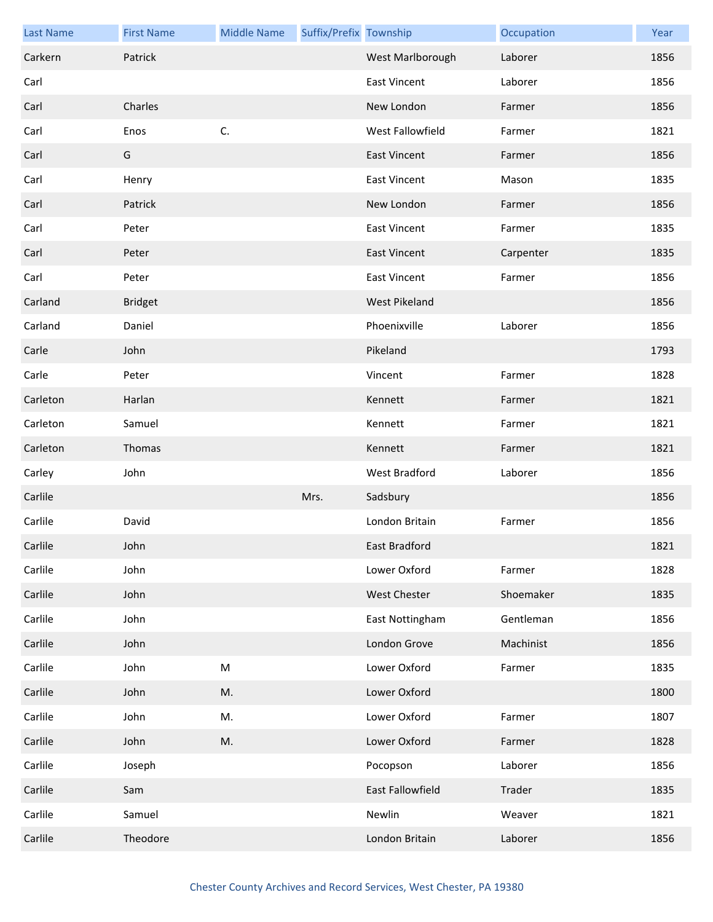| <b>Last Name</b> | <b>First Name</b> | <b>Middle Name</b> | Suffix/Prefix Township |                     | Occupation | Year |
|------------------|-------------------|--------------------|------------------------|---------------------|------------|------|
| Carkern          | Patrick           |                    |                        | West Marlborough    | Laborer    | 1856 |
| Carl             |                   |                    |                        | <b>East Vincent</b> | Laborer    | 1856 |
| Carl             | Charles           |                    |                        | New London          | Farmer     | 1856 |
| Carl             | Enos              | C.                 |                        | West Fallowfield    | Farmer     | 1821 |
| Carl             | G                 |                    |                        | <b>East Vincent</b> | Farmer     | 1856 |
| Carl             | Henry             |                    |                        | <b>East Vincent</b> | Mason      | 1835 |
| Carl             | Patrick           |                    |                        | New London          | Farmer     | 1856 |
| Carl             | Peter             |                    |                        | <b>East Vincent</b> | Farmer     | 1835 |
| Carl             | Peter             |                    |                        | <b>East Vincent</b> | Carpenter  | 1835 |
| Carl             | Peter             |                    |                        | <b>East Vincent</b> | Farmer     | 1856 |
| Carland          | <b>Bridget</b>    |                    |                        | West Pikeland       |            | 1856 |
| Carland          | Daniel            |                    |                        | Phoenixville        | Laborer    | 1856 |
| Carle            | John              |                    |                        | Pikeland            |            | 1793 |
| Carle            | Peter             |                    |                        | Vincent             | Farmer     | 1828 |
| Carleton         | Harlan            |                    |                        | Kennett             | Farmer     | 1821 |
| Carleton         | Samuel            |                    |                        | Kennett             | Farmer     | 1821 |
| Carleton         | Thomas            |                    |                        | Kennett             | Farmer     | 1821 |
| Carley           | John              |                    |                        | West Bradford       | Laborer    | 1856 |
| Carlile          |                   |                    | Mrs.                   | Sadsbury            |            | 1856 |
| Carlile          | David             |                    |                        | London Britain      | Farmer     | 1856 |
| Carlile          | John              |                    |                        | East Bradford       |            | 1821 |
| Carlile          | John              |                    |                        | Lower Oxford        | Farmer     | 1828 |
| Carlile          | John              |                    |                        | West Chester        | Shoemaker  | 1835 |
| Carlile          | John              |                    |                        | East Nottingham     | Gentleman  | 1856 |
| Carlile          | John              |                    |                        | London Grove        | Machinist  | 1856 |
| Carlile          | John              | ${\sf M}$          |                        | Lower Oxford        | Farmer     | 1835 |
| Carlile          | John              | M.                 |                        | Lower Oxford        |            | 1800 |
| Carlile          | John              | M.                 |                        | Lower Oxford        | Farmer     | 1807 |
| Carlile          | John              | M.                 |                        | Lower Oxford        | Farmer     | 1828 |
| Carlile          | Joseph            |                    |                        | Pocopson            | Laborer    | 1856 |
| Carlile          | Sam               |                    |                        | East Fallowfield    | Trader     | 1835 |
| Carlile          | Samuel            |                    |                        | Newlin              | Weaver     | 1821 |
| Carlile          | Theodore          |                    |                        | London Britain      | Laborer    | 1856 |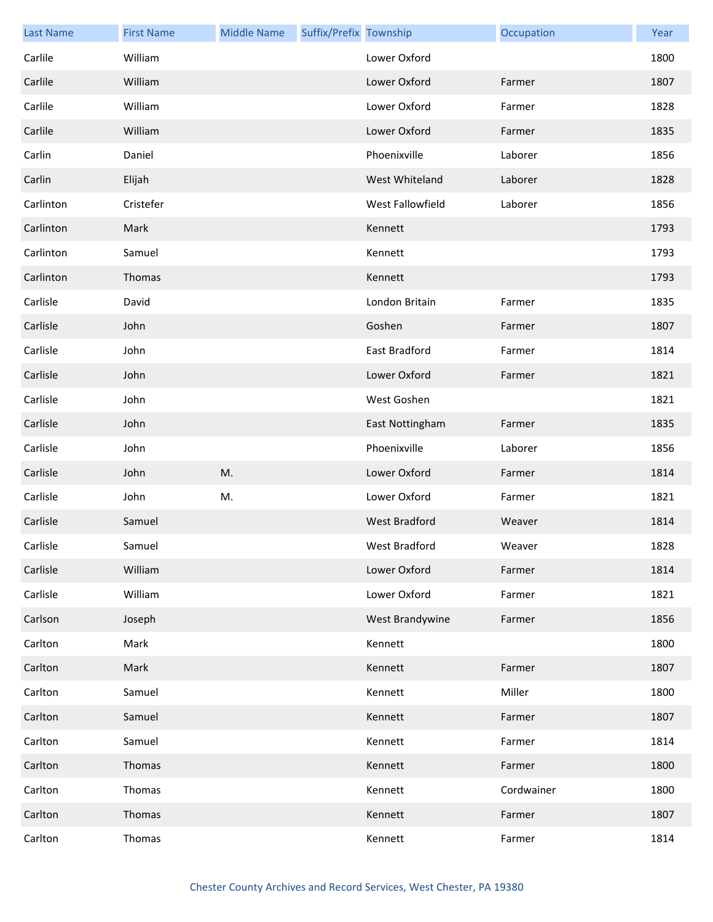| <b>Last Name</b> | <b>First Name</b> | <b>Middle Name</b> | Suffix/Prefix Township |                      | Occupation | Year |
|------------------|-------------------|--------------------|------------------------|----------------------|------------|------|
| Carlile          | William           |                    |                        | Lower Oxford         |            | 1800 |
| Carlile          | William           |                    |                        | Lower Oxford         | Farmer     | 1807 |
| Carlile          | William           |                    |                        | Lower Oxford         | Farmer     | 1828 |
| Carlile          | William           |                    |                        | Lower Oxford         | Farmer     | 1835 |
| Carlin           | Daniel            |                    |                        | Phoenixville         | Laborer    | 1856 |
| Carlin           | Elijah            |                    |                        | West Whiteland       | Laborer    | 1828 |
| Carlinton        | Cristefer         |                    |                        | West Fallowfield     | Laborer    | 1856 |
| Carlinton        | Mark              |                    |                        | Kennett              |            | 1793 |
| Carlinton        | Samuel            |                    |                        | Kennett              |            | 1793 |
| Carlinton        | Thomas            |                    |                        | Kennett              |            | 1793 |
| Carlisle         | David             |                    |                        | London Britain       | Farmer     | 1835 |
| Carlisle         | John              |                    |                        | Goshen               | Farmer     | 1807 |
| Carlisle         | John              |                    |                        | East Bradford        | Farmer     | 1814 |
| Carlisle         | John              |                    |                        | Lower Oxford         | Farmer     | 1821 |
| Carlisle         | John              |                    |                        | West Goshen          |            | 1821 |
| Carlisle         | John              |                    |                        | East Nottingham      | Farmer     | 1835 |
| Carlisle         | John              |                    |                        | Phoenixville         | Laborer    | 1856 |
| Carlisle         | John              | M.                 |                        | Lower Oxford         | Farmer     | 1814 |
| Carlisle         | John              | M.                 |                        | Lower Oxford         | Farmer     | 1821 |
| Carlisle         | Samuel            |                    |                        | <b>West Bradford</b> | Weaver     | 1814 |
| Carlisle         | Samuel            |                    |                        | West Bradford        | Weaver     | 1828 |
| Carlisle         | William           |                    |                        | Lower Oxford         | Farmer     | 1814 |
| Carlisle         | William           |                    |                        | Lower Oxford         | Farmer     | 1821 |
| Carlson          | Joseph            |                    |                        | West Brandywine      | Farmer     | 1856 |
| Carlton          | Mark              |                    |                        | Kennett              |            | 1800 |
| Carlton          | Mark              |                    |                        | Kennett              | Farmer     | 1807 |
| Carlton          | Samuel            |                    |                        | Kennett              | Miller     | 1800 |
| Carlton          | Samuel            |                    |                        | Kennett              | Farmer     | 1807 |
| Carlton          | Samuel            |                    |                        | Kennett              | Farmer     | 1814 |
| Carlton          | Thomas            |                    |                        | Kennett              | Farmer     | 1800 |
| Carlton          | Thomas            |                    |                        | Kennett              | Cordwainer | 1800 |
| Carlton          | Thomas            |                    |                        | Kennett              | Farmer     | 1807 |
| Carlton          | Thomas            |                    |                        | Kennett              | Farmer     | 1814 |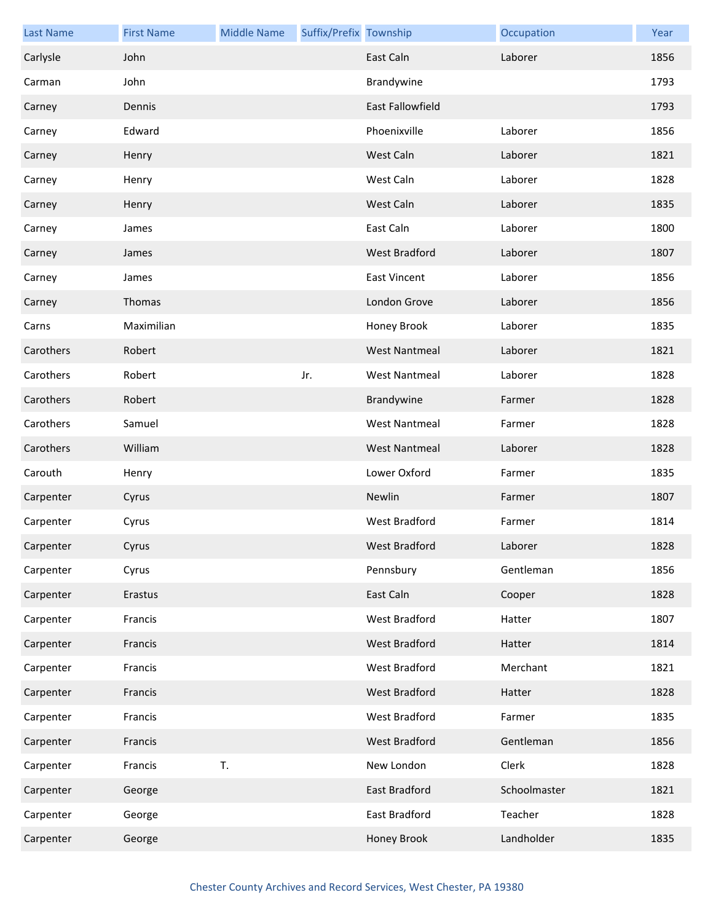| <b>Last Name</b> | <b>First Name</b> | <b>Middle Name</b> | Suffix/Prefix Township |                         | Occupation   | Year |
|------------------|-------------------|--------------------|------------------------|-------------------------|--------------|------|
| Carlysle         | John              |                    |                        | East Caln               | Laborer      | 1856 |
| Carman           | John              |                    |                        | Brandywine              |              | 1793 |
| Carney           | Dennis            |                    |                        | <b>East Fallowfield</b> |              | 1793 |
| Carney           | Edward            |                    |                        | Phoenixville            | Laborer      | 1856 |
| Carney           | Henry             |                    |                        | West Caln               | Laborer      | 1821 |
| Carney           | Henry             |                    |                        | West Caln               | Laborer      | 1828 |
| Carney           | Henry             |                    |                        | West Caln               | Laborer      | 1835 |
| Carney           | James             |                    |                        | East Caln               | Laborer      | 1800 |
| Carney           | James             |                    |                        | West Bradford           | Laborer      | 1807 |
| Carney           | James             |                    |                        | <b>East Vincent</b>     | Laborer      | 1856 |
| Carney           | Thomas            |                    |                        | London Grove            | Laborer      | 1856 |
| Carns            | Maximilian        |                    |                        | Honey Brook             | Laborer      | 1835 |
| Carothers        | Robert            |                    |                        | <b>West Nantmeal</b>    | Laborer      | 1821 |
| Carothers        | Robert            |                    | Jr.                    | <b>West Nantmeal</b>    | Laborer      | 1828 |
| Carothers        | Robert            |                    |                        | Brandywine              | Farmer       | 1828 |
| Carothers        | Samuel            |                    |                        | <b>West Nantmeal</b>    | Farmer       | 1828 |
| Carothers        | William           |                    |                        | <b>West Nantmeal</b>    | Laborer      | 1828 |
| Carouth          | Henry             |                    |                        | Lower Oxford            | Farmer       | 1835 |
| Carpenter        | Cyrus             |                    |                        | Newlin                  | Farmer       | 1807 |
| Carpenter        | Cyrus             |                    |                        | West Bradford           | Farmer       | 1814 |
| Carpenter        | Cyrus             |                    |                        | West Bradford           | Laborer      | 1828 |
| Carpenter        | Cyrus             |                    |                        | Pennsbury               | Gentleman    | 1856 |
| Carpenter        | Erastus           |                    |                        | East Caln               | Cooper       | 1828 |
| Carpenter        | Francis           |                    |                        | West Bradford           | Hatter       | 1807 |
| Carpenter        | Francis           |                    |                        | West Bradford           | Hatter       | 1814 |
| Carpenter        | Francis           |                    |                        | West Bradford           | Merchant     | 1821 |
| Carpenter        | Francis           |                    |                        | West Bradford           | Hatter       | 1828 |
| Carpenter        | Francis           |                    |                        | West Bradford           | Farmer       | 1835 |
| Carpenter        | Francis           |                    |                        | West Bradford           | Gentleman    | 1856 |
| Carpenter        | Francis           | T.                 |                        | New London              | Clerk        | 1828 |
| Carpenter        | George            |                    |                        | East Bradford           | Schoolmaster | 1821 |
| Carpenter        | George            |                    |                        | East Bradford           | Teacher      | 1828 |
| Carpenter        | George            |                    |                        | Honey Brook             | Landholder   | 1835 |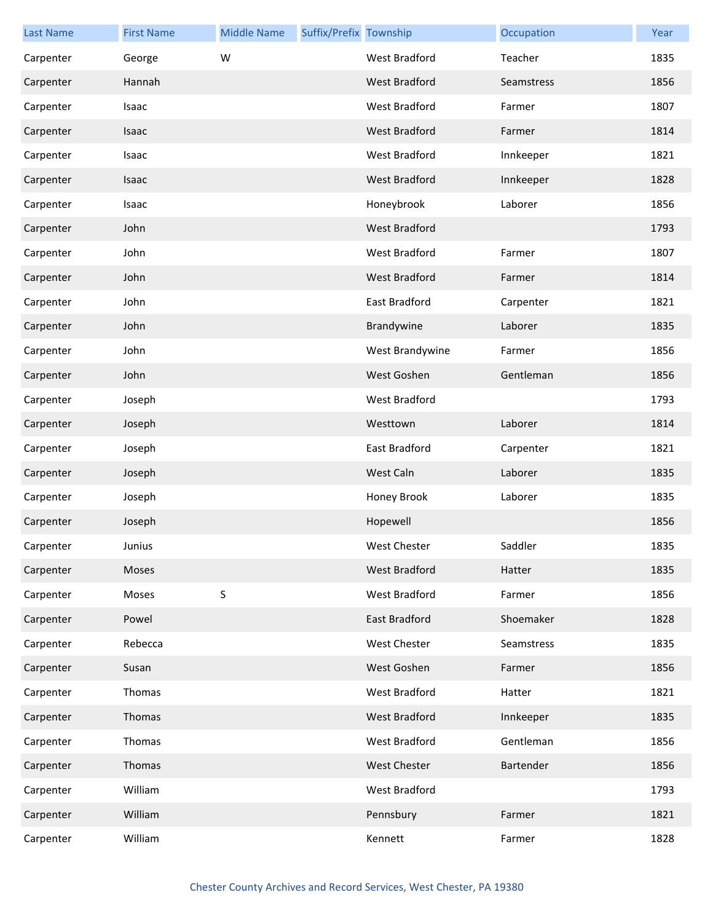| <b>Last Name</b> | <b>First Name</b> | <b>Middle Name</b> | Suffix/Prefix Township |                      | Occupation | Year |
|------------------|-------------------|--------------------|------------------------|----------------------|------------|------|
| Carpenter        | George            | W                  |                        | West Bradford        | Teacher    | 1835 |
| Carpenter        | Hannah            |                    |                        | <b>West Bradford</b> | Seamstress | 1856 |
| Carpenter        | Isaac             |                    |                        | West Bradford        | Farmer     | 1807 |
| Carpenter        | Isaac             |                    |                        | West Bradford        | Farmer     | 1814 |
| Carpenter        | Isaac             |                    |                        | West Bradford        | Innkeeper  | 1821 |
| Carpenter        | Isaac             |                    |                        | <b>West Bradford</b> | Innkeeper  | 1828 |
| Carpenter        | Isaac             |                    |                        | Honeybrook           | Laborer    | 1856 |
| Carpenter        | John              |                    |                        | <b>West Bradford</b> |            | 1793 |
| Carpenter        | John              |                    |                        | West Bradford        | Farmer     | 1807 |
| Carpenter        | John              |                    |                        | <b>West Bradford</b> | Farmer     | 1814 |
| Carpenter        | John              |                    |                        | East Bradford        | Carpenter  | 1821 |
| Carpenter        | John              |                    |                        | Brandywine           | Laborer    | 1835 |
| Carpenter        | John              |                    |                        | West Brandywine      | Farmer     | 1856 |
| Carpenter        | John              |                    |                        | West Goshen          | Gentleman  | 1856 |
| Carpenter        | Joseph            |                    |                        | West Bradford        |            | 1793 |
| Carpenter        | Joseph            |                    |                        | Westtown             | Laborer    | 1814 |
| Carpenter        | Joseph            |                    |                        | East Bradford        | Carpenter  | 1821 |
| Carpenter        | Joseph            |                    |                        | West Caln            | Laborer    | 1835 |
| Carpenter        | Joseph            |                    |                        | Honey Brook          | Laborer    | 1835 |
| Carpenter        | Joseph            |                    |                        | Hopewell             |            | 1856 |
| Carpenter        | Junius            |                    |                        | West Chester         | Saddler    | 1835 |
| Carpenter        | Moses             |                    |                        | West Bradford        | Hatter     | 1835 |
| Carpenter        | Moses             | S                  |                        | West Bradford        | Farmer     | 1856 |
| Carpenter        | Powel             |                    |                        | East Bradford        | Shoemaker  | 1828 |
| Carpenter        | Rebecca           |                    |                        | West Chester         | Seamstress | 1835 |
| Carpenter        | Susan             |                    |                        | West Goshen          | Farmer     | 1856 |
| Carpenter        | Thomas            |                    |                        | West Bradford        | Hatter     | 1821 |
| Carpenter        | Thomas            |                    |                        | West Bradford        | Innkeeper  | 1835 |
| Carpenter        | Thomas            |                    |                        | West Bradford        | Gentleman  | 1856 |
| Carpenter        | Thomas            |                    |                        | <b>West Chester</b>  | Bartender  | 1856 |
| Carpenter        | William           |                    |                        | West Bradford        |            | 1793 |
| Carpenter        | William           |                    |                        | Pennsbury            | Farmer     | 1821 |
| Carpenter        | William           |                    |                        | Kennett              | Farmer     | 1828 |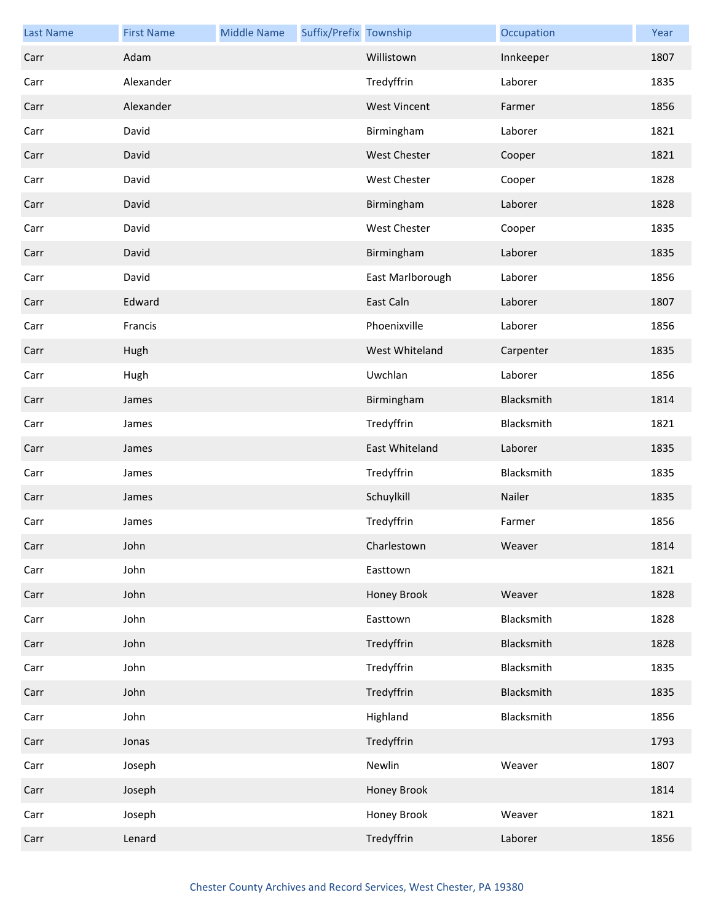| <b>Last Name</b> | <b>First Name</b> | <b>Middle Name</b> | Suffix/Prefix Township |                     | Occupation | Year |
|------------------|-------------------|--------------------|------------------------|---------------------|------------|------|
| Carr             | Adam              |                    |                        | Willistown          | Innkeeper  | 1807 |
| Carr             | Alexander         |                    |                        | Tredyffrin          | Laborer    | 1835 |
| Carr             | Alexander         |                    |                        | <b>West Vincent</b> | Farmer     | 1856 |
| Carr             | David             |                    |                        | Birmingham          | Laborer    | 1821 |
| Carr             | David             |                    |                        | West Chester        | Cooper     | 1821 |
| Carr             | David             |                    |                        | West Chester        | Cooper     | 1828 |
| Carr             | David             |                    |                        | Birmingham          | Laborer    | 1828 |
| Carr             | David             |                    |                        | West Chester        | Cooper     | 1835 |
| Carr             | David             |                    |                        | Birmingham          | Laborer    | 1835 |
| Carr             | David             |                    |                        | East Marlborough    | Laborer    | 1856 |
| Carr             | Edward            |                    |                        | East Caln           | Laborer    | 1807 |
| Carr             | Francis           |                    |                        | Phoenixville        | Laborer    | 1856 |
| Carr             | Hugh              |                    |                        | West Whiteland      | Carpenter  | 1835 |
| Carr             | Hugh              |                    |                        | Uwchlan             | Laborer    | 1856 |
| Carr             | James             |                    |                        | Birmingham          | Blacksmith | 1814 |
| Carr             | James             |                    |                        | Tredyffrin          | Blacksmith | 1821 |
| Carr             | James             |                    |                        | East Whiteland      | Laborer    | 1835 |
| Carr             | James             |                    |                        | Tredyffrin          | Blacksmith | 1835 |
| Carr             | James             |                    |                        | Schuylkill          | Nailer     | 1835 |
| Carr             | James             |                    |                        | Tredyffrin          | Farmer     | 1856 |
| Carr             | John              |                    |                        | Charlestown         | Weaver     | 1814 |
| Carr             | John              |                    |                        | Easttown            |            | 1821 |
| Carr             | John              |                    |                        | Honey Brook         | Weaver     | 1828 |
| Carr             | John              |                    |                        | Easttown            | Blacksmith | 1828 |
| Carr             | John              |                    |                        | Tredyffrin          | Blacksmith | 1828 |
| Carr             | John              |                    |                        | Tredyffrin          | Blacksmith | 1835 |
| Carr             | John              |                    |                        | Tredyffrin          | Blacksmith | 1835 |
| Carr             | John              |                    |                        | Highland            | Blacksmith | 1856 |
| Carr             | Jonas             |                    |                        | Tredyffrin          |            | 1793 |
| Carr             | Joseph            |                    |                        | Newlin              | Weaver     | 1807 |
| Carr             | Joseph            |                    |                        | Honey Brook         |            | 1814 |
| Carr             | Joseph            |                    |                        | Honey Brook         | Weaver     | 1821 |
| Carr             | Lenard            |                    |                        | Tredyffrin          | Laborer    | 1856 |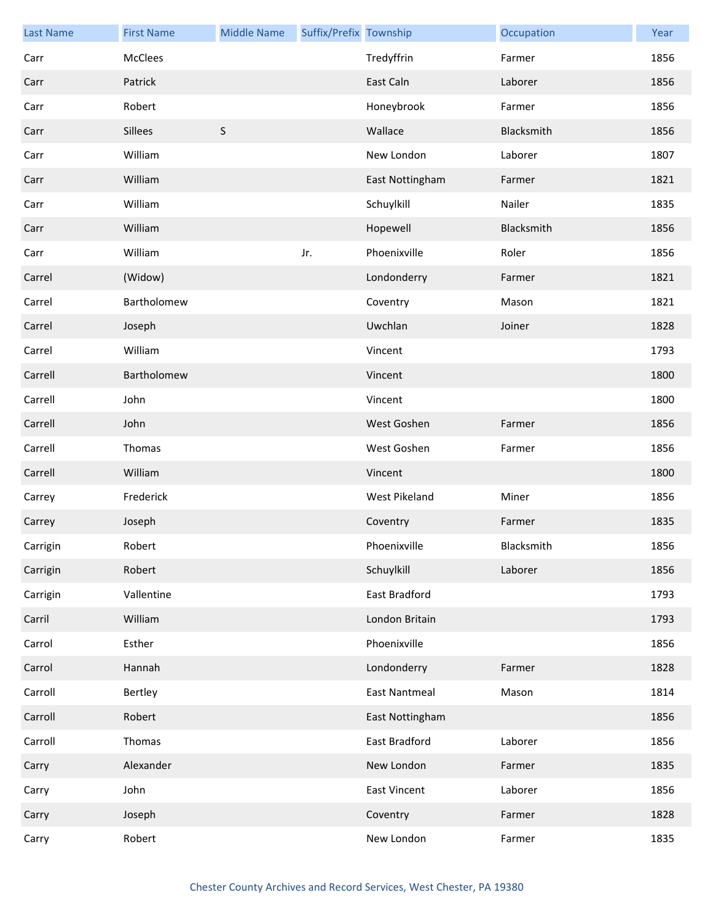| <b>Last Name</b> | <b>First Name</b> | <b>Middle Name</b> | Suffix/Prefix Township |                      | Occupation | Year |
|------------------|-------------------|--------------------|------------------------|----------------------|------------|------|
| Carr             | <b>McClees</b>    |                    |                        | Tredyffrin           | Farmer     | 1856 |
| Carr             | Patrick           |                    |                        | East Caln            | Laborer    | 1856 |
| Carr             | Robert            |                    |                        | Honeybrook           | Farmer     | 1856 |
| Carr             | <b>Sillees</b>    | $\sf S$            |                        | Wallace              | Blacksmith | 1856 |
| Carr             | William           |                    |                        | New London           | Laborer    | 1807 |
| Carr             | William           |                    |                        | East Nottingham      | Farmer     | 1821 |
| Carr             | William           |                    |                        | Schuylkill           | Nailer     | 1835 |
| Carr             | William           |                    |                        | Hopewell             | Blacksmith | 1856 |
| Carr             | William           |                    | Jr.                    | Phoenixville         | Roler      | 1856 |
| Carrel           | (Widow)           |                    |                        | Londonderry          | Farmer     | 1821 |
| Carrel           | Bartholomew       |                    |                        | Coventry             | Mason      | 1821 |
| Carrel           | Joseph            |                    |                        | Uwchlan              | Joiner     | 1828 |
| Carrel           | William           |                    |                        | Vincent              |            | 1793 |
| Carrell          | Bartholomew       |                    |                        | Vincent              |            | 1800 |
| Carrell          | John              |                    |                        | Vincent              |            | 1800 |
| Carrell          | John              |                    |                        | West Goshen          | Farmer     | 1856 |
| Carrell          | Thomas            |                    |                        | West Goshen          | Farmer     | 1856 |
| Carrell          | William           |                    |                        | Vincent              |            | 1800 |
| Carrey           | Frederick         |                    |                        | West Pikeland        | Miner      | 1856 |
| Carrey           | Joseph            |                    |                        | Coventry             | Farmer     | 1835 |
| Carrigin         | Robert            |                    |                        | Phoenixville         | Blacksmith | 1856 |
| Carrigin         | Robert            |                    |                        | Schuylkill           | Laborer    | 1856 |
| Carrigin         | Vallentine        |                    |                        | East Bradford        |            | 1793 |
| Carril           | William           |                    |                        | London Britain       |            | 1793 |
| Carrol           | Esther            |                    |                        | Phoenixville         |            | 1856 |
| Carrol           | Hannah            |                    |                        | Londonderry          | Farmer     | 1828 |
| Carroll          | Bertley           |                    |                        | <b>East Nantmeal</b> | Mason      | 1814 |
| Carroll          | Robert            |                    |                        | East Nottingham      |            | 1856 |
| Carroll          | Thomas            |                    |                        | East Bradford        | Laborer    | 1856 |
| Carry            | Alexander         |                    |                        | New London           | Farmer     | 1835 |
| Carry            | John              |                    |                        | <b>East Vincent</b>  | Laborer    | 1856 |
| Carry            | Joseph            |                    |                        | Coventry             | Farmer     | 1828 |
| Carry            | Robert            |                    |                        | New London           | Farmer     | 1835 |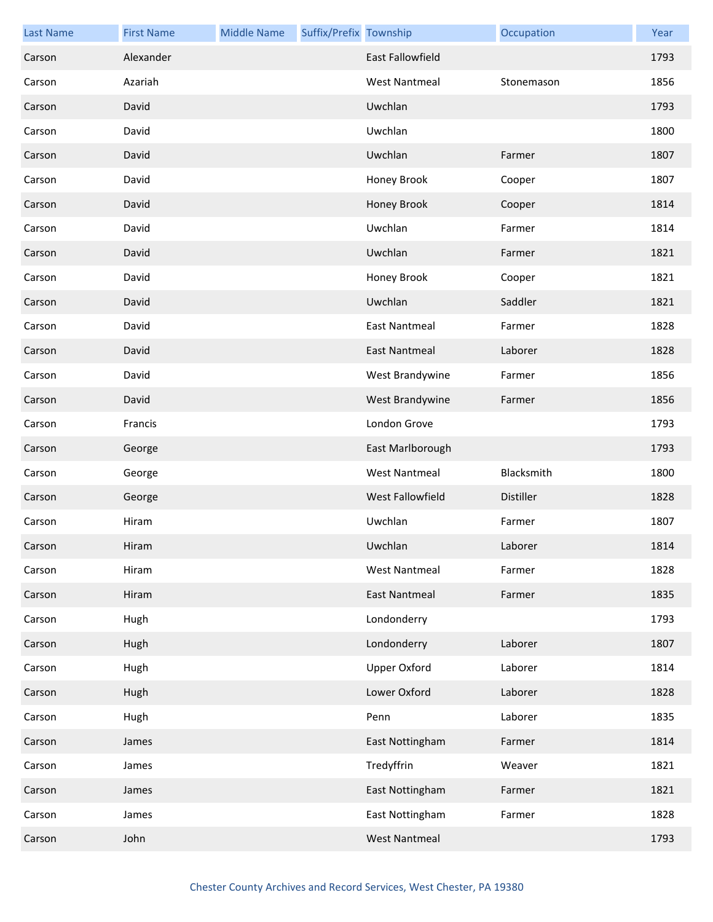| <b>Last Name</b> | <b>First Name</b> | <b>Middle Name</b> | Suffix/Prefix Township |                         | Occupation | Year |
|------------------|-------------------|--------------------|------------------------|-------------------------|------------|------|
| Carson           | Alexander         |                    |                        | <b>East Fallowfield</b> |            | 1793 |
| Carson           | Azariah           |                    |                        | <b>West Nantmeal</b>    | Stonemason | 1856 |
| Carson           | David             |                    |                        | Uwchlan                 |            | 1793 |
| Carson           | David             |                    |                        | Uwchlan                 |            | 1800 |
| Carson           | David             |                    |                        | Uwchlan                 | Farmer     | 1807 |
| Carson           | David             |                    |                        | Honey Brook             | Cooper     | 1807 |
| Carson           | David             |                    |                        | Honey Brook             | Cooper     | 1814 |
| Carson           | David             |                    |                        | Uwchlan                 | Farmer     | 1814 |
| Carson           | David             |                    |                        | Uwchlan                 | Farmer     | 1821 |
| Carson           | David             |                    |                        | Honey Brook             | Cooper     | 1821 |
| Carson           | David             |                    |                        | Uwchlan                 | Saddler    | 1821 |
| Carson           | David             |                    |                        | <b>East Nantmeal</b>    | Farmer     | 1828 |
| Carson           | David             |                    |                        | <b>East Nantmeal</b>    | Laborer    | 1828 |
| Carson           | David             |                    |                        | West Brandywine         | Farmer     | 1856 |
| Carson           | David             |                    |                        | West Brandywine         | Farmer     | 1856 |
| Carson           | Francis           |                    |                        | London Grove            |            | 1793 |
| Carson           | George            |                    |                        | East Marlborough        |            | 1793 |
| Carson           | George            |                    |                        | <b>West Nantmeal</b>    | Blacksmith | 1800 |
| Carson           | George            |                    |                        | West Fallowfield        | Distiller  | 1828 |
| Carson           | Hiram             |                    |                        | Uwchlan                 | Farmer     | 1807 |
| Carson           | Hiram             |                    |                        | Uwchlan                 | Laborer    | 1814 |
| Carson           | Hiram             |                    |                        | <b>West Nantmeal</b>    | Farmer     | 1828 |
| Carson           | Hiram             |                    |                        | <b>East Nantmeal</b>    | Farmer     | 1835 |
| Carson           | Hugh              |                    |                        | Londonderry             |            | 1793 |
| Carson           | Hugh              |                    |                        | Londonderry             | Laborer    | 1807 |
| Carson           | Hugh              |                    |                        | <b>Upper Oxford</b>     | Laborer    | 1814 |
| Carson           | Hugh              |                    |                        | Lower Oxford            | Laborer    | 1828 |
| Carson           | Hugh              |                    |                        | Penn                    | Laborer    | 1835 |
| Carson           | James             |                    |                        | East Nottingham         | Farmer     | 1814 |
| Carson           | James             |                    |                        | Tredyffrin              | Weaver     | 1821 |
| Carson           | James             |                    |                        | East Nottingham         | Farmer     | 1821 |
| Carson           | James             |                    |                        | East Nottingham         | Farmer     | 1828 |
| Carson           | John              |                    |                        | <b>West Nantmeal</b>    |            | 1793 |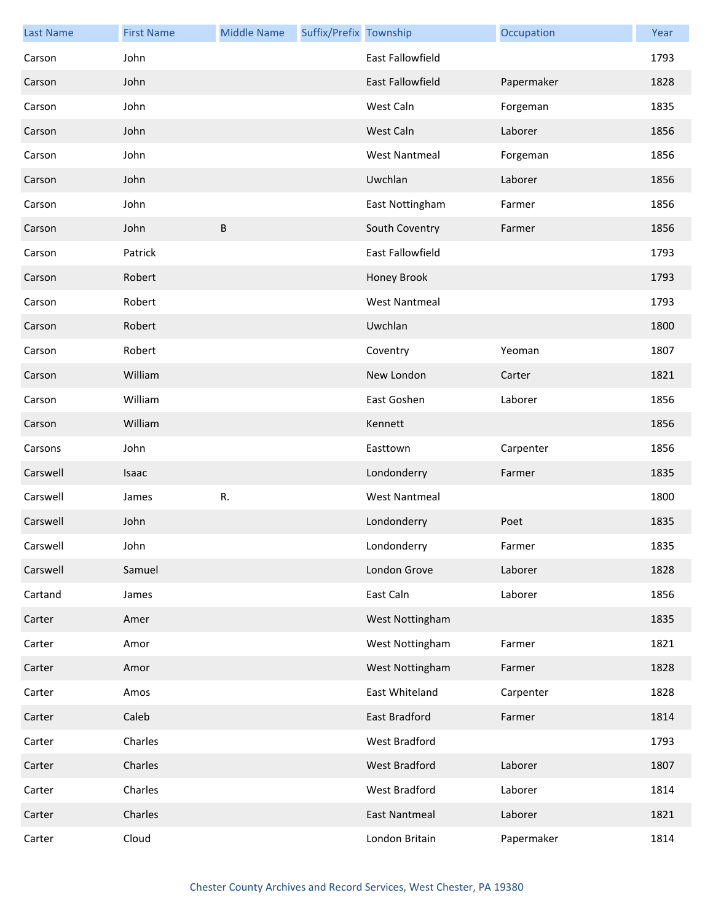| <b>Last Name</b> | <b>First Name</b> | <b>Middle Name</b> | Suffix/Prefix Township |                         | Occupation | Year |
|------------------|-------------------|--------------------|------------------------|-------------------------|------------|------|
| Carson           | John              |                    |                        | <b>East Fallowfield</b> |            | 1793 |
| Carson           | John              |                    |                        | <b>East Fallowfield</b> | Papermaker | 1828 |
| Carson           | John              |                    |                        | West Caln               | Forgeman   | 1835 |
| Carson           | John              |                    |                        | West Caln               | Laborer    | 1856 |
| Carson           | John              |                    |                        | <b>West Nantmeal</b>    | Forgeman   | 1856 |
| Carson           | John              |                    |                        | Uwchlan                 | Laborer    | 1856 |
| Carson           | John              |                    |                        | East Nottingham         | Farmer     | 1856 |
| Carson           | John              | B                  |                        | South Coventry          | Farmer     | 1856 |
| Carson           | Patrick           |                    |                        | East Fallowfield        |            | 1793 |
| Carson           | Robert            |                    |                        | Honey Brook             |            | 1793 |
| Carson           | Robert            |                    |                        | <b>West Nantmeal</b>    |            | 1793 |
| Carson           | Robert            |                    |                        | Uwchlan                 |            | 1800 |
| Carson           | Robert            |                    |                        | Coventry                | Yeoman     | 1807 |
| Carson           | William           |                    |                        | New London              | Carter     | 1821 |
| Carson           | William           |                    |                        | East Goshen             | Laborer    | 1856 |
| Carson           | William           |                    |                        | Kennett                 |            | 1856 |
| Carsons          | John              |                    |                        | Easttown                | Carpenter  | 1856 |
| Carswell         | Isaac             |                    |                        | Londonderry             | Farmer     | 1835 |
| Carswell         | James             | R.                 |                        | <b>West Nantmeal</b>    |            | 1800 |
| Carswell         | John              |                    |                        | Londonderry             | Poet       | 1835 |
| Carswell         | John              |                    |                        | Londonderry             | Farmer     | 1835 |
| Carswell         | Samuel            |                    |                        | London Grove            | Laborer    | 1828 |
| Cartand          | James             |                    |                        | East Caln               | Laborer    | 1856 |
| Carter           | Amer              |                    |                        | West Nottingham         |            | 1835 |
| Carter           | Amor              |                    |                        | West Nottingham         | Farmer     | 1821 |
| Carter           | Amor              |                    |                        | West Nottingham         | Farmer     | 1828 |
| Carter           | Amos              |                    |                        | East Whiteland          | Carpenter  | 1828 |
| Carter           | Caleb             |                    |                        | East Bradford           | Farmer     | 1814 |
| Carter           | Charles           |                    |                        | West Bradford           |            | 1793 |
| Carter           | Charles           |                    |                        | West Bradford           | Laborer    | 1807 |
| Carter           | Charles           |                    |                        | West Bradford           | Laborer    | 1814 |
| Carter           | Charles           |                    |                        | <b>East Nantmeal</b>    | Laborer    | 1821 |
| Carter           | Cloud             |                    |                        | London Britain          | Papermaker | 1814 |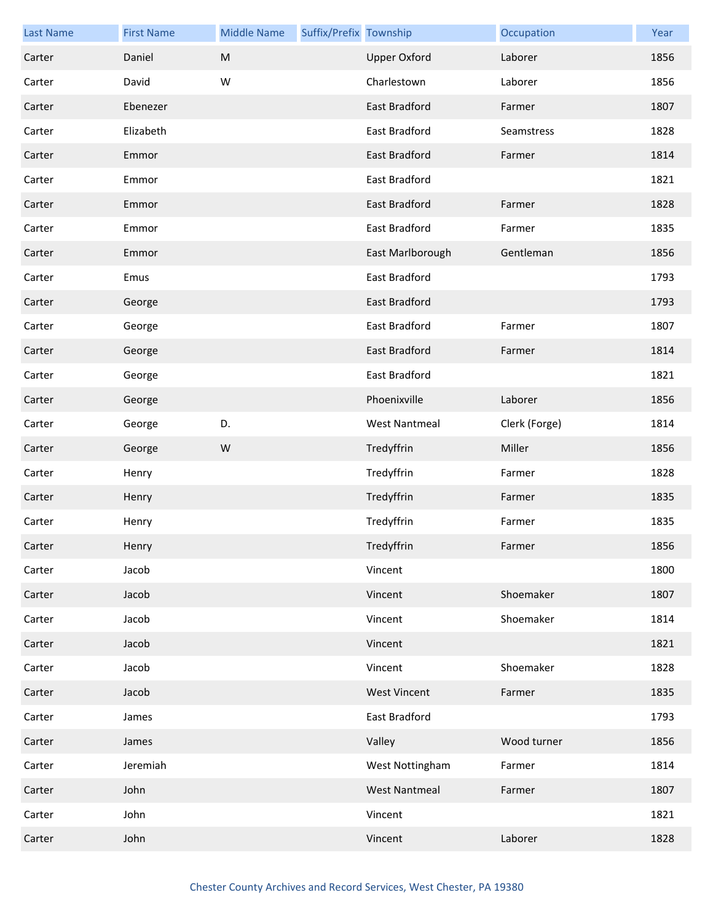| <b>Last Name</b> | <b>First Name</b> | <b>Middle Name</b> | Suffix/Prefix Township |                      | Occupation    | Year |
|------------------|-------------------|--------------------|------------------------|----------------------|---------------|------|
| Carter           | Daniel            | M                  |                        | <b>Upper Oxford</b>  | Laborer       | 1856 |
| Carter           | David             | W                  |                        | Charlestown          | Laborer       | 1856 |
| Carter           | Ebenezer          |                    |                        | East Bradford        | Farmer        | 1807 |
| Carter           | Elizabeth         |                    |                        | East Bradford        | Seamstress    | 1828 |
| Carter           | Emmor             |                    |                        | East Bradford        | Farmer        | 1814 |
| Carter           | Emmor             |                    |                        | East Bradford        |               | 1821 |
| Carter           | Emmor             |                    |                        | East Bradford        | Farmer        | 1828 |
| Carter           | Emmor             |                    |                        | East Bradford        | Farmer        | 1835 |
| Carter           | Emmor             |                    |                        | East Marlborough     | Gentleman     | 1856 |
| Carter           | Emus              |                    |                        | East Bradford        |               | 1793 |
| Carter           | George            |                    |                        | <b>East Bradford</b> |               | 1793 |
| Carter           | George            |                    |                        | East Bradford        | Farmer        | 1807 |
| Carter           | George            |                    |                        | <b>East Bradford</b> | Farmer        | 1814 |
| Carter           | George            |                    |                        | East Bradford        |               | 1821 |
| Carter           | George            |                    |                        | Phoenixville         | Laborer       | 1856 |
| Carter           | George            | D.                 |                        | <b>West Nantmeal</b> | Clerk (Forge) | 1814 |
| Carter           | George            | ${\sf W}$          |                        | Tredyffrin           | Miller        | 1856 |
| Carter           | Henry             |                    |                        | Tredyffrin           | Farmer        | 1828 |
| Carter           | Henry             |                    |                        | Tredyffrin           | Farmer        | 1835 |
| Carter           | Henry             |                    |                        | Tredyffrin           | Farmer        | 1835 |
| Carter           | Henry             |                    |                        | Tredyffrin           | Farmer        | 1856 |
| Carter           | Jacob             |                    |                        | Vincent              |               | 1800 |
| Carter           | Jacob             |                    |                        | Vincent              | Shoemaker     | 1807 |
| Carter           | Jacob             |                    |                        | Vincent              | Shoemaker     | 1814 |
| Carter           | Jacob             |                    |                        | Vincent              |               | 1821 |
| Carter           | Jacob             |                    |                        | Vincent              | Shoemaker     | 1828 |
| Carter           | Jacob             |                    |                        | <b>West Vincent</b>  | Farmer        | 1835 |
| Carter           | James             |                    |                        | East Bradford        |               | 1793 |
| Carter           | James             |                    |                        | Valley               | Wood turner   | 1856 |
| Carter           | Jeremiah          |                    |                        | West Nottingham      | Farmer        | 1814 |
| Carter           | John              |                    |                        | <b>West Nantmeal</b> | Farmer        | 1807 |
| Carter           | John              |                    |                        | Vincent              |               | 1821 |
| Carter           | John              |                    |                        | Vincent              | Laborer       | 1828 |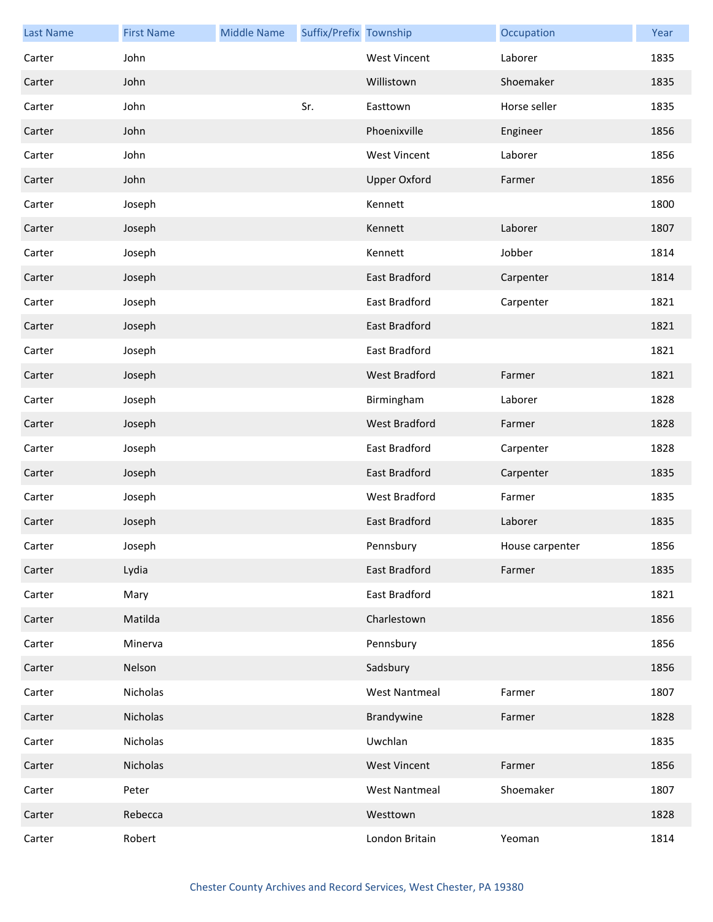| <b>Last Name</b> | <b>First Name</b> | <b>Middle Name</b> | Suffix/Prefix Township |                      | Occupation      | Year |
|------------------|-------------------|--------------------|------------------------|----------------------|-----------------|------|
| Carter           | John              |                    |                        | <b>West Vincent</b>  | Laborer         | 1835 |
| Carter           | John              |                    |                        | Willistown           | Shoemaker       | 1835 |
| Carter           | John              |                    | Sr.                    | Easttown             | Horse seller    | 1835 |
| Carter           | John              |                    |                        | Phoenixville         | Engineer        | 1856 |
| Carter           | John              |                    |                        | <b>West Vincent</b>  | Laborer         | 1856 |
| Carter           | John              |                    |                        | <b>Upper Oxford</b>  | Farmer          | 1856 |
| Carter           | Joseph            |                    |                        | Kennett              |                 | 1800 |
| Carter           | Joseph            |                    |                        | Kennett              | Laborer         | 1807 |
| Carter           | Joseph            |                    |                        | Kennett              | Jobber          | 1814 |
| Carter           | Joseph            |                    |                        | <b>East Bradford</b> | Carpenter       | 1814 |
| Carter           | Joseph            |                    |                        | East Bradford        | Carpenter       | 1821 |
| Carter           | Joseph            |                    |                        | East Bradford        |                 | 1821 |
| Carter           | Joseph            |                    |                        | East Bradford        |                 | 1821 |
| Carter           | Joseph            |                    |                        | West Bradford        | Farmer          | 1821 |
| Carter           | Joseph            |                    |                        | Birmingham           | Laborer         | 1828 |
| Carter           | Joseph            |                    |                        | West Bradford        | Farmer          | 1828 |
| Carter           | Joseph            |                    |                        | East Bradford        | Carpenter       | 1828 |
| Carter           | Joseph            |                    |                        | East Bradford        | Carpenter       | 1835 |
| Carter           | Joseph            |                    |                        | West Bradford        | Farmer          | 1835 |
| Carter           | Joseph            |                    |                        | East Bradford        | Laborer         | 1835 |
| Carter           | Joseph            |                    |                        | Pennsbury            | House carpenter | 1856 |
| Carter           | Lydia             |                    |                        | <b>East Bradford</b> | Farmer          | 1835 |
| Carter           | Mary              |                    |                        | East Bradford        |                 | 1821 |
| Carter           | Matilda           |                    |                        | Charlestown          |                 | 1856 |
| Carter           | Minerva           |                    |                        | Pennsbury            |                 | 1856 |
| Carter           | Nelson            |                    |                        | Sadsbury             |                 | 1856 |
| Carter           | Nicholas          |                    |                        | <b>West Nantmeal</b> | Farmer          | 1807 |
| Carter           | Nicholas          |                    |                        | Brandywine           | Farmer          | 1828 |
| Carter           | Nicholas          |                    |                        | Uwchlan              |                 | 1835 |
| Carter           | Nicholas          |                    |                        | <b>West Vincent</b>  | Farmer          | 1856 |
| Carter           | Peter             |                    |                        | <b>West Nantmeal</b> | Shoemaker       | 1807 |
| Carter           | Rebecca           |                    |                        | Westtown             |                 | 1828 |
| Carter           | Robert            |                    |                        | London Britain       | Yeoman          | 1814 |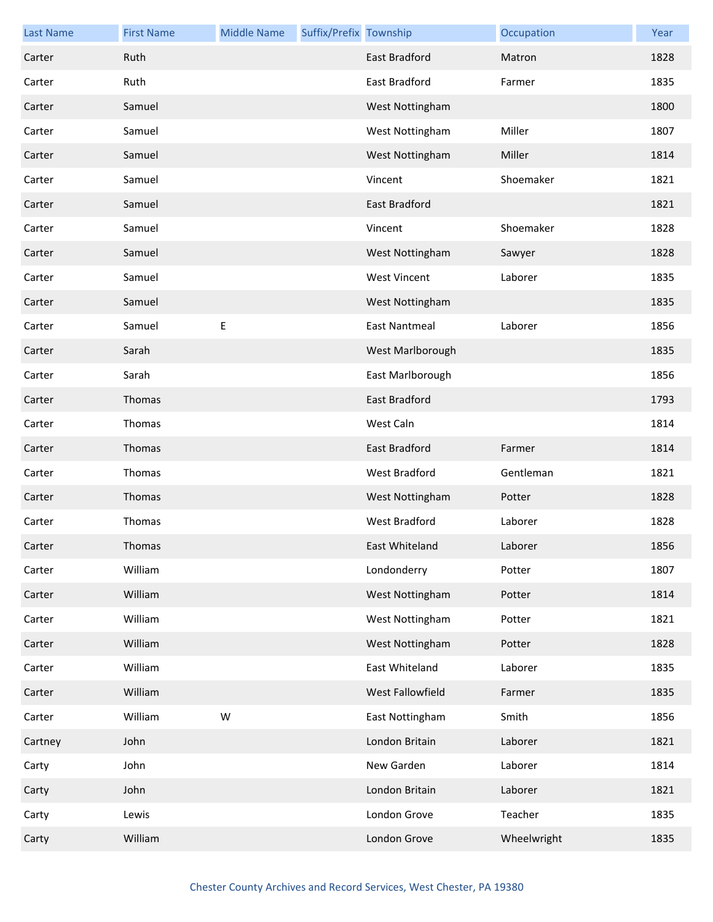| <b>Last Name</b> | <b>First Name</b> | <b>Middle Name</b> | Suffix/Prefix Township |                      | Occupation  | Year |
|------------------|-------------------|--------------------|------------------------|----------------------|-------------|------|
| Carter           | Ruth              |                    |                        | <b>East Bradford</b> | Matron      | 1828 |
| Carter           | Ruth              |                    |                        | East Bradford        | Farmer      | 1835 |
| Carter           | Samuel            |                    |                        | West Nottingham      |             | 1800 |
| Carter           | Samuel            |                    |                        | West Nottingham      | Miller      | 1807 |
| Carter           | Samuel            |                    |                        | West Nottingham      | Miller      | 1814 |
| Carter           | Samuel            |                    |                        | Vincent              | Shoemaker   | 1821 |
| Carter           | Samuel            |                    |                        | <b>East Bradford</b> |             | 1821 |
| Carter           | Samuel            |                    |                        | Vincent              | Shoemaker   | 1828 |
| Carter           | Samuel            |                    |                        | West Nottingham      | Sawyer      | 1828 |
| Carter           | Samuel            |                    |                        | <b>West Vincent</b>  | Laborer     | 1835 |
| Carter           | Samuel            |                    |                        | West Nottingham      |             | 1835 |
| Carter           | Samuel            | Ε                  |                        | East Nantmeal        | Laborer     | 1856 |
| Carter           | Sarah             |                    |                        | West Marlborough     |             | 1835 |
| Carter           | Sarah             |                    |                        | East Marlborough     |             | 1856 |
| Carter           | Thomas            |                    |                        | <b>East Bradford</b> |             | 1793 |
| Carter           | Thomas            |                    |                        | West Caln            |             | 1814 |
| Carter           | Thomas            |                    |                        | East Bradford        | Farmer      | 1814 |
| Carter           | Thomas            |                    |                        | <b>West Bradford</b> | Gentleman   | 1821 |
| Carter           | Thomas            |                    |                        | West Nottingham      | Potter      | 1828 |
| Carter           | Thomas            |                    |                        | <b>West Bradford</b> | Laborer     | 1828 |
| Carter           | Thomas            |                    |                        | East Whiteland       | Laborer     | 1856 |
| Carter           | William           |                    |                        | Londonderry          | Potter      | 1807 |
| Carter           | William           |                    |                        | West Nottingham      | Potter      | 1814 |
| Carter           | William           |                    |                        | West Nottingham      | Potter      | 1821 |
| Carter           | William           |                    |                        | West Nottingham      | Potter      | 1828 |
| Carter           | William           |                    |                        | East Whiteland       | Laborer     | 1835 |
| Carter           | William           |                    |                        | West Fallowfield     | Farmer      | 1835 |
| Carter           | William           | W                  |                        | East Nottingham      | Smith       | 1856 |
| Cartney          | John              |                    |                        | London Britain       | Laborer     | 1821 |
| Carty            | John              |                    |                        | New Garden           | Laborer     | 1814 |
| Carty            | John              |                    |                        | London Britain       | Laborer     | 1821 |
| Carty            | Lewis             |                    |                        | London Grove         | Teacher     | 1835 |
| Carty            | William           |                    |                        | London Grove         | Wheelwright | 1835 |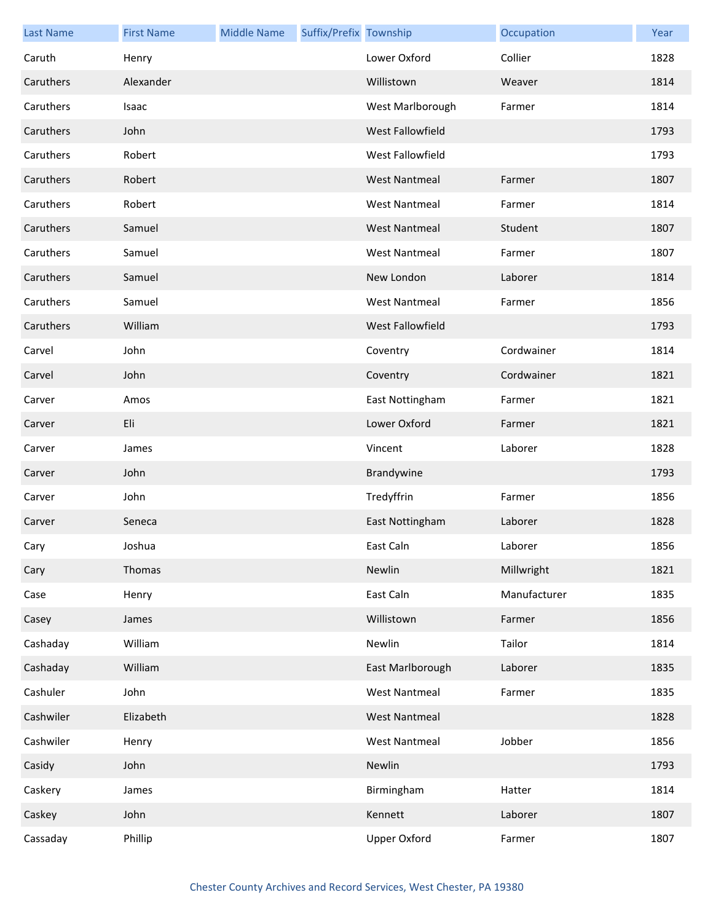| <b>Last Name</b> | <b>First Name</b> | <b>Middle Name</b> | Suffix/Prefix Township |                         | Occupation   | Year |
|------------------|-------------------|--------------------|------------------------|-------------------------|--------------|------|
| Caruth           | Henry             |                    |                        | Lower Oxford            | Collier      | 1828 |
| Caruthers        | Alexander         |                    |                        | Willistown              | Weaver       | 1814 |
| Caruthers        | Isaac             |                    |                        | West Marlborough        | Farmer       | 1814 |
| Caruthers        | John              |                    |                        | West Fallowfield        |              | 1793 |
| Caruthers        | Robert            |                    |                        | West Fallowfield        |              | 1793 |
| Caruthers        | Robert            |                    |                        | <b>West Nantmeal</b>    | Farmer       | 1807 |
| Caruthers        | Robert            |                    |                        | <b>West Nantmeal</b>    | Farmer       | 1814 |
| Caruthers        | Samuel            |                    |                        | <b>West Nantmeal</b>    | Student      | 1807 |
| Caruthers        | Samuel            |                    |                        | <b>West Nantmeal</b>    | Farmer       | 1807 |
| Caruthers        | Samuel            |                    |                        | New London              | Laborer      | 1814 |
| Caruthers        | Samuel            |                    |                        | <b>West Nantmeal</b>    | Farmer       | 1856 |
| Caruthers        | William           |                    |                        | <b>West Fallowfield</b> |              | 1793 |
| Carvel           | John              |                    |                        | Coventry                | Cordwainer   | 1814 |
| Carvel           | John              |                    |                        | Coventry                | Cordwainer   | 1821 |
| Carver           | Amos              |                    |                        | East Nottingham         | Farmer       | 1821 |
| Carver           | Eli               |                    |                        | Lower Oxford            | Farmer       | 1821 |
| Carver           | James             |                    |                        | Vincent                 | Laborer      | 1828 |
| Carver           | John              |                    |                        | Brandywine              |              | 1793 |
| Carver           | John              |                    |                        | Tredyffrin              | Farmer       | 1856 |
| Carver           | Seneca            |                    |                        | East Nottingham         | Laborer      | 1828 |
| Cary             | Joshua            |                    |                        | East Caln               | Laborer      | 1856 |
| Cary             | Thomas            |                    |                        | Newlin                  | Millwright   | 1821 |
| Case             | Henry             |                    |                        | East Caln               | Manufacturer | 1835 |
| Casey            | James             |                    |                        | Willistown              | Farmer       | 1856 |
| Cashaday         | William           |                    |                        | Newlin                  | Tailor       | 1814 |
| Cashaday         | William           |                    |                        | East Marlborough        | Laborer      | 1835 |
| Cashuler         | John              |                    |                        | <b>West Nantmeal</b>    | Farmer       | 1835 |
| Cashwiler        | Elizabeth         |                    |                        | <b>West Nantmeal</b>    |              | 1828 |
| Cashwiler        | Henry             |                    |                        | <b>West Nantmeal</b>    | Jobber       | 1856 |
| Casidy           | John              |                    |                        | Newlin                  |              | 1793 |
| Caskery          | James             |                    |                        | Birmingham              | Hatter       | 1814 |
| Caskey           | John              |                    |                        | Kennett                 | Laborer      | 1807 |
| Cassaday         | Phillip           |                    |                        | <b>Upper Oxford</b>     | Farmer       | 1807 |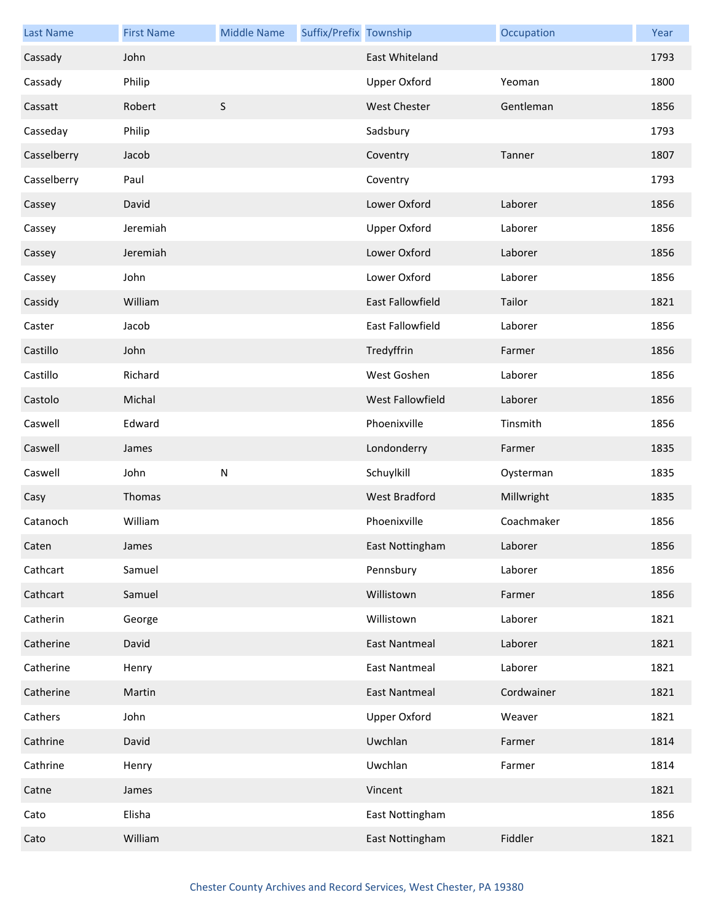| <b>Last Name</b> | <b>First Name</b> | <b>Middle Name</b> | Suffix/Prefix Township |                         | Occupation | Year |
|------------------|-------------------|--------------------|------------------------|-------------------------|------------|------|
| Cassady          | John              |                    |                        | East Whiteland          |            | 1793 |
| Cassady          | Philip            |                    |                        | <b>Upper Oxford</b>     | Yeoman     | 1800 |
| Cassatt          | Robert            | $\mathsf S$        |                        | West Chester            | Gentleman  | 1856 |
| Casseday         | Philip            |                    |                        | Sadsbury                |            | 1793 |
| Casselberry      | Jacob             |                    |                        | Coventry                | Tanner     | 1807 |
| Casselberry      | Paul              |                    |                        | Coventry                |            | 1793 |
| Cassey           | David             |                    |                        | Lower Oxford            | Laborer    | 1856 |
| Cassey           | Jeremiah          |                    |                        | <b>Upper Oxford</b>     | Laborer    | 1856 |
| Cassey           | Jeremiah          |                    |                        | Lower Oxford            | Laborer    | 1856 |
| Cassey           | John              |                    |                        | Lower Oxford            | Laborer    | 1856 |
| Cassidy          | William           |                    |                        | <b>East Fallowfield</b> | Tailor     | 1821 |
| Caster           | Jacob             |                    |                        | East Fallowfield        | Laborer    | 1856 |
| Castillo         | John              |                    |                        | Tredyffrin              | Farmer     | 1856 |
| Castillo         | Richard           |                    |                        | West Goshen             | Laborer    | 1856 |
| Castolo          | Michal            |                    |                        | West Fallowfield        | Laborer    | 1856 |
| Caswell          | Edward            |                    |                        | Phoenixville            | Tinsmith   | 1856 |
| Caswell          | James             |                    |                        | Londonderry             | Farmer     | 1835 |
| Caswell          | John              | $\mathsf{N}$       |                        | Schuylkill              | Oysterman  | 1835 |
| Casy             | Thomas            |                    |                        | <b>West Bradford</b>    | Millwright | 1835 |
| Catanoch         | William           |                    |                        | Phoenixville            | Coachmaker | 1856 |
| Caten            | James             |                    |                        | East Nottingham         | Laborer    | 1856 |
| Cathcart         | Samuel            |                    |                        | Pennsbury               | Laborer    | 1856 |
| Cathcart         | Samuel            |                    |                        | Willistown              | Farmer     | 1856 |
| Catherin         | George            |                    |                        | Willistown              | Laborer    | 1821 |
| Catherine        | David             |                    |                        | <b>East Nantmeal</b>    | Laborer    | 1821 |
| Catherine        | Henry             |                    |                        | <b>East Nantmeal</b>    | Laborer    | 1821 |
| Catherine        | Martin            |                    |                        | <b>East Nantmeal</b>    | Cordwainer | 1821 |
| Cathers          | John              |                    |                        | <b>Upper Oxford</b>     | Weaver     | 1821 |
| Cathrine         | David             |                    |                        | Uwchlan                 | Farmer     | 1814 |
| Cathrine         | Henry             |                    |                        | Uwchlan                 | Farmer     | 1814 |
| Catne            | James             |                    |                        | Vincent                 |            | 1821 |
| Cato             | Elisha            |                    |                        | East Nottingham         |            | 1856 |
| Cato             | William           |                    |                        | East Nottingham         | Fiddler    | 1821 |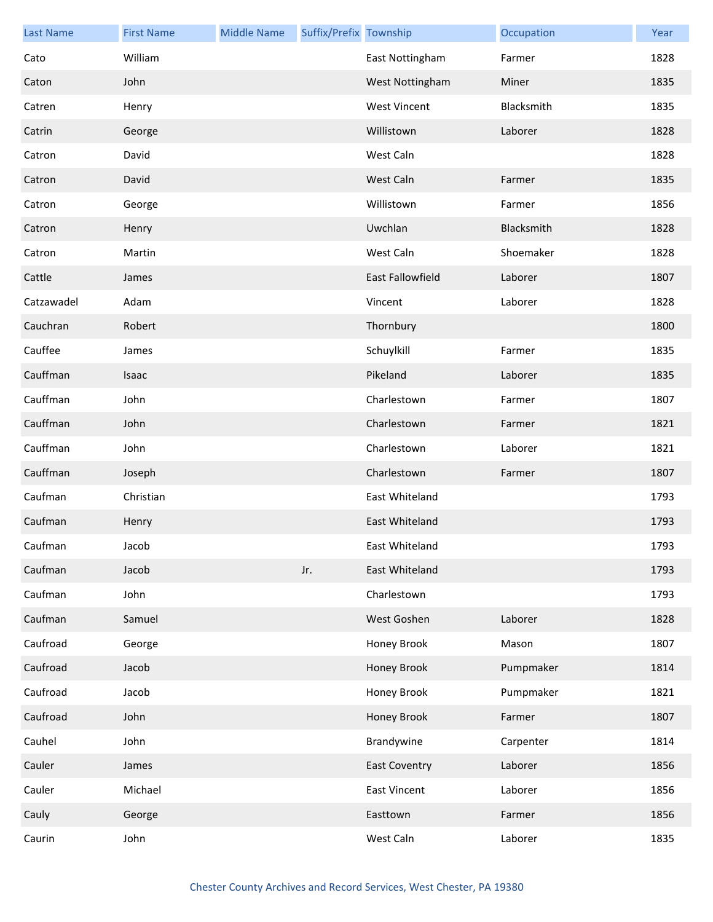| <b>Last Name</b> | <b>First Name</b> | <b>Middle Name</b> | Suffix/Prefix Township |                         | Occupation | Year |
|------------------|-------------------|--------------------|------------------------|-------------------------|------------|------|
| Cato             | William           |                    |                        | East Nottingham         | Farmer     | 1828 |
| Caton            | John              |                    |                        | West Nottingham         | Miner      | 1835 |
| Catren           | Henry             |                    |                        | <b>West Vincent</b>     | Blacksmith | 1835 |
| Catrin           | George            |                    |                        | Willistown              | Laborer    | 1828 |
| Catron           | David             |                    |                        | West Caln               |            | 1828 |
| Catron           | David             |                    |                        | West Caln               | Farmer     | 1835 |
| Catron           | George            |                    |                        | Willistown              | Farmer     | 1856 |
| Catron           | Henry             |                    |                        | Uwchlan                 | Blacksmith | 1828 |
| Catron           | Martin            |                    |                        | West Caln               | Shoemaker  | 1828 |
| Cattle           | James             |                    |                        | <b>East Fallowfield</b> | Laborer    | 1807 |
| Catzawadel       | Adam              |                    |                        | Vincent                 | Laborer    | 1828 |
| Cauchran         | Robert            |                    |                        | Thornbury               |            | 1800 |
| Cauffee          | James             |                    |                        | Schuylkill              | Farmer     | 1835 |
| Cauffman         | Isaac             |                    |                        | Pikeland                | Laborer    | 1835 |
| Cauffman         | John              |                    |                        | Charlestown             | Farmer     | 1807 |
| Cauffman         | John              |                    |                        | Charlestown             | Farmer     | 1821 |
| Cauffman         | John              |                    |                        | Charlestown             | Laborer    | 1821 |
| Cauffman         | Joseph            |                    |                        | Charlestown             | Farmer     | 1807 |
| Caufman          | Christian         |                    |                        | East Whiteland          |            | 1793 |
| Caufman          | Henry             |                    |                        | East Whiteland          |            | 1793 |
| Caufman          | Jacob             |                    |                        | East Whiteland          |            | 1793 |
| Caufman          | Jacob             |                    | Jr.                    | East Whiteland          |            | 1793 |
| Caufman          | John              |                    |                        | Charlestown             |            | 1793 |
| Caufman          | Samuel            |                    |                        | West Goshen             | Laborer    | 1828 |
| Caufroad         | George            |                    |                        | Honey Brook             | Mason      | 1807 |
| Caufroad         | Jacob             |                    |                        | Honey Brook             | Pumpmaker  | 1814 |
| Caufroad         | Jacob             |                    |                        | Honey Brook             | Pumpmaker  | 1821 |
| Caufroad         | John              |                    |                        | Honey Brook             | Farmer     | 1807 |
| Cauhel           | John              |                    |                        | Brandywine              | Carpenter  | 1814 |
| Cauler           | James             |                    |                        | <b>East Coventry</b>    | Laborer    | 1856 |
| Cauler           | Michael           |                    |                        | <b>East Vincent</b>     | Laborer    | 1856 |
| Cauly            | George            |                    |                        | Easttown                | Farmer     | 1856 |
| Caurin           | John              |                    |                        | West Caln               | Laborer    | 1835 |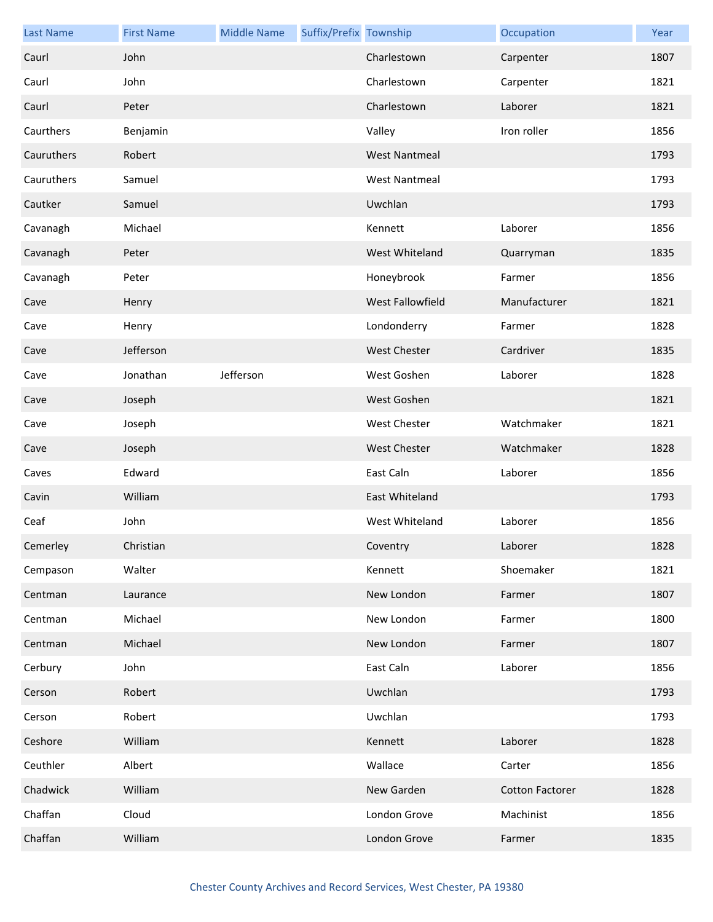| <b>Last Name</b> | <b>First Name</b> | <b>Middle Name</b> | Suffix/Prefix Township |                      | Occupation             | Year |
|------------------|-------------------|--------------------|------------------------|----------------------|------------------------|------|
| Caurl            | John              |                    |                        | Charlestown          | Carpenter              | 1807 |
| Caurl            | John              |                    |                        | Charlestown          | Carpenter              | 1821 |
| Caurl            | Peter             |                    |                        | Charlestown          | Laborer                | 1821 |
| Caurthers        | Benjamin          |                    |                        | Valley               | Iron roller            | 1856 |
| Cauruthers       | Robert            |                    |                        | <b>West Nantmeal</b> |                        | 1793 |
| Cauruthers       | Samuel            |                    |                        | <b>West Nantmeal</b> |                        | 1793 |
| Cautker          | Samuel            |                    |                        | Uwchlan              |                        | 1793 |
| Cavanagh         | Michael           |                    |                        | Kennett              | Laborer                | 1856 |
| Cavanagh         | Peter             |                    |                        | West Whiteland       | Quarryman              | 1835 |
| Cavanagh         | Peter             |                    |                        | Honeybrook           | Farmer                 | 1856 |
| Cave             | Henry             |                    |                        | West Fallowfield     | Manufacturer           | 1821 |
| Cave             | Henry             |                    |                        | Londonderry          | Farmer                 | 1828 |
| Cave             | Jefferson         |                    |                        | <b>West Chester</b>  | Cardriver              | 1835 |
| Cave             | Jonathan          | Jefferson          |                        | West Goshen          | Laborer                | 1828 |
| Cave             | Joseph            |                    |                        | West Goshen          |                        | 1821 |
| Cave             | Joseph            |                    |                        | <b>West Chester</b>  | Watchmaker             | 1821 |
| Cave             | Joseph            |                    |                        | <b>West Chester</b>  | Watchmaker             | 1828 |
| Caves            | Edward            |                    |                        | East Caln            | Laborer                | 1856 |
| Cavin            | William           |                    |                        | East Whiteland       |                        | 1793 |
| Ceaf             | John              |                    |                        | West Whiteland       | Laborer                | 1856 |
| Cemerley         | Christian         |                    |                        | Coventry             | Laborer                | 1828 |
| Cempason         | Walter            |                    |                        | Kennett              | Shoemaker              | 1821 |
| Centman          | Laurance          |                    |                        | New London           | Farmer                 | 1807 |
| Centman          | Michael           |                    |                        | New London           | Farmer                 | 1800 |
| Centman          | Michael           |                    |                        | New London           | Farmer                 | 1807 |
| Cerbury          | John              |                    |                        | East Caln            | Laborer                | 1856 |
| Cerson           | Robert            |                    |                        | Uwchlan              |                        | 1793 |
| Cerson           | Robert            |                    |                        | Uwchlan              |                        | 1793 |
| Ceshore          | William           |                    |                        | Kennett              | Laborer                | 1828 |
| Ceuthler         | Albert            |                    |                        | Wallace              | Carter                 | 1856 |
| Chadwick         | William           |                    |                        | New Garden           | <b>Cotton Factorer</b> | 1828 |
| Chaffan          | Cloud             |                    |                        | London Grove         | Machinist              | 1856 |
| Chaffan          | William           |                    |                        | London Grove         | Farmer                 | 1835 |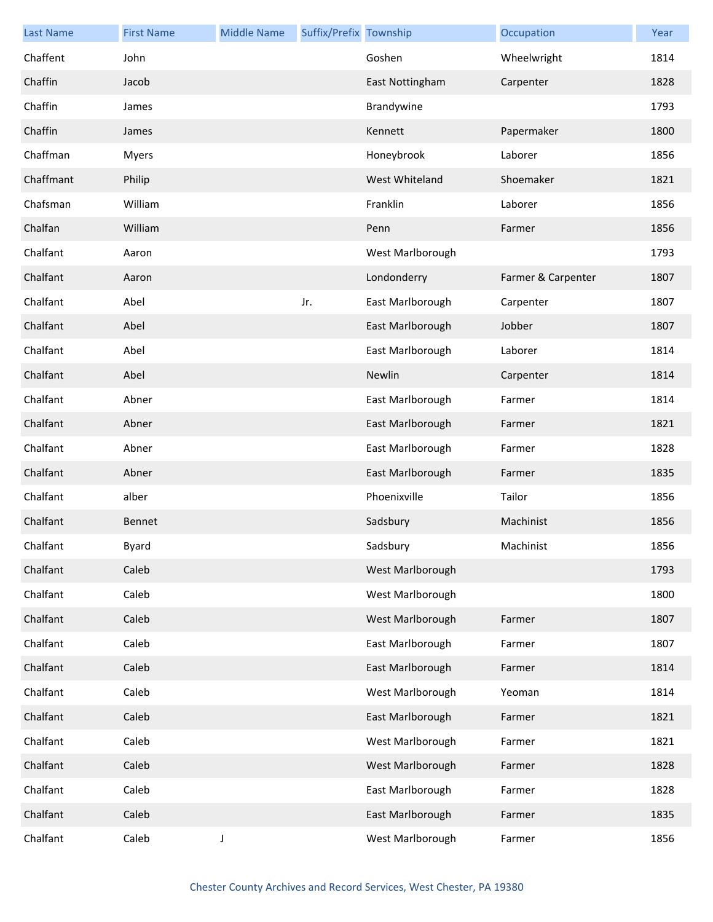| <b>Last Name</b> | <b>First Name</b> | <b>Middle Name</b> | Suffix/Prefix Township |                  | Occupation         | Year |
|------------------|-------------------|--------------------|------------------------|------------------|--------------------|------|
| Chaffent         | John              |                    |                        | Goshen           | Wheelwright        | 1814 |
| Chaffin          | Jacob             |                    |                        | East Nottingham  | Carpenter          | 1828 |
| Chaffin          | James             |                    |                        | Brandywine       |                    | 1793 |
| Chaffin          | James             |                    |                        | Kennett          | Papermaker         | 1800 |
| Chaffman         | Myers             |                    |                        | Honeybrook       | Laborer            | 1856 |
| Chaffmant        | Philip            |                    |                        | West Whiteland   | Shoemaker          | 1821 |
| Chafsman         | William           |                    |                        | Franklin         | Laborer            | 1856 |
| Chalfan          | William           |                    |                        | Penn             | Farmer             | 1856 |
| Chalfant         | Aaron             |                    |                        | West Marlborough |                    | 1793 |
| Chalfant         | Aaron             |                    |                        | Londonderry      | Farmer & Carpenter | 1807 |
| Chalfant         | Abel              |                    | Jr.                    | East Marlborough | Carpenter          | 1807 |
| Chalfant         | Abel              |                    |                        | East Marlborough | Jobber             | 1807 |
| Chalfant         | Abel              |                    |                        | East Marlborough | Laborer            | 1814 |
| Chalfant         | Abel              |                    |                        | Newlin           | Carpenter          | 1814 |
| Chalfant         | Abner             |                    |                        | East Marlborough | Farmer             | 1814 |
| Chalfant         | Abner             |                    |                        | East Marlborough | Farmer             | 1821 |
| Chalfant         | Abner             |                    |                        | East Marlborough | Farmer             | 1828 |
| Chalfant         | Abner             |                    |                        | East Marlborough | Farmer             | 1835 |
| Chalfant         | alber             |                    |                        | Phoenixville     | Tailor             | 1856 |
| Chalfant         | Bennet            |                    |                        | Sadsbury         | Machinist          | 1856 |
| Chalfant         | <b>Byard</b>      |                    |                        | Sadsbury         | Machinist          | 1856 |
| Chalfant         | Caleb             |                    |                        | West Marlborough |                    | 1793 |
| Chalfant         | Caleb             |                    |                        | West Marlborough |                    | 1800 |
| Chalfant         | Caleb             |                    |                        | West Marlborough | Farmer             | 1807 |
| Chalfant         | Caleb             |                    |                        | East Marlborough | Farmer             | 1807 |
| Chalfant         | Caleb             |                    |                        | East Marlborough | Farmer             | 1814 |
| Chalfant         | Caleb             |                    |                        | West Marlborough | Yeoman             | 1814 |
| Chalfant         | Caleb             |                    |                        | East Marlborough | Farmer             | 1821 |
| Chalfant         | Caleb             |                    |                        | West Marlborough | Farmer             | 1821 |
| Chalfant         | Caleb             |                    |                        | West Marlborough | Farmer             | 1828 |
| Chalfant         | Caleb             |                    |                        | East Marlborough | Farmer             | 1828 |
| Chalfant         | Caleb             |                    |                        | East Marlborough | Farmer             | 1835 |
| Chalfant         | Caleb             | J                  |                        | West Marlborough | Farmer             | 1856 |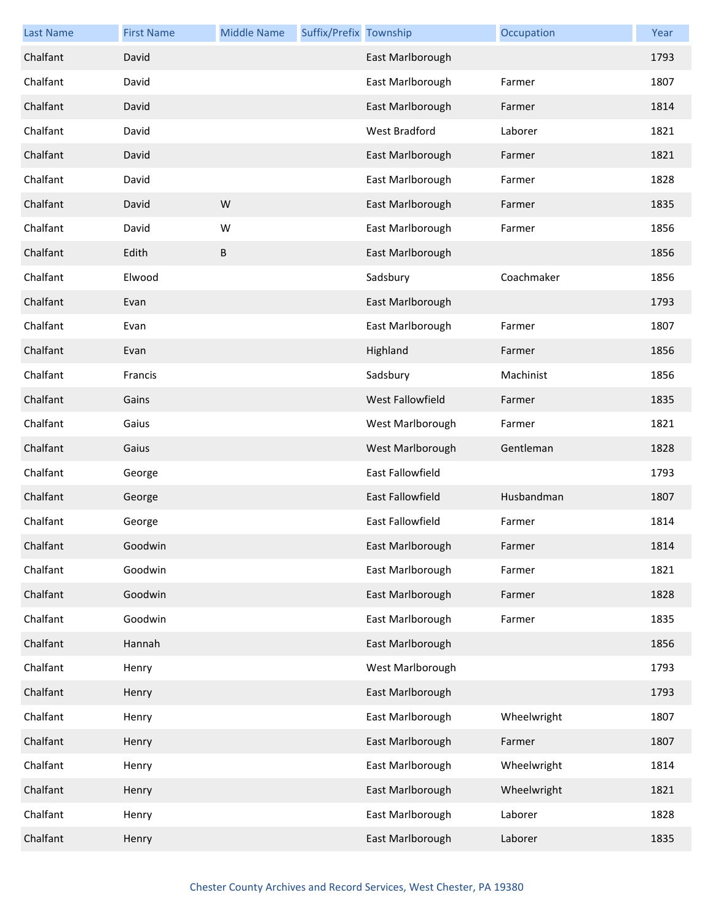| <b>Last Name</b> | <b>First Name</b> | <b>Middle Name</b> | Suffix/Prefix Township |                         | Occupation  | Year |
|------------------|-------------------|--------------------|------------------------|-------------------------|-------------|------|
| Chalfant         | David             |                    |                        | East Marlborough        |             | 1793 |
| Chalfant         | David             |                    |                        | East Marlborough        | Farmer      | 1807 |
| Chalfant         | David             |                    |                        | East Marlborough        | Farmer      | 1814 |
| Chalfant         | David             |                    |                        | West Bradford           | Laborer     | 1821 |
| Chalfant         | David             |                    |                        | East Marlborough        | Farmer      | 1821 |
| Chalfant         | David             |                    |                        | East Marlborough        | Farmer      | 1828 |
| Chalfant         | David             | W                  |                        | East Marlborough        | Farmer      | 1835 |
| Chalfant         | David             | W                  |                        | East Marlborough        | Farmer      | 1856 |
| Chalfant         | Edith             | B                  |                        | East Marlborough        |             | 1856 |
| Chalfant         | Elwood            |                    |                        | Sadsbury                | Coachmaker  | 1856 |
| Chalfant         | Evan              |                    |                        | East Marlborough        |             | 1793 |
| Chalfant         | Evan              |                    |                        | East Marlborough        | Farmer      | 1807 |
| Chalfant         | Evan              |                    |                        | Highland                | Farmer      | 1856 |
| Chalfant         | Francis           |                    |                        | Sadsbury                | Machinist   | 1856 |
| Chalfant         | Gains             |                    |                        | West Fallowfield        | Farmer      | 1835 |
| Chalfant         | Gaius             |                    |                        | West Marlborough        | Farmer      | 1821 |
| Chalfant         | Gaius             |                    |                        | West Marlborough        | Gentleman   | 1828 |
| Chalfant         | George            |                    |                        | East Fallowfield        |             | 1793 |
| Chalfant         | George            |                    |                        | East Fallowfield        | Husbandman  | 1807 |
| Chalfant         | George            |                    |                        | <b>East Fallowfield</b> | Farmer      | 1814 |
| Chalfant         | Goodwin           |                    |                        | East Marlborough        | Farmer      | 1814 |
| Chalfant         | Goodwin           |                    |                        | East Marlborough        | Farmer      | 1821 |
| Chalfant         | Goodwin           |                    |                        | East Marlborough        | Farmer      | 1828 |
| Chalfant         | Goodwin           |                    |                        | East Marlborough        | Farmer      | 1835 |
| Chalfant         | Hannah            |                    |                        | East Marlborough        |             | 1856 |
| Chalfant         | Henry             |                    |                        | West Marlborough        |             | 1793 |
| Chalfant         | Henry             |                    |                        | East Marlborough        |             | 1793 |
| Chalfant         | Henry             |                    |                        | East Marlborough        | Wheelwright | 1807 |
| Chalfant         | Henry             |                    |                        | East Marlborough        | Farmer      | 1807 |
| Chalfant         | Henry             |                    |                        | East Marlborough        | Wheelwright | 1814 |
| Chalfant         | Henry             |                    |                        | East Marlborough        | Wheelwright | 1821 |
| Chalfant         | Henry             |                    |                        | East Marlborough        | Laborer     | 1828 |
| Chalfant         | Henry             |                    |                        | East Marlborough        | Laborer     | 1835 |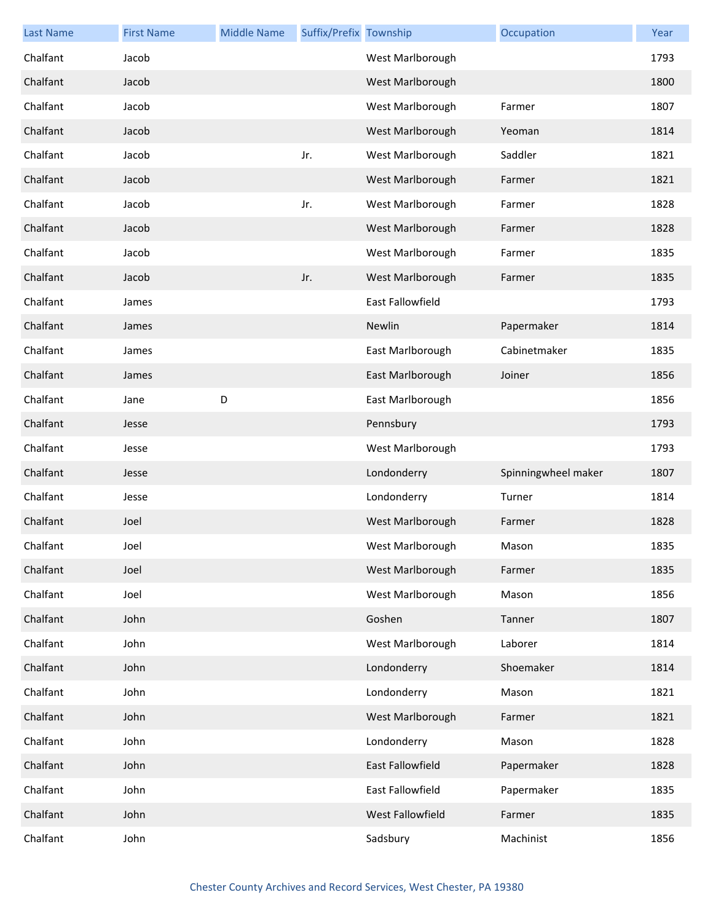| <b>Last Name</b> | <b>First Name</b> | <b>Middle Name</b> | Suffix/Prefix Township |                         | Occupation          | Year |
|------------------|-------------------|--------------------|------------------------|-------------------------|---------------------|------|
| Chalfant         | Jacob             |                    |                        | West Marlborough        |                     | 1793 |
| Chalfant         | Jacob             |                    |                        | West Marlborough        |                     | 1800 |
| Chalfant         | Jacob             |                    |                        | West Marlborough        | Farmer              | 1807 |
| Chalfant         | Jacob             |                    |                        | West Marlborough        | Yeoman              | 1814 |
| Chalfant         | Jacob             |                    | Jr.                    | West Marlborough        | Saddler             | 1821 |
| Chalfant         | Jacob             |                    |                        | West Marlborough        | Farmer              | 1821 |
| Chalfant         | Jacob             |                    | Jr.                    | West Marlborough        | Farmer              | 1828 |
| Chalfant         | Jacob             |                    |                        | West Marlborough        | Farmer              | 1828 |
| Chalfant         | Jacob             |                    |                        | West Marlborough        | Farmer              | 1835 |
| Chalfant         | Jacob             |                    | Jr.                    | West Marlborough        | Farmer              | 1835 |
| Chalfant         | James             |                    |                        | <b>East Fallowfield</b> |                     | 1793 |
| Chalfant         | James             |                    |                        | Newlin                  | Papermaker          | 1814 |
| Chalfant         | James             |                    |                        | East Marlborough        | Cabinetmaker        | 1835 |
| Chalfant         | James             |                    |                        | East Marlborough        | Joiner              | 1856 |
| Chalfant         | Jane              | D                  |                        | East Marlborough        |                     | 1856 |
| Chalfant         | Jesse             |                    |                        | Pennsbury               |                     | 1793 |
| Chalfant         | Jesse             |                    |                        | West Marlborough        |                     | 1793 |
| Chalfant         | Jesse             |                    |                        | Londonderry             | Spinningwheel maker | 1807 |
| Chalfant         | Jesse             |                    |                        | Londonderry             | Turner              | 1814 |
| Chalfant         | Joel              |                    |                        | West Marlborough        | Farmer              | 1828 |
| Chalfant         | Joel              |                    |                        | West Marlborough        | Mason               | 1835 |
| Chalfant         | Joel              |                    |                        | West Marlborough        | Farmer              | 1835 |
| Chalfant         | Joel              |                    |                        | West Marlborough        | Mason               | 1856 |
| Chalfant         | John              |                    |                        | Goshen                  | Tanner              | 1807 |
| Chalfant         | John              |                    |                        | West Marlborough        | Laborer             | 1814 |
| Chalfant         | John              |                    |                        | Londonderry             | Shoemaker           | 1814 |
| Chalfant         | John              |                    |                        | Londonderry             | Mason               | 1821 |
| Chalfant         | John              |                    |                        | West Marlborough        | Farmer              | 1821 |
| Chalfant         | John              |                    |                        | Londonderry             | Mason               | 1828 |
| Chalfant         | John              |                    |                        | East Fallowfield        | Papermaker          | 1828 |
| Chalfant         | John              |                    |                        | East Fallowfield        | Papermaker          | 1835 |
| Chalfant         | John              |                    |                        | West Fallowfield        | Farmer              | 1835 |
| Chalfant         | John              |                    |                        | Sadsbury                | Machinist           | 1856 |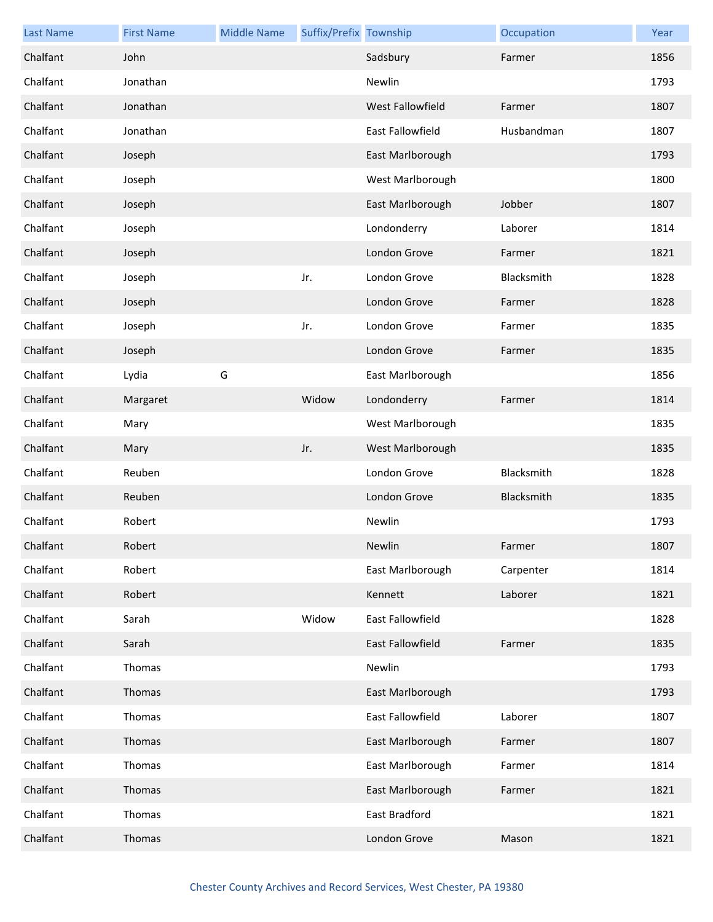| <b>Last Name</b> | <b>First Name</b> | <b>Middle Name</b> | Suffix/Prefix Township |                         | Occupation | Year |
|------------------|-------------------|--------------------|------------------------|-------------------------|------------|------|
| Chalfant         | John              |                    |                        | Sadsbury                | Farmer     | 1856 |
| Chalfant         | Jonathan          |                    |                        | Newlin                  |            | 1793 |
| Chalfant         | Jonathan          |                    |                        | West Fallowfield        | Farmer     | 1807 |
| Chalfant         | Jonathan          |                    |                        | East Fallowfield        | Husbandman | 1807 |
| Chalfant         | Joseph            |                    |                        | East Marlborough        |            | 1793 |
| Chalfant         | Joseph            |                    |                        | West Marlborough        |            | 1800 |
| Chalfant         | Joseph            |                    |                        | East Marlborough        | Jobber     | 1807 |
| Chalfant         | Joseph            |                    |                        | Londonderry             | Laborer    | 1814 |
| Chalfant         | Joseph            |                    |                        | London Grove            | Farmer     | 1821 |
| Chalfant         | Joseph            |                    | Jr.                    | London Grove            | Blacksmith | 1828 |
| Chalfant         | Joseph            |                    |                        | London Grove            | Farmer     | 1828 |
| Chalfant         | Joseph            |                    | Jr.                    | London Grove            | Farmer     | 1835 |
| Chalfant         | Joseph            |                    |                        | London Grove            | Farmer     | 1835 |
| Chalfant         | Lydia             | G                  |                        | East Marlborough        |            | 1856 |
| Chalfant         | Margaret          |                    | Widow                  | Londonderry             | Farmer     | 1814 |
| Chalfant         | Mary              |                    |                        | West Marlborough        |            | 1835 |
| Chalfant         | Mary              |                    | Jr.                    | West Marlborough        |            | 1835 |
| Chalfant         | Reuben            |                    |                        | London Grove            | Blacksmith | 1828 |
| Chalfant         | Reuben            |                    |                        | London Grove            | Blacksmith | 1835 |
| Chalfant         | Robert            |                    |                        | Newlin                  |            | 1793 |
| Chalfant         | Robert            |                    |                        | Newlin                  | Farmer     | 1807 |
| Chalfant         | Robert            |                    |                        | East Marlborough        | Carpenter  | 1814 |
| Chalfant         | Robert            |                    |                        | Kennett                 | Laborer    | 1821 |
| Chalfant         | Sarah             |                    | Widow                  | <b>East Fallowfield</b> |            | 1828 |
| Chalfant         | Sarah             |                    |                        | <b>East Fallowfield</b> | Farmer     | 1835 |
| Chalfant         | Thomas            |                    |                        | Newlin                  |            | 1793 |
| Chalfant         | Thomas            |                    |                        | East Marlborough        |            | 1793 |
| Chalfant         | Thomas            |                    |                        | East Fallowfield        | Laborer    | 1807 |
| Chalfant         | Thomas            |                    |                        | East Marlborough        | Farmer     | 1807 |
| Chalfant         | Thomas            |                    |                        | East Marlborough        | Farmer     | 1814 |
| Chalfant         | Thomas            |                    |                        | East Marlborough        | Farmer     | 1821 |
| Chalfant         | Thomas            |                    |                        | East Bradford           |            | 1821 |
| Chalfant         | Thomas            |                    |                        | London Grove            | Mason      | 1821 |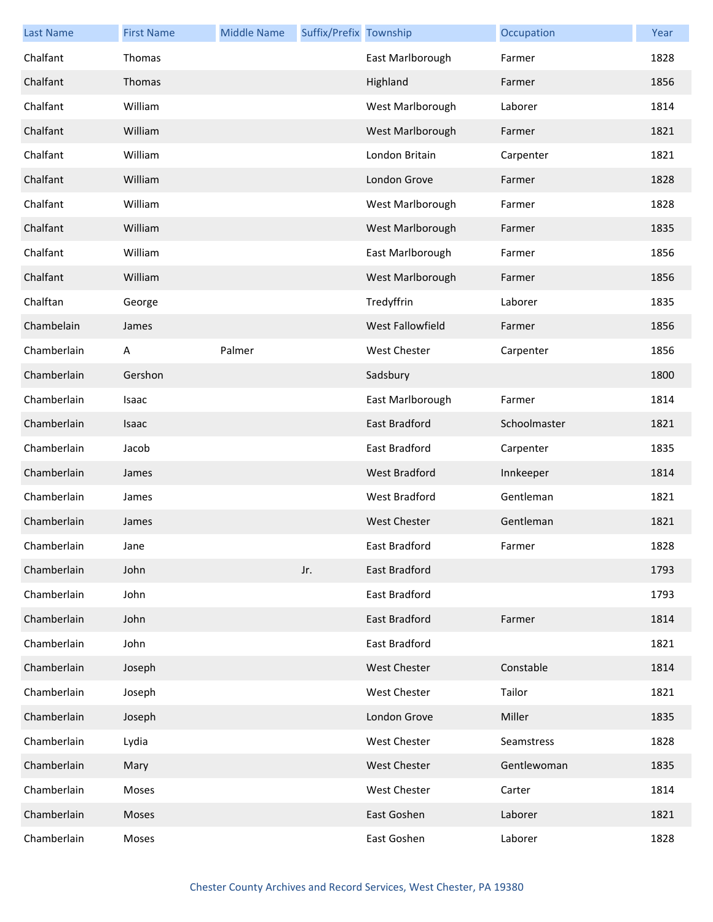| <b>Last Name</b> | <b>First Name</b> | <b>Middle Name</b> | Suffix/Prefix Township |                      | Occupation   | Year |
|------------------|-------------------|--------------------|------------------------|----------------------|--------------|------|
| Chalfant         | Thomas            |                    |                        | East Marlborough     | Farmer       | 1828 |
| Chalfant         | Thomas            |                    |                        | Highland             | Farmer       | 1856 |
| Chalfant         | William           |                    |                        | West Marlborough     | Laborer      | 1814 |
| Chalfant         | William           |                    |                        | West Marlborough     | Farmer       | 1821 |
| Chalfant         | William           |                    |                        | London Britain       | Carpenter    | 1821 |
| Chalfant         | William           |                    |                        | London Grove         | Farmer       | 1828 |
| Chalfant         | William           |                    |                        | West Marlborough     | Farmer       | 1828 |
| Chalfant         | William           |                    |                        | West Marlborough     | Farmer       | 1835 |
| Chalfant         | William           |                    |                        | East Marlborough     | Farmer       | 1856 |
| Chalfant         | William           |                    |                        | West Marlborough     | Farmer       | 1856 |
| Chalftan         | George            |                    |                        | Tredyffrin           | Laborer      | 1835 |
| Chambelain       | James             |                    |                        | West Fallowfield     | Farmer       | 1856 |
| Chamberlain      | A                 | Palmer             |                        | West Chester         | Carpenter    | 1856 |
| Chamberlain      | Gershon           |                    |                        | Sadsbury             |              | 1800 |
| Chamberlain      | Isaac             |                    |                        | East Marlborough     | Farmer       | 1814 |
| Chamberlain      | <b>Isaac</b>      |                    |                        | <b>East Bradford</b> | Schoolmaster | 1821 |
| Chamberlain      | Jacob             |                    |                        | East Bradford        | Carpenter    | 1835 |
| Chamberlain      | James             |                    |                        | <b>West Bradford</b> | Innkeeper    | 1814 |
| Chamberlain      | James             |                    |                        | West Bradford        | Gentleman    | 1821 |
| Chamberlain      | James             |                    |                        | <b>West Chester</b>  | Gentleman    | 1821 |
| Chamberlain      | Jane              |                    |                        | East Bradford        | Farmer       | 1828 |
| Chamberlain      | John              |                    | Jr.                    | East Bradford        |              | 1793 |
| Chamberlain      | John              |                    |                        | East Bradford        |              | 1793 |
| Chamberlain      | John              |                    |                        | East Bradford        | Farmer       | 1814 |
| Chamberlain      | John              |                    |                        | East Bradford        |              | 1821 |
| Chamberlain      | Joseph            |                    |                        | <b>West Chester</b>  | Constable    | 1814 |
| Chamberlain      | Joseph            |                    |                        | <b>West Chester</b>  | Tailor       | 1821 |
| Chamberlain      | Joseph            |                    |                        | London Grove         | Miller       | 1835 |
| Chamberlain      | Lydia             |                    |                        | West Chester         | Seamstress   | 1828 |
| Chamberlain      | Mary              |                    |                        | <b>West Chester</b>  | Gentlewoman  | 1835 |
| Chamberlain      | Moses             |                    |                        | <b>West Chester</b>  | Carter       | 1814 |
| Chamberlain      | Moses             |                    |                        | East Goshen          | Laborer      | 1821 |
| Chamberlain      | Moses             |                    |                        | East Goshen          | Laborer      | 1828 |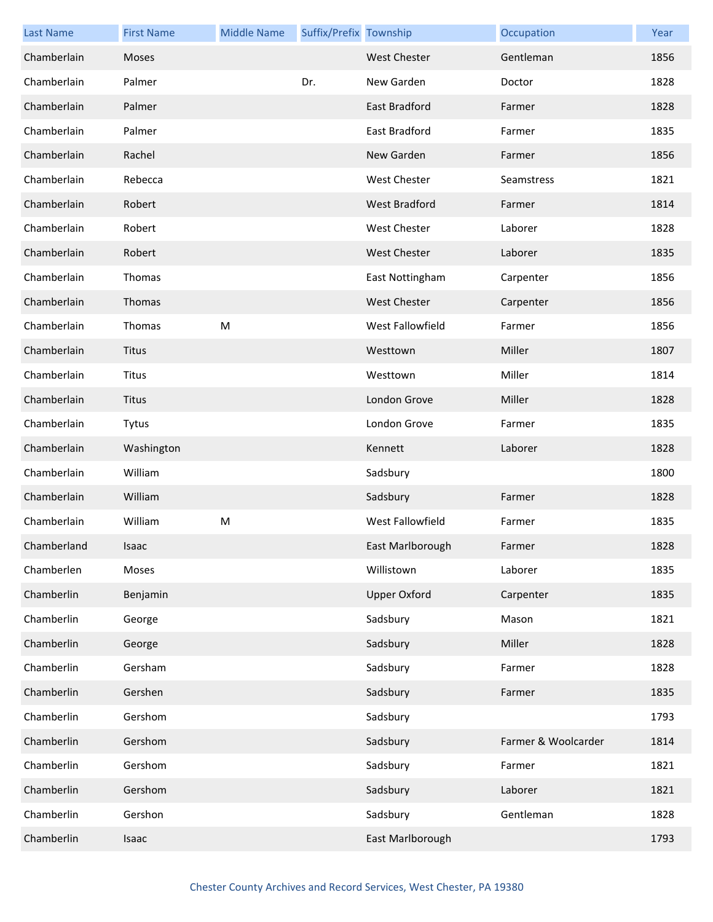| <b>Last Name</b> | <b>First Name</b> | <b>Middle Name</b> | Suffix/Prefix Township |                      | Occupation          | Year |
|------------------|-------------------|--------------------|------------------------|----------------------|---------------------|------|
| Chamberlain      | <b>Moses</b>      |                    |                        | <b>West Chester</b>  | Gentleman           | 1856 |
| Chamberlain      | Palmer            |                    | Dr.                    | New Garden           | Doctor              | 1828 |
| Chamberlain      | Palmer            |                    |                        | East Bradford        | Farmer              | 1828 |
| Chamberlain      | Palmer            |                    |                        | East Bradford        | Farmer              | 1835 |
| Chamberlain      | Rachel            |                    |                        | New Garden           | Farmer              | 1856 |
| Chamberlain      | Rebecca           |                    |                        | <b>West Chester</b>  | Seamstress          | 1821 |
| Chamberlain      | Robert            |                    |                        | <b>West Bradford</b> | Farmer              | 1814 |
| Chamberlain      | Robert            |                    |                        | <b>West Chester</b>  | Laborer             | 1828 |
| Chamberlain      | Robert            |                    |                        | <b>West Chester</b>  | Laborer             | 1835 |
| Chamberlain      | Thomas            |                    |                        | East Nottingham      | Carpenter           | 1856 |
| Chamberlain      | Thomas            |                    |                        | <b>West Chester</b>  | Carpenter           | 1856 |
| Chamberlain      | Thomas            | M                  |                        | West Fallowfield     | Farmer              | 1856 |
| Chamberlain      | Titus             |                    |                        | Westtown             | Miller              | 1807 |
| Chamberlain      | Titus             |                    |                        | Westtown             | Miller              | 1814 |
| Chamberlain      | Titus             |                    |                        | London Grove         | Miller              | 1828 |
| Chamberlain      | Tytus             |                    |                        | London Grove         | Farmer              | 1835 |
| Chamberlain      | Washington        |                    |                        | Kennett              | Laborer             | 1828 |
| Chamberlain      | William           |                    |                        | Sadsbury             |                     | 1800 |
| Chamberlain      | William           |                    |                        | Sadsbury             | Farmer              | 1828 |
| Chamberlain      | William           | M                  |                        | West Fallowfield     | Farmer              | 1835 |
| Chamberland      | Isaac             |                    |                        | East Marlborough     | Farmer              | 1828 |
| Chamberlen       | Moses             |                    |                        | Willistown           | Laborer             | 1835 |
| Chamberlin       | Benjamin          |                    |                        | <b>Upper Oxford</b>  | Carpenter           | 1835 |
| Chamberlin       | George            |                    |                        | Sadsbury             | Mason               | 1821 |
| Chamberlin       | George            |                    |                        | Sadsbury             | Miller              | 1828 |
| Chamberlin       | Gersham           |                    |                        | Sadsbury             | Farmer              | 1828 |
| Chamberlin       | Gershen           |                    |                        | Sadsbury             | Farmer              | 1835 |
| Chamberlin       | Gershom           |                    |                        | Sadsbury             |                     | 1793 |
| Chamberlin       | Gershom           |                    |                        | Sadsbury             | Farmer & Woolcarder | 1814 |
| Chamberlin       | Gershom           |                    |                        | Sadsbury             | Farmer              | 1821 |
| Chamberlin       | Gershom           |                    |                        | Sadsbury             | Laborer             | 1821 |
| Chamberlin       | Gershon           |                    |                        | Sadsbury             | Gentleman           | 1828 |
| Chamberlin       | Isaac             |                    |                        | East Marlborough     |                     | 1793 |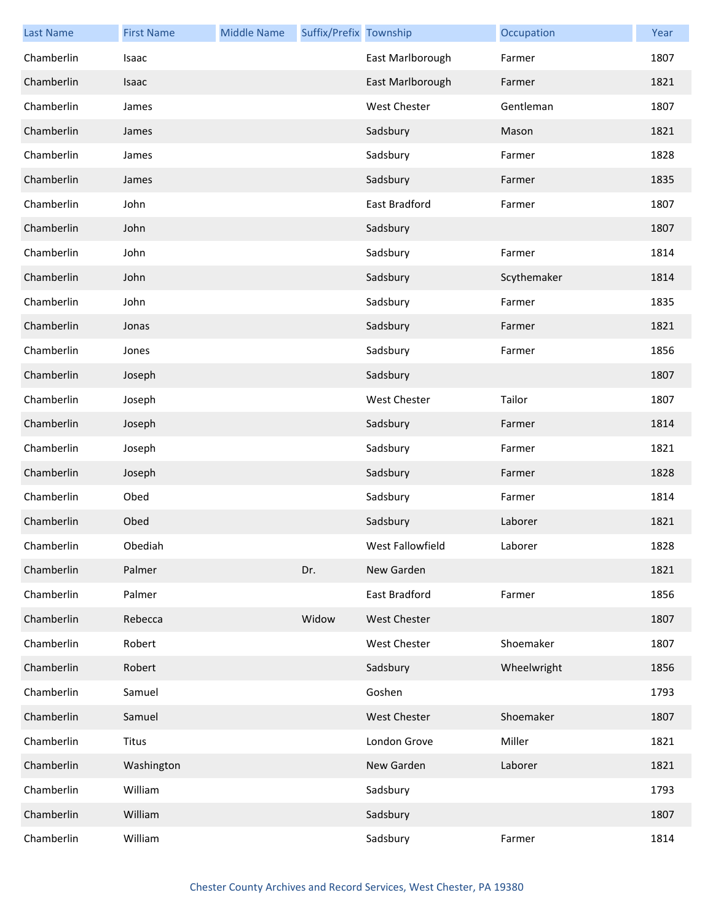| <b>Last Name</b> | <b>First Name</b> | <b>Middle Name</b> | Suffix/Prefix Township |                     | Occupation  | Year |
|------------------|-------------------|--------------------|------------------------|---------------------|-------------|------|
| Chamberlin       | Isaac             |                    |                        | East Marlborough    | Farmer      | 1807 |
| Chamberlin       | Isaac             |                    |                        | East Marlborough    | Farmer      | 1821 |
| Chamberlin       | James             |                    |                        | <b>West Chester</b> | Gentleman   | 1807 |
| Chamberlin       | James             |                    |                        | Sadsbury            | Mason       | 1821 |
| Chamberlin       | James             |                    |                        | Sadsbury            | Farmer      | 1828 |
| Chamberlin       | James             |                    |                        | Sadsbury            | Farmer      | 1835 |
| Chamberlin       | John              |                    |                        | East Bradford       | Farmer      | 1807 |
| Chamberlin       | John              |                    |                        | Sadsbury            |             | 1807 |
| Chamberlin       | John              |                    |                        | Sadsbury            | Farmer      | 1814 |
| Chamberlin       | John              |                    |                        | Sadsbury            | Scythemaker | 1814 |
| Chamberlin       | John              |                    |                        | Sadsbury            | Farmer      | 1835 |
| Chamberlin       | Jonas             |                    |                        | Sadsbury            | Farmer      | 1821 |
| Chamberlin       | Jones             |                    |                        | Sadsbury            | Farmer      | 1856 |
| Chamberlin       | Joseph            |                    |                        | Sadsbury            |             | 1807 |
| Chamberlin       | Joseph            |                    |                        | <b>West Chester</b> | Tailor      | 1807 |
| Chamberlin       | Joseph            |                    |                        | Sadsbury            | Farmer      | 1814 |
| Chamberlin       | Joseph            |                    |                        | Sadsbury            | Farmer      | 1821 |
| Chamberlin       | Joseph            |                    |                        | Sadsbury            | Farmer      | 1828 |
| Chamberlin       | Obed              |                    |                        | Sadsbury            | Farmer      | 1814 |
| Chamberlin       | Obed              |                    |                        | Sadsbury            | Laborer     | 1821 |
| Chamberlin       | Obediah           |                    |                        | West Fallowfield    | Laborer     | 1828 |
| Chamberlin       | Palmer            |                    | Dr.                    | New Garden          |             | 1821 |
| Chamberlin       | Palmer            |                    |                        | East Bradford       | Farmer      | 1856 |
| Chamberlin       | Rebecca           |                    | Widow                  | West Chester        |             | 1807 |
| Chamberlin       | Robert            |                    |                        | West Chester        | Shoemaker   | 1807 |
| Chamberlin       | Robert            |                    |                        | Sadsbury            | Wheelwright | 1856 |
| Chamberlin       | Samuel            |                    |                        | Goshen              |             | 1793 |
| Chamberlin       | Samuel            |                    |                        | West Chester        | Shoemaker   | 1807 |
| Chamberlin       | <b>Titus</b>      |                    |                        | London Grove        | Miller      | 1821 |
| Chamberlin       | Washington        |                    |                        | New Garden          | Laborer     | 1821 |
| Chamberlin       | William           |                    |                        | Sadsbury            |             | 1793 |
| Chamberlin       | William           |                    |                        | Sadsbury            |             | 1807 |
| Chamberlin       | William           |                    |                        | Sadsbury            | Farmer      | 1814 |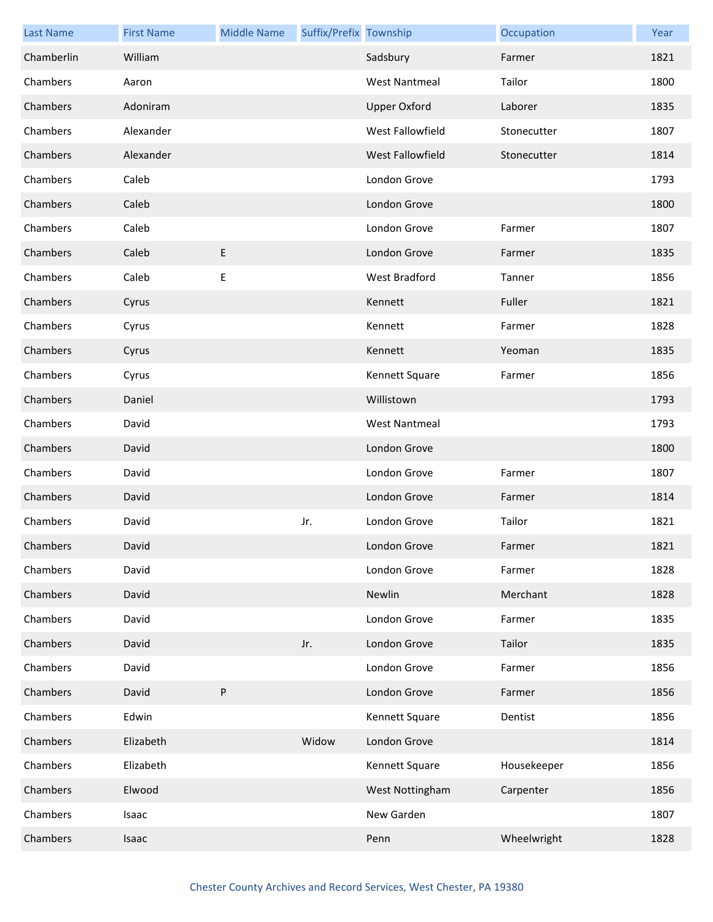| <b>Last Name</b> | <b>First Name</b> | <b>Middle Name</b> | Suffix/Prefix Township |                      | Occupation  | Year |
|------------------|-------------------|--------------------|------------------------|----------------------|-------------|------|
| Chamberlin       | William           |                    |                        | Sadsbury             | Farmer      | 1821 |
| Chambers         | Aaron             |                    |                        | <b>West Nantmeal</b> | Tailor      | 1800 |
| Chambers         | Adoniram          |                    |                        | <b>Upper Oxford</b>  | Laborer     | 1835 |
| Chambers         | Alexander         |                    |                        | West Fallowfield     | Stonecutter | 1807 |
| Chambers         | Alexander         |                    |                        | West Fallowfield     | Stonecutter | 1814 |
| Chambers         | Caleb             |                    |                        | London Grove         |             | 1793 |
| Chambers         | Caleb             |                    |                        | London Grove         |             | 1800 |
| Chambers         | Caleb             |                    |                        | London Grove         | Farmer      | 1807 |
| Chambers         | Caleb             | E                  |                        | London Grove         | Farmer      | 1835 |
| Chambers         | Caleb             | Е                  |                        | West Bradford        | Tanner      | 1856 |
| Chambers         | Cyrus             |                    |                        | Kennett              | Fuller      | 1821 |
| Chambers         | Cyrus             |                    |                        | Kennett              | Farmer      | 1828 |
| Chambers         | Cyrus             |                    |                        | Kennett              | Yeoman      | 1835 |
| Chambers         | Cyrus             |                    |                        | Kennett Square       | Farmer      | 1856 |
| Chambers         | Daniel            |                    |                        | Willistown           |             | 1793 |
| Chambers         | David             |                    |                        | <b>West Nantmeal</b> |             | 1793 |
| Chambers         | David             |                    |                        | London Grove         |             | 1800 |
| Chambers         | David             |                    |                        | London Grove         | Farmer      | 1807 |
| Chambers         | David             |                    |                        | London Grove         | Farmer      | 1814 |
| Chambers         | David             |                    | Jr.                    | London Grove         | Tailor      | 1821 |
| Chambers         | David             |                    |                        | London Grove         | Farmer      | 1821 |
| Chambers         | David             |                    |                        | London Grove         | Farmer      | 1828 |
| Chambers         | David             |                    |                        | Newlin               | Merchant    | 1828 |
| Chambers         | David             |                    |                        | London Grove         | Farmer      | 1835 |
| Chambers         | David             |                    | Jr.                    | London Grove         | Tailor      | 1835 |
| Chambers         | David             |                    |                        | London Grove         | Farmer      | 1856 |
| Chambers         | David             | P                  |                        | London Grove         | Farmer      | 1856 |
| Chambers         | Edwin             |                    |                        | Kennett Square       | Dentist     | 1856 |
| Chambers         | Elizabeth         |                    | Widow                  | London Grove         |             | 1814 |
| Chambers         | Elizabeth         |                    |                        | Kennett Square       | Housekeeper | 1856 |
| Chambers         | Elwood            |                    |                        | West Nottingham      | Carpenter   | 1856 |
| Chambers         | Isaac             |                    |                        | New Garden           |             | 1807 |
| Chambers         | Isaac             |                    |                        | Penn                 | Wheelwright | 1828 |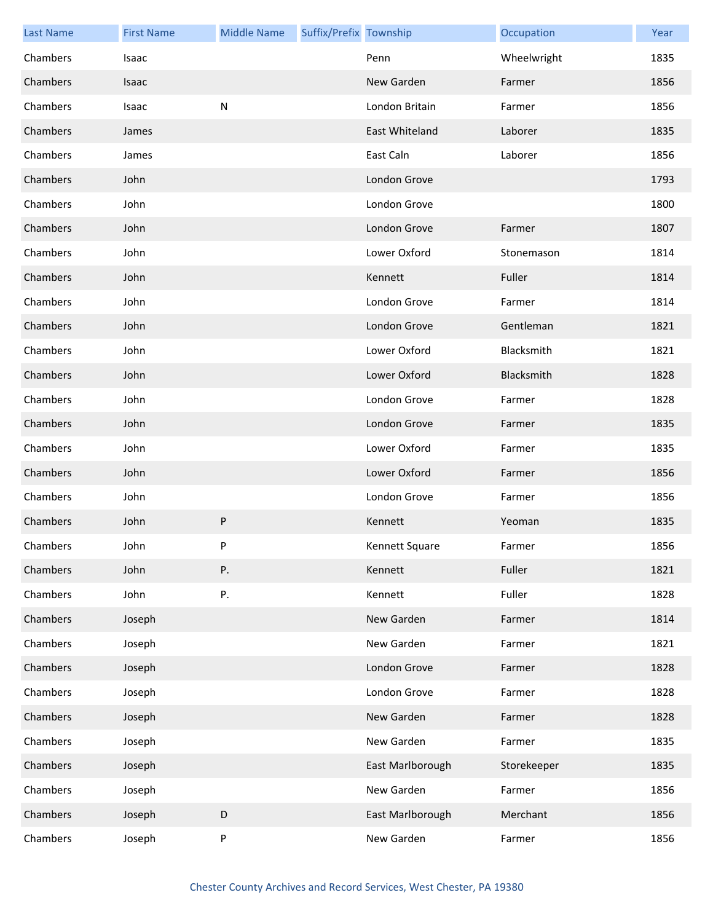| <b>Last Name</b> | <b>First Name</b> | <b>Middle Name</b> | Suffix/Prefix Township |                  | Occupation  | Year |
|------------------|-------------------|--------------------|------------------------|------------------|-------------|------|
| Chambers         | Isaac             |                    |                        | Penn             | Wheelwright | 1835 |
| Chambers         | <b>Isaac</b>      |                    |                        | New Garden       | Farmer      | 1856 |
| Chambers         | Isaac             | ${\sf N}$          |                        | London Britain   | Farmer      | 1856 |
| Chambers         | James             |                    |                        | East Whiteland   | Laborer     | 1835 |
| Chambers         | James             |                    |                        | East Caln        | Laborer     | 1856 |
| Chambers         | John              |                    |                        | London Grove     |             | 1793 |
| Chambers         | John              |                    |                        | London Grove     |             | 1800 |
| Chambers         | John              |                    |                        | London Grove     | Farmer      | 1807 |
| Chambers         | John              |                    |                        | Lower Oxford     | Stonemason  | 1814 |
| Chambers         | John              |                    |                        | Kennett          | Fuller      | 1814 |
| Chambers         | John              |                    |                        | London Grove     | Farmer      | 1814 |
| Chambers         | John              |                    |                        | London Grove     | Gentleman   | 1821 |
| Chambers         | John              |                    |                        | Lower Oxford     | Blacksmith  | 1821 |
| Chambers         | John              |                    |                        | Lower Oxford     | Blacksmith  | 1828 |
| Chambers         | John              |                    |                        | London Grove     | Farmer      | 1828 |
| Chambers         | John              |                    |                        | London Grove     | Farmer      | 1835 |
| Chambers         | John              |                    |                        | Lower Oxford     | Farmer      | 1835 |
| Chambers         | John              |                    |                        | Lower Oxford     | Farmer      | 1856 |
| Chambers         | John              |                    |                        | London Grove     | Farmer      | 1856 |
| Chambers         | John              | P                  |                        | Kennett          | Yeoman      | 1835 |
| Chambers         | John              | P                  |                        | Kennett Square   | Farmer      | 1856 |
| Chambers         | John              | Ρ.                 |                        | Kennett          | Fuller      | 1821 |
| Chambers         | John              | Ρ.                 |                        | Kennett          | Fuller      | 1828 |
| Chambers         | Joseph            |                    |                        | New Garden       | Farmer      | 1814 |
| Chambers         | Joseph            |                    |                        | New Garden       | Farmer      | 1821 |
| Chambers         | Joseph            |                    |                        | London Grove     | Farmer      | 1828 |
| Chambers         | Joseph            |                    |                        | London Grove     | Farmer      | 1828 |
| Chambers         | Joseph            |                    |                        | New Garden       | Farmer      | 1828 |
| Chambers         | Joseph            |                    |                        | New Garden       | Farmer      | 1835 |
| Chambers         | Joseph            |                    |                        | East Marlborough | Storekeeper | 1835 |
| Chambers         | Joseph            |                    |                        | New Garden       | Farmer      | 1856 |
| Chambers         | Joseph            | D                  |                        | East Marlborough | Merchant    | 1856 |
| Chambers         | Joseph            | P                  |                        | New Garden       | Farmer      | 1856 |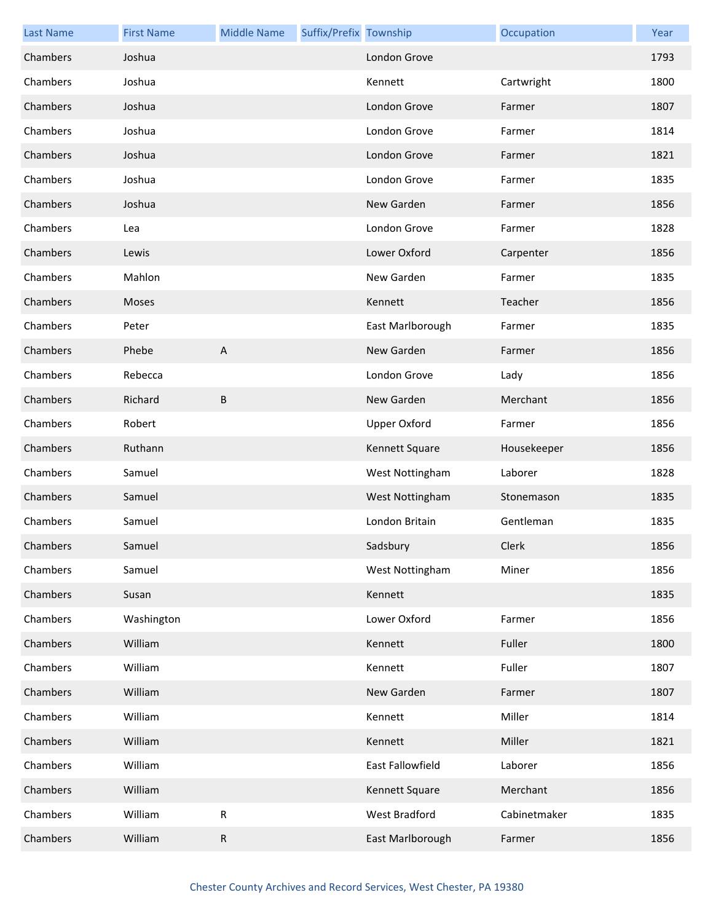| <b>Last Name</b> | <b>First Name</b> | <b>Middle Name</b>        | Suffix/Prefix Township |                     | Occupation   | Year |
|------------------|-------------------|---------------------------|------------------------|---------------------|--------------|------|
| Chambers         | Joshua            |                           |                        | London Grove        |              | 1793 |
| Chambers         | Joshua            |                           |                        | Kennett             | Cartwright   | 1800 |
| Chambers         | Joshua            |                           |                        | London Grove        | Farmer       | 1807 |
| Chambers         | Joshua            |                           |                        | London Grove        | Farmer       | 1814 |
| Chambers         | Joshua            |                           |                        | London Grove        | Farmer       | 1821 |
| Chambers         | Joshua            |                           |                        | London Grove        | Farmer       | 1835 |
| Chambers         | Joshua            |                           |                        | New Garden          | Farmer       | 1856 |
| Chambers         | Lea               |                           |                        | London Grove        | Farmer       | 1828 |
| Chambers         | Lewis             |                           |                        | Lower Oxford        | Carpenter    | 1856 |
| Chambers         | Mahlon            |                           |                        | New Garden          | Farmer       | 1835 |
| Chambers         | Moses             |                           |                        | Kennett             | Teacher      | 1856 |
| Chambers         | Peter             |                           |                        | East Marlborough    | Farmer       | 1835 |
| Chambers         | Phebe             | $\boldsymbol{\mathsf{A}}$ |                        | New Garden          | Farmer       | 1856 |
| Chambers         | Rebecca           |                           |                        | London Grove        | Lady         | 1856 |
| Chambers         | Richard           | B                         |                        | New Garden          | Merchant     | 1856 |
| Chambers         | Robert            |                           |                        | <b>Upper Oxford</b> | Farmer       | 1856 |
| Chambers         | Ruthann           |                           |                        | Kennett Square      | Housekeeper  | 1856 |
| Chambers         | Samuel            |                           |                        | West Nottingham     | Laborer      | 1828 |
| Chambers         | Samuel            |                           |                        | West Nottingham     | Stonemason   | 1835 |
| Chambers         | Samuel            |                           |                        | London Britain      | Gentleman    | 1835 |
| Chambers         | Samuel            |                           |                        | Sadsbury            | Clerk        | 1856 |
| Chambers         | Samuel            |                           |                        | West Nottingham     | Miner        | 1856 |
| Chambers         | Susan             |                           |                        | Kennett             |              | 1835 |
| Chambers         | Washington        |                           |                        | Lower Oxford        | Farmer       | 1856 |
| Chambers         | William           |                           |                        | Kennett             | Fuller       | 1800 |
| Chambers         | William           |                           |                        | Kennett             | Fuller       | 1807 |
| Chambers         | William           |                           |                        | New Garden          | Farmer       | 1807 |
| Chambers         | William           |                           |                        | Kennett             | Miller       | 1814 |
| Chambers         | William           |                           |                        | Kennett             | Miller       | 1821 |
| Chambers         | William           |                           |                        | East Fallowfield    | Laborer      | 1856 |
| Chambers         | William           |                           |                        | Kennett Square      | Merchant     | 1856 |
| Chambers         | William           | ${\sf R}$                 |                        | West Bradford       | Cabinetmaker | 1835 |
| Chambers         | William           | $\mathsf R$               |                        | East Marlborough    | Farmer       | 1856 |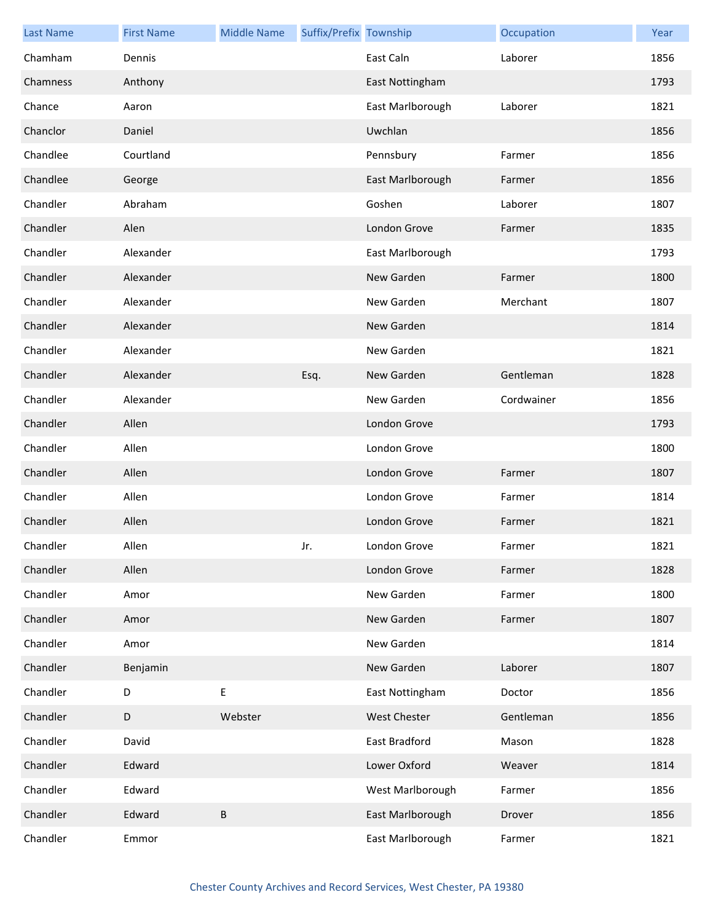| <b>Last Name</b> | <b>First Name</b> | <b>Middle Name</b> | Suffix/Prefix Township |                  | Occupation | Year |
|------------------|-------------------|--------------------|------------------------|------------------|------------|------|
| Chamham          | Dennis            |                    |                        | East Caln        | Laborer    | 1856 |
| Chamness         | Anthony           |                    |                        | East Nottingham  |            | 1793 |
| Chance           | Aaron             |                    |                        | East Marlborough | Laborer    | 1821 |
| Chanclor         | Daniel            |                    |                        | Uwchlan          |            | 1856 |
| Chandlee         | Courtland         |                    |                        | Pennsbury        | Farmer     | 1856 |
| Chandlee         | George            |                    |                        | East Marlborough | Farmer     | 1856 |
| Chandler         | Abraham           |                    |                        | Goshen           | Laborer    | 1807 |
| Chandler         | Alen              |                    |                        | London Grove     | Farmer     | 1835 |
| Chandler         | Alexander         |                    |                        | East Marlborough |            | 1793 |
| Chandler         | Alexander         |                    |                        | New Garden       | Farmer     | 1800 |
| Chandler         | Alexander         |                    |                        | New Garden       | Merchant   | 1807 |
| Chandler         | Alexander         |                    |                        | New Garden       |            | 1814 |
| Chandler         | Alexander         |                    |                        | New Garden       |            | 1821 |
| Chandler         | Alexander         |                    | Esq.                   | New Garden       | Gentleman  | 1828 |
| Chandler         | Alexander         |                    |                        | New Garden       | Cordwainer | 1856 |
| Chandler         | Allen             |                    |                        | London Grove     |            | 1793 |
| Chandler         | Allen             |                    |                        | London Grove     |            | 1800 |
| Chandler         | Allen             |                    |                        | London Grove     | Farmer     | 1807 |
| Chandler         | Allen             |                    |                        | London Grove     | Farmer     | 1814 |
| Chandler         | Allen             |                    |                        | London Grove     | Farmer     | 1821 |
| Chandler         | Allen             |                    | Jr.                    | London Grove     | Farmer     | 1821 |
| Chandler         | Allen             |                    |                        | London Grove     | Farmer     | 1828 |
| Chandler         | Amor              |                    |                        | New Garden       | Farmer     | 1800 |
| Chandler         | Amor              |                    |                        | New Garden       | Farmer     | 1807 |
| Chandler         | Amor              |                    |                        | New Garden       |            | 1814 |
| Chandler         | Benjamin          |                    |                        | New Garden       | Laborer    | 1807 |
| Chandler         | D                 | Ε                  |                        | East Nottingham  | Doctor     | 1856 |
| Chandler         | $\mathsf D$       | Webster            |                        | West Chester     | Gentleman  | 1856 |
| Chandler         | David             |                    |                        | East Bradford    | Mason      | 1828 |
| Chandler         | Edward            |                    |                        | Lower Oxford     | Weaver     | 1814 |
| Chandler         | Edward            |                    |                        | West Marlborough | Farmer     | 1856 |
| Chandler         | Edward            | B                  |                        | East Marlborough | Drover     | 1856 |
| Chandler         | Emmor             |                    |                        | East Marlborough | Farmer     | 1821 |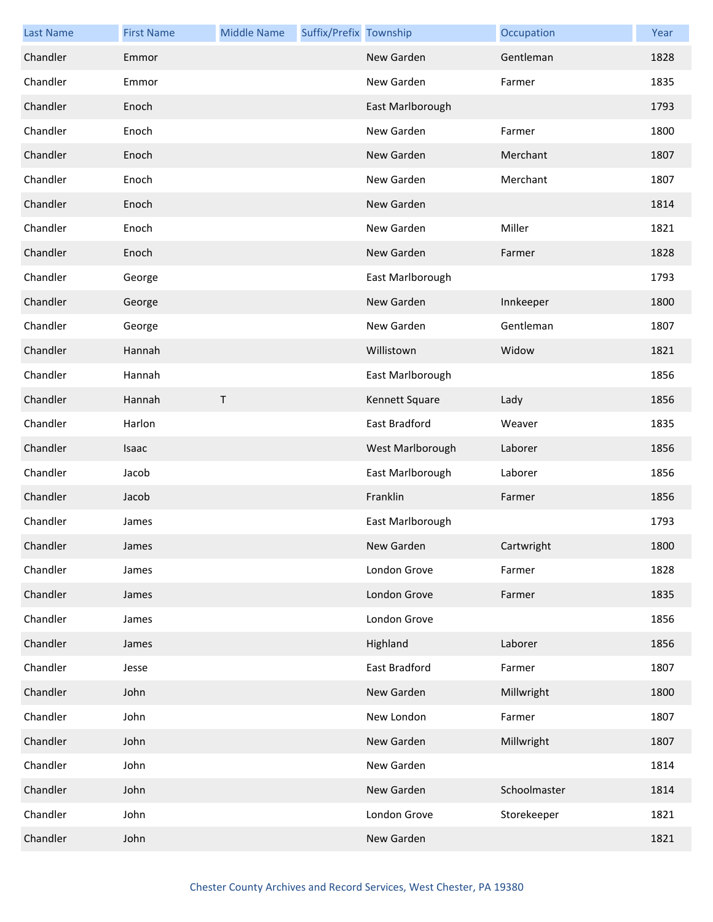| <b>Last Name</b> | <b>First Name</b> | <b>Middle Name</b> | Suffix/Prefix Township |                  | Occupation   | Year |
|------------------|-------------------|--------------------|------------------------|------------------|--------------|------|
| Chandler         | Emmor             |                    |                        | New Garden       | Gentleman    | 1828 |
| Chandler         | Emmor             |                    |                        | New Garden       | Farmer       | 1835 |
| Chandler         | Enoch             |                    |                        | East Marlborough |              | 1793 |
| Chandler         | Enoch             |                    |                        | New Garden       | Farmer       | 1800 |
| Chandler         | Enoch             |                    |                        | New Garden       | Merchant     | 1807 |
| Chandler         | Enoch             |                    |                        | New Garden       | Merchant     | 1807 |
| Chandler         | Enoch             |                    |                        | New Garden       |              | 1814 |
| Chandler         | Enoch             |                    |                        | New Garden       | Miller       | 1821 |
| Chandler         | Enoch             |                    |                        | New Garden       | Farmer       | 1828 |
| Chandler         | George            |                    |                        | East Marlborough |              | 1793 |
| Chandler         | George            |                    |                        | New Garden       | Innkeeper    | 1800 |
| Chandler         | George            |                    |                        | New Garden       | Gentleman    | 1807 |
| Chandler         | Hannah            |                    |                        | Willistown       | Widow        | 1821 |
| Chandler         | Hannah            |                    |                        | East Marlborough |              | 1856 |
| Chandler         | Hannah            | $\mathsf{T}$       |                        | Kennett Square   | Lady         | 1856 |
| Chandler         | Harlon            |                    |                        | East Bradford    | Weaver       | 1835 |
| Chandler         | Isaac             |                    |                        | West Marlborough | Laborer      | 1856 |
| Chandler         | Jacob             |                    |                        | East Marlborough | Laborer      | 1856 |
| Chandler         | Jacob             |                    |                        | Franklin         | Farmer       | 1856 |
| Chandler         | James             |                    |                        | East Marlborough |              | 1793 |
| Chandler         | James             |                    |                        | New Garden       | Cartwright   | 1800 |
| Chandler         | James             |                    |                        | London Grove     | Farmer       | 1828 |
| Chandler         | James             |                    |                        | London Grove     | Farmer       | 1835 |
| Chandler         | James             |                    |                        | London Grove     |              | 1856 |
| Chandler         | James             |                    |                        | Highland         | Laborer      | 1856 |
| Chandler         | Jesse             |                    |                        | East Bradford    | Farmer       | 1807 |
| Chandler         | John              |                    |                        | New Garden       | Millwright   | 1800 |
| Chandler         | John              |                    |                        | New London       | Farmer       | 1807 |
| Chandler         | John              |                    |                        | New Garden       | Millwright   | 1807 |
| Chandler         | John              |                    |                        | New Garden       |              | 1814 |
| Chandler         | John              |                    |                        | New Garden       | Schoolmaster | 1814 |
| Chandler         | John              |                    |                        | London Grove     | Storekeeper  | 1821 |
| Chandler         | John              |                    |                        | New Garden       |              | 1821 |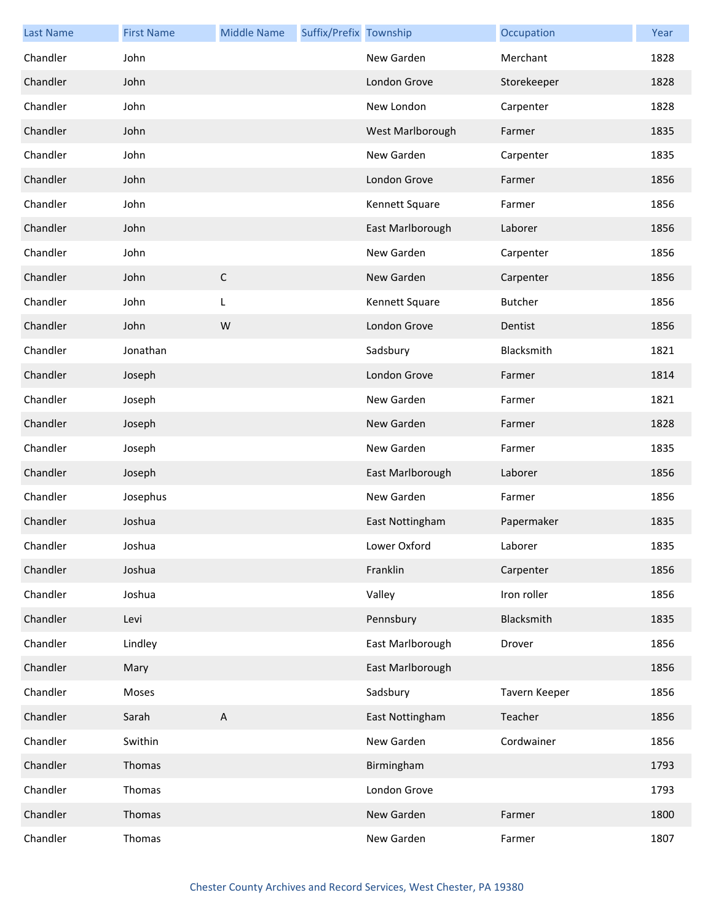| <b>Last Name</b> | <b>First Name</b> | <b>Middle Name</b>        | Suffix/Prefix Township |                  | Occupation     | Year |
|------------------|-------------------|---------------------------|------------------------|------------------|----------------|------|
| Chandler         | John              |                           |                        | New Garden       | Merchant       | 1828 |
| Chandler         | John              |                           |                        | London Grove     | Storekeeper    | 1828 |
| Chandler         | John              |                           |                        | New London       | Carpenter      | 1828 |
| Chandler         | John              |                           |                        | West Marlborough | Farmer         | 1835 |
| Chandler         | John              |                           |                        | New Garden       | Carpenter      | 1835 |
| Chandler         | John              |                           |                        | London Grove     | Farmer         | 1856 |
| Chandler         | John              |                           |                        | Kennett Square   | Farmer         | 1856 |
| Chandler         | John              |                           |                        | East Marlborough | Laborer        | 1856 |
| Chandler         | John              |                           |                        | New Garden       | Carpenter      | 1856 |
| Chandler         | John              | $\mathsf C$               |                        | New Garden       | Carpenter      | 1856 |
| Chandler         | John              | L                         |                        | Kennett Square   | <b>Butcher</b> | 1856 |
| Chandler         | John              | W                         |                        | London Grove     | Dentist        | 1856 |
| Chandler         | Jonathan          |                           |                        | Sadsbury         | Blacksmith     | 1821 |
| Chandler         | Joseph            |                           |                        | London Grove     | Farmer         | 1814 |
| Chandler         | Joseph            |                           |                        | New Garden       | Farmer         | 1821 |
| Chandler         | Joseph            |                           |                        | New Garden       | Farmer         | 1828 |
| Chandler         | Joseph            |                           |                        | New Garden       | Farmer         | 1835 |
| Chandler         | Joseph            |                           |                        | East Marlborough | Laborer        | 1856 |
| Chandler         | Josephus          |                           |                        | New Garden       | Farmer         | 1856 |
| Chandler         | Joshua            |                           |                        | East Nottingham  | Papermaker     | 1835 |
| Chandler         | Joshua            |                           |                        | Lower Oxford     | Laborer        | 1835 |
| Chandler         | Joshua            |                           |                        | Franklin         | Carpenter      | 1856 |
| Chandler         | Joshua            |                           |                        | Valley           | Iron roller    | 1856 |
| Chandler         | Levi              |                           |                        | Pennsbury        | Blacksmith     | 1835 |
| Chandler         | Lindley           |                           |                        | East Marlborough | Drover         | 1856 |
| Chandler         | Mary              |                           |                        | East Marlborough |                | 1856 |
| Chandler         | Moses             |                           |                        | Sadsbury         | Tavern Keeper  | 1856 |
| Chandler         | Sarah             | $\boldsymbol{\mathsf{A}}$ |                        | East Nottingham  | Teacher        | 1856 |
| Chandler         | Swithin           |                           |                        | New Garden       | Cordwainer     | 1856 |
| Chandler         | Thomas            |                           |                        | Birmingham       |                | 1793 |
| Chandler         | Thomas            |                           |                        | London Grove     |                | 1793 |
| Chandler         | Thomas            |                           |                        | New Garden       | Farmer         | 1800 |
| Chandler         | Thomas            |                           |                        | New Garden       | Farmer         | 1807 |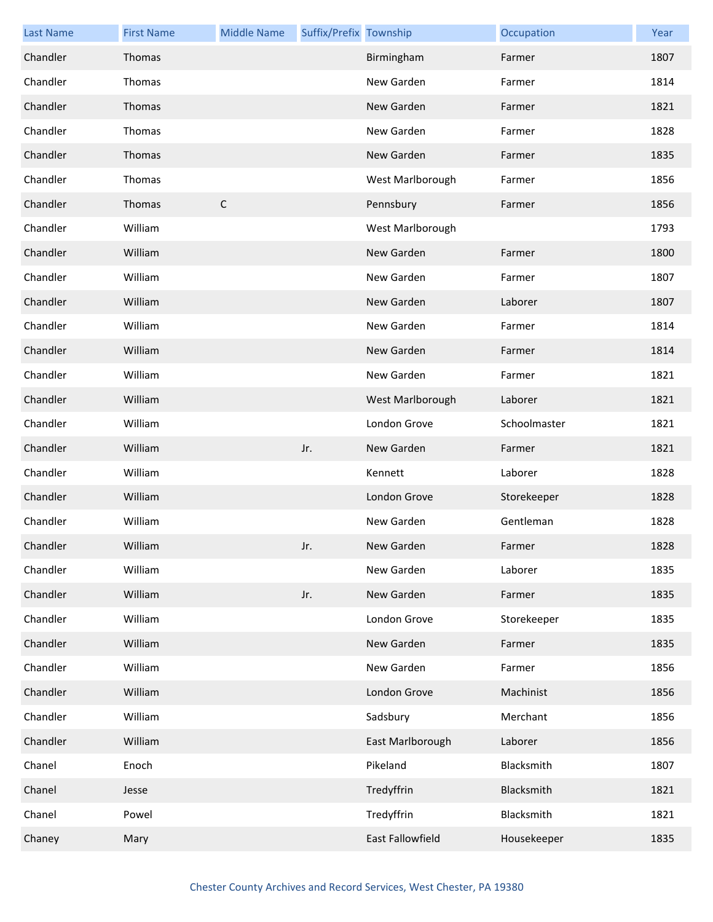| <b>Last Name</b> | <b>First Name</b> | <b>Middle Name</b> | Suffix/Prefix Township |                  | Occupation   | Year |
|------------------|-------------------|--------------------|------------------------|------------------|--------------|------|
| Chandler         | Thomas            |                    |                        | Birmingham       | Farmer       | 1807 |
| Chandler         | Thomas            |                    |                        | New Garden       | Farmer       | 1814 |
| Chandler         | Thomas            |                    |                        | New Garden       | Farmer       | 1821 |
| Chandler         | Thomas            |                    |                        | New Garden       | Farmer       | 1828 |
| Chandler         | Thomas            |                    |                        | New Garden       | Farmer       | 1835 |
| Chandler         | Thomas            |                    |                        | West Marlborough | Farmer       | 1856 |
| Chandler         | Thomas            | $\mathsf{C}$       |                        | Pennsbury        | Farmer       | 1856 |
| Chandler         | William           |                    |                        | West Marlborough |              | 1793 |
| Chandler         | William           |                    |                        | New Garden       | Farmer       | 1800 |
| Chandler         | William           |                    |                        | New Garden       | Farmer       | 1807 |
| Chandler         | William           |                    |                        | New Garden       | Laborer      | 1807 |
| Chandler         | William           |                    |                        | New Garden       | Farmer       | 1814 |
| Chandler         | William           |                    |                        | New Garden       | Farmer       | 1814 |
| Chandler         | William           |                    |                        | New Garden       | Farmer       | 1821 |
| Chandler         | William           |                    |                        | West Marlborough | Laborer      | 1821 |
| Chandler         | William           |                    |                        | London Grove     | Schoolmaster | 1821 |
| Chandler         | William           |                    | Jr.                    | New Garden       | Farmer       | 1821 |
| Chandler         | William           |                    |                        | Kennett          | Laborer      | 1828 |
| Chandler         | William           |                    |                        | London Grove     | Storekeeper  | 1828 |
| Chandler         | William           |                    |                        | New Garden       | Gentleman    | 1828 |
| Chandler         | William           |                    | Jr.                    | New Garden       | Farmer       | 1828 |
| Chandler         | William           |                    |                        | New Garden       | Laborer      | 1835 |
| Chandler         | William           |                    | Jr.                    | New Garden       | Farmer       | 1835 |
| Chandler         | William           |                    |                        | London Grove     | Storekeeper  | 1835 |
| Chandler         | William           |                    |                        | New Garden       | Farmer       | 1835 |
| Chandler         | William           |                    |                        | New Garden       | Farmer       | 1856 |
| Chandler         | William           |                    |                        | London Grove     | Machinist    | 1856 |
| Chandler         | William           |                    |                        | Sadsbury         | Merchant     | 1856 |
| Chandler         | William           |                    |                        | East Marlborough | Laborer      | 1856 |
| Chanel           | Enoch             |                    |                        | Pikeland         | Blacksmith   | 1807 |
| Chanel           | Jesse             |                    |                        | Tredyffrin       | Blacksmith   | 1821 |
| Chanel           | Powel             |                    |                        | Tredyffrin       | Blacksmith   | 1821 |
| Chaney           | Mary              |                    |                        | East Fallowfield | Housekeeper  | 1835 |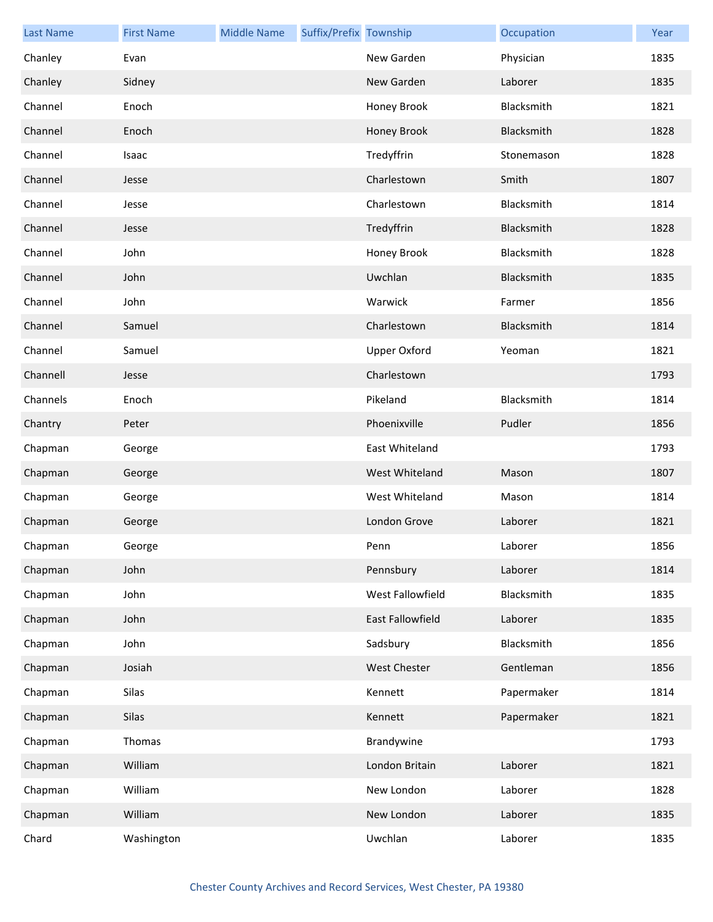| <b>Last Name</b> | <b>First Name</b> | <b>Middle Name</b> | Suffix/Prefix Township |                     | Occupation | Year |
|------------------|-------------------|--------------------|------------------------|---------------------|------------|------|
| Chanley          | Evan              |                    |                        | New Garden          | Physician  | 1835 |
| Chanley          | Sidney            |                    |                        | New Garden          | Laborer    | 1835 |
| Channel          | Enoch             |                    |                        | Honey Brook         | Blacksmith | 1821 |
| Channel          | Enoch             |                    |                        | Honey Brook         | Blacksmith | 1828 |
| Channel          | Isaac             |                    |                        | Tredyffrin          | Stonemason | 1828 |
| Channel          | Jesse             |                    |                        | Charlestown         | Smith      | 1807 |
| Channel          | Jesse             |                    |                        | Charlestown         | Blacksmith | 1814 |
| Channel          | Jesse             |                    |                        | Tredyffrin          | Blacksmith | 1828 |
| Channel          | John              |                    |                        | Honey Brook         | Blacksmith | 1828 |
| Channel          | John              |                    |                        | Uwchlan             | Blacksmith | 1835 |
| Channel          | John              |                    |                        | Warwick             | Farmer     | 1856 |
| Channel          | Samuel            |                    |                        | Charlestown         | Blacksmith | 1814 |
| Channel          | Samuel            |                    |                        | <b>Upper Oxford</b> | Yeoman     | 1821 |
| Channell         | Jesse             |                    |                        | Charlestown         |            | 1793 |
| Channels         | Enoch             |                    |                        | Pikeland            | Blacksmith | 1814 |
| Chantry          | Peter             |                    |                        | Phoenixville        | Pudler     | 1856 |
| Chapman          | George            |                    |                        | East Whiteland      |            | 1793 |
| Chapman          | George            |                    |                        | West Whiteland      | Mason      | 1807 |
| Chapman          | George            |                    |                        | West Whiteland      | Mason      | 1814 |
| Chapman          | George            |                    |                        | London Grove        | Laborer    | 1821 |
| Chapman          | George            |                    |                        | Penn                | Laborer    | 1856 |
| Chapman          | John              |                    |                        | Pennsbury           | Laborer    | 1814 |
| Chapman          | John              |                    |                        | West Fallowfield    | Blacksmith | 1835 |
| Chapman          | John              |                    |                        | East Fallowfield    | Laborer    | 1835 |
| Chapman          | John              |                    |                        | Sadsbury            | Blacksmith | 1856 |
| Chapman          | Josiah            |                    |                        | <b>West Chester</b> | Gentleman  | 1856 |
| Chapman          | Silas             |                    |                        | Kennett             | Papermaker | 1814 |
| Chapman          | Silas             |                    |                        | Kennett             | Papermaker | 1821 |
| Chapman          | Thomas            |                    |                        | Brandywine          |            | 1793 |
| Chapman          | William           |                    |                        | London Britain      | Laborer    | 1821 |
| Chapman          | William           |                    |                        | New London          | Laborer    | 1828 |
| Chapman          | William           |                    |                        | New London          | Laborer    | 1835 |
| Chard            | Washington        |                    |                        | Uwchlan             | Laborer    | 1835 |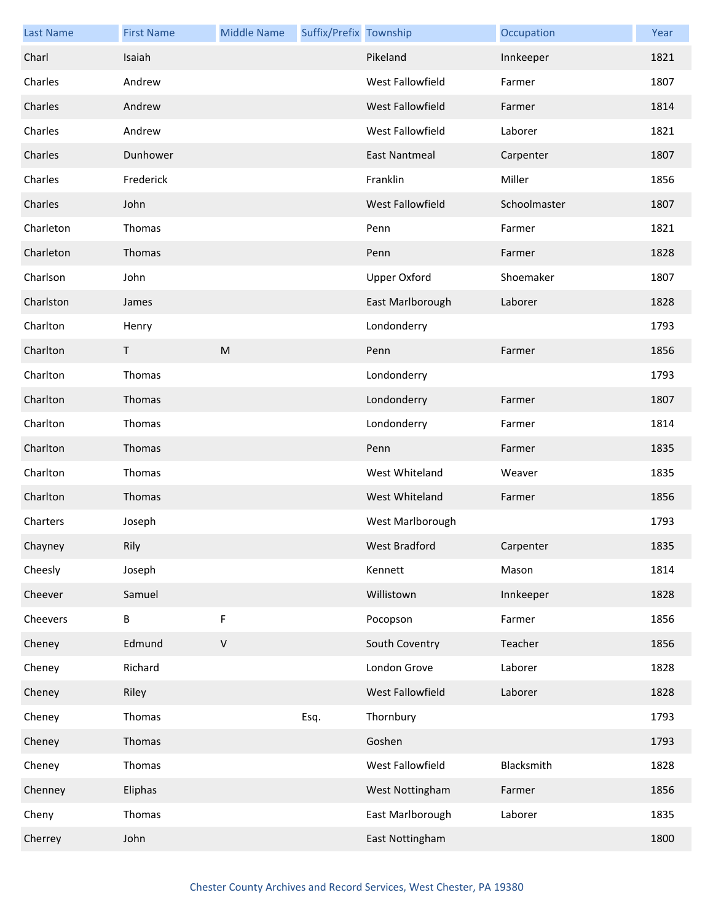| <b>Last Name</b> | <b>First Name</b> | <b>Middle Name</b>                                                                                         | Suffix/Prefix Township |                      | Occupation   | Year |
|------------------|-------------------|------------------------------------------------------------------------------------------------------------|------------------------|----------------------|--------------|------|
| Charl            | Isaiah            |                                                                                                            |                        | Pikeland             | Innkeeper    | 1821 |
| Charles          | Andrew            |                                                                                                            |                        | West Fallowfield     | Farmer       | 1807 |
| Charles          | Andrew            |                                                                                                            |                        | West Fallowfield     | Farmer       | 1814 |
| Charles          | Andrew            |                                                                                                            |                        | West Fallowfield     | Laborer      | 1821 |
| Charles          | Dunhower          |                                                                                                            |                        | <b>East Nantmeal</b> | Carpenter    | 1807 |
| Charles          | Frederick         |                                                                                                            |                        | Franklin             | Miller       | 1856 |
| Charles          | John              |                                                                                                            |                        | West Fallowfield     | Schoolmaster | 1807 |
| Charleton        | Thomas            |                                                                                                            |                        | Penn                 | Farmer       | 1821 |
| Charleton        | Thomas            |                                                                                                            |                        | Penn                 | Farmer       | 1828 |
| Charlson         | John              |                                                                                                            |                        | Upper Oxford         | Shoemaker    | 1807 |
| Charlston        | James             |                                                                                                            |                        | East Marlborough     | Laborer      | 1828 |
| Charlton         | Henry             |                                                                                                            |                        | Londonderry          |              | 1793 |
| Charlton         | T                 | $\mathsf{M}% _{T}=\mathsf{M}_{T}\!\left( a,b\right) ,\ \mathsf{M}_{T}=\mathsf{M}_{T}\!\left( a,b\right) ,$ |                        | Penn                 | Farmer       | 1856 |
| Charlton         | Thomas            |                                                                                                            |                        | Londonderry          |              | 1793 |
| Charlton         | Thomas            |                                                                                                            |                        | Londonderry          | Farmer       | 1807 |
| Charlton         | Thomas            |                                                                                                            |                        | Londonderry          | Farmer       | 1814 |
| Charlton         | Thomas            |                                                                                                            |                        | Penn                 | Farmer       | 1835 |
| Charlton         | Thomas            |                                                                                                            |                        | West Whiteland       | Weaver       | 1835 |
| Charlton         | Thomas            |                                                                                                            |                        | West Whiteland       | Farmer       | 1856 |
| Charters         | Joseph            |                                                                                                            |                        | West Marlborough     |              | 1793 |
| Chayney          | Rily              |                                                                                                            |                        | West Bradford        | Carpenter    | 1835 |
| Cheesly          | Joseph            |                                                                                                            |                        | Kennett              | Mason        | 1814 |
| Cheever          | Samuel            |                                                                                                            |                        | Willistown           | Innkeeper    | 1828 |
| Cheevers         | $\sf B$           | F                                                                                                          |                        | Pocopson             | Farmer       | 1856 |
| Cheney           | Edmund            | $\mathsf V$                                                                                                |                        | South Coventry       | Teacher      | 1856 |
| Cheney           | Richard           |                                                                                                            |                        | London Grove         | Laborer      | 1828 |
| Cheney           | Riley             |                                                                                                            |                        | West Fallowfield     | Laborer      | 1828 |
| Cheney           | Thomas            |                                                                                                            | Esq.                   | Thornbury            |              | 1793 |
| Cheney           | Thomas            |                                                                                                            |                        | Goshen               |              | 1793 |
| Cheney           | Thomas            |                                                                                                            |                        | West Fallowfield     | Blacksmith   | 1828 |
| Chenney          | Eliphas           |                                                                                                            |                        | West Nottingham      | Farmer       | 1856 |
| Cheny            | Thomas            |                                                                                                            |                        | East Marlborough     | Laborer      | 1835 |
| Cherrey          | John              |                                                                                                            |                        | East Nottingham      |              | 1800 |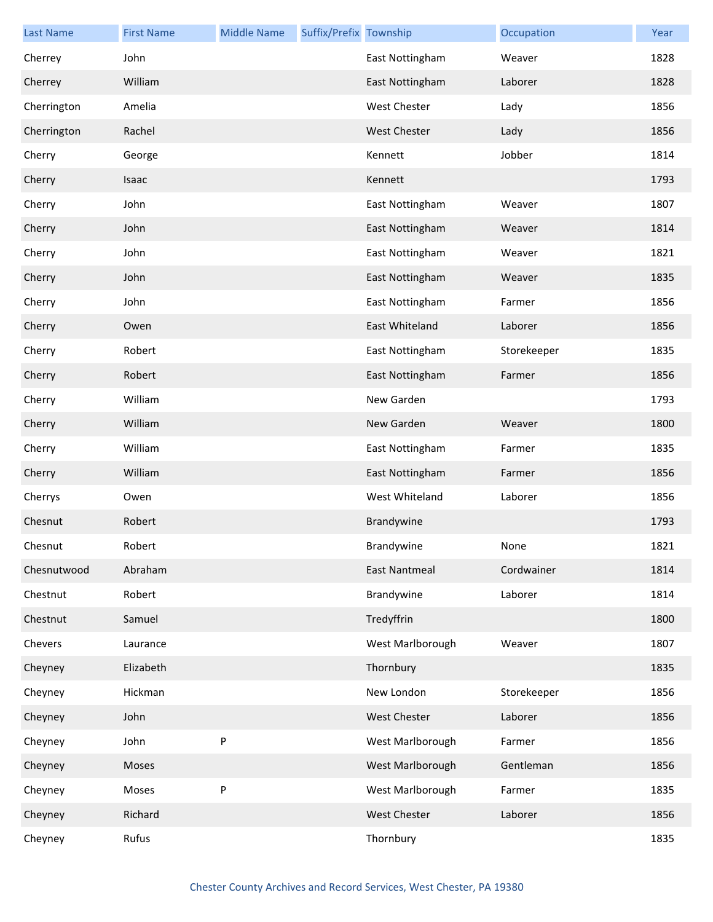| <b>Last Name</b> | <b>First Name</b> | <b>Middle Name</b> | Suffix/Prefix Township |                      | Occupation  | Year |
|------------------|-------------------|--------------------|------------------------|----------------------|-------------|------|
| Cherrey          | John              |                    |                        | East Nottingham      | Weaver      | 1828 |
| Cherrey          | William           |                    |                        | East Nottingham      | Laborer     | 1828 |
| Cherrington      | Amelia            |                    |                        | West Chester         | Lady        | 1856 |
| Cherrington      | Rachel            |                    |                        | <b>West Chester</b>  | Lady        | 1856 |
| Cherry           | George            |                    |                        | Kennett              | Jobber      | 1814 |
| Cherry           | Isaac             |                    |                        | Kennett              |             | 1793 |
| Cherry           | John              |                    |                        | East Nottingham      | Weaver      | 1807 |
| Cherry           | John              |                    |                        | East Nottingham      | Weaver      | 1814 |
| Cherry           | John              |                    |                        | East Nottingham      | Weaver      | 1821 |
| Cherry           | John              |                    |                        | East Nottingham      | Weaver      | 1835 |
| Cherry           | John              |                    |                        | East Nottingham      | Farmer      | 1856 |
| Cherry           | Owen              |                    |                        | East Whiteland       | Laborer     | 1856 |
| Cherry           | Robert            |                    |                        | East Nottingham      | Storekeeper | 1835 |
| Cherry           | Robert            |                    |                        | East Nottingham      | Farmer      | 1856 |
| Cherry           | William           |                    |                        | New Garden           |             | 1793 |
| Cherry           | William           |                    |                        | New Garden           | Weaver      | 1800 |
| Cherry           | William           |                    |                        | East Nottingham      | Farmer      | 1835 |
| Cherry           | William           |                    |                        | East Nottingham      | Farmer      | 1856 |
| Cherrys          | Owen              |                    |                        | West Whiteland       | Laborer     | 1856 |
| Chesnut          | Robert            |                    |                        | Brandywine           |             | 1793 |
| Chesnut          | Robert            |                    |                        | Brandywine           | None        | 1821 |
| Chesnutwood      | Abraham           |                    |                        | <b>East Nantmeal</b> | Cordwainer  | 1814 |
| Chestnut         | Robert            |                    |                        | Brandywine           | Laborer     | 1814 |
| Chestnut         | Samuel            |                    |                        | Tredyffrin           |             | 1800 |
| Chevers          | Laurance          |                    |                        | West Marlborough     | Weaver      | 1807 |
| Cheyney          | Elizabeth         |                    |                        | Thornbury            |             | 1835 |
| Cheyney          | Hickman           |                    |                        | New London           | Storekeeper | 1856 |
| Cheyney          | John              |                    |                        | West Chester         | Laborer     | 1856 |
| Cheyney          | John              | P                  |                        | West Marlborough     | Farmer      | 1856 |
| Cheyney          | Moses             |                    |                        | West Marlborough     | Gentleman   | 1856 |
| Cheyney          | Moses             | P                  |                        | West Marlborough     | Farmer      | 1835 |
| Cheyney          | Richard           |                    |                        | West Chester         | Laborer     | 1856 |
| Cheyney          | Rufus             |                    |                        | Thornbury            |             | 1835 |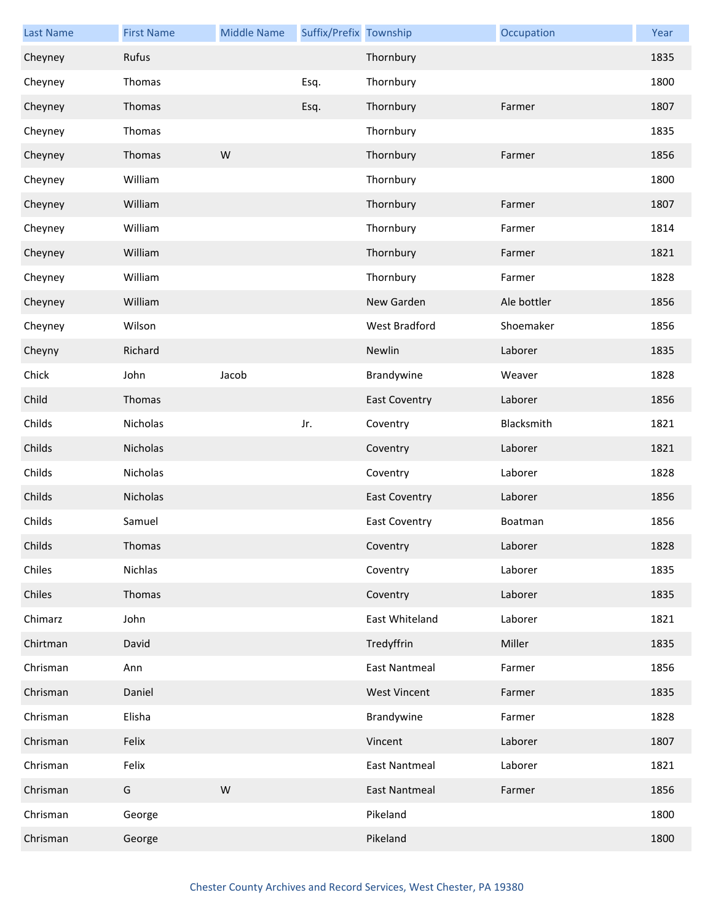| <b>Last Name</b> | <b>First Name</b> | <b>Middle Name</b> | Suffix/Prefix Township |                      | Occupation  | Year |
|------------------|-------------------|--------------------|------------------------|----------------------|-------------|------|
| Cheyney          | Rufus             |                    |                        | Thornbury            |             | 1835 |
| Cheyney          | Thomas            |                    | Esq.                   | Thornbury            |             | 1800 |
| Cheyney          | Thomas            |                    | Esq.                   | Thornbury            | Farmer      | 1807 |
| Cheyney          | Thomas            |                    |                        | Thornbury            |             | 1835 |
| Cheyney          | Thomas            | W                  |                        | Thornbury            | Farmer      | 1856 |
| Cheyney          | William           |                    |                        | Thornbury            |             | 1800 |
| Cheyney          | William           |                    |                        | Thornbury            | Farmer      | 1807 |
| Cheyney          | William           |                    |                        | Thornbury            | Farmer      | 1814 |
| Cheyney          | William           |                    |                        | Thornbury            | Farmer      | 1821 |
| Cheyney          | William           |                    |                        | Thornbury            | Farmer      | 1828 |
| Cheyney          | William           |                    |                        | New Garden           | Ale bottler | 1856 |
| Cheyney          | Wilson            |                    |                        | West Bradford        | Shoemaker   | 1856 |
| Cheyny           | Richard           |                    |                        | Newlin               | Laborer     | 1835 |
| Chick            | John              | Jacob              |                        | Brandywine           | Weaver      | 1828 |
| Child            | Thomas            |                    |                        | <b>East Coventry</b> | Laborer     | 1856 |
| Childs           | Nicholas          |                    | Jr.                    | Coventry             | Blacksmith  | 1821 |
| Childs           | Nicholas          |                    |                        | Coventry             | Laborer     | 1821 |
| Childs           | Nicholas          |                    |                        | Coventry             | Laborer     | 1828 |
| Childs           | Nicholas          |                    |                        | <b>East Coventry</b> | Laborer     | 1856 |
| Childs           | Samuel            |                    |                        | <b>East Coventry</b> | Boatman     | 1856 |
| Childs           | Thomas            |                    |                        | Coventry             | Laborer     | 1828 |
| Chiles           | Nichlas           |                    |                        | Coventry             | Laborer     | 1835 |
| Chiles           | Thomas            |                    |                        | Coventry             | Laborer     | 1835 |
| Chimarz          | John              |                    |                        | East Whiteland       | Laborer     | 1821 |
| Chirtman         | David             |                    |                        | Tredyffrin           | Miller      | 1835 |
| Chrisman         | Ann               |                    |                        | <b>East Nantmeal</b> | Farmer      | 1856 |
| Chrisman         | Daniel            |                    |                        | <b>West Vincent</b>  | Farmer      | 1835 |
| Chrisman         | Elisha            |                    |                        | Brandywine           | Farmer      | 1828 |
| Chrisman         | Felix             |                    |                        | Vincent              | Laborer     | 1807 |
| Chrisman         | Felix             |                    |                        | <b>East Nantmeal</b> | Laborer     | 1821 |
| Chrisman         | G                 | W                  |                        | <b>East Nantmeal</b> | Farmer      | 1856 |
| Chrisman         | George            |                    |                        | Pikeland             |             | 1800 |
| Chrisman         | George            |                    |                        | Pikeland             |             | 1800 |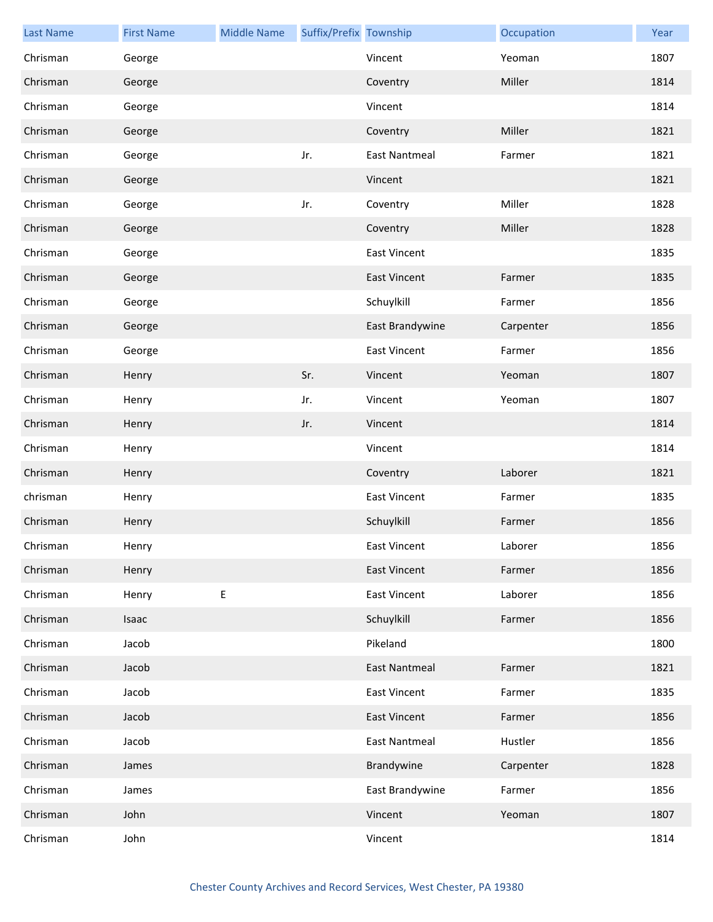| <b>Last Name</b> | <b>First Name</b> | <b>Middle Name</b> | Suffix/Prefix Township |                      | Occupation | Year |
|------------------|-------------------|--------------------|------------------------|----------------------|------------|------|
| Chrisman         | George            |                    |                        | Vincent              | Yeoman     | 1807 |
| Chrisman         | George            |                    |                        | Coventry             | Miller     | 1814 |
| Chrisman         | George            |                    |                        | Vincent              |            | 1814 |
| Chrisman         | George            |                    |                        | Coventry             | Miller     | 1821 |
| Chrisman         | George            |                    | Jr.                    | <b>East Nantmeal</b> | Farmer     | 1821 |
| Chrisman         | George            |                    |                        | Vincent              |            | 1821 |
| Chrisman         | George            |                    | Jr.                    | Coventry             | Miller     | 1828 |
| Chrisman         | George            |                    |                        | Coventry             | Miller     | 1828 |
| Chrisman         | George            |                    |                        | <b>East Vincent</b>  |            | 1835 |
| Chrisman         | George            |                    |                        | <b>East Vincent</b>  | Farmer     | 1835 |
| Chrisman         | George            |                    |                        | Schuylkill           | Farmer     | 1856 |
| Chrisman         | George            |                    |                        | East Brandywine      | Carpenter  | 1856 |
| Chrisman         | George            |                    |                        | <b>East Vincent</b>  | Farmer     | 1856 |
| Chrisman         | Henry             |                    | Sr.                    | Vincent              | Yeoman     | 1807 |
| Chrisman         | Henry             |                    | Jr.                    | Vincent              | Yeoman     | 1807 |
| Chrisman         | Henry             |                    | Jr.                    | Vincent              |            | 1814 |
| Chrisman         | Henry             |                    |                        | Vincent              |            | 1814 |
| Chrisman         | Henry             |                    |                        | Coventry             | Laborer    | 1821 |
| chrisman         | Henry             |                    |                        | <b>East Vincent</b>  | Farmer     | 1835 |
| Chrisman         | Henry             |                    |                        | Schuylkill           | Farmer     | 1856 |
| Chrisman         | Henry             |                    |                        | East Vincent         | Laborer    | 1856 |
| Chrisman         | Henry             |                    |                        | <b>East Vincent</b>  | Farmer     | 1856 |
| Chrisman         | Henry             | E                  |                        | <b>East Vincent</b>  | Laborer    | 1856 |
| Chrisman         | Isaac             |                    |                        | Schuylkill           | Farmer     | 1856 |
| Chrisman         | Jacob             |                    |                        | Pikeland             |            | 1800 |
| Chrisman         | Jacob             |                    |                        | <b>East Nantmeal</b> | Farmer     | 1821 |
| Chrisman         | Jacob             |                    |                        | <b>East Vincent</b>  | Farmer     | 1835 |
| Chrisman         | Jacob             |                    |                        | <b>East Vincent</b>  | Farmer     | 1856 |
| Chrisman         | Jacob             |                    |                        | <b>East Nantmeal</b> | Hustler    | 1856 |
| Chrisman         | James             |                    |                        | Brandywine           | Carpenter  | 1828 |
| Chrisman         | James             |                    |                        | East Brandywine      | Farmer     | 1856 |
| Chrisman         | John              |                    |                        | Vincent              | Yeoman     | 1807 |
| Chrisman         | John              |                    |                        | Vincent              |            | 1814 |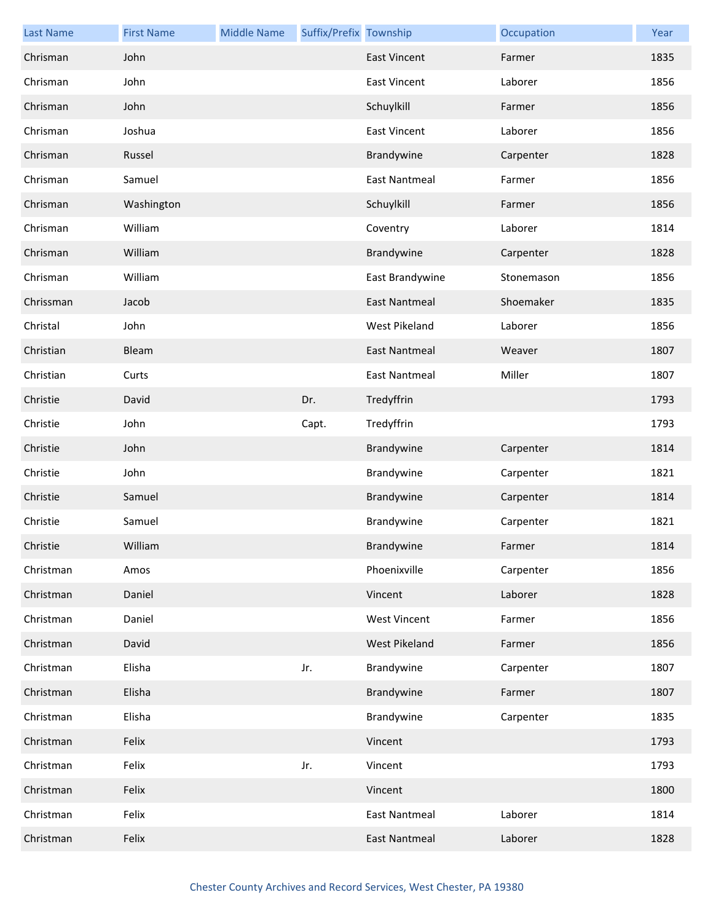| <b>Last Name</b> | <b>First Name</b> | <b>Middle Name</b> | Suffix/Prefix Township |                      | Occupation | Year |
|------------------|-------------------|--------------------|------------------------|----------------------|------------|------|
| Chrisman         | John              |                    |                        | <b>East Vincent</b>  | Farmer     | 1835 |
| Chrisman         | John              |                    |                        | <b>East Vincent</b>  | Laborer    | 1856 |
| Chrisman         | John              |                    |                        | Schuylkill           | Farmer     | 1856 |
| Chrisman         | Joshua            |                    |                        | <b>East Vincent</b>  | Laborer    | 1856 |
| Chrisman         | Russel            |                    |                        | Brandywine           | Carpenter  | 1828 |
| Chrisman         | Samuel            |                    |                        | <b>East Nantmeal</b> | Farmer     | 1856 |
| Chrisman         | Washington        |                    |                        | Schuylkill           | Farmer     | 1856 |
| Chrisman         | William           |                    |                        | Coventry             | Laborer    | 1814 |
| Chrisman         | William           |                    |                        | Brandywine           | Carpenter  | 1828 |
| Chrisman         | William           |                    |                        | East Brandywine      | Stonemason | 1856 |
| Chrissman        | Jacob             |                    |                        | <b>East Nantmeal</b> | Shoemaker  | 1835 |
| Christal         | John              |                    |                        | West Pikeland        | Laborer    | 1856 |
| Christian        | Bleam             |                    |                        | <b>East Nantmeal</b> | Weaver     | 1807 |
| Christian        | Curts             |                    |                        | <b>East Nantmeal</b> | Miller     | 1807 |
| Christie         | David             |                    | Dr.                    | Tredyffrin           |            | 1793 |
| Christie         | John              |                    | Capt.                  | Tredyffrin           |            | 1793 |
| Christie         | John              |                    |                        | Brandywine           | Carpenter  | 1814 |
| Christie         | John              |                    |                        | Brandywine           | Carpenter  | 1821 |
| Christie         | Samuel            |                    |                        | Brandywine           | Carpenter  | 1814 |
| Christie         | Samuel            |                    |                        | Brandywine           | Carpenter  | 1821 |
| Christie         | William           |                    |                        | Brandywine           | Farmer     | 1814 |
| Christman        | Amos              |                    |                        | Phoenixville         | Carpenter  | 1856 |
| Christman        | Daniel            |                    |                        | Vincent              | Laborer    | 1828 |
| Christman        | Daniel            |                    |                        | <b>West Vincent</b>  | Farmer     | 1856 |
| Christman        | David             |                    |                        | West Pikeland        | Farmer     | 1856 |
| Christman        | Elisha            |                    | Jr.                    | Brandywine           | Carpenter  | 1807 |
| Christman        | Elisha            |                    |                        | Brandywine           | Farmer     | 1807 |
| Christman        | Elisha            |                    |                        | Brandywine           | Carpenter  | 1835 |
| Christman        | Felix             |                    |                        | Vincent              |            | 1793 |
| Christman        | Felix             |                    | Jr.                    | Vincent              |            | 1793 |
| Christman        | Felix             |                    |                        | Vincent              |            | 1800 |
| Christman        | Felix             |                    |                        | <b>East Nantmeal</b> | Laborer    | 1814 |
| Christman        | Felix             |                    |                        | <b>East Nantmeal</b> | Laborer    | 1828 |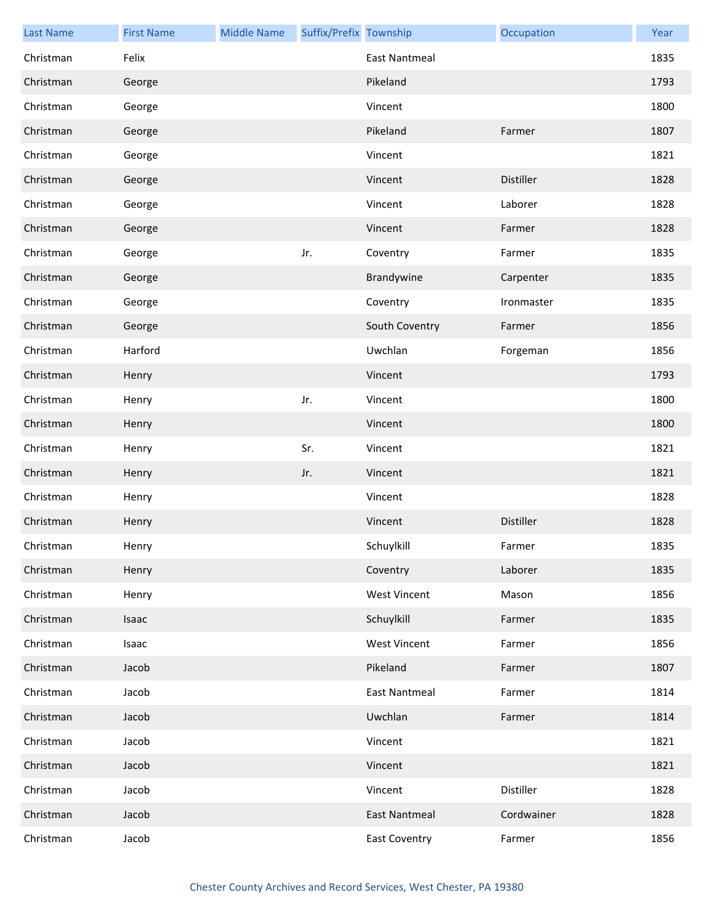| <b>Last Name</b> | <b>First Name</b> | <b>Middle Name</b> | Suffix/Prefix Township |                      | Occupation | Year |
|------------------|-------------------|--------------------|------------------------|----------------------|------------|------|
| Christman        | Felix             |                    |                        | <b>East Nantmeal</b> |            | 1835 |
| Christman        | George            |                    |                        | Pikeland             |            | 1793 |
| Christman        | George            |                    |                        | Vincent              |            | 1800 |
| Christman        | George            |                    |                        | Pikeland             | Farmer     | 1807 |
| Christman        | George            |                    |                        | Vincent              |            | 1821 |
| Christman        | George            |                    |                        | Vincent              | Distiller  | 1828 |
| Christman        | George            |                    |                        | Vincent              | Laborer    | 1828 |
| Christman        | George            |                    |                        | Vincent              | Farmer     | 1828 |
| Christman        | George            |                    | Jr.                    | Coventry             | Farmer     | 1835 |
| Christman        | George            |                    |                        | Brandywine           | Carpenter  | 1835 |
| Christman        | George            |                    |                        | Coventry             | Ironmaster | 1835 |
| Christman        | George            |                    |                        | South Coventry       | Farmer     | 1856 |
| Christman        | Harford           |                    |                        | Uwchlan              | Forgeman   | 1856 |
| Christman        | Henry             |                    |                        | Vincent              |            | 1793 |
| Christman        | Henry             |                    | Jr.                    | Vincent              |            | 1800 |
| Christman        | Henry             |                    |                        | Vincent              |            | 1800 |
| Christman        | Henry             |                    | Sr.                    | Vincent              |            | 1821 |
| Christman        | Henry             |                    | Jr.                    | Vincent              |            | 1821 |
| Christman        | Henry             |                    |                        | Vincent              |            | 1828 |
| Christman        | Henry             |                    |                        | Vincent              | Distiller  | 1828 |
| Christman        | Henry             |                    |                        | Schuylkill           | Farmer     | 1835 |
| Christman        | Henry             |                    |                        | Coventry             | Laborer    | 1835 |
| Christman        | Henry             |                    |                        | <b>West Vincent</b>  | Mason      | 1856 |
| Christman        | Isaac             |                    |                        | Schuylkill           | Farmer     | 1835 |
| Christman        | Isaac             |                    |                        | <b>West Vincent</b>  | Farmer     | 1856 |
| Christman        | Jacob             |                    |                        | Pikeland             | Farmer     | 1807 |
| Christman        | Jacob             |                    |                        | <b>East Nantmeal</b> | Farmer     | 1814 |
| Christman        | Jacob             |                    |                        | Uwchlan              | Farmer     | 1814 |
| Christman        | Jacob             |                    |                        | Vincent              |            | 1821 |
| Christman        | Jacob             |                    |                        | Vincent              |            | 1821 |
| Christman        | Jacob             |                    |                        | Vincent              | Distiller  | 1828 |
| Christman        | Jacob             |                    |                        | <b>East Nantmeal</b> | Cordwainer | 1828 |
| Christman        | Jacob             |                    |                        | <b>East Coventry</b> | Farmer     | 1856 |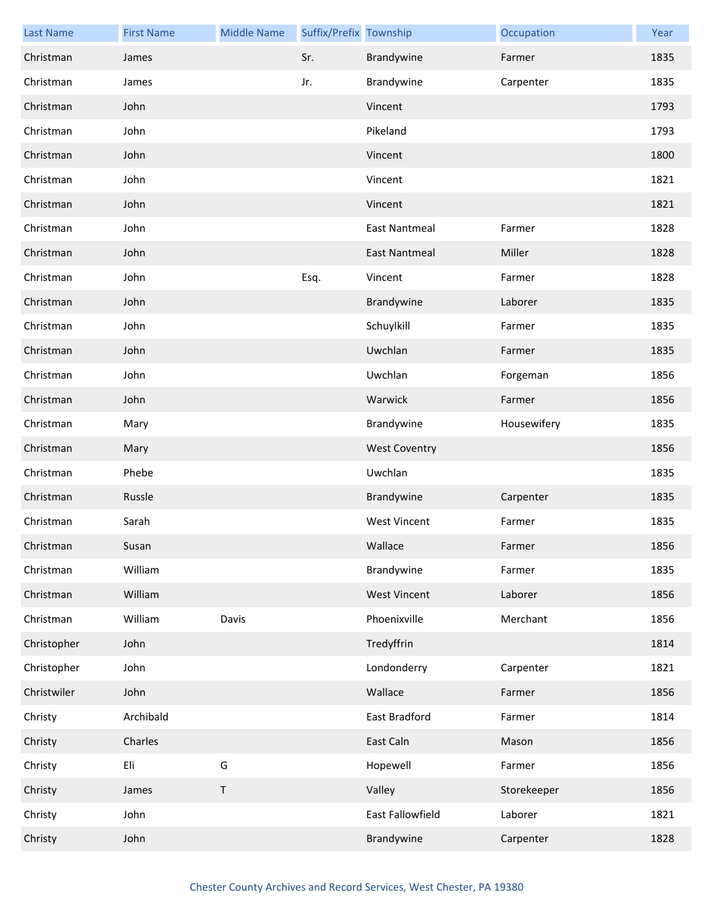| <b>Last Name</b> | <b>First Name</b> | <b>Middle Name</b> | Suffix/Prefix Township |                      | Occupation  | Year |
|------------------|-------------------|--------------------|------------------------|----------------------|-------------|------|
| Christman        | James             |                    | Sr.                    | Brandywine           | Farmer      | 1835 |
| Christman        | James             |                    | Jr.                    | Brandywine           | Carpenter   | 1835 |
| Christman        | John              |                    |                        | Vincent              |             | 1793 |
| Christman        | John              |                    |                        | Pikeland             |             | 1793 |
| Christman        | John              |                    |                        | Vincent              |             | 1800 |
| Christman        | John              |                    |                        | Vincent              |             | 1821 |
| Christman        | John              |                    |                        | Vincent              |             | 1821 |
| Christman        | John              |                    |                        | <b>East Nantmeal</b> | Farmer      | 1828 |
| Christman        | John              |                    |                        | <b>East Nantmeal</b> | Miller      | 1828 |
| Christman        | John              |                    | Esq.                   | Vincent              | Farmer      | 1828 |
| Christman        | John              |                    |                        | Brandywine           | Laborer     | 1835 |
| Christman        | John              |                    |                        | Schuylkill           | Farmer      | 1835 |
| Christman        | John              |                    |                        | Uwchlan              | Farmer      | 1835 |
| Christman        | John              |                    |                        | Uwchlan              | Forgeman    | 1856 |
| Christman        | John              |                    |                        | Warwick              | Farmer      | 1856 |
| Christman        | Mary              |                    |                        | Brandywine           | Housewifery | 1835 |
| Christman        | Mary              |                    |                        | <b>West Coventry</b> |             | 1856 |
| Christman        | Phebe             |                    |                        | Uwchlan              |             | 1835 |
| Christman        | Russle            |                    |                        | Brandywine           | Carpenter   | 1835 |
| Christman        | Sarah             |                    |                        | <b>West Vincent</b>  | Farmer      | 1835 |
| Christman        | Susan             |                    |                        | Wallace              | Farmer      | 1856 |
| Christman        | William           |                    |                        | Brandywine           | Farmer      | 1835 |
| Christman        | William           |                    |                        | <b>West Vincent</b>  | Laborer     | 1856 |
| Christman        | William           | Davis              |                        | Phoenixville         | Merchant    | 1856 |
| Christopher      | John              |                    |                        | Tredyffrin           |             | 1814 |
| Christopher      | John              |                    |                        | Londonderry          | Carpenter   | 1821 |
| Christwiler      | John              |                    |                        | Wallace              | Farmer      | 1856 |
| Christy          | Archibald         |                    |                        | East Bradford        | Farmer      | 1814 |
| Christy          | Charles           |                    |                        | East Caln            | Mason       | 1856 |
| Christy          | Eli               | G                  |                        | Hopewell             | Farmer      | 1856 |
| Christy          | James             | $\mathsf T$        |                        | Valley               | Storekeeper | 1856 |
| Christy          | John              |                    |                        | East Fallowfield     | Laborer     | 1821 |
| Christy          | John              |                    |                        | Brandywine           | Carpenter   | 1828 |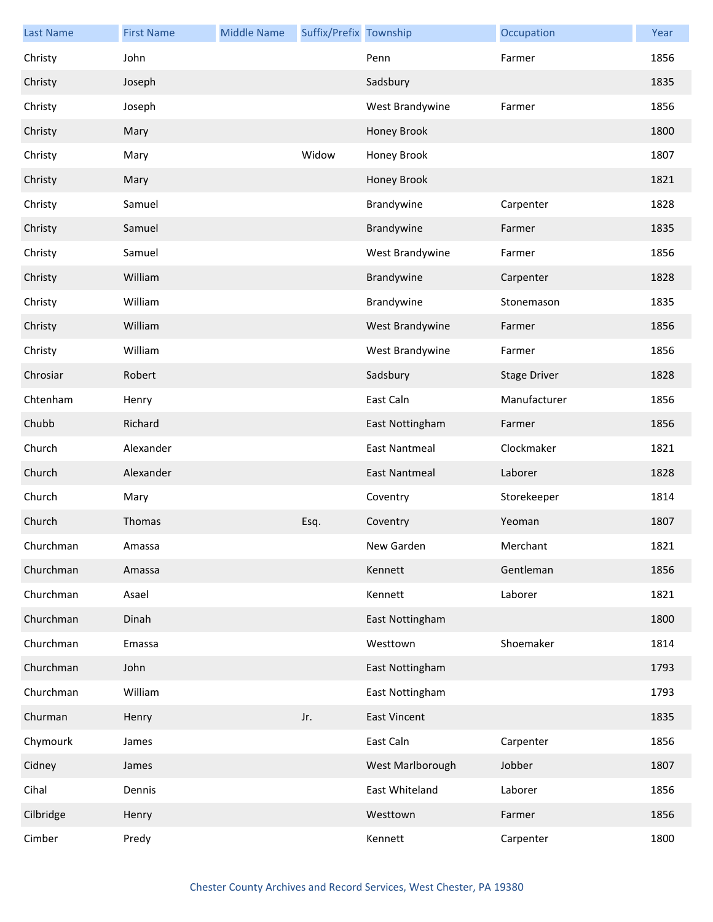| <b>Last Name</b> | <b>First Name</b> | <b>Middle Name</b> | Suffix/Prefix Township |                      | Occupation          | Year |
|------------------|-------------------|--------------------|------------------------|----------------------|---------------------|------|
| Christy          | John              |                    |                        | Penn                 | Farmer              | 1856 |
| Christy          | Joseph            |                    |                        | Sadsbury             |                     | 1835 |
| Christy          | Joseph            |                    |                        | West Brandywine      | Farmer              | 1856 |
| Christy          | Mary              |                    |                        | Honey Brook          |                     | 1800 |
| Christy          | Mary              |                    | Widow                  | Honey Brook          |                     | 1807 |
| Christy          | Mary              |                    |                        | Honey Brook          |                     | 1821 |
| Christy          | Samuel            |                    |                        | Brandywine           | Carpenter           | 1828 |
| Christy          | Samuel            |                    |                        | Brandywine           | Farmer              | 1835 |
| Christy          | Samuel            |                    |                        | West Brandywine      | Farmer              | 1856 |
| Christy          | William           |                    |                        | Brandywine           | Carpenter           | 1828 |
| Christy          | William           |                    |                        | Brandywine           | Stonemason          | 1835 |
| Christy          | William           |                    |                        | West Brandywine      | Farmer              | 1856 |
| Christy          | William           |                    |                        | West Brandywine      | Farmer              | 1856 |
| Chrosiar         | Robert            |                    |                        | Sadsbury             | <b>Stage Driver</b> | 1828 |
| Chtenham         | Henry             |                    |                        | East Caln            | Manufacturer        | 1856 |
| Chubb            | Richard           |                    |                        | East Nottingham      | Farmer              | 1856 |
| Church           | Alexander         |                    |                        | <b>East Nantmeal</b> | Clockmaker          | 1821 |
| Church           | Alexander         |                    |                        | <b>East Nantmeal</b> | Laborer             | 1828 |
| Church           | Mary              |                    |                        | Coventry             | Storekeeper         | 1814 |
| Church           | Thomas            |                    | Esq.                   | Coventry             | Yeoman              | 1807 |
| Churchman        | Amassa            |                    |                        | New Garden           | Merchant            | 1821 |
| Churchman        | Amassa            |                    |                        | Kennett              | Gentleman           | 1856 |
| Churchman        | Asael             |                    |                        | Kennett              | Laborer             | 1821 |
| Churchman        | Dinah             |                    |                        | East Nottingham      |                     | 1800 |
| Churchman        | Emassa            |                    |                        | Westtown             | Shoemaker           | 1814 |
| Churchman        | John              |                    |                        | East Nottingham      |                     | 1793 |
| Churchman        | William           |                    |                        | East Nottingham      |                     | 1793 |
| Churman          | Henry             |                    | Jr.                    | <b>East Vincent</b>  |                     | 1835 |
| Chymourk         | James             |                    |                        | East Caln            | Carpenter           | 1856 |
| Cidney           | James             |                    |                        | West Marlborough     | Jobber              | 1807 |
| Cihal            | Dennis            |                    |                        | East Whiteland       | Laborer             | 1856 |
| Cilbridge        | Henry             |                    |                        | Westtown             | Farmer              | 1856 |
| Cimber           | Predy             |                    |                        | Kennett              | Carpenter           | 1800 |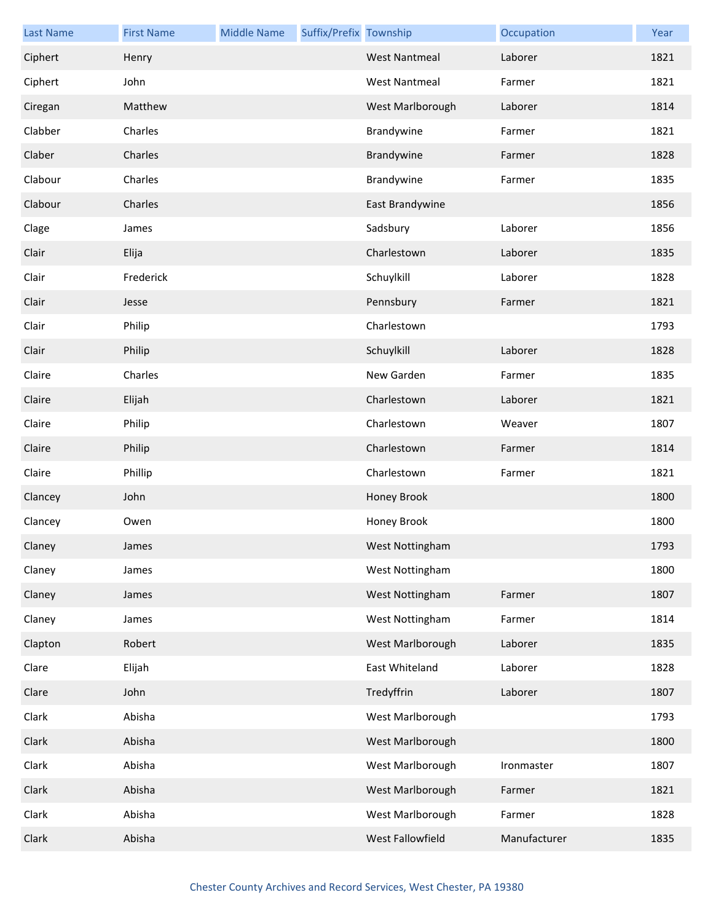| <b>Last Name</b> | <b>First Name</b> | <b>Middle Name</b> | Suffix/Prefix Township |                      | Occupation   | Year |
|------------------|-------------------|--------------------|------------------------|----------------------|--------------|------|
| Ciphert          | Henry             |                    |                        | <b>West Nantmeal</b> | Laborer      | 1821 |
| Ciphert          | John              |                    |                        | <b>West Nantmeal</b> | Farmer       | 1821 |
| Ciregan          | Matthew           |                    |                        | West Marlborough     | Laborer      | 1814 |
| Clabber          | Charles           |                    |                        | Brandywine           | Farmer       | 1821 |
| Claber           | Charles           |                    |                        | Brandywine           | Farmer       | 1828 |
| Clabour          | Charles           |                    |                        | Brandywine           | Farmer       | 1835 |
| Clabour          | Charles           |                    |                        | East Brandywine      |              | 1856 |
| Clage            | James             |                    |                        | Sadsbury             | Laborer      | 1856 |
| Clair            | Elija             |                    |                        | Charlestown          | Laborer      | 1835 |
| Clair            | Frederick         |                    |                        | Schuylkill           | Laborer      | 1828 |
| Clair            | Jesse             |                    |                        | Pennsbury            | Farmer       | 1821 |
| Clair            | Philip            |                    |                        | Charlestown          |              | 1793 |
| Clair            | Philip            |                    |                        | Schuylkill           | Laborer      | 1828 |
| Claire           | Charles           |                    |                        | New Garden           | Farmer       | 1835 |
| Claire           | Elijah            |                    |                        | Charlestown          | Laborer      | 1821 |
| Claire           | Philip            |                    |                        | Charlestown          | Weaver       | 1807 |
| Claire           | Philip            |                    |                        | Charlestown          | Farmer       | 1814 |
| Claire           | Phillip           |                    |                        | Charlestown          | Farmer       | 1821 |
| Clancey          | John              |                    |                        | Honey Brook          |              | 1800 |
| Clancey          | Owen              |                    |                        | Honey Brook          |              | 1800 |
| Claney           | James             |                    |                        | West Nottingham      |              | 1793 |
| Claney           | James             |                    |                        | West Nottingham      |              | 1800 |
| Claney           | James             |                    |                        | West Nottingham      | Farmer       | 1807 |
| Claney           | James             |                    |                        | West Nottingham      | Farmer       | 1814 |
| Clapton          | Robert            |                    |                        | West Marlborough     | Laborer      | 1835 |
| Clare            | Elijah            |                    |                        | East Whiteland       | Laborer      | 1828 |
| Clare            | John              |                    |                        | Tredyffrin           | Laborer      | 1807 |
| Clark            | Abisha            |                    |                        | West Marlborough     |              | 1793 |
| Clark            | Abisha            |                    |                        | West Marlborough     |              | 1800 |
| Clark            | Abisha            |                    |                        | West Marlborough     | Ironmaster   | 1807 |
| Clark            | Abisha            |                    |                        | West Marlborough     | Farmer       | 1821 |
| Clark            | Abisha            |                    |                        | West Marlborough     | Farmer       | 1828 |
| Clark            | Abisha            |                    |                        | West Fallowfield     | Manufacturer | 1835 |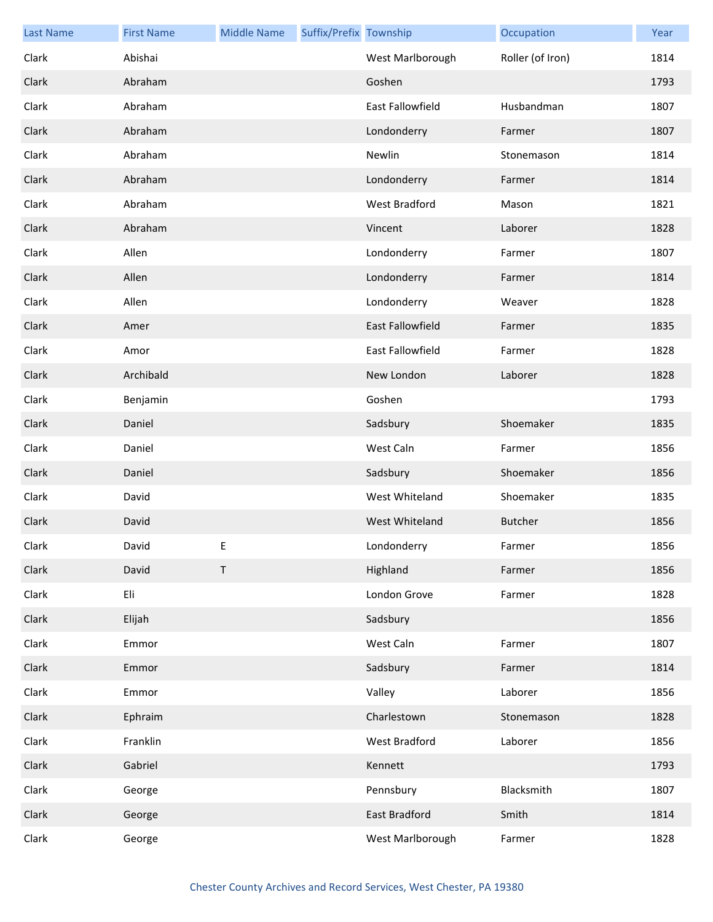| <b>Last Name</b> | <b>First Name</b> | <b>Middle Name</b> | Suffix/Prefix Township |                      | Occupation       | Year |
|------------------|-------------------|--------------------|------------------------|----------------------|------------------|------|
| Clark            | Abishai           |                    |                        | West Marlborough     | Roller (of Iron) | 1814 |
| Clark            | Abraham           |                    |                        | Goshen               |                  | 1793 |
| Clark            | Abraham           |                    |                        | East Fallowfield     | Husbandman       | 1807 |
| Clark            | Abraham           |                    |                        | Londonderry          | Farmer           | 1807 |
| Clark            | Abraham           |                    |                        | Newlin               | Stonemason       | 1814 |
| Clark            | Abraham           |                    |                        | Londonderry          | Farmer           | 1814 |
| Clark            | Abraham           |                    |                        | <b>West Bradford</b> | Mason            | 1821 |
| Clark            | Abraham           |                    |                        | Vincent              | Laborer          | 1828 |
| Clark            | Allen             |                    |                        | Londonderry          | Farmer           | 1807 |
| Clark            | Allen             |                    |                        | Londonderry          | Farmer           | 1814 |
| Clark            | Allen             |                    |                        | Londonderry          | Weaver           | 1828 |
| Clark            | Amer              |                    |                        | East Fallowfield     | Farmer           | 1835 |
| Clark            | Amor              |                    |                        | East Fallowfield     | Farmer           | 1828 |
| Clark            | Archibald         |                    |                        | New London           | Laborer          | 1828 |
| Clark            | Benjamin          |                    |                        | Goshen               |                  | 1793 |
| Clark            | Daniel            |                    |                        | Sadsbury             | Shoemaker        | 1835 |
| Clark            | Daniel            |                    |                        | West Caln            | Farmer           | 1856 |
| Clark            | Daniel            |                    |                        | Sadsbury             | Shoemaker        | 1856 |
| Clark            | David             |                    |                        | West Whiteland       | Shoemaker        | 1835 |
| Clark            | David             |                    |                        | West Whiteland       | <b>Butcher</b>   | 1856 |
| Clark            | David             | F                  |                        | Londonderry          | Farmer           | 1856 |
| Clark            | David             | $\sf T$            |                        | Highland             | Farmer           | 1856 |
| Clark            | Eli               |                    |                        | London Grove         | Farmer           | 1828 |
| Clark            | Elijah            |                    |                        | Sadsbury             |                  | 1856 |
| Clark            | Emmor             |                    |                        | West Caln            | Farmer           | 1807 |
| Clark            | Emmor             |                    |                        | Sadsbury             | Farmer           | 1814 |
| Clark            | Emmor             |                    |                        | Valley               | Laborer          | 1856 |
| Clark            | Ephraim           |                    |                        | Charlestown          | Stonemason       | 1828 |
| Clark            | Franklin          |                    |                        | West Bradford        | Laborer          | 1856 |
| Clark            | Gabriel           |                    |                        | Kennett              |                  | 1793 |
| Clark            | George            |                    |                        | Pennsbury            | Blacksmith       | 1807 |
| Clark            | George            |                    |                        | East Bradford        | Smith            | 1814 |
| Clark            | George            |                    |                        | West Marlborough     | Farmer           | 1828 |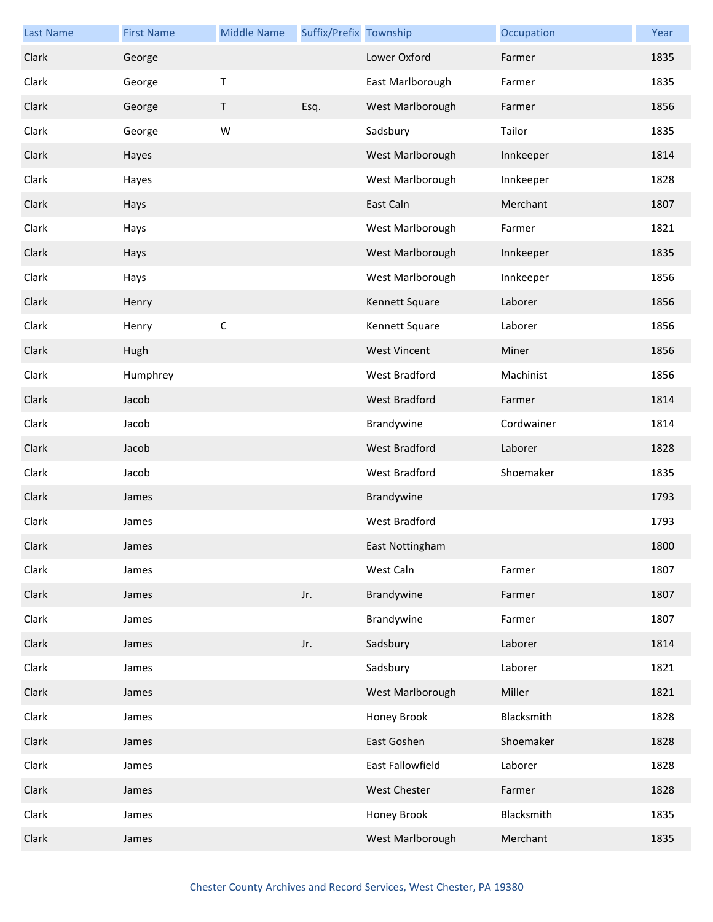| <b>Last Name</b> | <b>First Name</b> | <b>Middle Name</b> | Suffix/Prefix Township |                      | Occupation | Year |
|------------------|-------------------|--------------------|------------------------|----------------------|------------|------|
| Clark            | George            |                    |                        | Lower Oxford         | Farmer     | 1835 |
| Clark            | George            | $\sf T$            |                        | East Marlborough     | Farmer     | 1835 |
| Clark            | George            | Τ                  | Esq.                   | West Marlborough     | Farmer     | 1856 |
| Clark            | George            | W                  |                        | Sadsbury             | Tailor     | 1835 |
| Clark            | Hayes             |                    |                        | West Marlborough     | Innkeeper  | 1814 |
| Clark            | Hayes             |                    |                        | West Marlborough     | Innkeeper  | 1828 |
| Clark            | Hays              |                    |                        | East Caln            | Merchant   | 1807 |
| Clark            | Hays              |                    |                        | West Marlborough     | Farmer     | 1821 |
| Clark            | Hays              |                    |                        | West Marlborough     | Innkeeper  | 1835 |
| Clark            | Hays              |                    |                        | West Marlborough     | Innkeeper  | 1856 |
| Clark            | Henry             |                    |                        | Kennett Square       | Laborer    | 1856 |
| Clark            | Henry             | $\mathsf C$        |                        | Kennett Square       | Laborer    | 1856 |
| Clark            | Hugh              |                    |                        | <b>West Vincent</b>  | Miner      | 1856 |
| Clark            | Humphrey          |                    |                        | West Bradford        | Machinist  | 1856 |
| Clark            | Jacob             |                    |                        | West Bradford        | Farmer     | 1814 |
| Clark            | Jacob             |                    |                        | Brandywine           | Cordwainer | 1814 |
| Clark            | Jacob             |                    |                        | <b>West Bradford</b> | Laborer    | 1828 |
| Clark            | Jacob             |                    |                        | West Bradford        | Shoemaker  | 1835 |
| Clark            | James             |                    |                        | Brandywine           |            | 1793 |
| Clark            | James             |                    |                        | West Bradford        |            | 1793 |
| Clark            | James             |                    |                        | East Nottingham      |            | 1800 |
| Clark            | James             |                    |                        | West Caln            | Farmer     | 1807 |
| Clark            | James             |                    | Jr.                    | Brandywine           | Farmer     | 1807 |
| Clark            | James             |                    |                        | Brandywine           | Farmer     | 1807 |
| Clark            | James             |                    | Jr.                    | Sadsbury             | Laborer    | 1814 |
| Clark            | James             |                    |                        | Sadsbury             | Laborer    | 1821 |
| Clark            | James             |                    |                        | West Marlborough     | Miller     | 1821 |
| Clark            | James             |                    |                        | Honey Brook          | Blacksmith | 1828 |
| Clark            | James             |                    |                        | East Goshen          | Shoemaker  | 1828 |
| Clark            | James             |                    |                        | East Fallowfield     | Laborer    | 1828 |
| Clark            | James             |                    |                        | West Chester         | Farmer     | 1828 |
| Clark            | James             |                    |                        | Honey Brook          | Blacksmith | 1835 |
| Clark            | James             |                    |                        | West Marlborough     | Merchant   | 1835 |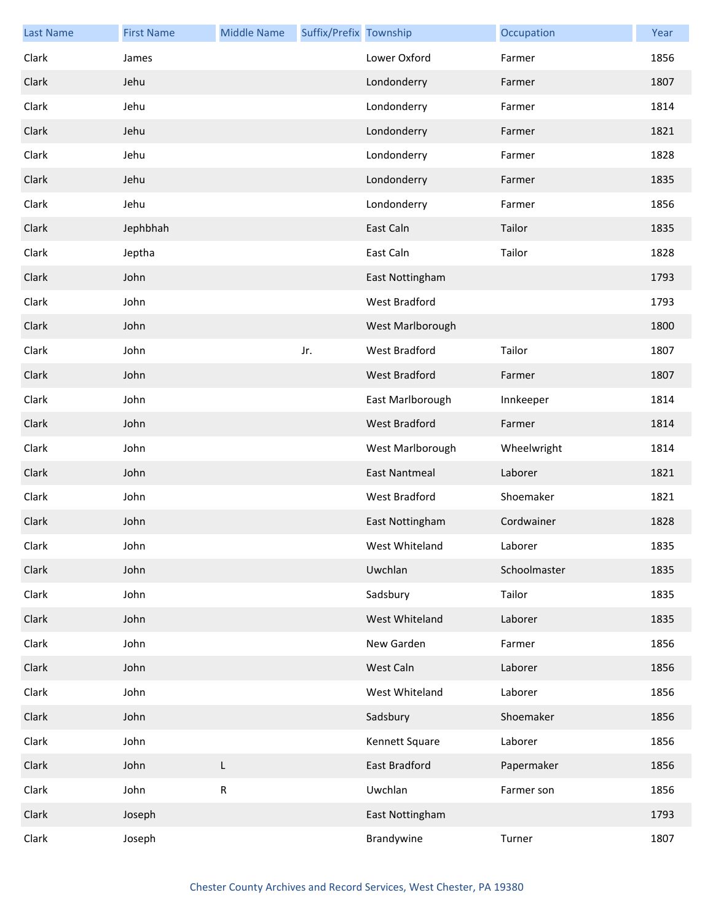| <b>Last Name</b> | <b>First Name</b> | <b>Middle Name</b> | Suffix/Prefix Township |                      | Occupation   | Year |
|------------------|-------------------|--------------------|------------------------|----------------------|--------------|------|
| Clark            | James             |                    |                        | Lower Oxford         | Farmer       | 1856 |
| Clark            | Jehu              |                    |                        | Londonderry          | Farmer       | 1807 |
| Clark            | Jehu              |                    |                        | Londonderry          | Farmer       | 1814 |
| Clark            | Jehu              |                    |                        | Londonderry          | Farmer       | 1821 |
| Clark            | Jehu              |                    |                        | Londonderry          | Farmer       | 1828 |
| Clark            | Jehu              |                    |                        | Londonderry          | Farmer       | 1835 |
| Clark            | Jehu              |                    |                        | Londonderry          | Farmer       | 1856 |
| Clark            | Jephbhah          |                    |                        | East Caln            | Tailor       | 1835 |
| Clark            | Jeptha            |                    |                        | East Caln            | Tailor       | 1828 |
| Clark            | John              |                    |                        | East Nottingham      |              | 1793 |
| Clark            | John              |                    |                        | West Bradford        |              | 1793 |
| Clark            | John              |                    |                        | West Marlborough     |              | 1800 |
| Clark            | John              |                    | Jr.                    | West Bradford        | Tailor       | 1807 |
| Clark            | John              |                    |                        | West Bradford        | Farmer       | 1807 |
| Clark            | John              |                    |                        | East Marlborough     | Innkeeper    | 1814 |
| Clark            | John              |                    |                        | <b>West Bradford</b> | Farmer       | 1814 |
| Clark            | John              |                    |                        | West Marlborough     | Wheelwright  | 1814 |
| Clark            | John              |                    |                        | <b>East Nantmeal</b> | Laborer      | 1821 |
| Clark            | John              |                    |                        | West Bradford        | Shoemaker    | 1821 |
| Clark            | John              |                    |                        | East Nottingham      | Cordwainer   | 1828 |
| Clark            | John              |                    |                        | West Whiteland       | Laborer      | 1835 |
| Clark            | John              |                    |                        | Uwchlan              | Schoolmaster | 1835 |
| Clark            | John              |                    |                        | Sadsbury             | Tailor       | 1835 |
| Clark            | John              |                    |                        | West Whiteland       | Laborer      | 1835 |
| Clark            | John              |                    |                        | New Garden           | Farmer       | 1856 |
| Clark            | John              |                    |                        | West Caln            | Laborer      | 1856 |
| Clark            | John              |                    |                        | West Whiteland       | Laborer      | 1856 |
| Clark            | John              |                    |                        | Sadsbury             | Shoemaker    | 1856 |
| Clark            | John              |                    |                        | Kennett Square       | Laborer      | 1856 |
| Clark            | John              | L                  |                        | East Bradford        | Papermaker   | 1856 |
| Clark            | John              | ${\sf R}$          |                        | Uwchlan              | Farmer son   | 1856 |
| Clark            | Joseph            |                    |                        | East Nottingham      |              | 1793 |
| Clark            | Joseph            |                    |                        | Brandywine           | Turner       | 1807 |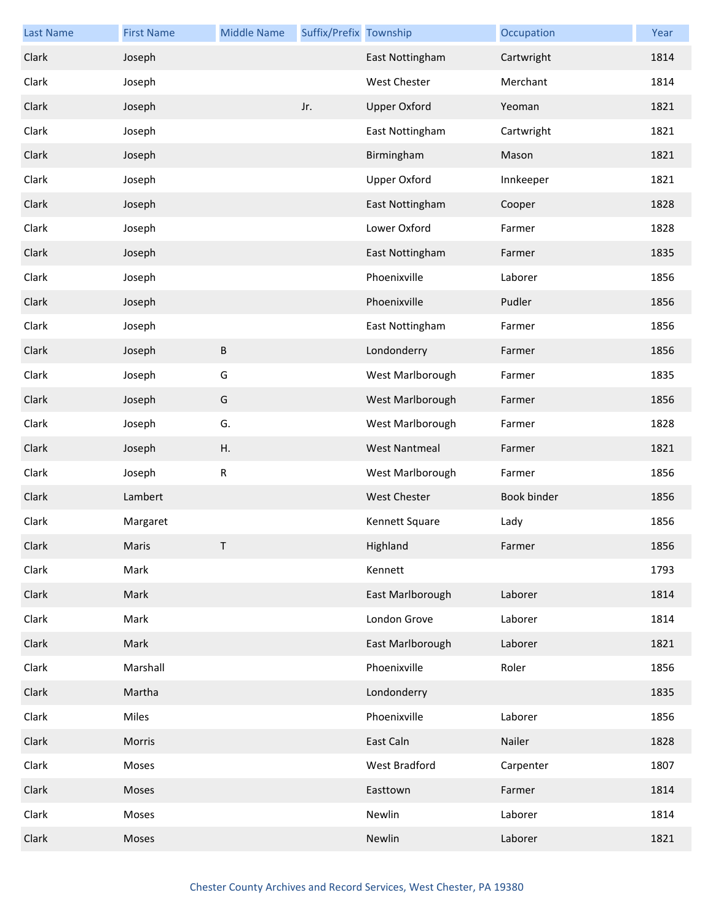| <b>Last Name</b> | <b>First Name</b> | <b>Middle Name</b> | Suffix/Prefix Township |                      | Occupation  | Year |
|------------------|-------------------|--------------------|------------------------|----------------------|-------------|------|
| Clark            | Joseph            |                    |                        | East Nottingham      | Cartwright  | 1814 |
| Clark            | Joseph            |                    |                        | <b>West Chester</b>  | Merchant    | 1814 |
| Clark            | Joseph            |                    | Jr.                    | <b>Upper Oxford</b>  | Yeoman      | 1821 |
| Clark            | Joseph            |                    |                        | East Nottingham      | Cartwright  | 1821 |
| Clark            | Joseph            |                    |                        | Birmingham           | Mason       | 1821 |
| Clark            | Joseph            |                    |                        | <b>Upper Oxford</b>  | Innkeeper   | 1821 |
| Clark            | Joseph            |                    |                        | East Nottingham      | Cooper      | 1828 |
| Clark            | Joseph            |                    |                        | Lower Oxford         | Farmer      | 1828 |
| Clark            | Joseph            |                    |                        | East Nottingham      | Farmer      | 1835 |
| Clark            | Joseph            |                    |                        | Phoenixville         | Laborer     | 1856 |
| Clark            | Joseph            |                    |                        | Phoenixville         | Pudler      | 1856 |
| Clark            | Joseph            |                    |                        | East Nottingham      | Farmer      | 1856 |
| Clark            | Joseph            | $\sf B$            |                        | Londonderry          | Farmer      | 1856 |
| Clark            | Joseph            | G                  |                        | West Marlborough     | Farmer      | 1835 |
| Clark            | Joseph            | G                  |                        | West Marlborough     | Farmer      | 1856 |
| Clark            | Joseph            | G.                 |                        | West Marlborough     | Farmer      | 1828 |
| Clark            | Joseph            | Η.                 |                        | <b>West Nantmeal</b> | Farmer      | 1821 |
| Clark            | Joseph            | $\mathsf R$        |                        | West Marlborough     | Farmer      | 1856 |
| Clark            | Lambert           |                    |                        | West Chester         | Book binder | 1856 |
| Clark            | Margaret          |                    |                        | Kennett Square       | Lady        | 1856 |
| Clark            | Maris             | T.                 |                        | Highland             | Farmer      | 1856 |
| Clark            | Mark              |                    |                        | Kennett              |             | 1793 |
| Clark            | Mark              |                    |                        | East Marlborough     | Laborer     | 1814 |
| Clark            | Mark              |                    |                        | London Grove         | Laborer     | 1814 |
| Clark            | Mark              |                    |                        | East Marlborough     | Laborer     | 1821 |
| Clark            | Marshall          |                    |                        | Phoenixville         | Roler       | 1856 |
| Clark            | Martha            |                    |                        | Londonderry          |             | 1835 |
| Clark            | Miles             |                    |                        | Phoenixville         | Laborer     | 1856 |
| Clark            | Morris            |                    |                        | East Caln            | Nailer      | 1828 |
| Clark            | Moses             |                    |                        | West Bradford        | Carpenter   | 1807 |
| Clark            | Moses             |                    |                        | Easttown             | Farmer      | 1814 |
| Clark            | Moses             |                    |                        | Newlin               | Laborer     | 1814 |
| Clark            | Moses             |                    |                        | Newlin               | Laborer     | 1821 |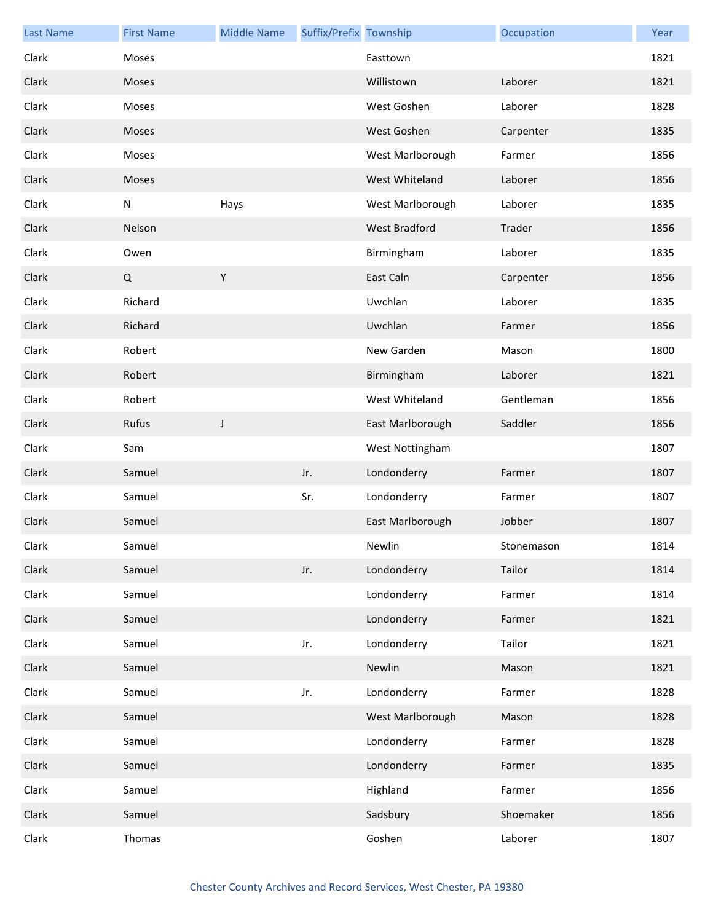| <b>Last Name</b> | <b>First Name</b> | <b>Middle Name</b> | Suffix/Prefix Township |                      | Occupation | Year |
|------------------|-------------------|--------------------|------------------------|----------------------|------------|------|
| Clark            | Moses             |                    |                        | Easttown             |            | 1821 |
| Clark            | Moses             |                    |                        | Willistown           | Laborer    | 1821 |
| Clark            | Moses             |                    |                        | West Goshen          | Laborer    | 1828 |
| Clark            | Moses             |                    |                        | West Goshen          | Carpenter  | 1835 |
| Clark            | Moses             |                    |                        | West Marlborough     | Farmer     | 1856 |
| Clark            | Moses             |                    |                        | West Whiteland       | Laborer    | 1856 |
| Clark            | ${\sf N}$         | Hays               |                        | West Marlborough     | Laborer    | 1835 |
| Clark            | Nelson            |                    |                        | <b>West Bradford</b> | Trader     | 1856 |
| Clark            | Owen              |                    |                        | Birmingham           | Laborer    | 1835 |
| Clark            | Q                 | $\mathsf Y$        |                        | East Caln            | Carpenter  | 1856 |
| Clark            | Richard           |                    |                        | Uwchlan              | Laborer    | 1835 |
| Clark            | Richard           |                    |                        | Uwchlan              | Farmer     | 1856 |
| Clark            | Robert            |                    |                        | New Garden           | Mason      | 1800 |
| Clark            | Robert            |                    |                        | Birmingham           | Laborer    | 1821 |
| Clark            | Robert            |                    |                        | West Whiteland       | Gentleman  | 1856 |
| Clark            | Rufus             | J                  |                        | East Marlborough     | Saddler    | 1856 |
| Clark            | Sam               |                    |                        | West Nottingham      |            | 1807 |
| Clark            | Samuel            |                    | Jr.                    | Londonderry          | Farmer     | 1807 |
| Clark            | Samuel            |                    | Sr.                    | Londonderry          | Farmer     | 1807 |
| Clark            | Samuel            |                    |                        | East Marlborough     | Jobber     | 1807 |
| Clark            | Samuel            |                    |                        | Newlin               | Stonemason | 1814 |
| Clark            | Samuel            |                    | Jr.                    | Londonderry          | Tailor     | 1814 |
| Clark            | Samuel            |                    |                        | Londonderry          | Farmer     | 1814 |
| Clark            | Samuel            |                    |                        | Londonderry          | Farmer     | 1821 |
| Clark            | Samuel            |                    | Jr.                    | Londonderry          | Tailor     | 1821 |
| Clark            | Samuel            |                    |                        | Newlin               | Mason      | 1821 |
| Clark            | Samuel            |                    | Jr.                    | Londonderry          | Farmer     | 1828 |
| Clark            | Samuel            |                    |                        | West Marlborough     | Mason      | 1828 |
| Clark            | Samuel            |                    |                        | Londonderry          | Farmer     | 1828 |
| Clark            | Samuel            |                    |                        | Londonderry          | Farmer     | 1835 |
| Clark            | Samuel            |                    |                        | Highland             | Farmer     | 1856 |
| Clark            | Samuel            |                    |                        | Sadsbury             | Shoemaker  | 1856 |
| Clark            | Thomas            |                    |                        | Goshen               | Laborer    | 1807 |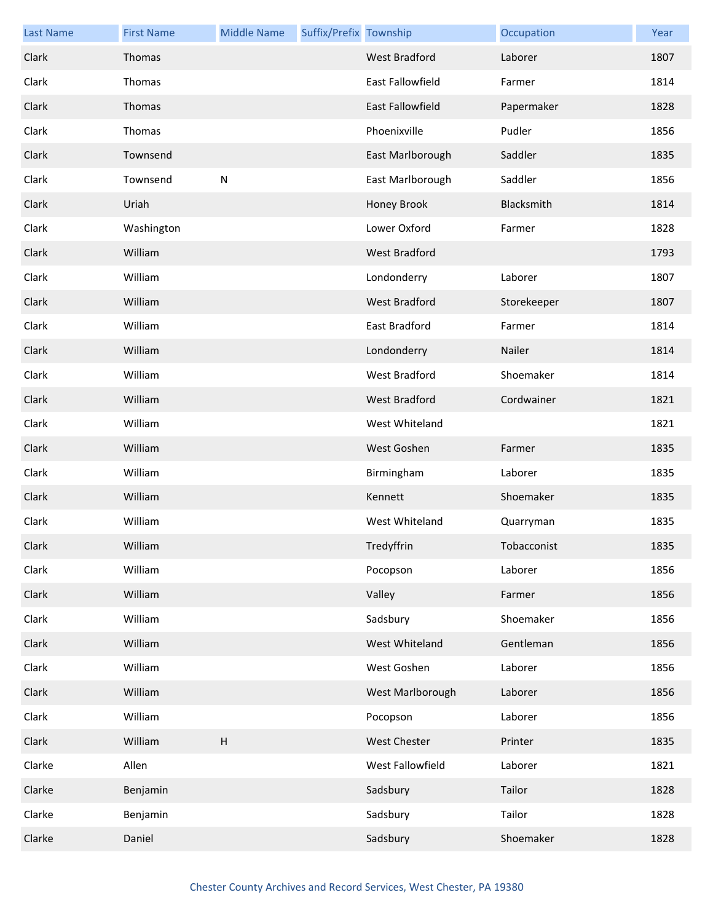| <b>Last Name</b> | <b>First Name</b> | <b>Middle Name</b>        | Suffix/Prefix Township |                      | Occupation  | Year |
|------------------|-------------------|---------------------------|------------------------|----------------------|-------------|------|
| Clark            | Thomas            |                           |                        | <b>West Bradford</b> | Laborer     | 1807 |
| Clark            | Thomas            |                           |                        | East Fallowfield     | Farmer      | 1814 |
| Clark            | Thomas            |                           |                        | East Fallowfield     | Papermaker  | 1828 |
| Clark            | Thomas            |                           |                        | Phoenixville         | Pudler      | 1856 |
| Clark            | Townsend          |                           |                        | East Marlborough     | Saddler     | 1835 |
| Clark            | Townsend          | ${\sf N}$                 |                        | East Marlborough     | Saddler     | 1856 |
| Clark            | Uriah             |                           |                        | Honey Brook          | Blacksmith  | 1814 |
| Clark            | Washington        |                           |                        | Lower Oxford         | Farmer      | 1828 |
| Clark            | William           |                           |                        | <b>West Bradford</b> |             | 1793 |
| Clark            | William           |                           |                        | Londonderry          | Laborer     | 1807 |
| Clark            | William           |                           |                        | <b>West Bradford</b> | Storekeeper | 1807 |
| Clark            | William           |                           |                        | <b>East Bradford</b> | Farmer      | 1814 |
| Clark            | William           |                           |                        | Londonderry          | Nailer      | 1814 |
| Clark            | William           |                           |                        | West Bradford        | Shoemaker   | 1814 |
| Clark            | William           |                           |                        | <b>West Bradford</b> | Cordwainer  | 1821 |
| Clark            | William           |                           |                        | West Whiteland       |             | 1821 |
| Clark            | William           |                           |                        | West Goshen          | Farmer      | 1835 |
| Clark            | William           |                           |                        | Birmingham           | Laborer     | 1835 |
| Clark            | William           |                           |                        | Kennett              | Shoemaker   | 1835 |
| Clark            | William           |                           |                        | West Whiteland       | Quarryman   | 1835 |
| Clark            | William           |                           |                        | Tredyffrin           | Tobacconist | 1835 |
| Clark            | William           |                           |                        | Pocopson             | Laborer     | 1856 |
| Clark            | William           |                           |                        | Valley               | Farmer      | 1856 |
| Clark            | William           |                           |                        | Sadsbury             | Shoemaker   | 1856 |
| Clark            | William           |                           |                        | West Whiteland       | Gentleman   | 1856 |
| Clark            | William           |                           |                        | West Goshen          | Laborer     | 1856 |
| Clark            | William           |                           |                        | West Marlborough     | Laborer     | 1856 |
| Clark            | William           |                           |                        | Pocopson             | Laborer     | 1856 |
| Clark            | William           | $\boldsymbol{\mathsf{H}}$ |                        | West Chester         | Printer     | 1835 |
| Clarke           | Allen             |                           |                        | West Fallowfield     | Laborer     | 1821 |
| Clarke           | Benjamin          |                           |                        | Sadsbury             | Tailor      | 1828 |
| Clarke           | Benjamin          |                           |                        | Sadsbury             | Tailor      | 1828 |
| Clarke           | Daniel            |                           |                        | Sadsbury             | Shoemaker   | 1828 |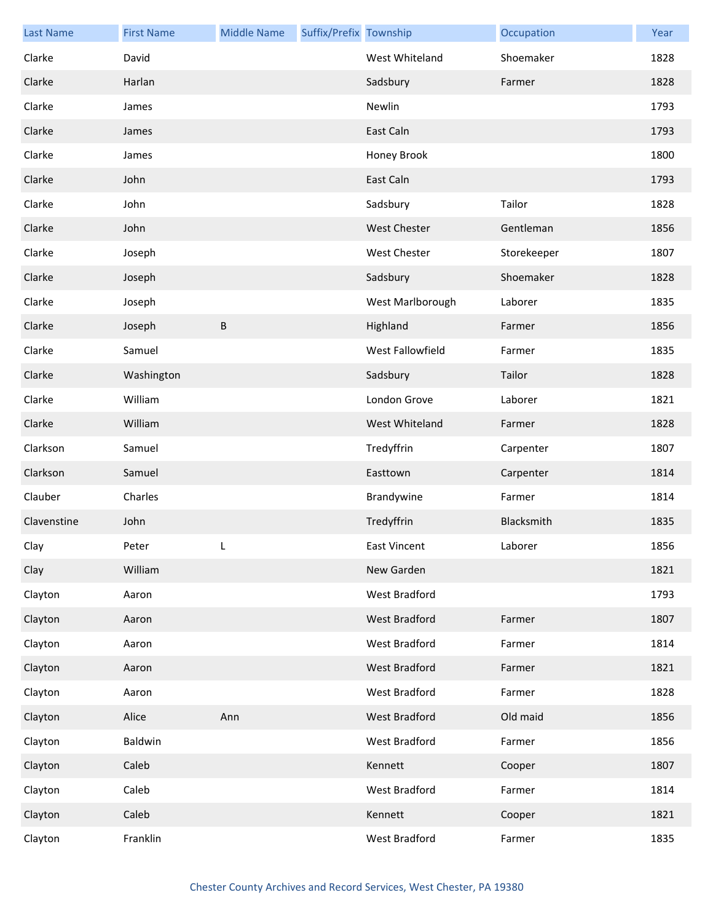| <b>Last Name</b> | <b>First Name</b> | <b>Middle Name</b> | Suffix/Prefix Township |                     | Occupation  | Year |
|------------------|-------------------|--------------------|------------------------|---------------------|-------------|------|
| Clarke           | David             |                    |                        | West Whiteland      | Shoemaker   | 1828 |
| Clarke           | Harlan            |                    |                        | Sadsbury            | Farmer      | 1828 |
| Clarke           | James             |                    |                        | Newlin              |             | 1793 |
| Clarke           | James             |                    |                        | East Caln           |             | 1793 |
| Clarke           | James             |                    |                        | Honey Brook         |             | 1800 |
| Clarke           | John              |                    |                        | East Caln           |             | 1793 |
| Clarke           | John              |                    |                        | Sadsbury            | Tailor      | 1828 |
| Clarke           | John              |                    |                        | <b>West Chester</b> | Gentleman   | 1856 |
| Clarke           | Joseph            |                    |                        | <b>West Chester</b> | Storekeeper | 1807 |
| Clarke           | Joseph            |                    |                        | Sadsbury            | Shoemaker   | 1828 |
| Clarke           | Joseph            |                    |                        | West Marlborough    | Laborer     | 1835 |
| Clarke           | Joseph            | B                  |                        | Highland            | Farmer      | 1856 |
| Clarke           | Samuel            |                    |                        | West Fallowfield    | Farmer      | 1835 |
| Clarke           | Washington        |                    |                        | Sadsbury            | Tailor      | 1828 |
| Clarke           | William           |                    |                        | London Grove        | Laborer     | 1821 |
| Clarke           | William           |                    |                        | West Whiteland      | Farmer      | 1828 |
| Clarkson         | Samuel            |                    |                        | Tredyffrin          | Carpenter   | 1807 |
| Clarkson         | Samuel            |                    |                        | Easttown            | Carpenter   | 1814 |
| Clauber          | Charles           |                    |                        | Brandywine          | Farmer      | 1814 |
| Clavenstine      | John              |                    |                        | Tredyffrin          | Blacksmith  | 1835 |
| Clay             | Peter             |                    |                        | East Vincent        | Laborer     | 1856 |
| Clay             | William           |                    |                        | New Garden          |             | 1821 |
| Clayton          | Aaron             |                    |                        | West Bradford       |             | 1793 |
| Clayton          | Aaron             |                    |                        | West Bradford       | Farmer      | 1807 |
| Clayton          | Aaron             |                    |                        | West Bradford       | Farmer      | 1814 |
| Clayton          | Aaron             |                    |                        | West Bradford       | Farmer      | 1821 |
| Clayton          | Aaron             |                    |                        | West Bradford       | Farmer      | 1828 |
| Clayton          | Alice             | Ann                |                        | West Bradford       | Old maid    | 1856 |
| Clayton          | Baldwin           |                    |                        | West Bradford       | Farmer      | 1856 |
| Clayton          | Caleb             |                    |                        | Kennett             | Cooper      | 1807 |
| Clayton          | Caleb             |                    |                        | West Bradford       | Farmer      | 1814 |
| Clayton          | Caleb             |                    |                        | Kennett             | Cooper      | 1821 |
| Clayton          | Franklin          |                    |                        | West Bradford       | Farmer      | 1835 |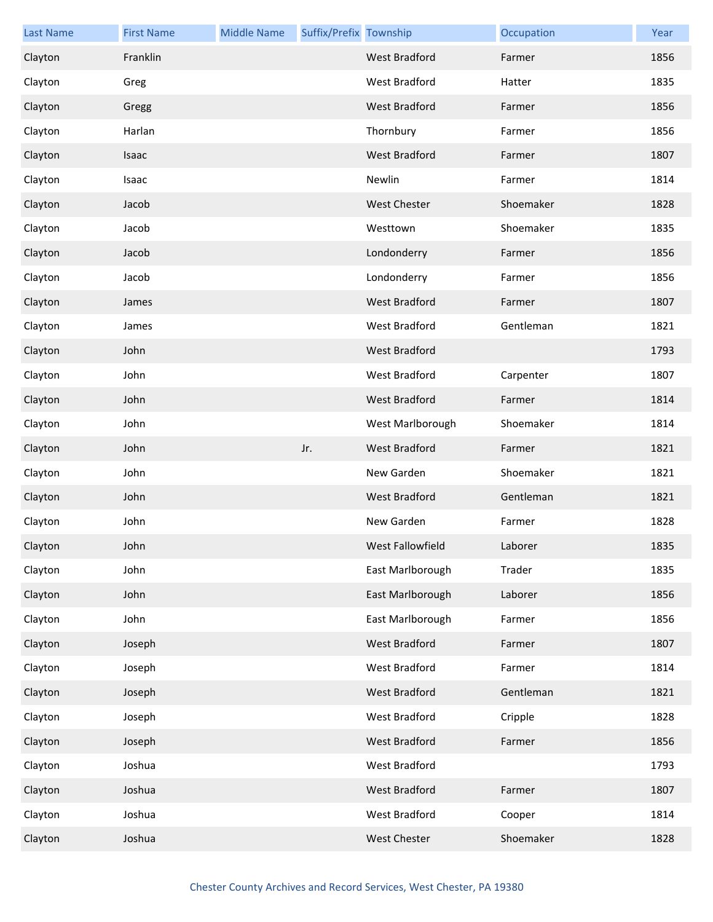| <b>Last Name</b> | <b>First Name</b> | <b>Middle Name</b> | Suffix/Prefix Township |                      | Occupation | Year |
|------------------|-------------------|--------------------|------------------------|----------------------|------------|------|
| Clayton          | Franklin          |                    |                        | <b>West Bradford</b> | Farmer     | 1856 |
| Clayton          | Greg              |                    |                        | West Bradford        | Hatter     | 1835 |
| Clayton          | Gregg             |                    |                        | <b>West Bradford</b> | Farmer     | 1856 |
| Clayton          | Harlan            |                    |                        | Thornbury            | Farmer     | 1856 |
| Clayton          | Isaac             |                    |                        | <b>West Bradford</b> | Farmer     | 1807 |
| Clayton          | Isaac             |                    |                        | Newlin               | Farmer     | 1814 |
| Clayton          | Jacob             |                    |                        | <b>West Chester</b>  | Shoemaker  | 1828 |
| Clayton          | Jacob             |                    |                        | Westtown             | Shoemaker  | 1835 |
| Clayton          | Jacob             |                    |                        | Londonderry          | Farmer     | 1856 |
| Clayton          | Jacob             |                    |                        | Londonderry          | Farmer     | 1856 |
| Clayton          | James             |                    |                        | <b>West Bradford</b> | Farmer     | 1807 |
| Clayton          | James             |                    |                        | <b>West Bradford</b> | Gentleman  | 1821 |
| Clayton          | John              |                    |                        | West Bradford        |            | 1793 |
| Clayton          | John              |                    |                        | West Bradford        | Carpenter  | 1807 |
| Clayton          | John              |                    |                        | <b>West Bradford</b> | Farmer     | 1814 |
| Clayton          | John              |                    |                        | West Marlborough     | Shoemaker  | 1814 |
| Clayton          | John              |                    | Jr.                    | West Bradford        | Farmer     | 1821 |
| Clayton          | John              |                    |                        | New Garden           | Shoemaker  | 1821 |
| Clayton          | John              |                    |                        | West Bradford        | Gentleman  | 1821 |
| Clayton          | John              |                    |                        | New Garden           | Farmer     | 1828 |
| Clayton          | John              |                    |                        | West Fallowfield     | Laborer    | 1835 |
| Clayton          | John              |                    |                        | East Marlborough     | Trader     | 1835 |
| Clayton          | John              |                    |                        | East Marlborough     | Laborer    | 1856 |
| Clayton          | John              |                    |                        | East Marlborough     | Farmer     | 1856 |
| Clayton          | Joseph            |                    |                        | <b>West Bradford</b> | Farmer     | 1807 |
| Clayton          | Joseph            |                    |                        | West Bradford        | Farmer     | 1814 |
| Clayton          | Joseph            |                    |                        | West Bradford        | Gentleman  | 1821 |
| Clayton          | Joseph            |                    |                        | West Bradford        | Cripple    | 1828 |
| Clayton          | Joseph            |                    |                        | West Bradford        | Farmer     | 1856 |
| Clayton          | Joshua            |                    |                        | West Bradford        |            | 1793 |
| Clayton          | Joshua            |                    |                        | West Bradford        | Farmer     | 1807 |
| Clayton          | Joshua            |                    |                        | West Bradford        | Cooper     | 1814 |
| Clayton          | Joshua            |                    |                        | <b>West Chester</b>  | Shoemaker  | 1828 |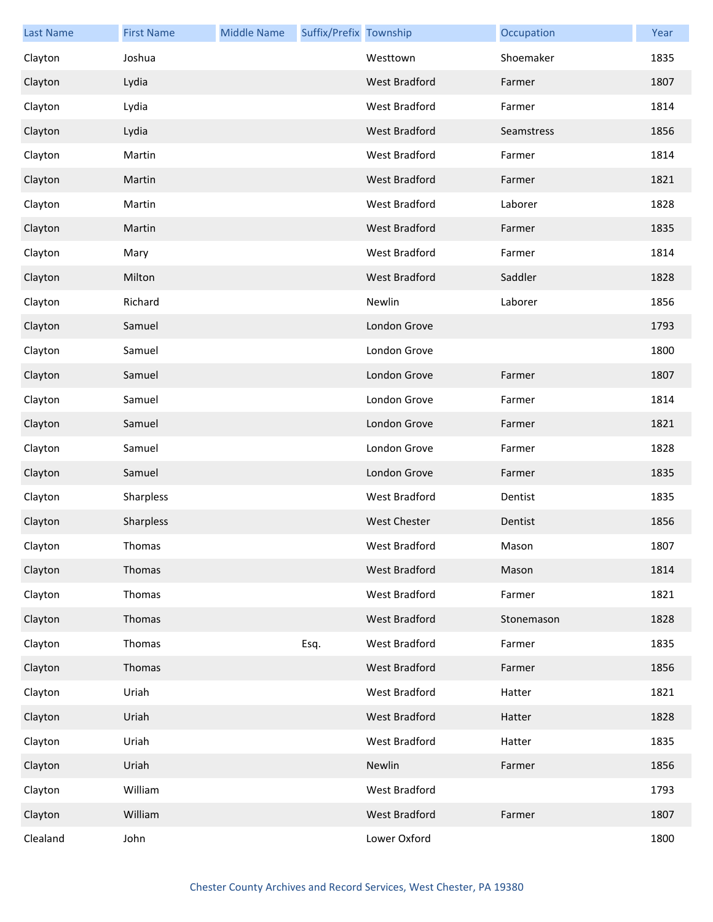| <b>Last Name</b> | <b>First Name</b> | <b>Middle Name</b> | Suffix/Prefix Township |                      | Occupation | Year |
|------------------|-------------------|--------------------|------------------------|----------------------|------------|------|
| Clayton          | Joshua            |                    |                        | Westtown             | Shoemaker  | 1835 |
| Clayton          | Lydia             |                    |                        | <b>West Bradford</b> | Farmer     | 1807 |
| Clayton          | Lydia             |                    |                        | West Bradford        | Farmer     | 1814 |
| Clayton          | Lydia             |                    |                        | West Bradford        | Seamstress | 1856 |
| Clayton          | Martin            |                    |                        | West Bradford        | Farmer     | 1814 |
| Clayton          | Martin            |                    |                        | West Bradford        | Farmer     | 1821 |
| Clayton          | Martin            |                    |                        | West Bradford        | Laborer    | 1828 |
| Clayton          | Martin            |                    |                        | West Bradford        | Farmer     | 1835 |
| Clayton          | Mary              |                    |                        | West Bradford        | Farmer     | 1814 |
| Clayton          | Milton            |                    |                        | <b>West Bradford</b> | Saddler    | 1828 |
| Clayton          | Richard           |                    |                        | Newlin               | Laborer    | 1856 |
| Clayton          | Samuel            |                    |                        | London Grove         |            | 1793 |
| Clayton          | Samuel            |                    |                        | London Grove         |            | 1800 |
| Clayton          | Samuel            |                    |                        | London Grove         | Farmer     | 1807 |
| Clayton          | Samuel            |                    |                        | London Grove         | Farmer     | 1814 |
| Clayton          | Samuel            |                    |                        | London Grove         | Farmer     | 1821 |
| Clayton          | Samuel            |                    |                        | London Grove         | Farmer     | 1828 |
| Clayton          | Samuel            |                    |                        | London Grove         | Farmer     | 1835 |
| Clayton          | Sharpless         |                    |                        | West Bradford        | Dentist    | 1835 |
| Clayton          | Sharpless         |                    |                        | <b>West Chester</b>  | Dentist    | 1856 |
| Clayton          | Thomas            |                    |                        | West Bradford        | Mason      | 1807 |
| Clayton          | Thomas            |                    |                        | West Bradford        | Mason      | 1814 |
| Clayton          | Thomas            |                    |                        | West Bradford        | Farmer     | 1821 |
| Clayton          | Thomas            |                    |                        | West Bradford        | Stonemason | 1828 |
| Clayton          | Thomas            |                    | Esq.                   | West Bradford        | Farmer     | 1835 |
| Clayton          | Thomas            |                    |                        | West Bradford        | Farmer     | 1856 |
| Clayton          | Uriah             |                    |                        | West Bradford        | Hatter     | 1821 |
| Clayton          | Uriah             |                    |                        | West Bradford        | Hatter     | 1828 |
| Clayton          | Uriah             |                    |                        | West Bradford        | Hatter     | 1835 |
| Clayton          | Uriah             |                    |                        | Newlin               | Farmer     | 1856 |
| Clayton          | William           |                    |                        | West Bradford        |            | 1793 |
| Clayton          | William           |                    |                        | West Bradford        | Farmer     | 1807 |
| Clealand         | John              |                    |                        | Lower Oxford         |            | 1800 |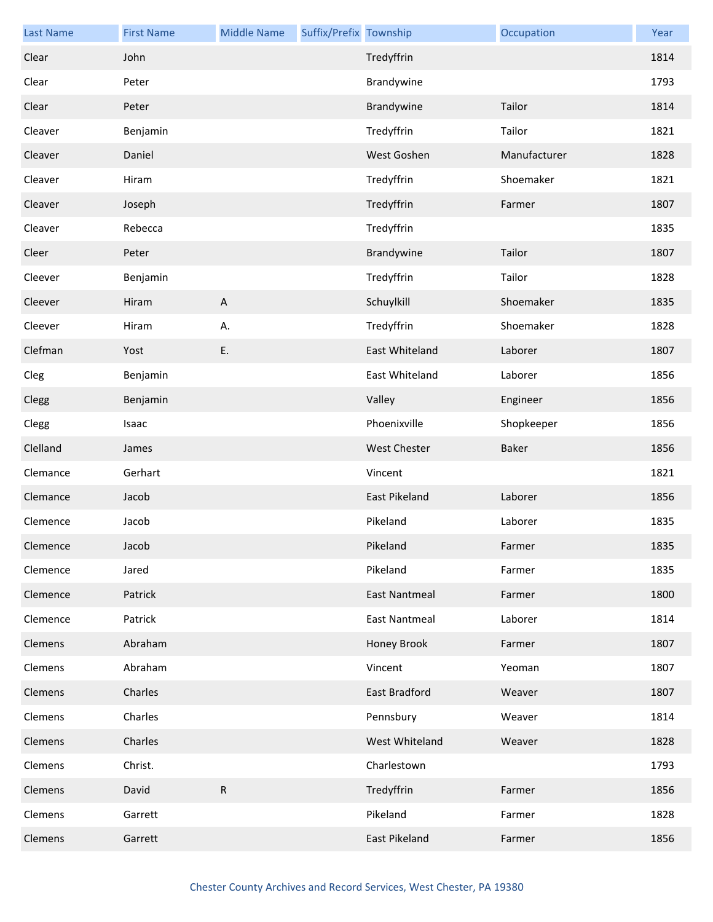| <b>Last Name</b> | <b>First Name</b> | <b>Middle Name</b>        | Suffix/Prefix Township |                      | Occupation   | Year |
|------------------|-------------------|---------------------------|------------------------|----------------------|--------------|------|
| Clear            | John              |                           |                        | Tredyffrin           |              | 1814 |
| Clear            | Peter             |                           |                        | Brandywine           |              | 1793 |
| Clear            | Peter             |                           |                        | Brandywine           | Tailor       | 1814 |
| Cleaver          | Benjamin          |                           |                        | Tredyffrin           | Tailor       | 1821 |
| Cleaver          | Daniel            |                           |                        | West Goshen          | Manufacturer | 1828 |
| Cleaver          | Hiram             |                           |                        | Tredyffrin           | Shoemaker    | 1821 |
| Cleaver          | Joseph            |                           |                        | Tredyffrin           | Farmer       | 1807 |
| Cleaver          | Rebecca           |                           |                        | Tredyffrin           |              | 1835 |
| Cleer            | Peter             |                           |                        | Brandywine           | Tailor       | 1807 |
| Cleever          | Benjamin          |                           |                        | Tredyffrin           | Tailor       | 1828 |
| Cleever          | Hiram             | $\boldsymbol{\mathsf{A}}$ |                        | Schuylkill           | Shoemaker    | 1835 |
| Cleever          | Hiram             | А.                        |                        | Tredyffrin           | Shoemaker    | 1828 |
| Clefman          | Yost              | E.                        |                        | East Whiteland       | Laborer      | 1807 |
| Cleg             | Benjamin          |                           |                        | East Whiteland       | Laborer      | 1856 |
| Clegg            | Benjamin          |                           |                        | Valley               | Engineer     | 1856 |
| Clegg            | Isaac             |                           |                        | Phoenixville         | Shopkeeper   | 1856 |
| Clelland         | James             |                           |                        | <b>West Chester</b>  | Baker        | 1856 |
| Clemance         | Gerhart           |                           |                        | Vincent              |              | 1821 |
| Clemance         | Jacob             |                           |                        | <b>East Pikeland</b> | Laborer      | 1856 |
| Clemence         | Jacob             |                           |                        | Pikeland             | Laborer      | 1835 |
| Clemence         | Jacob             |                           |                        | Pikeland             | Farmer       | 1835 |
| Clemence         | Jared             |                           |                        | Pikeland             | Farmer       | 1835 |
| Clemence         | Patrick           |                           |                        | <b>East Nantmeal</b> | Farmer       | 1800 |
| Clemence         | Patrick           |                           |                        | <b>East Nantmeal</b> | Laborer      | 1814 |
| Clemens          | Abraham           |                           |                        | Honey Brook          | Farmer       | 1807 |
| Clemens          | Abraham           |                           |                        | Vincent              | Yeoman       | 1807 |
| Clemens          | Charles           |                           |                        | East Bradford        | Weaver       | 1807 |
| Clemens          | Charles           |                           |                        | Pennsbury            | Weaver       | 1814 |
| Clemens          | Charles           |                           |                        | West Whiteland       | Weaver       | 1828 |
| Clemens          | Christ.           |                           |                        | Charlestown          |              | 1793 |
| Clemens          | David             | $\mathsf{R}$              |                        | Tredyffrin           | Farmer       | 1856 |
| Clemens          | Garrett           |                           |                        | Pikeland             | Farmer       | 1828 |
| Clemens          | Garrett           |                           |                        | East Pikeland        | Farmer       | 1856 |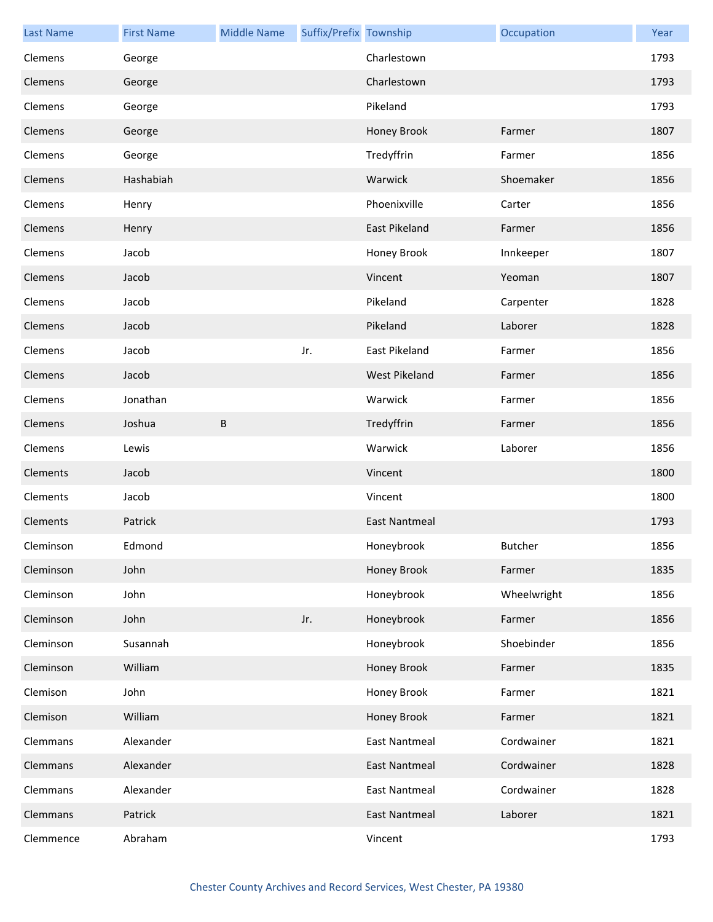| <b>Last Name</b> | <b>First Name</b> | <b>Middle Name</b> | Suffix/Prefix Township |                      | Occupation     | Year |
|------------------|-------------------|--------------------|------------------------|----------------------|----------------|------|
| Clemens          | George            |                    |                        | Charlestown          |                | 1793 |
| Clemens          | George            |                    |                        | Charlestown          |                | 1793 |
| Clemens          | George            |                    |                        | Pikeland             |                | 1793 |
| Clemens          | George            |                    |                        | Honey Brook          | Farmer         | 1807 |
| Clemens          | George            |                    |                        | Tredyffrin           | Farmer         | 1856 |
| Clemens          | Hashabiah         |                    |                        | Warwick              | Shoemaker      | 1856 |
| Clemens          | Henry             |                    |                        | Phoenixville         | Carter         | 1856 |
| Clemens          | Henry             |                    |                        | East Pikeland        | Farmer         | 1856 |
| Clemens          | Jacob             |                    |                        | Honey Brook          | Innkeeper      | 1807 |
| Clemens          | Jacob             |                    |                        | Vincent              | Yeoman         | 1807 |
| Clemens          | Jacob             |                    |                        | Pikeland             | Carpenter      | 1828 |
| Clemens          | Jacob             |                    |                        | Pikeland             | Laborer        | 1828 |
| Clemens          | Jacob             |                    | Jr.                    | East Pikeland        | Farmer         | 1856 |
| Clemens          | Jacob             |                    |                        | <b>West Pikeland</b> | Farmer         | 1856 |
| Clemens          | Jonathan          |                    |                        | Warwick              | Farmer         | 1856 |
| Clemens          | Joshua            | $\sf B$            |                        | Tredyffrin           | Farmer         | 1856 |
| Clemens          | Lewis             |                    |                        | Warwick              | Laborer        | 1856 |
| Clements         | Jacob             |                    |                        | Vincent              |                | 1800 |
| Clements         | Jacob             |                    |                        | Vincent              |                | 1800 |
| Clements         | Patrick           |                    |                        | <b>East Nantmeal</b> |                | 1793 |
| Cleminson        | Edmond            |                    |                        | Honeybrook           | <b>Butcher</b> | 1856 |
| Cleminson        | John              |                    |                        | Honey Brook          | Farmer         | 1835 |
| Cleminson        | John              |                    |                        | Honeybrook           | Wheelwright    | 1856 |
| Cleminson        | John              |                    | Jr.                    | Honeybrook           | Farmer         | 1856 |
| Cleminson        | Susannah          |                    |                        | Honeybrook           | Shoebinder     | 1856 |
| Cleminson        | William           |                    |                        | Honey Brook          | Farmer         | 1835 |
| Clemison         | John              |                    |                        | Honey Brook          | Farmer         | 1821 |
| Clemison         | William           |                    |                        | Honey Brook          | Farmer         | 1821 |
| Clemmans         | Alexander         |                    |                        | <b>East Nantmeal</b> | Cordwainer     | 1821 |
| Clemmans         | Alexander         |                    |                        | <b>East Nantmeal</b> | Cordwainer     | 1828 |
| Clemmans         | Alexander         |                    |                        | <b>East Nantmeal</b> | Cordwainer     | 1828 |
| Clemmans         | Patrick           |                    |                        | <b>East Nantmeal</b> | Laborer        | 1821 |
| Clemmence        | Abraham           |                    |                        | Vincent              |                | 1793 |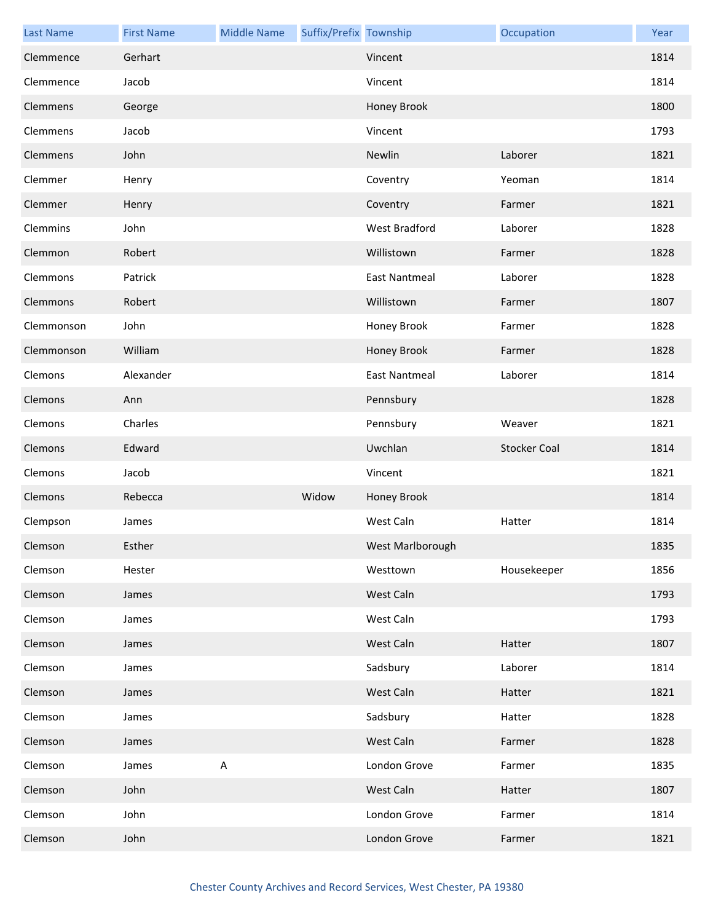| <b>Last Name</b> | <b>First Name</b> | <b>Middle Name</b> | Suffix/Prefix Township |                      | Occupation          | Year |
|------------------|-------------------|--------------------|------------------------|----------------------|---------------------|------|
| Clemmence        | Gerhart           |                    |                        | Vincent              |                     | 1814 |
| Clemmence        | Jacob             |                    |                        | Vincent              |                     | 1814 |
| Clemmens         | George            |                    |                        | Honey Brook          |                     | 1800 |
| Clemmens         | Jacob             |                    |                        | Vincent              |                     | 1793 |
| Clemmens         | John              |                    |                        | Newlin               | Laborer             | 1821 |
| Clemmer          | Henry             |                    |                        | Coventry             | Yeoman              | 1814 |
| Clemmer          | Henry             |                    |                        | Coventry             | Farmer              | 1821 |
| Clemmins         | John              |                    |                        | West Bradford        | Laborer             | 1828 |
| Clemmon          | Robert            |                    |                        | Willistown           | Farmer              | 1828 |
| Clemmons         | Patrick           |                    |                        | <b>East Nantmeal</b> | Laborer             | 1828 |
| Clemmons         | Robert            |                    |                        | Willistown           | Farmer              | 1807 |
| Clemmonson       | John              |                    |                        | Honey Brook          | Farmer              | 1828 |
| Clemmonson       | William           |                    |                        | Honey Brook          | Farmer              | 1828 |
| Clemons          | Alexander         |                    |                        | <b>East Nantmeal</b> | Laborer             | 1814 |
| Clemons          | Ann               |                    |                        | Pennsbury            |                     | 1828 |
| Clemons          | Charles           |                    |                        | Pennsbury            | Weaver              | 1821 |
| Clemons          | Edward            |                    |                        | Uwchlan              | <b>Stocker Coal</b> | 1814 |
| Clemons          | Jacob             |                    |                        | Vincent              |                     | 1821 |
| Clemons          | Rebecca           |                    | Widow                  | Honey Brook          |                     | 1814 |
| Clempson         | James             |                    |                        | West Caln            | Hatter              | 1814 |
| Clemson          | Esther            |                    |                        | West Marlborough     |                     | 1835 |
| Clemson          | Hester            |                    |                        | Westtown             | Housekeeper         | 1856 |
| Clemson          | James             |                    |                        | West Caln            |                     | 1793 |
| Clemson          | James             |                    |                        | West Caln            |                     | 1793 |
| Clemson          | James             |                    |                        | West Caln            | Hatter              | 1807 |
| Clemson          | James             |                    |                        | Sadsbury             | Laborer             | 1814 |
| Clemson          | James             |                    |                        | West Caln            | Hatter              | 1821 |
| Clemson          | James             |                    |                        | Sadsbury             | Hatter              | 1828 |
| Clemson          | James             |                    |                        | West Caln            | Farmer              | 1828 |
| Clemson          | James             | $\mathsf A$        |                        | London Grove         | Farmer              | 1835 |
| Clemson          | John              |                    |                        | West Caln            | Hatter              | 1807 |
| Clemson          | John              |                    |                        | London Grove         | Farmer              | 1814 |
| Clemson          | John              |                    |                        | London Grove         | Farmer              | 1821 |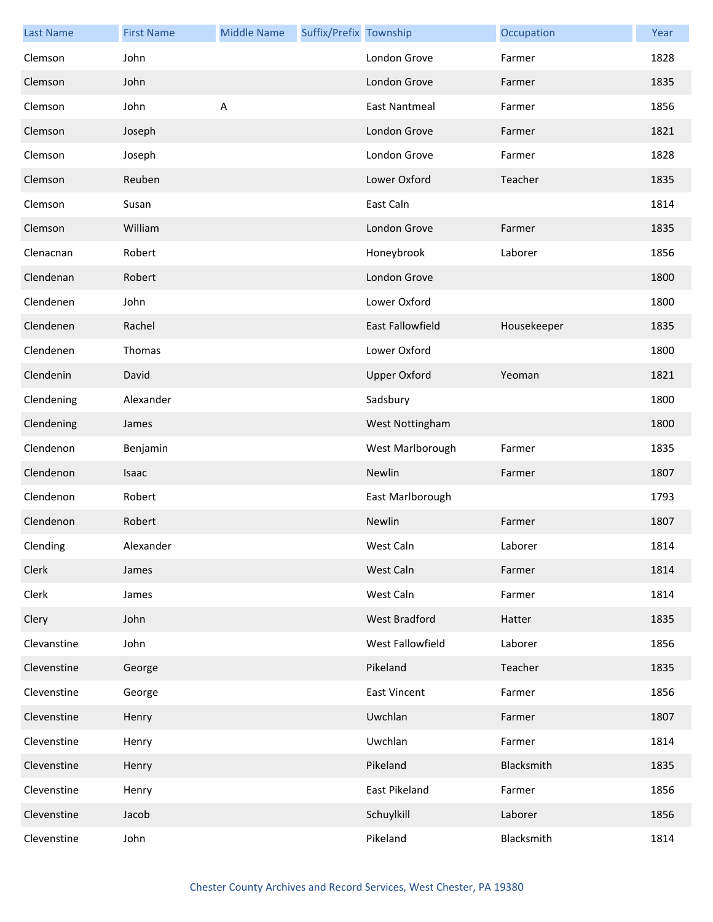| <b>Last Name</b> | <b>First Name</b> | <b>Middle Name</b> | Suffix/Prefix Township |                      | Occupation  | Year |
|------------------|-------------------|--------------------|------------------------|----------------------|-------------|------|
| Clemson          | John              |                    |                        | London Grove         | Farmer      | 1828 |
| Clemson          | John              |                    |                        | London Grove         | Farmer      | 1835 |
| Clemson          | John              | $\sf A$            |                        | <b>East Nantmeal</b> | Farmer      | 1856 |
| Clemson          | Joseph            |                    |                        | London Grove         | Farmer      | 1821 |
| Clemson          | Joseph            |                    |                        | London Grove         | Farmer      | 1828 |
| Clemson          | Reuben            |                    |                        | Lower Oxford         | Teacher     | 1835 |
| Clemson          | Susan             |                    |                        | East Caln            |             | 1814 |
| Clemson          | William           |                    |                        | London Grove         | Farmer      | 1835 |
| Clenacnan        | Robert            |                    |                        | Honeybrook           | Laborer     | 1856 |
| Clendenan        | Robert            |                    |                        | London Grove         |             | 1800 |
| Clendenen        | John              |                    |                        | Lower Oxford         |             | 1800 |
| Clendenen        | Rachel            |                    |                        | East Fallowfield     | Housekeeper | 1835 |
| Clendenen        | Thomas            |                    |                        | Lower Oxford         |             | 1800 |
| Clendenin        | David             |                    |                        | <b>Upper Oxford</b>  | Yeoman      | 1821 |
| Clendening       | Alexander         |                    |                        | Sadsbury             |             | 1800 |
| Clendening       | James             |                    |                        | West Nottingham      |             | 1800 |
| Clendenon        | Benjamin          |                    |                        | West Marlborough     | Farmer      | 1835 |
| Clendenon        | Isaac             |                    |                        | Newlin               | Farmer      | 1807 |
| Clendenon        | Robert            |                    |                        | East Marlborough     |             | 1793 |
| Clendenon        | Robert            |                    |                        | Newlin               | Farmer      | 1807 |
| Clending         | Alexander         |                    |                        | West Caln            | Laborer     | 1814 |
| Clerk            | James             |                    |                        | West Caln            | Farmer      | 1814 |
| Clerk            | James             |                    |                        | West Caln            | Farmer      | 1814 |
| Clery            | John              |                    |                        | West Bradford        | Hatter      | 1835 |
| Clevanstine      | John              |                    |                        | West Fallowfield     | Laborer     | 1856 |
| Clevenstine      | George            |                    |                        | Pikeland             | Teacher     | 1835 |
| Clevenstine      | George            |                    |                        | East Vincent         | Farmer      | 1856 |
| Clevenstine      | Henry             |                    |                        | Uwchlan              | Farmer      | 1807 |
| Clevenstine      | Henry             |                    |                        | Uwchlan              | Farmer      | 1814 |
| Clevenstine      | Henry             |                    |                        | Pikeland             | Blacksmith  | 1835 |
| Clevenstine      | Henry             |                    |                        | East Pikeland        | Farmer      | 1856 |
| Clevenstine      | Jacob             |                    |                        | Schuylkill           | Laborer     | 1856 |
| Clevenstine      | John              |                    |                        | Pikeland             | Blacksmith  | 1814 |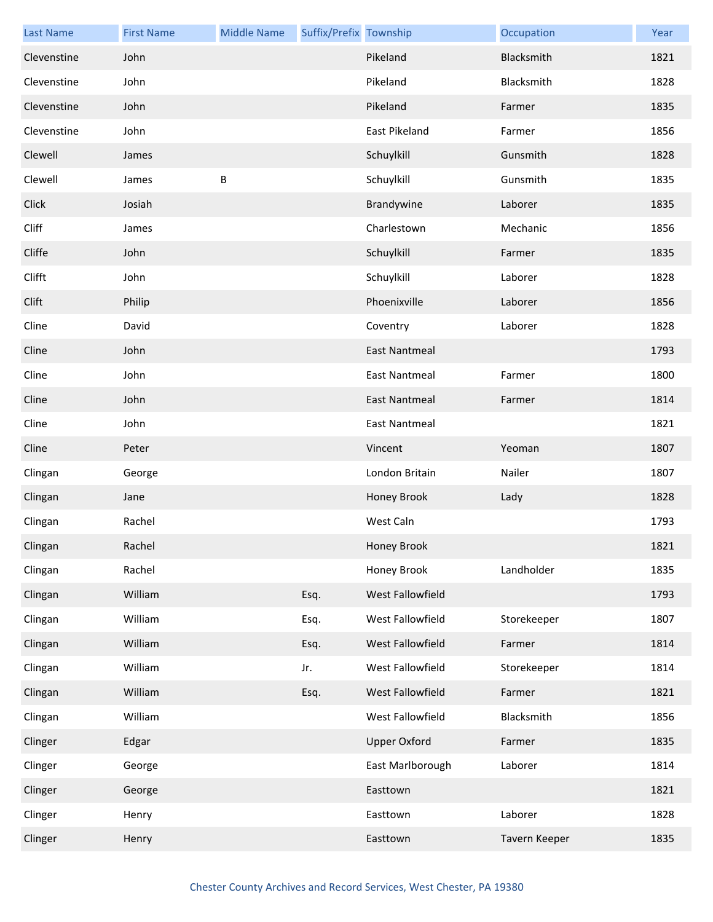| <b>Last Name</b> | <b>First Name</b> | <b>Middle Name</b> | Suffix/Prefix Township |                      | Occupation    | Year |
|------------------|-------------------|--------------------|------------------------|----------------------|---------------|------|
| Clevenstine      | John              |                    |                        | Pikeland             | Blacksmith    | 1821 |
| Clevenstine      | John              |                    |                        | Pikeland             | Blacksmith    | 1828 |
| Clevenstine      | John              |                    |                        | Pikeland             | Farmer        | 1835 |
| Clevenstine      | John              |                    |                        | East Pikeland        | Farmer        | 1856 |
| Clewell          | James             |                    |                        | Schuylkill           | Gunsmith      | 1828 |
| Clewell          | James             | $\sf B$            |                        | Schuylkill           | Gunsmith      | 1835 |
| Click            | Josiah            |                    |                        | Brandywine           | Laborer       | 1835 |
| Cliff            | James             |                    |                        | Charlestown          | Mechanic      | 1856 |
| Cliffe           | John              |                    |                        | Schuylkill           | Farmer        | 1835 |
| Clifft           | John              |                    |                        | Schuylkill           | Laborer       | 1828 |
| Clift            | Philip            |                    |                        | Phoenixville         | Laborer       | 1856 |
| Cline            | David             |                    |                        | Coventry             | Laborer       | 1828 |
| Cline            | John              |                    |                        | <b>East Nantmeal</b> |               | 1793 |
| Cline            | John              |                    |                        | <b>East Nantmeal</b> | Farmer        | 1800 |
| Cline            | John              |                    |                        | <b>East Nantmeal</b> | Farmer        | 1814 |
| Cline            | John              |                    |                        | <b>East Nantmeal</b> |               | 1821 |
| Cline            | Peter             |                    |                        | Vincent              | Yeoman        | 1807 |
| Clingan          | George            |                    |                        | London Britain       | Nailer        | 1807 |
| Clingan          | Jane              |                    |                        | Honey Brook          | Lady          | 1828 |
| Clingan          | Rachel            |                    |                        | West Caln            |               | 1793 |
| Clingan          | Rachel            |                    |                        | Honey Brook          |               | 1821 |
| Clingan          | Rachel            |                    |                        | Honey Brook          | Landholder    | 1835 |
| Clingan          | William           |                    | Esq.                   | West Fallowfield     |               | 1793 |
| Clingan          | William           |                    | Esq.                   | West Fallowfield     | Storekeeper   | 1807 |
| Clingan          | William           |                    | Esq.                   | West Fallowfield     | Farmer        | 1814 |
| Clingan          | William           |                    | Jr.                    | West Fallowfield     | Storekeeper   | 1814 |
| Clingan          | William           |                    | Esq.                   | West Fallowfield     | Farmer        | 1821 |
| Clingan          | William           |                    |                        | West Fallowfield     | Blacksmith    | 1856 |
| Clinger          | Edgar             |                    |                        | <b>Upper Oxford</b>  | Farmer        | 1835 |
| Clinger          | George            |                    |                        | East Marlborough     | Laborer       | 1814 |
| Clinger          | George            |                    |                        | Easttown             |               | 1821 |
| Clinger          | Henry             |                    |                        | Easttown             | Laborer       | 1828 |
| Clinger          | Henry             |                    |                        | Easttown             | Tavern Keeper | 1835 |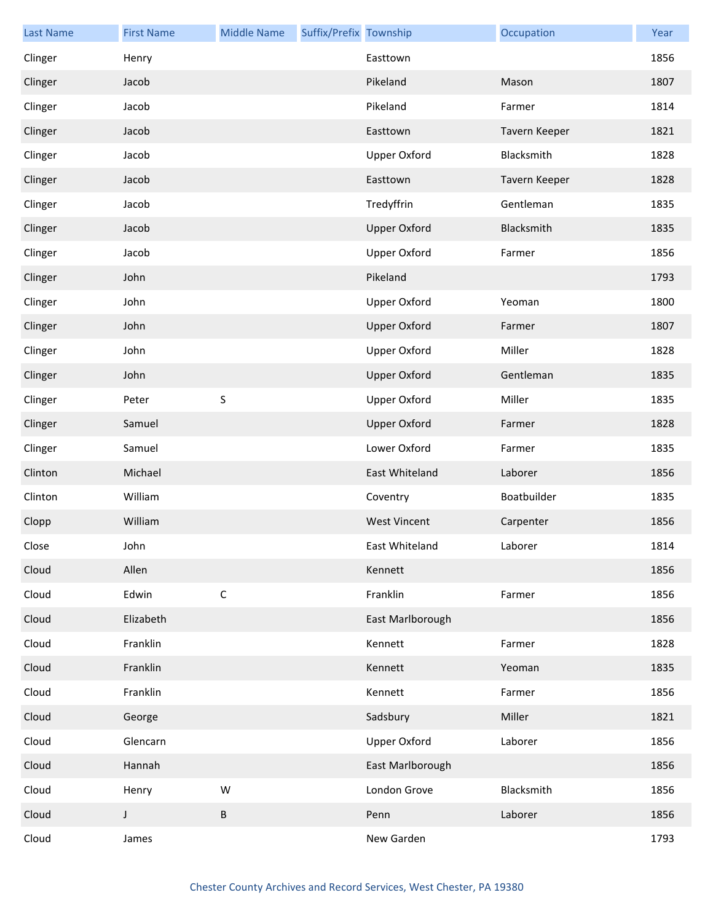| <b>Last Name</b> | <b>First Name</b> | <b>Middle Name</b> | Suffix/Prefix Township |                     | Occupation    | Year |
|------------------|-------------------|--------------------|------------------------|---------------------|---------------|------|
| Clinger          | Henry             |                    |                        | Easttown            |               | 1856 |
| Clinger          | Jacob             |                    |                        | Pikeland            | Mason         | 1807 |
| Clinger          | Jacob             |                    |                        | Pikeland            | Farmer        | 1814 |
| Clinger          | Jacob             |                    |                        | Easttown            | Tavern Keeper | 1821 |
| Clinger          | Jacob             |                    |                        | <b>Upper Oxford</b> | Blacksmith    | 1828 |
| Clinger          | Jacob             |                    |                        | Easttown            | Tavern Keeper | 1828 |
| Clinger          | Jacob             |                    |                        | Tredyffrin          | Gentleman     | 1835 |
| Clinger          | Jacob             |                    |                        | <b>Upper Oxford</b> | Blacksmith    | 1835 |
| Clinger          | Jacob             |                    |                        | <b>Upper Oxford</b> | Farmer        | 1856 |
| Clinger          | John              |                    |                        | Pikeland            |               | 1793 |
| Clinger          | John              |                    |                        | <b>Upper Oxford</b> | Yeoman        | 1800 |
| Clinger          | John              |                    |                        | <b>Upper Oxford</b> | Farmer        | 1807 |
| Clinger          | John              |                    |                        | <b>Upper Oxford</b> | Miller        | 1828 |
| Clinger          | John              |                    |                        | <b>Upper Oxford</b> | Gentleman     | 1835 |
| Clinger          | Peter             | $\sf S$            |                        | <b>Upper Oxford</b> | Miller        | 1835 |
| Clinger          | Samuel            |                    |                        | <b>Upper Oxford</b> | Farmer        | 1828 |
| Clinger          | Samuel            |                    |                        | Lower Oxford        | Farmer        | 1835 |
| Clinton          | Michael           |                    |                        | East Whiteland      | Laborer       | 1856 |
| Clinton          | William           |                    |                        | Coventry            | Boatbuilder   | 1835 |
| Clopp            | William           |                    |                        | <b>West Vincent</b> | Carpenter     | 1856 |
| Close            | John              |                    |                        | East Whiteland      | Laborer       | 1814 |
| Cloud            | Allen             |                    |                        | Kennett             |               | 1856 |
| Cloud            | Edwin             | $\mathsf C$        |                        | Franklin            | Farmer        | 1856 |
| Cloud            | Elizabeth         |                    |                        | East Marlborough    |               | 1856 |
| Cloud            | Franklin          |                    |                        | Kennett             | Farmer        | 1828 |
| Cloud            | Franklin          |                    |                        | Kennett             | Yeoman        | 1835 |
| Cloud            | Franklin          |                    |                        | Kennett             | Farmer        | 1856 |
| Cloud            | George            |                    |                        | Sadsbury            | Miller        | 1821 |
| Cloud            | Glencarn          |                    |                        | <b>Upper Oxford</b> | Laborer       | 1856 |
| Cloud            | Hannah            |                    |                        | East Marlborough    |               | 1856 |
| Cloud            | Henry             | W                  |                        | London Grove        | Blacksmith    | 1856 |
| Cloud            | $\mathsf J$       | $\sf B$            |                        | Penn                | Laborer       | 1856 |
| Cloud            | James             |                    |                        | New Garden          |               | 1793 |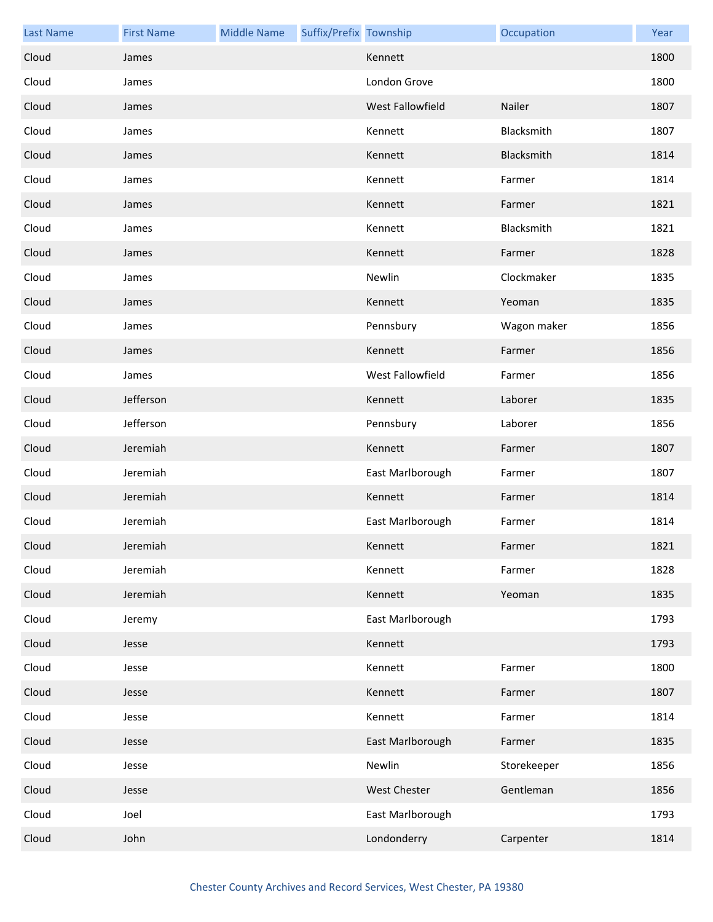| <b>Last Name</b> | <b>First Name</b> | <b>Middle Name</b> | Suffix/Prefix Township |                  | Occupation  | Year |
|------------------|-------------------|--------------------|------------------------|------------------|-------------|------|
| Cloud            | James             |                    |                        | Kennett          |             | 1800 |
| Cloud            | James             |                    |                        | London Grove     |             | 1800 |
| Cloud            | James             |                    |                        | West Fallowfield | Nailer      | 1807 |
| Cloud            | James             |                    |                        | Kennett          | Blacksmith  | 1807 |
| Cloud            | James             |                    |                        | Kennett          | Blacksmith  | 1814 |
| Cloud            | James             |                    |                        | Kennett          | Farmer      | 1814 |
| Cloud            | James             |                    |                        | Kennett          | Farmer      | 1821 |
| Cloud            | James             |                    |                        | Kennett          | Blacksmith  | 1821 |
| Cloud            | James             |                    |                        | Kennett          | Farmer      | 1828 |
| Cloud            | James             |                    |                        | Newlin           | Clockmaker  | 1835 |
| Cloud            | James             |                    |                        | Kennett          | Yeoman      | 1835 |
| Cloud            | James             |                    |                        | Pennsbury        | Wagon maker | 1856 |
| Cloud            | James             |                    |                        | Kennett          | Farmer      | 1856 |
| Cloud            | James             |                    |                        | West Fallowfield | Farmer      | 1856 |
| Cloud            | Jefferson         |                    |                        | Kennett          | Laborer     | 1835 |
| Cloud            | Jefferson         |                    |                        | Pennsbury        | Laborer     | 1856 |
| Cloud            | Jeremiah          |                    |                        | Kennett          | Farmer      | 1807 |
| Cloud            | Jeremiah          |                    |                        | East Marlborough | Farmer      | 1807 |
| Cloud            | Jeremiah          |                    |                        | Kennett          | Farmer      | 1814 |
| Cloud            | Jeremiah          |                    |                        | East Marlborough | Farmer      | 1814 |
| Cloud            | Jeremiah          |                    |                        | Kennett          | Farmer      | 1821 |
| Cloud            | Jeremiah          |                    |                        | Kennett          | Farmer      | 1828 |
| Cloud            | Jeremiah          |                    |                        | Kennett          | Yeoman      | 1835 |
| Cloud            | Jeremy            |                    |                        | East Marlborough |             | 1793 |
| Cloud            | Jesse             |                    |                        | Kennett          |             | 1793 |
| Cloud            | Jesse             |                    |                        | Kennett          | Farmer      | 1800 |
| Cloud            | Jesse             |                    |                        | Kennett          | Farmer      | 1807 |
| Cloud            | Jesse             |                    |                        | Kennett          | Farmer      | 1814 |
| Cloud            | Jesse             |                    |                        | East Marlborough | Farmer      | 1835 |
| Cloud            | Jesse             |                    |                        | Newlin           | Storekeeper | 1856 |
| Cloud            | Jesse             |                    |                        | West Chester     | Gentleman   | 1856 |
| Cloud            | Joel              |                    |                        | East Marlborough |             | 1793 |
| Cloud            | John              |                    |                        | Londonderry      | Carpenter   | 1814 |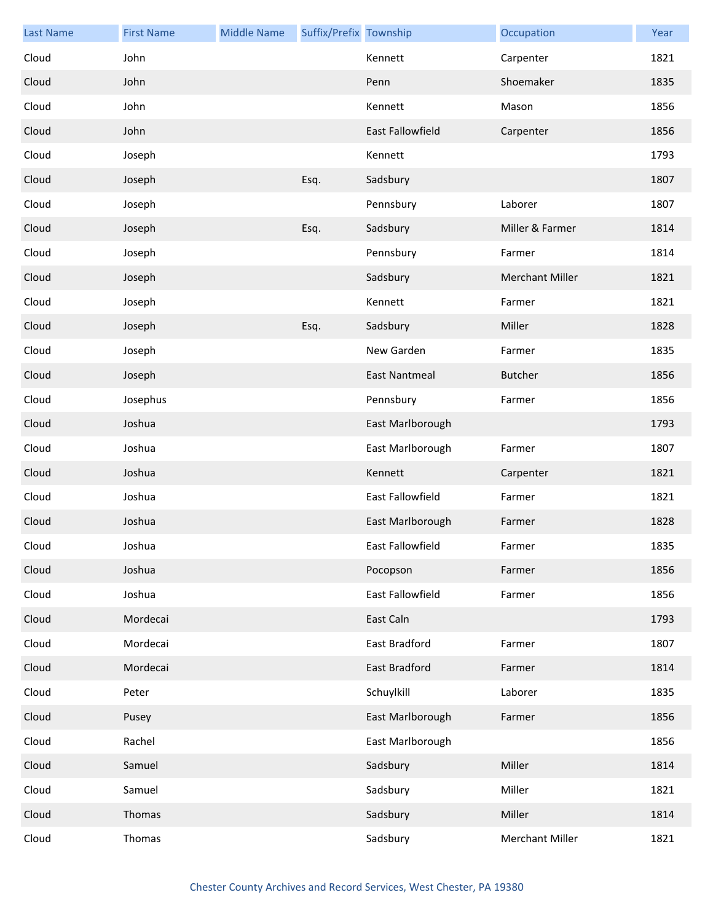| <b>Last Name</b> | <b>First Name</b> | <b>Middle Name</b> | Suffix/Prefix Township |                         | Occupation             | Year |
|------------------|-------------------|--------------------|------------------------|-------------------------|------------------------|------|
| Cloud            | John              |                    |                        | Kennett                 | Carpenter              | 1821 |
| Cloud            | John              |                    |                        | Penn                    | Shoemaker              | 1835 |
| Cloud            | John              |                    |                        | Kennett                 | Mason                  | 1856 |
| Cloud            | John              |                    |                        | <b>East Fallowfield</b> | Carpenter              | 1856 |
| Cloud            | Joseph            |                    |                        | Kennett                 |                        | 1793 |
| Cloud            | Joseph            |                    | Esq.                   | Sadsbury                |                        | 1807 |
| Cloud            | Joseph            |                    |                        | Pennsbury               | Laborer                | 1807 |
| Cloud            | Joseph            |                    | Esq.                   | Sadsbury                | Miller & Farmer        | 1814 |
| Cloud            | Joseph            |                    |                        | Pennsbury               | Farmer                 | 1814 |
| Cloud            | Joseph            |                    |                        | Sadsbury                | <b>Merchant Miller</b> | 1821 |
| Cloud            | Joseph            |                    |                        | Kennett                 | Farmer                 | 1821 |
| Cloud            | Joseph            |                    | Esq.                   | Sadsbury                | Miller                 | 1828 |
| Cloud            | Joseph            |                    |                        | New Garden              | Farmer                 | 1835 |
| Cloud            | Joseph            |                    |                        | <b>East Nantmeal</b>    | <b>Butcher</b>         | 1856 |
| Cloud            | Josephus          |                    |                        | Pennsbury               | Farmer                 | 1856 |
| Cloud            | Joshua            |                    |                        | East Marlborough        |                        | 1793 |
| Cloud            | Joshua            |                    |                        | East Marlborough        | Farmer                 | 1807 |
| Cloud            | Joshua            |                    |                        | Kennett                 | Carpenter              | 1821 |
| Cloud            | Joshua            |                    |                        | <b>East Fallowfield</b> | Farmer                 | 1821 |
| Cloud            | Joshua            |                    |                        | East Marlborough        | Farmer                 | 1828 |
| Cloud            | Joshua            |                    |                        | East Fallowfield        | Farmer                 | 1835 |
| Cloud            | Joshua            |                    |                        | Pocopson                | Farmer                 | 1856 |
| Cloud            | Joshua            |                    |                        | East Fallowfield        | Farmer                 | 1856 |
| Cloud            | Mordecai          |                    |                        | East Caln               |                        | 1793 |
| Cloud            | Mordecai          |                    |                        | East Bradford           | Farmer                 | 1807 |
| Cloud            | Mordecai          |                    |                        | <b>East Bradford</b>    | Farmer                 | 1814 |
| Cloud            | Peter             |                    |                        | Schuylkill              | Laborer                | 1835 |
| Cloud            | Pusey             |                    |                        | East Marlborough        | Farmer                 | 1856 |
| Cloud            | Rachel            |                    |                        | East Marlborough        |                        | 1856 |
| Cloud            | Samuel            |                    |                        | Sadsbury                | Miller                 | 1814 |
| Cloud            | Samuel            |                    |                        | Sadsbury                | Miller                 | 1821 |
| Cloud            | Thomas            |                    |                        | Sadsbury                | Miller                 | 1814 |
| Cloud            | Thomas            |                    |                        | Sadsbury                | Merchant Miller        | 1821 |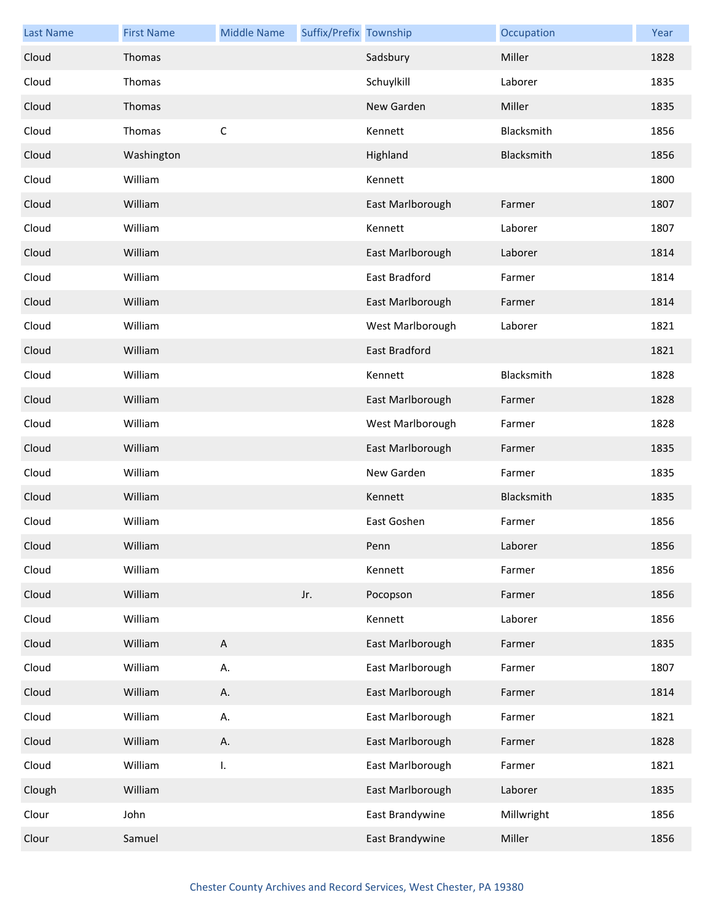| <b>Last Name</b> | <b>First Name</b> | <b>Middle Name</b>        | Suffix/Prefix Township |                  | Occupation | Year |
|------------------|-------------------|---------------------------|------------------------|------------------|------------|------|
| Cloud            | Thomas            |                           |                        | Sadsbury         | Miller     | 1828 |
| Cloud            | Thomas            |                           |                        | Schuylkill       | Laborer    | 1835 |
| Cloud            | Thomas            |                           |                        | New Garden       | Miller     | 1835 |
| Cloud            | Thomas            | $\mathsf C$               |                        | Kennett          | Blacksmith | 1856 |
| Cloud            | Washington        |                           |                        | Highland         | Blacksmith | 1856 |
| Cloud            | William           |                           |                        | Kennett          |            | 1800 |
| Cloud            | William           |                           |                        | East Marlborough | Farmer     | 1807 |
| Cloud            | William           |                           |                        | Kennett          | Laborer    | 1807 |
| Cloud            | William           |                           |                        | East Marlborough | Laborer    | 1814 |
| Cloud            | William           |                           |                        | East Bradford    | Farmer     | 1814 |
| Cloud            | William           |                           |                        | East Marlborough | Farmer     | 1814 |
| Cloud            | William           |                           |                        | West Marlborough | Laborer    | 1821 |
| Cloud            | William           |                           |                        | East Bradford    |            | 1821 |
| Cloud            | William           |                           |                        | Kennett          | Blacksmith | 1828 |
| Cloud            | William           |                           |                        | East Marlborough | Farmer     | 1828 |
| Cloud            | William           |                           |                        | West Marlborough | Farmer     | 1828 |
| Cloud            | William           |                           |                        | East Marlborough | Farmer     | 1835 |
| Cloud            | William           |                           |                        | New Garden       | Farmer     | 1835 |
| Cloud            | William           |                           |                        | Kennett          | Blacksmith | 1835 |
| Cloud            | William           |                           |                        | East Goshen      | Farmer     | 1856 |
| Cloud            | William           |                           |                        | Penn             | Laborer    | 1856 |
| Cloud            | William           |                           |                        | Kennett          | Farmer     | 1856 |
| Cloud            | William           |                           | Jr.                    | Pocopson         | Farmer     | 1856 |
| Cloud            | William           |                           |                        | Kennett          | Laborer    | 1856 |
| Cloud            | William           | $\boldsymbol{\mathsf{A}}$ |                        | East Marlborough | Farmer     | 1835 |
| Cloud            | William           | А.                        |                        | East Marlborough | Farmer     | 1807 |
| Cloud            | William           | А.                        |                        | East Marlborough | Farmer     | 1814 |
| Cloud            | William           | Α.                        |                        | East Marlborough | Farmer     | 1821 |
| Cloud            | William           | Α.                        |                        | East Marlborough | Farmer     | 1828 |
| Cloud            | William           | I.                        |                        | East Marlborough | Farmer     | 1821 |
| Clough           | William           |                           |                        | East Marlborough | Laborer    | 1835 |
| Clour            | John              |                           |                        | East Brandywine  | Millwright | 1856 |
| Clour            | Samuel            |                           |                        | East Brandywine  | Miller     | 1856 |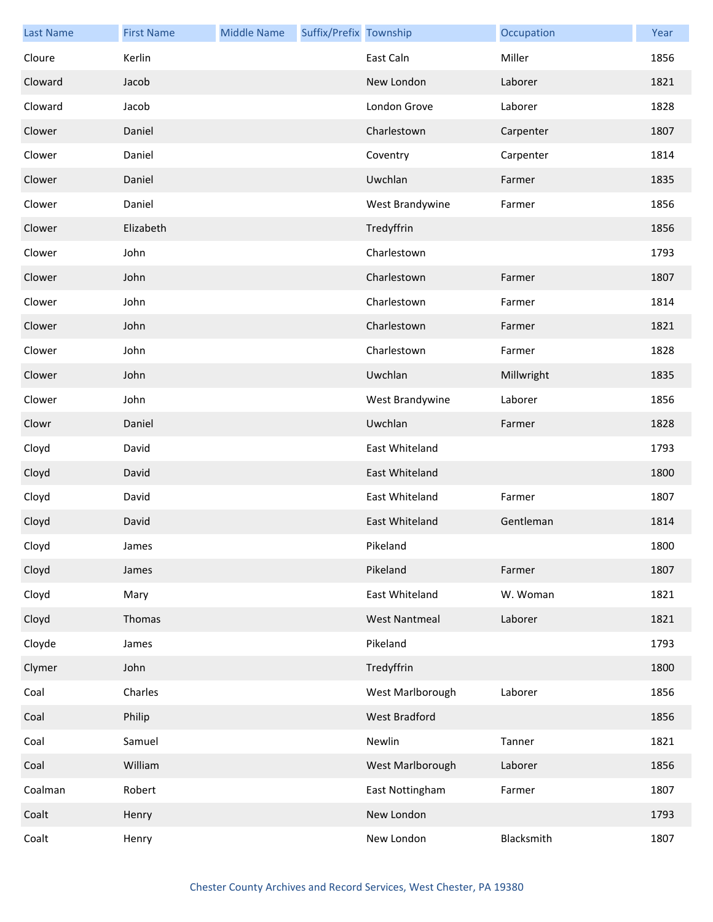| <b>Last Name</b> | <b>First Name</b> | <b>Middle Name</b> | Suffix/Prefix Township |                      | Occupation | Year |
|------------------|-------------------|--------------------|------------------------|----------------------|------------|------|
| Cloure           | Kerlin            |                    |                        | East Caln            | Miller     | 1856 |
| Cloward          | Jacob             |                    |                        | New London           | Laborer    | 1821 |
| Cloward          | Jacob             |                    |                        | London Grove         | Laborer    | 1828 |
| Clower           | Daniel            |                    |                        | Charlestown          | Carpenter  | 1807 |
| Clower           | Daniel            |                    |                        | Coventry             | Carpenter  | 1814 |
| Clower           | Daniel            |                    |                        | Uwchlan              | Farmer     | 1835 |
| Clower           | Daniel            |                    |                        | West Brandywine      | Farmer     | 1856 |
| Clower           | Elizabeth         |                    |                        | Tredyffrin           |            | 1856 |
| Clower           | John              |                    |                        | Charlestown          |            | 1793 |
| Clower           | John              |                    |                        | Charlestown          | Farmer     | 1807 |
| Clower           | John              |                    |                        | Charlestown          | Farmer     | 1814 |
| Clower           | John              |                    |                        | Charlestown          | Farmer     | 1821 |
| Clower           | John              |                    |                        | Charlestown          | Farmer     | 1828 |
| Clower           | John              |                    |                        | Uwchlan              | Millwright | 1835 |
| Clower           | John              |                    |                        | West Brandywine      | Laborer    | 1856 |
| Clowr            | Daniel            |                    |                        | Uwchlan              | Farmer     | 1828 |
| Cloyd            | David             |                    |                        | East Whiteland       |            | 1793 |
| Cloyd            | David             |                    |                        | East Whiteland       |            | 1800 |
| Cloyd            | David             |                    |                        | East Whiteland       | Farmer     | 1807 |
| Cloyd            | David             |                    |                        | East Whiteland       | Gentleman  | 1814 |
| Cloyd            | James             |                    |                        | Pikeland             |            | 1800 |
| Cloyd            | James             |                    |                        | Pikeland             | Farmer     | 1807 |
| Cloyd            | Mary              |                    |                        | East Whiteland       | W. Woman   | 1821 |
| Cloyd            | Thomas            |                    |                        | <b>West Nantmeal</b> | Laborer    | 1821 |
| Cloyde           | James             |                    |                        | Pikeland             |            | 1793 |
| Clymer           | John              |                    |                        | Tredyffrin           |            | 1800 |
| Coal             | Charles           |                    |                        | West Marlborough     | Laborer    | 1856 |
| Coal             | Philip            |                    |                        | West Bradford        |            | 1856 |
| Coal             | Samuel            |                    |                        | Newlin               | Tanner     | 1821 |
| Coal             | William           |                    |                        | West Marlborough     | Laborer    | 1856 |
| Coalman          | Robert            |                    |                        | East Nottingham      | Farmer     | 1807 |
| Coalt            | Henry             |                    |                        | New London           |            | 1793 |
| Coalt            | Henry             |                    |                        | New London           | Blacksmith | 1807 |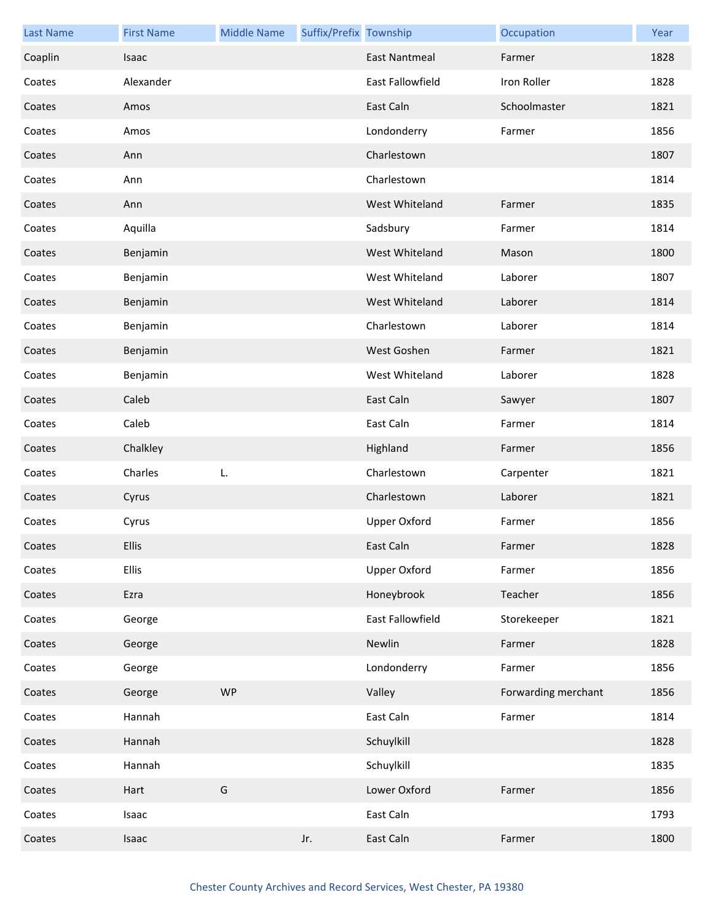| <b>Last Name</b> | <b>First Name</b> | <b>Middle Name</b> | Suffix/Prefix Township |                      | Occupation          | Year |
|------------------|-------------------|--------------------|------------------------|----------------------|---------------------|------|
| Coaplin          | Isaac             |                    |                        | <b>East Nantmeal</b> | Farmer              | 1828 |
| Coates           | Alexander         |                    |                        | East Fallowfield     | Iron Roller         | 1828 |
| Coates           | Amos              |                    |                        | East Caln            | Schoolmaster        | 1821 |
| Coates           | Amos              |                    |                        | Londonderry          | Farmer              | 1856 |
| Coates           | Ann               |                    |                        | Charlestown          |                     | 1807 |
| Coates           | Ann               |                    |                        | Charlestown          |                     | 1814 |
| Coates           | Ann               |                    |                        | West Whiteland       | Farmer              | 1835 |
| Coates           | Aquilla           |                    |                        | Sadsbury             | Farmer              | 1814 |
| Coates           | Benjamin          |                    |                        | West Whiteland       | Mason               | 1800 |
| Coates           | Benjamin          |                    |                        | West Whiteland       | Laborer             | 1807 |
| Coates           | Benjamin          |                    |                        | West Whiteland       | Laborer             | 1814 |
| Coates           | Benjamin          |                    |                        | Charlestown          | Laborer             | 1814 |
| Coates           | Benjamin          |                    |                        | West Goshen          | Farmer              | 1821 |
| Coates           | Benjamin          |                    |                        | West Whiteland       | Laborer             | 1828 |
| Coates           | Caleb             |                    |                        | East Caln            | Sawyer              | 1807 |
| Coates           | Caleb             |                    |                        | East Caln            | Farmer              | 1814 |
| Coates           | Chalkley          |                    |                        | Highland             | Farmer              | 1856 |
| Coates           | Charles           | L.                 |                        | Charlestown          | Carpenter           | 1821 |
| Coates           | Cyrus             |                    |                        | Charlestown          | Laborer             | 1821 |
| Coates           | Cyrus             |                    |                        | <b>Upper Oxford</b>  | Farmer              | 1856 |
| Coates           | <b>Ellis</b>      |                    |                        | East Caln            | Farmer              | 1828 |
| Coates           | <b>Ellis</b>      |                    |                        | <b>Upper Oxford</b>  | Farmer              | 1856 |
| Coates           | Ezra              |                    |                        | Honeybrook           | Teacher             | 1856 |
| Coates           | George            |                    |                        | East Fallowfield     | Storekeeper         | 1821 |
| Coates           | George            |                    |                        | Newlin               | Farmer              | 1828 |
| Coates           | George            |                    |                        | Londonderry          | Farmer              | 1856 |
| Coates           | George            | <b>WP</b>          |                        | Valley               | Forwarding merchant | 1856 |
| Coates           | Hannah            |                    |                        | East Caln            | Farmer              | 1814 |
| Coates           | Hannah            |                    |                        | Schuylkill           |                     | 1828 |
| Coates           | Hannah            |                    |                        | Schuylkill           |                     | 1835 |
| Coates           | Hart              | G                  |                        | Lower Oxford         | Farmer              | 1856 |
| Coates           | Isaac             |                    |                        | East Caln            |                     | 1793 |
| Coates           | Isaac             |                    | Jr.                    | East Caln            | Farmer              | 1800 |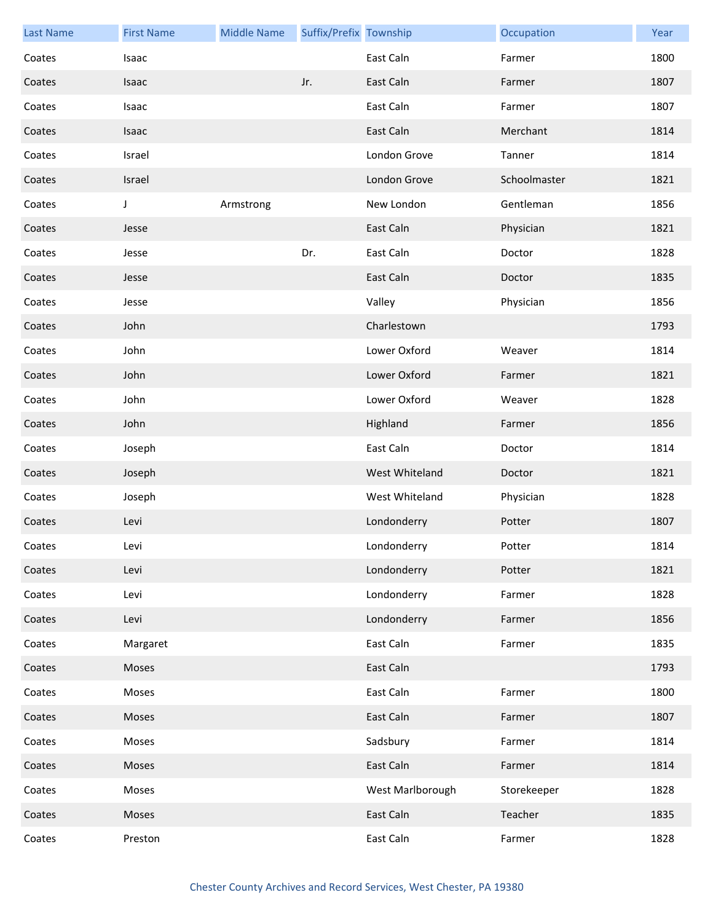| <b>Last Name</b> | <b>First Name</b> | <b>Middle Name</b> | Suffix/Prefix Township |                  | Occupation   | Year |
|------------------|-------------------|--------------------|------------------------|------------------|--------------|------|
| Coates           | <b>Isaac</b>      |                    |                        | East Caln        | Farmer       | 1800 |
| Coates           | Isaac             |                    | Jr.                    | East Caln        | Farmer       | 1807 |
| Coates           | Isaac             |                    |                        | East Caln        | Farmer       | 1807 |
| Coates           | Isaac             |                    |                        | East Caln        | Merchant     | 1814 |
| Coates           | Israel            |                    |                        | London Grove     | Tanner       | 1814 |
| Coates           | Israel            |                    |                        | London Grove     | Schoolmaster | 1821 |
| Coates           | J                 | Armstrong          |                        | New London       | Gentleman    | 1856 |
| Coates           | Jesse             |                    |                        | East Caln        | Physician    | 1821 |
| Coates           | Jesse             |                    | Dr.                    | East Caln        | Doctor       | 1828 |
| Coates           | Jesse             |                    |                        | East Caln        | Doctor       | 1835 |
| Coates           | Jesse             |                    |                        | Valley           | Physician    | 1856 |
| Coates           | John              |                    |                        | Charlestown      |              | 1793 |
| Coates           | John              |                    |                        | Lower Oxford     | Weaver       | 1814 |
| Coates           | John              |                    |                        | Lower Oxford     | Farmer       | 1821 |
| Coates           | John              |                    |                        | Lower Oxford     | Weaver       | 1828 |
| Coates           | John              |                    |                        | Highland         | Farmer       | 1856 |
| Coates           | Joseph            |                    |                        | East Caln        | Doctor       | 1814 |
| Coates           | Joseph            |                    |                        | West Whiteland   | Doctor       | 1821 |
| Coates           | Joseph            |                    |                        | West Whiteland   | Physician    | 1828 |
| Coates           | Levi              |                    |                        | Londonderry      | Potter       | 1807 |
| Coates           | Levi              |                    |                        | Londonderry      | Potter       | 1814 |
| Coates           | Levi              |                    |                        | Londonderry      | Potter       | 1821 |
| Coates           | Levi              |                    |                        | Londonderry      | Farmer       | 1828 |
| Coates           | Levi              |                    |                        | Londonderry      | Farmer       | 1856 |
| Coates           | Margaret          |                    |                        | East Caln        | Farmer       | 1835 |
| Coates           | Moses             |                    |                        | East Caln        |              | 1793 |
| Coates           | Moses             |                    |                        | East Caln        | Farmer       | 1800 |
| Coates           | Moses             |                    |                        | East Caln        | Farmer       | 1807 |
| Coates           | Moses             |                    |                        | Sadsbury         | Farmer       | 1814 |
| Coates           | Moses             |                    |                        | East Caln        | Farmer       | 1814 |
| Coates           | Moses             |                    |                        | West Marlborough | Storekeeper  | 1828 |
| Coates           | Moses             |                    |                        | East Caln        | Teacher      | 1835 |
| Coates           | Preston           |                    |                        | East Caln        | Farmer       | 1828 |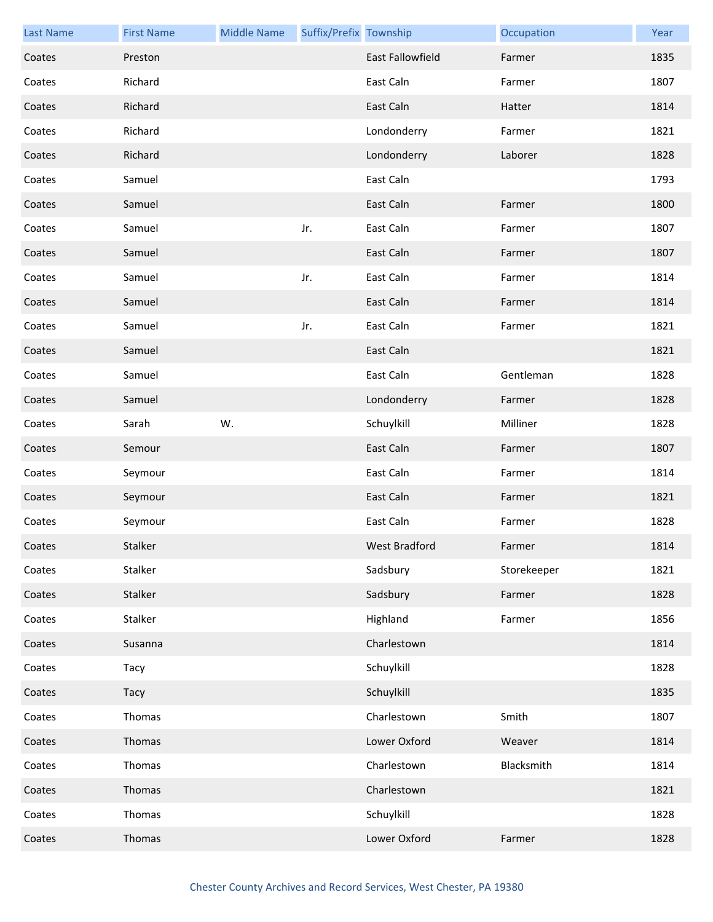| <b>Last Name</b> | <b>First Name</b> | <b>Middle Name</b> | Suffix/Prefix Township |                         | Occupation  | Year |
|------------------|-------------------|--------------------|------------------------|-------------------------|-------------|------|
| Coates           | Preston           |                    |                        | <b>East Fallowfield</b> | Farmer      | 1835 |
| Coates           | Richard           |                    |                        | East Caln               | Farmer      | 1807 |
| Coates           | Richard           |                    |                        | East Caln               | Hatter      | 1814 |
| Coates           | Richard           |                    |                        | Londonderry             | Farmer      | 1821 |
| Coates           | Richard           |                    |                        | Londonderry             | Laborer     | 1828 |
| Coates           | Samuel            |                    |                        | East Caln               |             | 1793 |
| Coates           | Samuel            |                    |                        | East Caln               | Farmer      | 1800 |
| Coates           | Samuel            |                    | Jr.                    | East Caln               | Farmer      | 1807 |
| Coates           | Samuel            |                    |                        | East Caln               | Farmer      | 1807 |
| Coates           | Samuel            |                    | Jr.                    | East Caln               | Farmer      | 1814 |
| Coates           | Samuel            |                    |                        | East Caln               | Farmer      | 1814 |
| Coates           | Samuel            |                    | Jr.                    | East Caln               | Farmer      | 1821 |
| Coates           | Samuel            |                    |                        | East Caln               |             | 1821 |
| Coates           | Samuel            |                    |                        | East Caln               | Gentleman   | 1828 |
| Coates           | Samuel            |                    |                        | Londonderry             | Farmer      | 1828 |
| Coates           | Sarah             | W.                 |                        | Schuylkill              | Milliner    | 1828 |
| Coates           | Semour            |                    |                        | East Caln               | Farmer      | 1807 |
| Coates           | Seymour           |                    |                        | East Caln               | Farmer      | 1814 |
| Coates           | Seymour           |                    |                        | East Caln               | Farmer      | 1821 |
| Coates           | Seymour           |                    |                        | East Caln               | Farmer      | 1828 |
| Coates           | Stalker           |                    |                        | West Bradford           | Farmer      | 1814 |
| Coates           | Stalker           |                    |                        | Sadsbury                | Storekeeper | 1821 |
| Coates           | Stalker           |                    |                        | Sadsbury                | Farmer      | 1828 |
| Coates           | Stalker           |                    |                        | Highland                | Farmer      | 1856 |
| Coates           | Susanna           |                    |                        | Charlestown             |             | 1814 |
| Coates           | Tacy              |                    |                        | Schuylkill              |             | 1828 |
| Coates           | Tacy              |                    |                        | Schuylkill              |             | 1835 |
| Coates           | Thomas            |                    |                        | Charlestown             | Smith       | 1807 |
| Coates           | Thomas            |                    |                        | Lower Oxford            | Weaver      | 1814 |
| Coates           | Thomas            |                    |                        | Charlestown             | Blacksmith  | 1814 |
| Coates           | Thomas            |                    |                        | Charlestown             |             | 1821 |
| Coates           | Thomas            |                    |                        | Schuylkill              |             | 1828 |
| Coates           | Thomas            |                    |                        | Lower Oxford            | Farmer      | 1828 |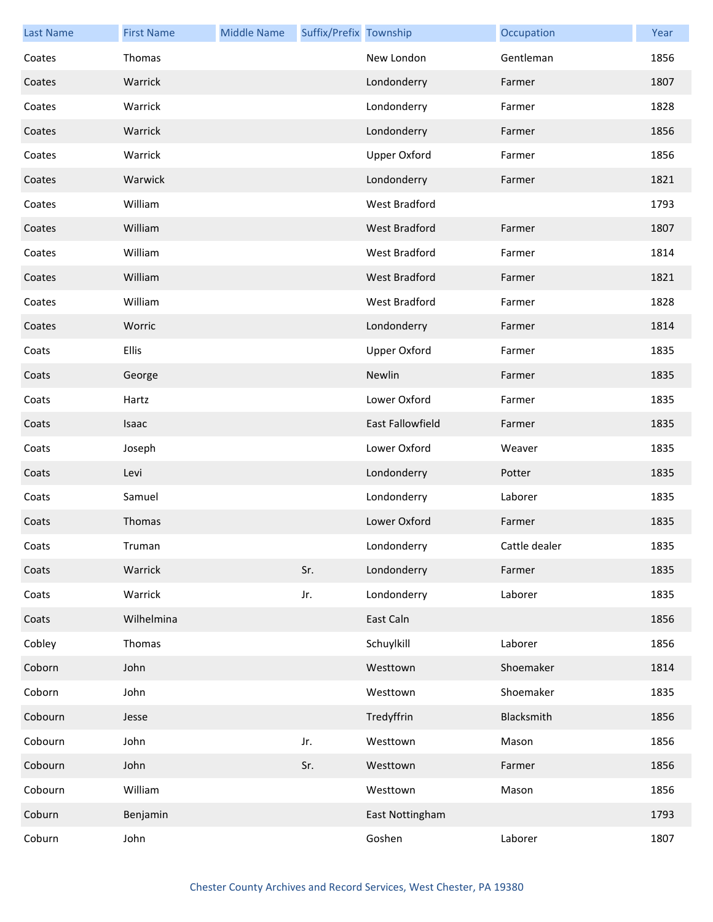| <b>Last Name</b> | <b>First Name</b> | <b>Middle Name</b> | Suffix/Prefix Township |                      | Occupation    | Year |
|------------------|-------------------|--------------------|------------------------|----------------------|---------------|------|
| Coates           | Thomas            |                    |                        | New London           | Gentleman     | 1856 |
| Coates           | Warrick           |                    |                        | Londonderry          | Farmer        | 1807 |
| Coates           | Warrick           |                    |                        | Londonderry          | Farmer        | 1828 |
| Coates           | Warrick           |                    |                        | Londonderry          | Farmer        | 1856 |
| Coates           | Warrick           |                    |                        | <b>Upper Oxford</b>  | Farmer        | 1856 |
| Coates           | Warwick           |                    |                        | Londonderry          | Farmer        | 1821 |
| Coates           | William           |                    |                        | West Bradford        |               | 1793 |
| Coates           | William           |                    |                        | <b>West Bradford</b> | Farmer        | 1807 |
| Coates           | William           |                    |                        | West Bradford        | Farmer        | 1814 |
| Coates           | William           |                    |                        | <b>West Bradford</b> | Farmer        | 1821 |
| Coates           | William           |                    |                        | West Bradford        | Farmer        | 1828 |
| Coates           | Worric            |                    |                        | Londonderry          | Farmer        | 1814 |
| Coats            | <b>Ellis</b>      |                    |                        | <b>Upper Oxford</b>  | Farmer        | 1835 |
| Coats            | George            |                    |                        | Newlin               | Farmer        | 1835 |
| Coats            | Hartz             |                    |                        | Lower Oxford         | Farmer        | 1835 |
| Coats            | Isaac             |                    |                        | East Fallowfield     | Farmer        | 1835 |
| Coats            | Joseph            |                    |                        | Lower Oxford         | Weaver        | 1835 |
| Coats            | Levi              |                    |                        | Londonderry          | Potter        | 1835 |
| Coats            | Samuel            |                    |                        | Londonderry          | Laborer       | 1835 |
| Coats            | Thomas            |                    |                        | Lower Oxford         | Farmer        | 1835 |
| Coats            | Truman            |                    |                        | Londonderry          | Cattle dealer | 1835 |
| Coats            | Warrick           |                    | Sr.                    | Londonderry          | Farmer        | 1835 |
| Coats            | Warrick           |                    | Jr.                    | Londonderry          | Laborer       | 1835 |
| Coats            | Wilhelmina        |                    |                        | East Caln            |               | 1856 |
| Cobley           | Thomas            |                    |                        | Schuylkill           | Laborer       | 1856 |
| Coborn           | John              |                    |                        | Westtown             | Shoemaker     | 1814 |
| Coborn           | John              |                    |                        | Westtown             | Shoemaker     | 1835 |
| Cobourn          | Jesse             |                    |                        | Tredyffrin           | Blacksmith    | 1856 |
| Cobourn          | John              |                    | Jr.                    | Westtown             | Mason         | 1856 |
| Cobourn          | John              |                    | Sr.                    | Westtown             | Farmer        | 1856 |
| Cobourn          | William           |                    |                        | Westtown             | Mason         | 1856 |
| Coburn           | Benjamin          |                    |                        | East Nottingham      |               | 1793 |
| Coburn           | John              |                    |                        | Goshen               | Laborer       | 1807 |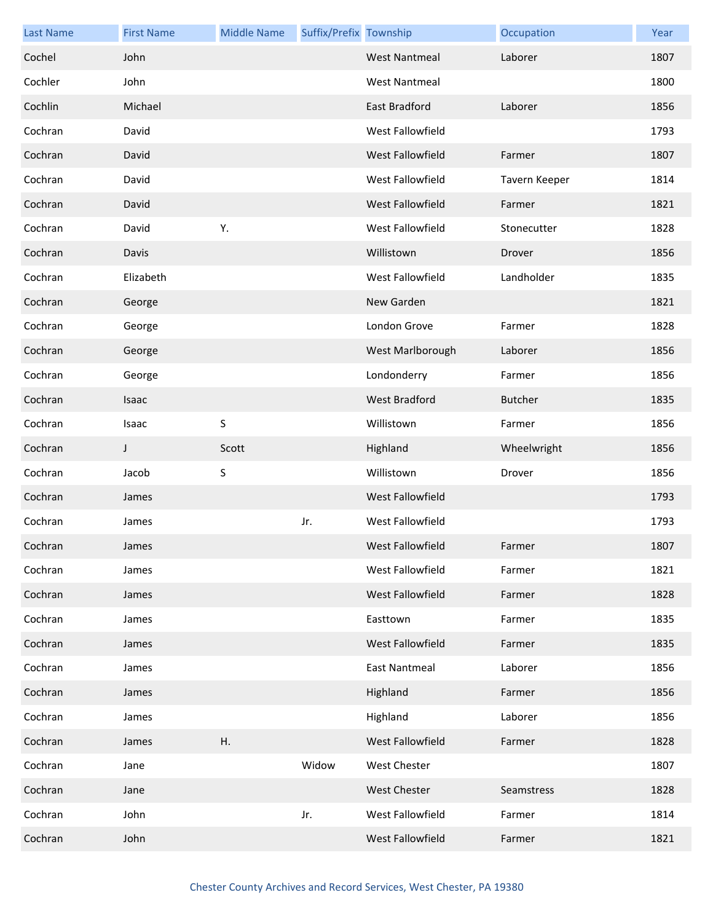| <b>Last Name</b> | <b>First Name</b> | <b>Middle Name</b> | Suffix/Prefix Township |                      | Occupation     | Year |
|------------------|-------------------|--------------------|------------------------|----------------------|----------------|------|
| Cochel           | John              |                    |                        | <b>West Nantmeal</b> | Laborer        | 1807 |
| Cochler          | John              |                    |                        | <b>West Nantmeal</b> |                | 1800 |
| Cochlin          | Michael           |                    |                        | East Bradford        | Laborer        | 1856 |
| Cochran          | David             |                    |                        | West Fallowfield     |                | 1793 |
| Cochran          | David             |                    |                        | West Fallowfield     | Farmer         | 1807 |
| Cochran          | David             |                    |                        | West Fallowfield     | Tavern Keeper  | 1814 |
| Cochran          | David             |                    |                        | West Fallowfield     | Farmer         | 1821 |
| Cochran          | David             | Υ.                 |                        | West Fallowfield     | Stonecutter    | 1828 |
| Cochran          | Davis             |                    |                        | Willistown           | Drover         | 1856 |
| Cochran          | Elizabeth         |                    |                        | West Fallowfield     | Landholder     | 1835 |
| Cochran          | George            |                    |                        | New Garden           |                | 1821 |
| Cochran          | George            |                    |                        | London Grove         | Farmer         | 1828 |
| Cochran          | George            |                    |                        | West Marlborough     | Laborer        | 1856 |
| Cochran          | George            |                    |                        | Londonderry          | Farmer         | 1856 |
| Cochran          | Isaac             |                    |                        | <b>West Bradford</b> | <b>Butcher</b> | 1835 |
| Cochran          | Isaac             | $\mathsf S$        |                        | Willistown           | Farmer         | 1856 |
| Cochran          | J                 | Scott              |                        | Highland             | Wheelwright    | 1856 |
| Cochran          | Jacob             | $\sf S$            |                        | Willistown           | Drover         | 1856 |
| Cochran          | James             |                    |                        | West Fallowfield     |                | 1793 |
| Cochran          | James             |                    | Jr.                    | West Fallowfield     |                | 1793 |
| Cochran          | James             |                    |                        | West Fallowfield     | Farmer         | 1807 |
| Cochran          | James             |                    |                        | West Fallowfield     | Farmer         | 1821 |
| Cochran          | James             |                    |                        | West Fallowfield     | Farmer         | 1828 |
| Cochran          | James             |                    |                        | Easttown             | Farmer         | 1835 |
| Cochran          | James             |                    |                        | West Fallowfield     | Farmer         | 1835 |
| Cochran          | James             |                    |                        | <b>East Nantmeal</b> | Laborer        | 1856 |
| Cochran          | James             |                    |                        | Highland             | Farmer         | 1856 |
| Cochran          | James             |                    |                        | Highland             | Laborer        | 1856 |
| Cochran          | James             | Η.                 |                        | West Fallowfield     | Farmer         | 1828 |
| Cochran          | Jane              |                    | Widow                  | <b>West Chester</b>  |                | 1807 |
| Cochran          | Jane              |                    |                        | West Chester         | Seamstress     | 1828 |
| Cochran          | John              |                    | Jr.                    | West Fallowfield     | Farmer         | 1814 |
| Cochran          | John              |                    |                        | West Fallowfield     | Farmer         | 1821 |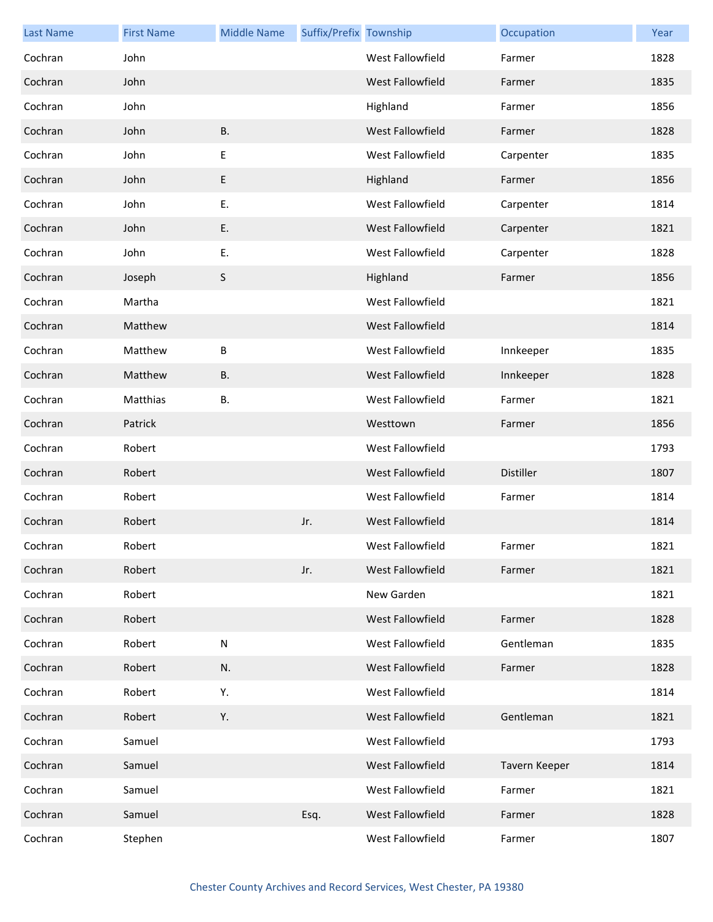| <b>Last Name</b> | <b>First Name</b> | <b>Middle Name</b> | Suffix/Prefix Township |                         | Occupation       | Year |
|------------------|-------------------|--------------------|------------------------|-------------------------|------------------|------|
| Cochran          | John              |                    |                        | West Fallowfield        | Farmer           | 1828 |
| Cochran          | John              |                    |                        | West Fallowfield        | Farmer           | 1835 |
| Cochran          | John              |                    |                        | Highland                | Farmer           | 1856 |
| Cochran          | John              | <b>B.</b>          |                        | <b>West Fallowfield</b> | Farmer           | 1828 |
| Cochran          | John              | E                  |                        | West Fallowfield        | Carpenter        | 1835 |
| Cochran          | John              | E                  |                        | Highland                | Farmer           | 1856 |
| Cochran          | John              | Ε.                 |                        | West Fallowfield        | Carpenter        | 1814 |
| Cochran          | John              | Ε.                 |                        | <b>West Fallowfield</b> | Carpenter        | 1821 |
| Cochran          | John              | Ε.                 |                        | West Fallowfield        | Carpenter        | 1828 |
| Cochran          | Joseph            | S                  |                        | Highland                | Farmer           | 1856 |
| Cochran          | Martha            |                    |                        | West Fallowfield        |                  | 1821 |
| Cochran          | Matthew           |                    |                        | <b>West Fallowfield</b> |                  | 1814 |
| Cochran          | Matthew           | B                  |                        | West Fallowfield        | Innkeeper        | 1835 |
| Cochran          | Matthew           | <b>B.</b>          |                        | <b>West Fallowfield</b> | Innkeeper        | 1828 |
| Cochran          | Matthias          | В.                 |                        | West Fallowfield        | Farmer           | 1821 |
| Cochran          | Patrick           |                    |                        | Westtown                | Farmer           | 1856 |
| Cochran          | Robert            |                    |                        | West Fallowfield        |                  | 1793 |
| Cochran          | Robert            |                    |                        | <b>West Fallowfield</b> | <b>Distiller</b> | 1807 |
| Cochran          | Robert            |                    |                        | West Fallowfield        | Farmer           | 1814 |
| Cochran          | Robert            |                    | Jr.                    | <b>West Fallowfield</b> |                  | 1814 |
| Cochran          | Robert            |                    |                        | West Fallowfield        | Farmer           | 1821 |
| Cochran          | Robert            |                    | Jr.                    | <b>West Fallowfield</b> | Farmer           | 1821 |
| Cochran          | Robert            |                    |                        | New Garden              |                  | 1821 |
| Cochran          | Robert            |                    |                        | West Fallowfield        | Farmer           | 1828 |
| Cochran          | Robert            | ${\sf N}$          |                        | West Fallowfield        | Gentleman        | 1835 |
| Cochran          | Robert            | N.                 |                        | West Fallowfield        | Farmer           | 1828 |
| Cochran          | Robert            | Υ.                 |                        | West Fallowfield        |                  | 1814 |
| Cochran          | Robert            | Υ.                 |                        | West Fallowfield        | Gentleman        | 1821 |
| Cochran          | Samuel            |                    |                        | West Fallowfield        |                  | 1793 |
| Cochran          | Samuel            |                    |                        | West Fallowfield        | Tavern Keeper    | 1814 |
| Cochran          | Samuel            |                    |                        | West Fallowfield        | Farmer           | 1821 |
| Cochran          | Samuel            |                    | Esq.                   | West Fallowfield        | Farmer           | 1828 |
| Cochran          | Stephen           |                    |                        | West Fallowfield        | Farmer           | 1807 |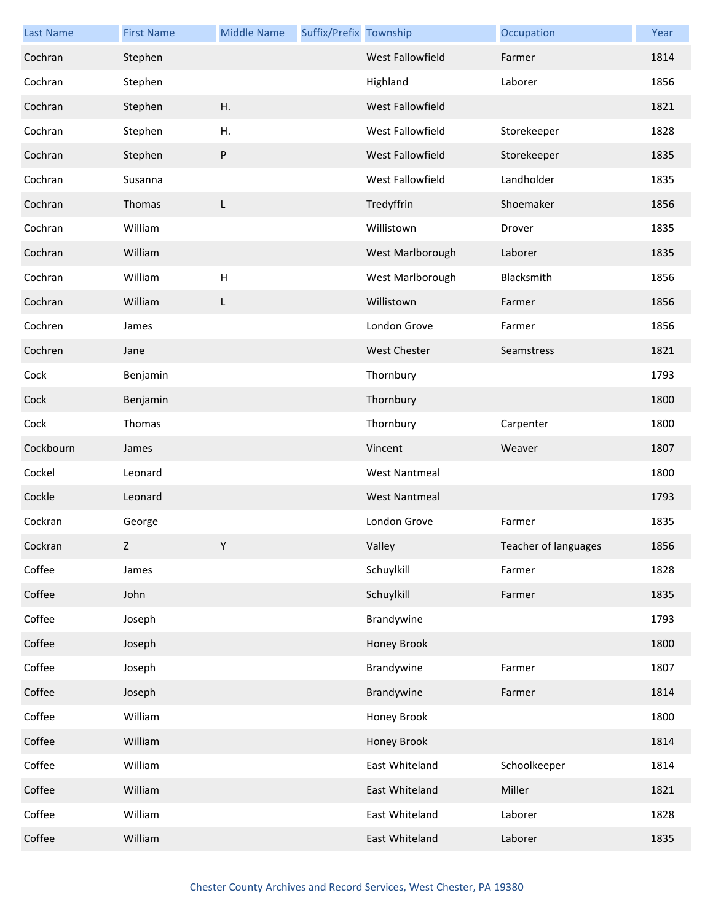| <b>Last Name</b> | <b>First Name</b> | <b>Middle Name</b> | Suffix/Prefix Township |                      | Occupation           | Year |
|------------------|-------------------|--------------------|------------------------|----------------------|----------------------|------|
| Cochran          | Stephen           |                    |                        | West Fallowfield     | Farmer               | 1814 |
| Cochran          | Stephen           |                    |                        | Highland             | Laborer              | 1856 |
| Cochran          | Stephen           | H.                 |                        | West Fallowfield     |                      | 1821 |
| Cochran          | Stephen           | Η.                 |                        | West Fallowfield     | Storekeeper          | 1828 |
| Cochran          | Stephen           | ${\sf P}$          |                        | West Fallowfield     | Storekeeper          | 1835 |
| Cochran          | Susanna           |                    |                        | West Fallowfield     | Landholder           | 1835 |
| Cochran          | Thomas            | L                  |                        | Tredyffrin           | Shoemaker            | 1856 |
| Cochran          | William           |                    |                        | Willistown           | Drover               | 1835 |
| Cochran          | William           |                    |                        | West Marlborough     | Laborer              | 1835 |
| Cochran          | William           | H                  |                        | West Marlborough     | Blacksmith           | 1856 |
| Cochran          | William           | L                  |                        | Willistown           | Farmer               | 1856 |
| Cochren          | James             |                    |                        | London Grove         | Farmer               | 1856 |
| Cochren          | Jane              |                    |                        | <b>West Chester</b>  | Seamstress           | 1821 |
| Cock             | Benjamin          |                    |                        | Thornbury            |                      | 1793 |
| Cock             | Benjamin          |                    |                        | Thornbury            |                      | 1800 |
| Cock             | Thomas            |                    |                        | Thornbury            | Carpenter            | 1800 |
| Cockbourn        | James             |                    |                        | Vincent              | Weaver               | 1807 |
| Cockel           | Leonard           |                    |                        | <b>West Nantmeal</b> |                      | 1800 |
| Cockle           | Leonard           |                    |                        | <b>West Nantmeal</b> |                      | 1793 |
| Cockran          | George            |                    |                        | London Grove         | Farmer               | 1835 |
| Cockran          | 7                 | Y                  |                        | Valley               | Teacher of languages | 1856 |
| Coffee           | James             |                    |                        | Schuylkill           | Farmer               | 1828 |
| Coffee           | John              |                    |                        | Schuylkill           | Farmer               | 1835 |
| Coffee           | Joseph            |                    |                        | Brandywine           |                      | 1793 |
| Coffee           | Joseph            |                    |                        | Honey Brook          |                      | 1800 |
| Coffee           | Joseph            |                    |                        | Brandywine           | Farmer               | 1807 |
| Coffee           | Joseph            |                    |                        | Brandywine           | Farmer               | 1814 |
| Coffee           | William           |                    |                        | Honey Brook          |                      | 1800 |
| Coffee           | William           |                    |                        | Honey Brook          |                      | 1814 |
| Coffee           | William           |                    |                        | East Whiteland       | Schoolkeeper         | 1814 |
| Coffee           | William           |                    |                        | East Whiteland       | Miller               | 1821 |
| Coffee           | William           |                    |                        | East Whiteland       | Laborer              | 1828 |
| Coffee           | William           |                    |                        | East Whiteland       | Laborer              | 1835 |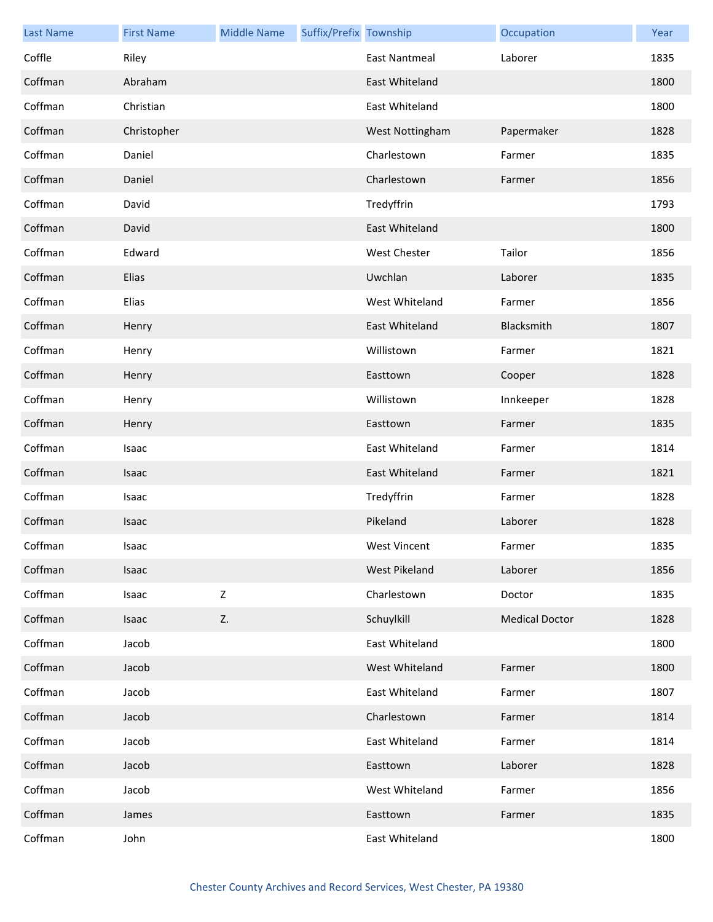| <b>Last Name</b> | <b>First Name</b> | <b>Middle Name</b> | Suffix/Prefix Township |                     | Occupation            | Year |
|------------------|-------------------|--------------------|------------------------|---------------------|-----------------------|------|
| Coffle           | Riley             |                    |                        | East Nantmeal       | Laborer               | 1835 |
| Coffman          | Abraham           |                    |                        | East Whiteland      |                       | 1800 |
| Coffman          | Christian         |                    |                        | East Whiteland      |                       | 1800 |
| Coffman          | Christopher       |                    |                        | West Nottingham     | Papermaker            | 1828 |
| Coffman          | Daniel            |                    |                        | Charlestown         | Farmer                | 1835 |
| Coffman          | Daniel            |                    |                        | Charlestown         | Farmer                | 1856 |
| Coffman          | David             |                    |                        | Tredyffrin          |                       | 1793 |
| Coffman          | David             |                    |                        | East Whiteland      |                       | 1800 |
| Coffman          | Edward            |                    |                        | <b>West Chester</b> | Tailor                | 1856 |
| Coffman          | Elias             |                    |                        | Uwchlan             | Laborer               | 1835 |
| Coffman          | Elias             |                    |                        | West Whiteland      | Farmer                | 1856 |
| Coffman          | Henry             |                    |                        | East Whiteland      | Blacksmith            | 1807 |
| Coffman          | Henry             |                    |                        | Willistown          | Farmer                | 1821 |
| Coffman          | Henry             |                    |                        | Easttown            | Cooper                | 1828 |
| Coffman          | Henry             |                    |                        | Willistown          | Innkeeper             | 1828 |
| Coffman          | Henry             |                    |                        | Easttown            | Farmer                | 1835 |
| Coffman          | Isaac             |                    |                        | East Whiteland      | Farmer                | 1814 |
| Coffman          | Isaac             |                    |                        | East Whiteland      | Farmer                | 1821 |
| Coffman          | Isaac             |                    |                        | Tredyffrin          | Farmer                | 1828 |
| Coffman          | Isaac             |                    |                        | Pikeland            | Laborer               | 1828 |
| Coffman          | Isaac             |                    |                        | West Vincent        | Farmer                | 1835 |
| Coffman          | Isaac             |                    |                        | West Pikeland       | Laborer               | 1856 |
| Coffman          | Isaac             | Z                  |                        | Charlestown         | Doctor                | 1835 |
| Coffman          | Isaac             | Z.                 |                        | Schuylkill          | <b>Medical Doctor</b> | 1828 |
| Coffman          | Jacob             |                    |                        | East Whiteland      |                       | 1800 |
| Coffman          | Jacob             |                    |                        | West Whiteland      | Farmer                | 1800 |
| Coffman          | Jacob             |                    |                        | East Whiteland      | Farmer                | 1807 |
| Coffman          | Jacob             |                    |                        | Charlestown         | Farmer                | 1814 |
| Coffman          | Jacob             |                    |                        | East Whiteland      | Farmer                | 1814 |
| Coffman          | Jacob             |                    |                        | Easttown            | Laborer               | 1828 |
| Coffman          | Jacob             |                    |                        | West Whiteland      | Farmer                | 1856 |
| Coffman          | James             |                    |                        | Easttown            | Farmer                | 1835 |
| Coffman          | John              |                    |                        | East Whiteland      |                       | 1800 |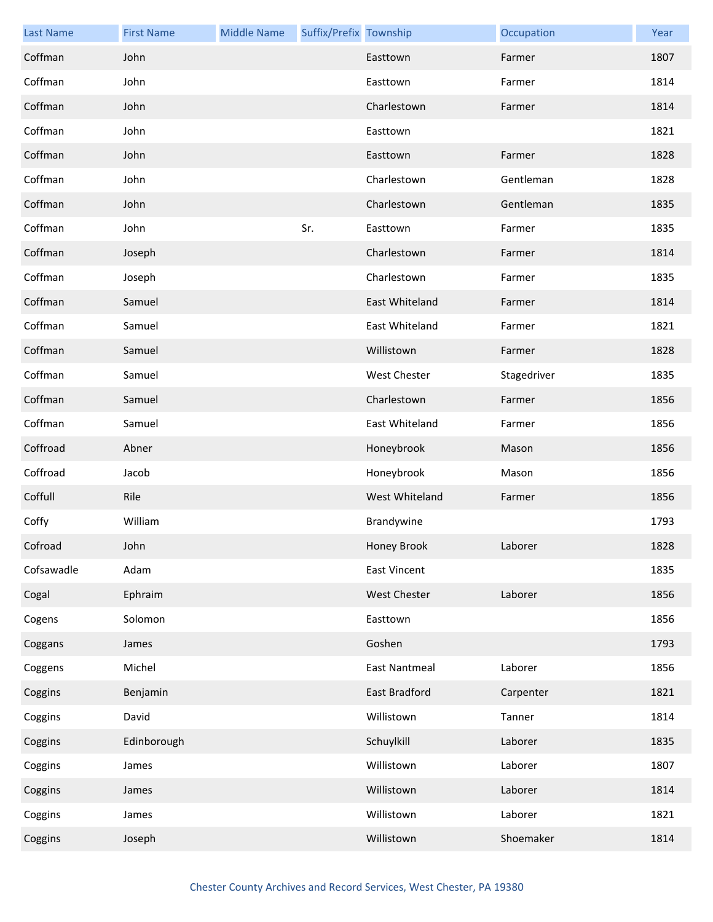| <b>Last Name</b> | <b>First Name</b> | <b>Middle Name</b> | Suffix/Prefix Township |                      | Occupation  | Year |
|------------------|-------------------|--------------------|------------------------|----------------------|-------------|------|
| Coffman          | John              |                    |                        | Easttown             | Farmer      | 1807 |
| Coffman          | John              |                    |                        | Easttown             | Farmer      | 1814 |
| Coffman          | John              |                    |                        | Charlestown          | Farmer      | 1814 |
| Coffman          | John              |                    |                        | Easttown             |             | 1821 |
| Coffman          | John              |                    |                        | Easttown             | Farmer      | 1828 |
| Coffman          | John              |                    |                        | Charlestown          | Gentleman   | 1828 |
| Coffman          | John              |                    |                        | Charlestown          | Gentleman   | 1835 |
| Coffman          | John              |                    | Sr.                    | Easttown             | Farmer      | 1835 |
| Coffman          | Joseph            |                    |                        | Charlestown          | Farmer      | 1814 |
| Coffman          | Joseph            |                    |                        | Charlestown          | Farmer      | 1835 |
| Coffman          | Samuel            |                    |                        | East Whiteland       | Farmer      | 1814 |
| Coffman          | Samuel            |                    |                        | East Whiteland       | Farmer      | 1821 |
| Coffman          | Samuel            |                    |                        | Willistown           | Farmer      | 1828 |
| Coffman          | Samuel            |                    |                        | West Chester         | Stagedriver | 1835 |
| Coffman          | Samuel            |                    |                        | Charlestown          | Farmer      | 1856 |
| Coffman          | Samuel            |                    |                        | East Whiteland       | Farmer      | 1856 |
| Coffroad         | Abner             |                    |                        | Honeybrook           | Mason       | 1856 |
| Coffroad         | Jacob             |                    |                        | Honeybrook           | Mason       | 1856 |
| Coffull          | Rile              |                    |                        | West Whiteland       | Farmer      | 1856 |
| Coffy            | William           |                    |                        | Brandywine           |             | 1793 |
| Cofroad          | John              |                    |                        | Honey Brook          | Laborer     | 1828 |
| Cofsawadle       | Adam              |                    |                        | <b>East Vincent</b>  |             | 1835 |
| Cogal            | Ephraim           |                    |                        | <b>West Chester</b>  | Laborer     | 1856 |
| Cogens           | Solomon           |                    |                        | Easttown             |             | 1856 |
| Coggans          | James             |                    |                        | Goshen               |             | 1793 |
| Coggens          | Michel            |                    |                        | <b>East Nantmeal</b> | Laborer     | 1856 |
| Coggins          | Benjamin          |                    |                        | <b>East Bradford</b> | Carpenter   | 1821 |
| Coggins          | David             |                    |                        | Willistown           | Tanner      | 1814 |
| Coggins          | Edinborough       |                    |                        | Schuylkill           | Laborer     | 1835 |
| Coggins          | James             |                    |                        | Willistown           | Laborer     | 1807 |
| Coggins          | James             |                    |                        | Willistown           | Laborer     | 1814 |
| Coggins          | James             |                    |                        | Willistown           | Laborer     | 1821 |
| Coggins          | Joseph            |                    |                        | Willistown           | Shoemaker   | 1814 |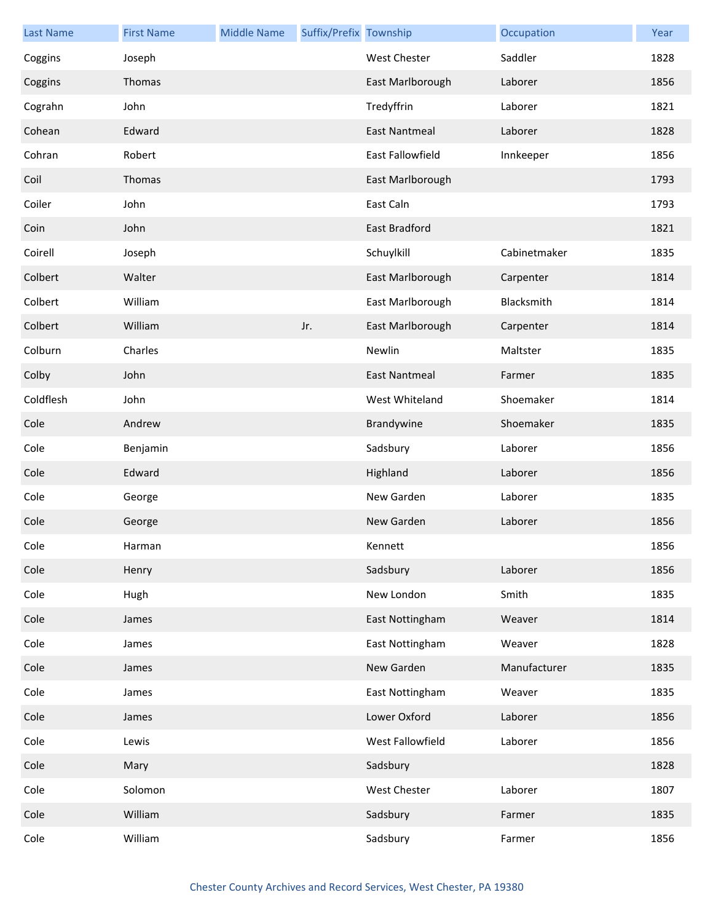| <b>Last Name</b> | <b>First Name</b> | <b>Middle Name</b> | Suffix/Prefix Township |                      | Occupation   | Year |
|------------------|-------------------|--------------------|------------------------|----------------------|--------------|------|
| Coggins          | Joseph            |                    |                        | West Chester         | Saddler      | 1828 |
| Coggins          | Thomas            |                    |                        | East Marlborough     | Laborer      | 1856 |
| Cograhn          | John              |                    |                        | Tredyffrin           | Laborer      | 1821 |
| Cohean           | Edward            |                    |                        | <b>East Nantmeal</b> | Laborer      | 1828 |
| Cohran           | Robert            |                    |                        | East Fallowfield     | Innkeeper    | 1856 |
| Coil             | Thomas            |                    |                        | East Marlborough     |              | 1793 |
| Coiler           | John              |                    |                        | East Caln            |              | 1793 |
| Coin             | John              |                    |                        | <b>East Bradford</b> |              | 1821 |
| Coirell          | Joseph            |                    |                        | Schuylkill           | Cabinetmaker | 1835 |
| Colbert          | Walter            |                    |                        | East Marlborough     | Carpenter    | 1814 |
| Colbert          | William           |                    |                        | East Marlborough     | Blacksmith   | 1814 |
| Colbert          | William           |                    | Jr.                    | East Marlborough     | Carpenter    | 1814 |
| Colburn          | Charles           |                    |                        | Newlin               | Maltster     | 1835 |
| Colby            | John              |                    |                        | <b>East Nantmeal</b> | Farmer       | 1835 |
| Coldflesh        | John              |                    |                        | West Whiteland       | Shoemaker    | 1814 |
| Cole             | Andrew            |                    |                        | Brandywine           | Shoemaker    | 1835 |
| Cole             | Benjamin          |                    |                        | Sadsbury             | Laborer      | 1856 |
| Cole             | Edward            |                    |                        | Highland             | Laborer      | 1856 |
| Cole             | George            |                    |                        | New Garden           | Laborer      | 1835 |
| Cole             | George            |                    |                        | New Garden           | Laborer      | 1856 |
| Cole             | Harman            |                    |                        | Kennett              |              | 1856 |
| Cole             | Henry             |                    |                        | Sadsbury             | Laborer      | 1856 |
| Cole             | Hugh              |                    |                        | New London           | Smith        | 1835 |
| Cole             | James             |                    |                        | East Nottingham      | Weaver       | 1814 |
| Cole             | James             |                    |                        | East Nottingham      | Weaver       | 1828 |
| Cole             | James             |                    |                        | New Garden           | Manufacturer | 1835 |
| Cole             | James             |                    |                        | East Nottingham      | Weaver       | 1835 |
| Cole             | James             |                    |                        | Lower Oxford         | Laborer      | 1856 |
| Cole             | Lewis             |                    |                        | West Fallowfield     | Laborer      | 1856 |
| Cole             | Mary              |                    |                        | Sadsbury             |              | 1828 |
| Cole             | Solomon           |                    |                        | West Chester         | Laborer      | 1807 |
| Cole             | William           |                    |                        | Sadsbury             | Farmer       | 1835 |
| Cole             | William           |                    |                        | Sadsbury             | Farmer       | 1856 |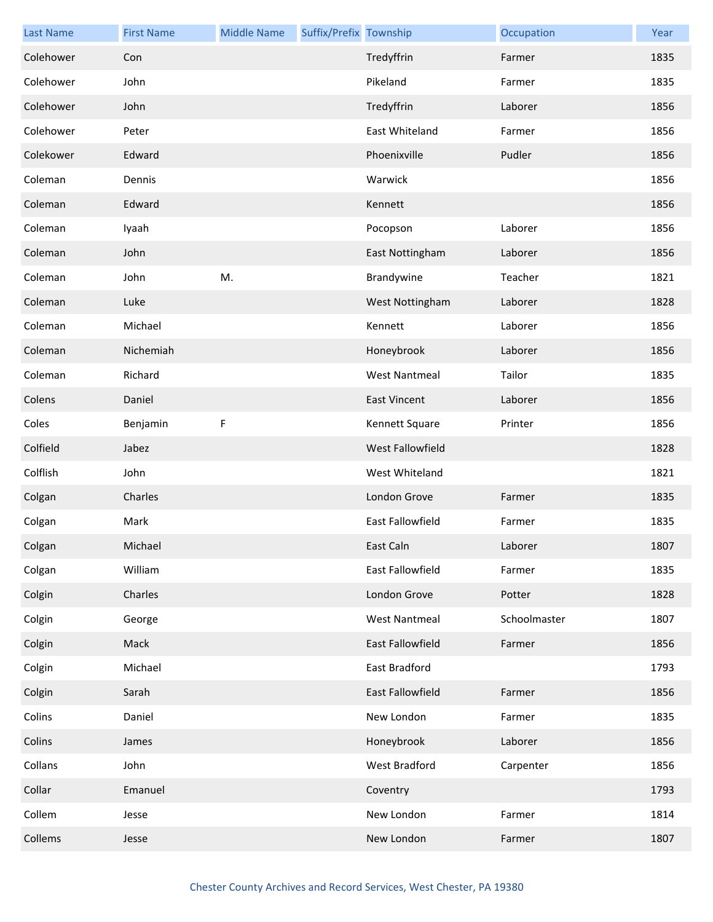| <b>Last Name</b> | <b>First Name</b> | <b>Middle Name</b> | Suffix/Prefix Township |                         | Occupation   | Year |
|------------------|-------------------|--------------------|------------------------|-------------------------|--------------|------|
| Colehower        | Con               |                    |                        | Tredyffrin              | Farmer       | 1835 |
| Colehower        | John              |                    |                        | Pikeland                | Farmer       | 1835 |
| Colehower        | John              |                    |                        | Tredyffrin              | Laborer      | 1856 |
| Colehower        | Peter             |                    |                        | East Whiteland          | Farmer       | 1856 |
| Colekower        | Edward            |                    |                        | Phoenixville            | Pudler       | 1856 |
| Coleman          | Dennis            |                    |                        | Warwick                 |              | 1856 |
| Coleman          | Edward            |                    |                        | Kennett                 |              | 1856 |
| Coleman          | Iyaah             |                    |                        | Pocopson                | Laborer      | 1856 |
| Coleman          | John              |                    |                        | East Nottingham         | Laborer      | 1856 |
| Coleman          | John              | M.                 |                        | Brandywine              | Teacher      | 1821 |
| Coleman          | Luke              |                    |                        | West Nottingham         | Laborer      | 1828 |
| Coleman          | Michael           |                    |                        | Kennett                 | Laborer      | 1856 |
| Coleman          | Nichemiah         |                    |                        | Honeybrook              | Laborer      | 1856 |
| Coleman          | Richard           |                    |                        | <b>West Nantmeal</b>    | Tailor       | 1835 |
| Colens           | Daniel            |                    |                        | <b>East Vincent</b>     | Laborer      | 1856 |
| Coles            | Benjamin          | F                  |                        | Kennett Square          | Printer      | 1856 |
| Colfield         | Jabez             |                    |                        | West Fallowfield        |              | 1828 |
| Colflish         | John              |                    |                        | West Whiteland          |              | 1821 |
| Colgan           | Charles           |                    |                        | London Grove            | Farmer       | 1835 |
| Colgan           | Mark              |                    |                        | <b>East Fallowfield</b> | Farmer       | 1835 |
| Colgan           | Michael           |                    |                        | East Caln               | Laborer      | 1807 |
| Colgan           | William           |                    |                        | East Fallowfield        | Farmer       | 1835 |
| Colgin           | Charles           |                    |                        | London Grove            | Potter       | 1828 |
| Colgin           | George            |                    |                        | <b>West Nantmeal</b>    | Schoolmaster | 1807 |
| Colgin           | Mack              |                    |                        | East Fallowfield        | Farmer       | 1856 |
| Colgin           | Michael           |                    |                        | East Bradford           |              | 1793 |
| Colgin           | Sarah             |                    |                        | East Fallowfield        | Farmer       | 1856 |
| Colins           | Daniel            |                    |                        | New London              | Farmer       | 1835 |
| Colins           | James             |                    |                        | Honeybrook              | Laborer      | 1856 |
| Collans          | John              |                    |                        | West Bradford           | Carpenter    | 1856 |
| Collar           | Emanuel           |                    |                        | Coventry                |              | 1793 |
| Collem           | Jesse             |                    |                        | New London              | Farmer       | 1814 |
| Collems          | Jesse             |                    |                        | New London              | Farmer       | 1807 |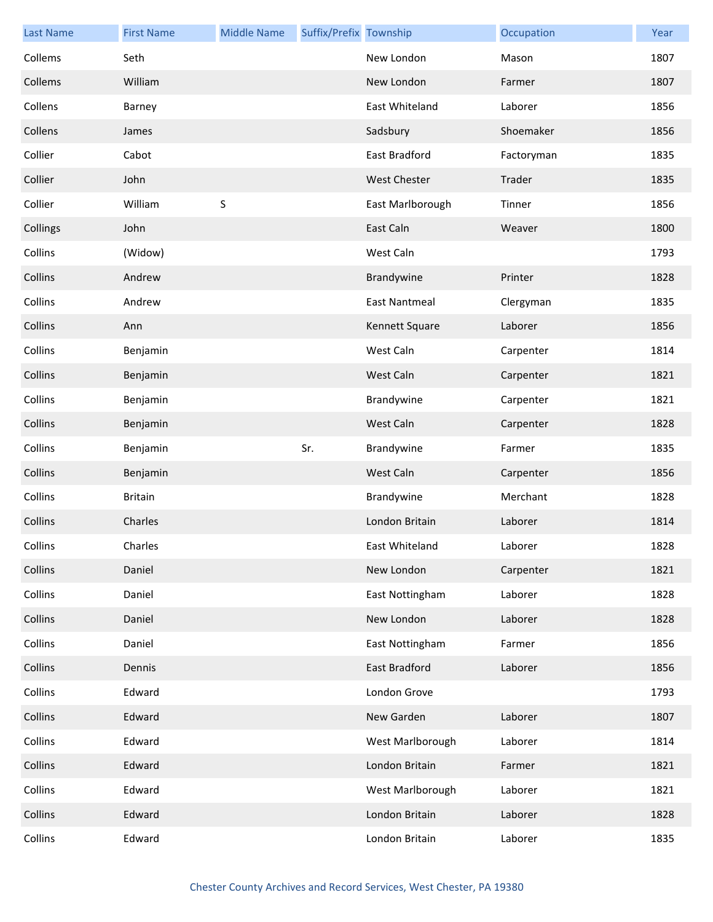| <b>Last Name</b> | <b>First Name</b> | <b>Middle Name</b> | Suffix/Prefix Township |                      | Occupation | Year |
|------------------|-------------------|--------------------|------------------------|----------------------|------------|------|
| Collems          | Seth              |                    |                        | New London           | Mason      | 1807 |
| Collems          | William           |                    |                        | New London           | Farmer     | 1807 |
| Collens          | Barney            |                    |                        | East Whiteland       | Laborer    | 1856 |
| Collens          | James             |                    |                        | Sadsbury             | Shoemaker  | 1856 |
| Collier          | Cabot             |                    |                        | East Bradford        | Factoryman | 1835 |
| Collier          | John              |                    |                        | <b>West Chester</b>  | Trader     | 1835 |
| Collier          | William           | S                  |                        | East Marlborough     | Tinner     | 1856 |
| Collings         | John              |                    |                        | East Caln            | Weaver     | 1800 |
| Collins          | (Widow)           |                    |                        | West Caln            |            | 1793 |
| Collins          | Andrew            |                    |                        | Brandywine           | Printer    | 1828 |
| Collins          | Andrew            |                    |                        | <b>East Nantmeal</b> | Clergyman  | 1835 |
| Collins          | Ann               |                    |                        | Kennett Square       | Laborer    | 1856 |
| Collins          | Benjamin          |                    |                        | West Caln            | Carpenter  | 1814 |
| Collins          | Benjamin          |                    |                        | West Caln            | Carpenter  | 1821 |
| Collins          | Benjamin          |                    |                        | Brandywine           | Carpenter  | 1821 |
| Collins          | Benjamin          |                    |                        | West Caln            | Carpenter  | 1828 |
| Collins          | Benjamin          |                    | Sr.                    | Brandywine           | Farmer     | 1835 |
| Collins          | Benjamin          |                    |                        | West Caln            | Carpenter  | 1856 |
| Collins          | <b>Britain</b>    |                    |                        | Brandywine           | Merchant   | 1828 |
| Collins          | Charles           |                    |                        | London Britain       | Laborer    | 1814 |
| Collins          | Charles           |                    |                        | East Whiteland       | Laborer    | 1828 |
| Collins          | Daniel            |                    |                        | New London           | Carpenter  | 1821 |
| Collins          | Daniel            |                    |                        | East Nottingham      | Laborer    | 1828 |
| Collins          | Daniel            |                    |                        | New London           | Laborer    | 1828 |
| Collins          | Daniel            |                    |                        | East Nottingham      | Farmer     | 1856 |
| Collins          | Dennis            |                    |                        | East Bradford        | Laborer    | 1856 |
| Collins          | Edward            |                    |                        | London Grove         |            | 1793 |
| Collins          | Edward            |                    |                        | New Garden           | Laborer    | 1807 |
| Collins          | Edward            |                    |                        | West Marlborough     | Laborer    | 1814 |
| Collins          | Edward            |                    |                        | London Britain       | Farmer     | 1821 |
| Collins          | Edward            |                    |                        | West Marlborough     | Laborer    | 1821 |
| Collins          | Edward            |                    |                        | London Britain       | Laborer    | 1828 |
| Collins          | Edward            |                    |                        | London Britain       | Laborer    | 1835 |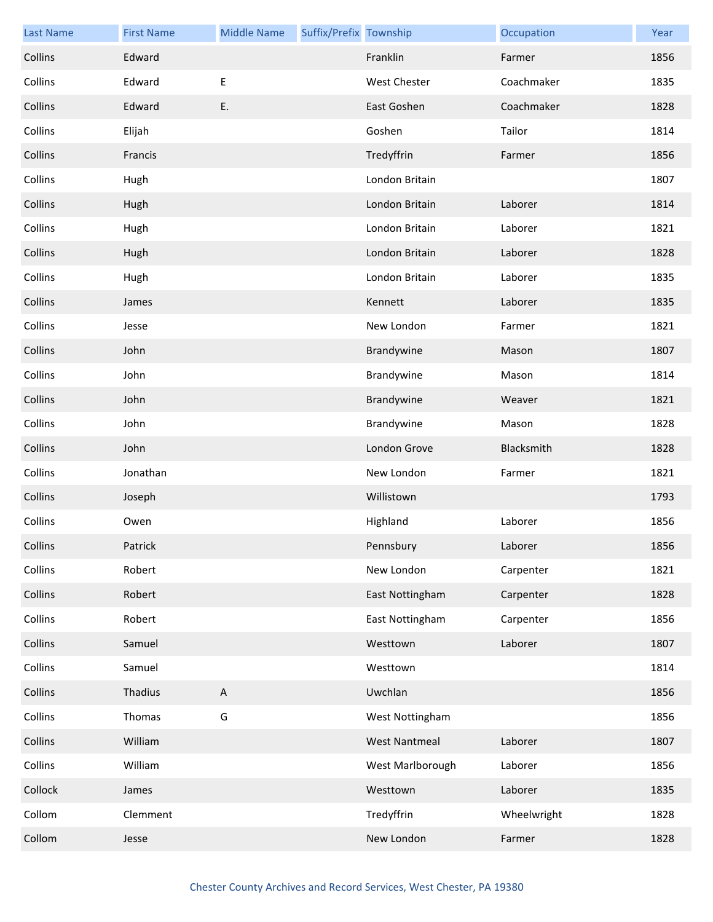| <b>Last Name</b> | <b>First Name</b> | <b>Middle Name</b>        | Suffix/Prefix Township |                      | Occupation  | Year |
|------------------|-------------------|---------------------------|------------------------|----------------------|-------------|------|
| Collins          | Edward            |                           |                        | Franklin             | Farmer      | 1856 |
| Collins          | Edward            | $\sf E$                   |                        | West Chester         | Coachmaker  | 1835 |
| Collins          | Edward            | E.                        |                        | East Goshen          | Coachmaker  | 1828 |
| Collins          | Elijah            |                           |                        | Goshen               | Tailor      | 1814 |
| Collins          | Francis           |                           |                        | Tredyffrin           | Farmer      | 1856 |
| Collins          | Hugh              |                           |                        | London Britain       |             | 1807 |
| Collins          | Hugh              |                           |                        | London Britain       | Laborer     | 1814 |
| Collins          | Hugh              |                           |                        | London Britain       | Laborer     | 1821 |
| Collins          | Hugh              |                           |                        | London Britain       | Laborer     | 1828 |
| Collins          | Hugh              |                           |                        | London Britain       | Laborer     | 1835 |
| Collins          | James             |                           |                        | Kennett              | Laborer     | 1835 |
| Collins          | Jesse             |                           |                        | New London           | Farmer      | 1821 |
| Collins          | John              |                           |                        | Brandywine           | Mason       | 1807 |
| Collins          | John              |                           |                        | Brandywine           | Mason       | 1814 |
| Collins          | John              |                           |                        | Brandywine           | Weaver      | 1821 |
| Collins          | John              |                           |                        | Brandywine           | Mason       | 1828 |
| Collins          | John              |                           |                        | London Grove         | Blacksmith  | 1828 |
| Collins          | Jonathan          |                           |                        | New London           | Farmer      | 1821 |
| Collins          | Joseph            |                           |                        | Willistown           |             | 1793 |
| Collins          | Owen              |                           |                        | Highland             | Laborer     | 1856 |
| Collins          | Patrick           |                           |                        | Pennsbury            | Laborer     | 1856 |
| Collins          | Robert            |                           |                        | New London           | Carpenter   | 1821 |
| Collins          | Robert            |                           |                        | East Nottingham      | Carpenter   | 1828 |
| Collins          | Robert            |                           |                        | East Nottingham      | Carpenter   | 1856 |
| Collins          | Samuel            |                           |                        | Westtown             | Laborer     | 1807 |
| Collins          | Samuel            |                           |                        | Westtown             |             | 1814 |
| Collins          | Thadius           | $\boldsymbol{\mathsf{A}}$ |                        | Uwchlan              |             | 1856 |
| Collins          | Thomas            | G                         |                        | West Nottingham      |             | 1856 |
| Collins          | William           |                           |                        | <b>West Nantmeal</b> | Laborer     | 1807 |
| Collins          | William           |                           |                        | West Marlborough     | Laborer     | 1856 |
| Collock          | James             |                           |                        | Westtown             | Laborer     | 1835 |
| Collom           | Clemment          |                           |                        | Tredyffrin           | Wheelwright | 1828 |
| Collom           | Jesse             |                           |                        | New London           | Farmer      | 1828 |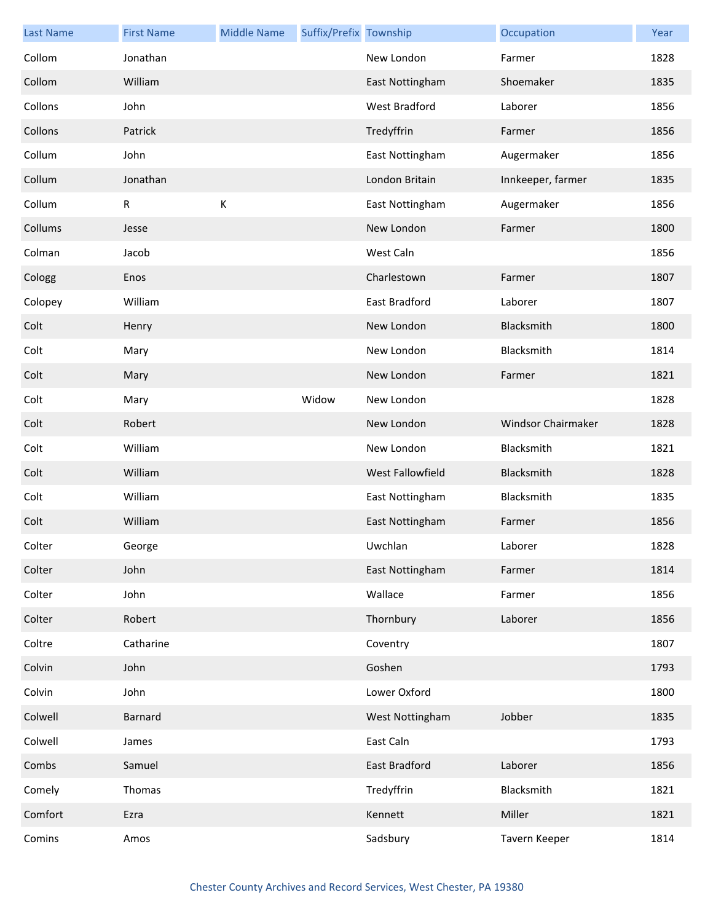| <b>Last Name</b> | <b>First Name</b> | <b>Middle Name</b> | Suffix/Prefix Township |                      | Occupation         | Year |
|------------------|-------------------|--------------------|------------------------|----------------------|--------------------|------|
| Collom           | Jonathan          |                    |                        | New London           | Farmer             | 1828 |
| Collom           | William           |                    |                        | East Nottingham      | Shoemaker          | 1835 |
| Collons          | John              |                    |                        | West Bradford        | Laborer            | 1856 |
| Collons          | Patrick           |                    |                        | Tredyffrin           | Farmer             | 1856 |
| Collum           | John              |                    |                        | East Nottingham      | Augermaker         | 1856 |
| Collum           | Jonathan          |                    |                        | London Britain       | Innkeeper, farmer  | 1835 |
| Collum           | R                 | К                  |                        | East Nottingham      | Augermaker         | 1856 |
| Collums          | Jesse             |                    |                        | New London           | Farmer             | 1800 |
| Colman           | Jacob             |                    |                        | West Caln            |                    | 1856 |
| Cologg           | Enos              |                    |                        | Charlestown          | Farmer             | 1807 |
| Colopey          | William           |                    |                        | East Bradford        | Laborer            | 1807 |
| Colt             | Henry             |                    |                        | New London           | Blacksmith         | 1800 |
| Colt             | Mary              |                    |                        | New London           | Blacksmith         | 1814 |
| Colt             | Mary              |                    |                        | New London           | Farmer             | 1821 |
| Colt             | Mary              |                    | Widow                  | New London           |                    | 1828 |
| Colt             | Robert            |                    |                        | New London           | Windsor Chairmaker | 1828 |
| Colt             | William           |                    |                        | New London           | Blacksmith         | 1821 |
| Colt             | William           |                    |                        | West Fallowfield     | Blacksmith         | 1828 |
| Colt             | William           |                    |                        | East Nottingham      | Blacksmith         | 1835 |
| Colt             | William           |                    |                        | East Nottingham      | Farmer             | 1856 |
| Colter           | George            |                    |                        | Uwchlan              | Laborer            | 1828 |
| Colter           | John              |                    |                        | East Nottingham      | Farmer             | 1814 |
| Colter           | John              |                    |                        | Wallace              | Farmer             | 1856 |
| Colter           | Robert            |                    |                        | Thornbury            | Laborer            | 1856 |
| Coltre           | Catharine         |                    |                        | Coventry             |                    | 1807 |
| Colvin           | John              |                    |                        | Goshen               |                    | 1793 |
| Colvin           | John              |                    |                        | Lower Oxford         |                    | 1800 |
| Colwell          | <b>Barnard</b>    |                    |                        | West Nottingham      | Jobber             | 1835 |
| Colwell          | James             |                    |                        | East Caln            |                    | 1793 |
| Combs            | Samuel            |                    |                        | <b>East Bradford</b> | Laborer            | 1856 |
| Comely           | Thomas            |                    |                        | Tredyffrin           | Blacksmith         | 1821 |
| Comfort          | Ezra              |                    |                        | Kennett              | Miller             | 1821 |
| Comins           | Amos              |                    |                        | Sadsbury             | Tavern Keeper      | 1814 |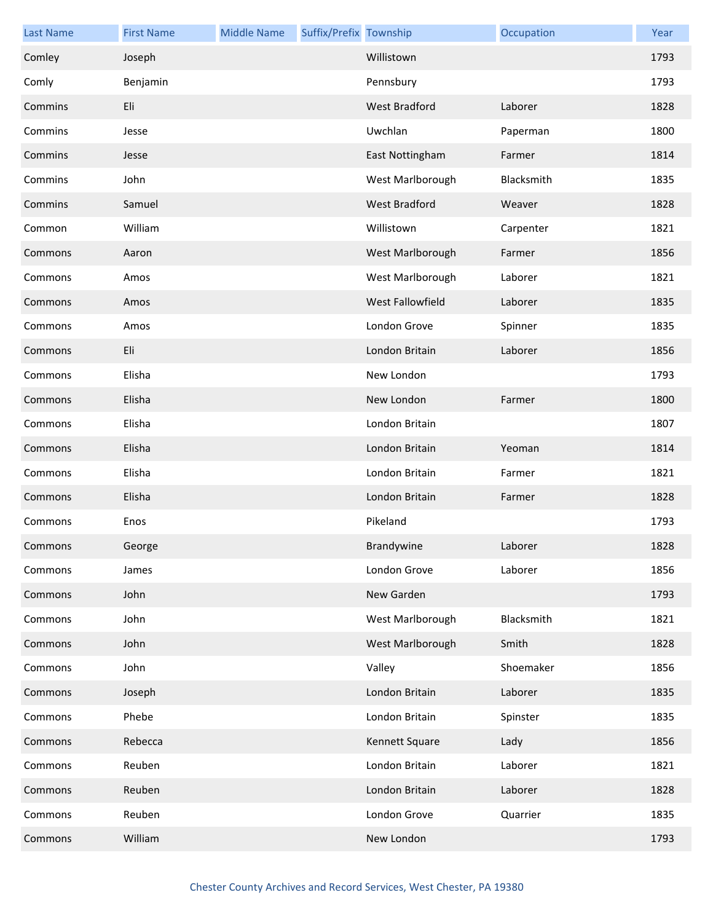| <b>Last Name</b> | <b>First Name</b> | <b>Middle Name</b> | Suffix/Prefix Township |                      | Occupation | Year |
|------------------|-------------------|--------------------|------------------------|----------------------|------------|------|
| Comley           | Joseph            |                    |                        | Willistown           |            | 1793 |
| Comly            | Benjamin          |                    |                        | Pennsbury            |            | 1793 |
| Commins          | Eli               |                    |                        | West Bradford        | Laborer    | 1828 |
| Commins          | Jesse             |                    |                        | Uwchlan              | Paperman   | 1800 |
| Commins          | Jesse             |                    |                        | East Nottingham      | Farmer     | 1814 |
| Commins          | John              |                    |                        | West Marlborough     | Blacksmith | 1835 |
| Commins          | Samuel            |                    |                        | <b>West Bradford</b> | Weaver     | 1828 |
| Common           | William           |                    |                        | Willistown           | Carpenter  | 1821 |
| Commons          | Aaron             |                    |                        | West Marlborough     | Farmer     | 1856 |
| Commons          | Amos              |                    |                        | West Marlborough     | Laborer    | 1821 |
| Commons          | Amos              |                    |                        | West Fallowfield     | Laborer    | 1835 |
| Commons          | Amos              |                    |                        | London Grove         | Spinner    | 1835 |
| Commons          | Eli               |                    |                        | London Britain       | Laborer    | 1856 |
| Commons          | Elisha            |                    |                        | New London           |            | 1793 |
| Commons          | Elisha            |                    |                        | New London           | Farmer     | 1800 |
| Commons          | Elisha            |                    |                        | London Britain       |            | 1807 |
| Commons          | Elisha            |                    |                        | London Britain       | Yeoman     | 1814 |
| Commons          | Elisha            |                    |                        | London Britain       | Farmer     | 1821 |
| Commons          | Elisha            |                    |                        | London Britain       | Farmer     | 1828 |
| Commons          | Enos              |                    |                        | Pikeland             |            | 1793 |
| Commons          | George            |                    |                        | Brandywine           | Laborer    | 1828 |
| Commons          | James             |                    |                        | London Grove         | Laborer    | 1856 |
| Commons          | John              |                    |                        | New Garden           |            | 1793 |
| Commons          | John              |                    |                        | West Marlborough     | Blacksmith | 1821 |
| Commons          | John              |                    |                        | West Marlborough     | Smith      | 1828 |
| Commons          | John              |                    |                        | Valley               | Shoemaker  | 1856 |
| Commons          | Joseph            |                    |                        | London Britain       | Laborer    | 1835 |
| Commons          | Phebe             |                    |                        | London Britain       | Spinster   | 1835 |
| Commons          | Rebecca           |                    |                        | Kennett Square       | Lady       | 1856 |
| Commons          | Reuben            |                    |                        | London Britain       | Laborer    | 1821 |
| Commons          | Reuben            |                    |                        | London Britain       | Laborer    | 1828 |
| Commons          | Reuben            |                    |                        | London Grove         | Quarrier   | 1835 |
| Commons          | William           |                    |                        | New London           |            | 1793 |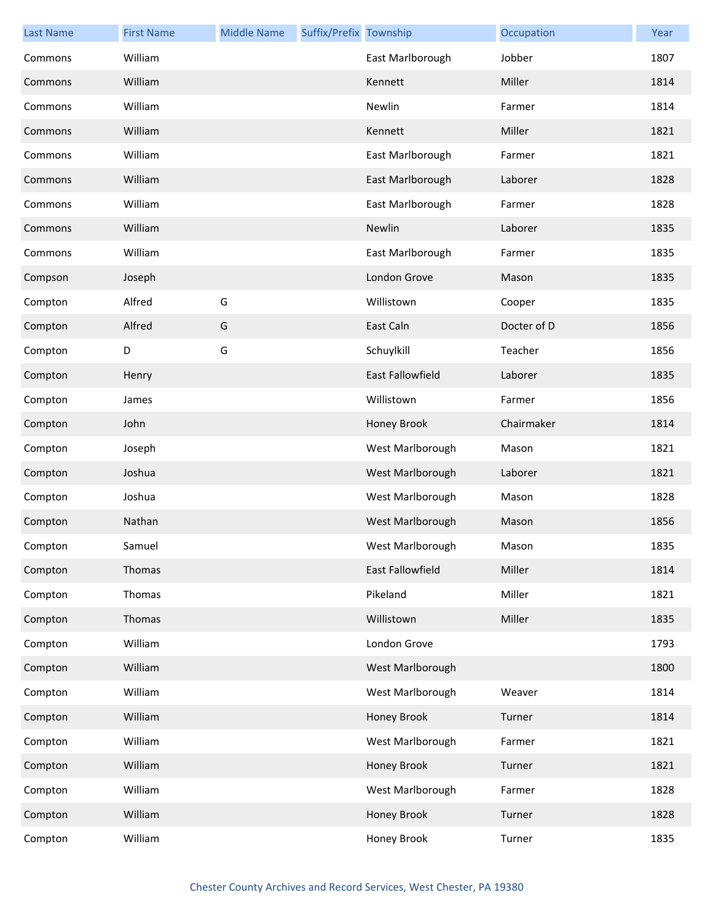| <b>Last Name</b> | <b>First Name</b> | <b>Middle Name</b> | Suffix/Prefix Township |                         | Occupation  | Year |
|------------------|-------------------|--------------------|------------------------|-------------------------|-------------|------|
| Commons          | William           |                    |                        | East Marlborough        | Jobber      | 1807 |
| Commons          | William           |                    |                        | Kennett                 | Miller      | 1814 |
| Commons          | William           |                    |                        | Newlin                  | Farmer      | 1814 |
| Commons          | William           |                    |                        | Kennett                 | Miller      | 1821 |
| Commons          | William           |                    |                        | East Marlborough        | Farmer      | 1821 |
| Commons          | William           |                    |                        | East Marlborough        | Laborer     | 1828 |
| Commons          | William           |                    |                        | East Marlborough        | Farmer      | 1828 |
| Commons          | William           |                    |                        | Newlin                  | Laborer     | 1835 |
| Commons          | William           |                    |                        | East Marlborough        | Farmer      | 1835 |
| Compson          | Joseph            |                    |                        | London Grove            | Mason       | 1835 |
| Compton          | Alfred            | G                  |                        | Willistown              | Cooper      | 1835 |
| Compton          | Alfred            | G                  |                        | East Caln               | Docter of D | 1856 |
| Compton          | D                 | G                  |                        | Schuylkill              | Teacher     | 1856 |
| Compton          | Henry             |                    |                        | <b>East Fallowfield</b> | Laborer     | 1835 |
| Compton          | James             |                    |                        | Willistown              | Farmer      | 1856 |
| Compton          | John              |                    |                        | Honey Brook             | Chairmaker  | 1814 |
| Compton          | Joseph            |                    |                        | West Marlborough        | Mason       | 1821 |
| Compton          | Joshua            |                    |                        | West Marlborough        | Laborer     | 1821 |
| Compton          | Joshua            |                    |                        | West Marlborough        | Mason       | 1828 |
| Compton          | Nathan            |                    |                        | West Marlborough        | Mason       | 1856 |
| Compton          | Samuel            |                    |                        | West Marlborough        | Mason       | 1835 |
| Compton          | Thomas            |                    |                        | East Fallowfield        | Miller      | 1814 |
| Compton          | Thomas            |                    |                        | Pikeland                | Miller      | 1821 |
| Compton          | Thomas            |                    |                        | Willistown              | Miller      | 1835 |
| Compton          | William           |                    |                        | London Grove            |             | 1793 |
| Compton          | William           |                    |                        | West Marlborough        |             | 1800 |
| Compton          | William           |                    |                        | West Marlborough        | Weaver      | 1814 |
| Compton          | William           |                    |                        | Honey Brook             | Turner      | 1814 |
| Compton          | William           |                    |                        | West Marlborough        | Farmer      | 1821 |
| Compton          | William           |                    |                        | Honey Brook             | Turner      | 1821 |
| Compton          | William           |                    |                        | West Marlborough        | Farmer      | 1828 |
| Compton          | William           |                    |                        | Honey Brook             | Turner      | 1828 |
| Compton          | William           |                    |                        | Honey Brook             | Turner      | 1835 |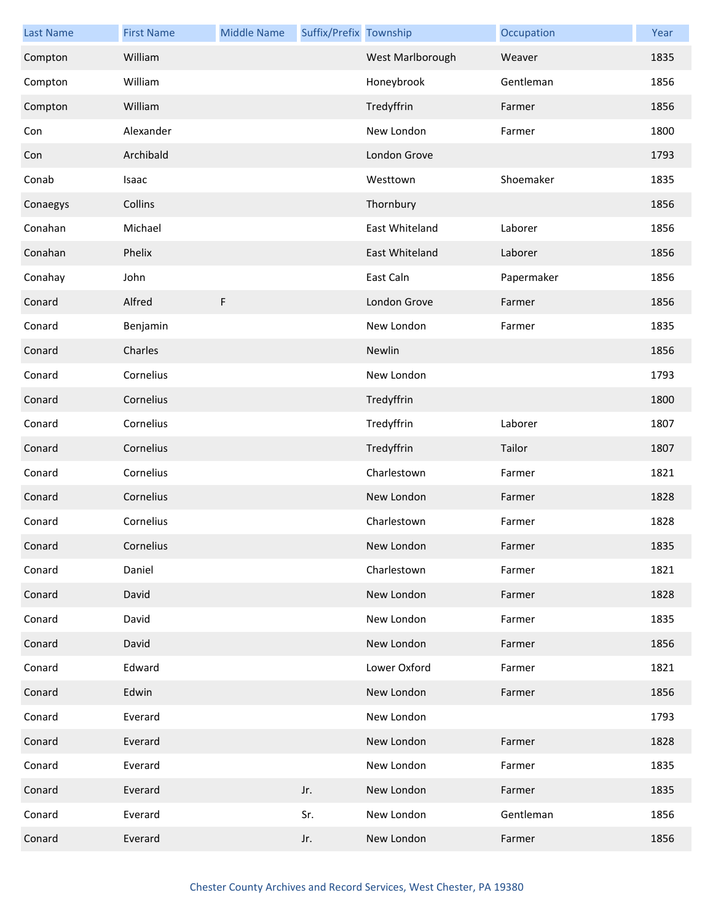| <b>Last Name</b> | <b>First Name</b> | <b>Middle Name</b> | Suffix/Prefix Township |                  | Occupation | Year |
|------------------|-------------------|--------------------|------------------------|------------------|------------|------|
| Compton          | William           |                    |                        | West Marlborough | Weaver     | 1835 |
| Compton          | William           |                    |                        | Honeybrook       | Gentleman  | 1856 |
| Compton          | William           |                    |                        | Tredyffrin       | Farmer     | 1856 |
| Con              | Alexander         |                    |                        | New London       | Farmer     | 1800 |
| Con              | Archibald         |                    |                        | London Grove     |            | 1793 |
| Conab            | Isaac             |                    |                        | Westtown         | Shoemaker  | 1835 |
| Conaegys         | Collins           |                    |                        | Thornbury        |            | 1856 |
| Conahan          | Michael           |                    |                        | East Whiteland   | Laborer    | 1856 |
| Conahan          | Phelix            |                    |                        | East Whiteland   | Laborer    | 1856 |
| Conahay          | John              |                    |                        | East Caln        | Papermaker | 1856 |
| Conard           | Alfred            | F                  |                        | London Grove     | Farmer     | 1856 |
| Conard           | Benjamin          |                    |                        | New London       | Farmer     | 1835 |
| Conard           | Charles           |                    |                        | Newlin           |            | 1856 |
| Conard           | Cornelius         |                    |                        | New London       |            | 1793 |
| Conard           | Cornelius         |                    |                        | Tredyffrin       |            | 1800 |
| Conard           | Cornelius         |                    |                        | Tredyffrin       | Laborer    | 1807 |
| Conard           | Cornelius         |                    |                        | Tredyffrin       | Tailor     | 1807 |
| Conard           | Cornelius         |                    |                        | Charlestown      | Farmer     | 1821 |
| Conard           | Cornelius         |                    |                        | New London       | Farmer     | 1828 |
| Conard           | Cornelius         |                    |                        | Charlestown      | Farmer     | 1828 |
| Conard           | Cornelius         |                    |                        | New London       | Farmer     | 1835 |
| Conard           | Daniel            |                    |                        | Charlestown      | Farmer     | 1821 |
| Conard           | David             |                    |                        | New London       | Farmer     | 1828 |
| Conard           | David             |                    |                        | New London       | Farmer     | 1835 |
| Conard           | David             |                    |                        | New London       | Farmer     | 1856 |
| Conard           | Edward            |                    |                        | Lower Oxford     | Farmer     | 1821 |
| Conard           | Edwin             |                    |                        | New London       | Farmer     | 1856 |
| Conard           | Everard           |                    |                        | New London       |            | 1793 |
| Conard           | Everard           |                    |                        | New London       | Farmer     | 1828 |
| Conard           | Everard           |                    |                        | New London       | Farmer     | 1835 |
| Conard           | Everard           |                    | Jr.                    | New London       | Farmer     | 1835 |
| Conard           | Everard           |                    | Sr.                    | New London       | Gentleman  | 1856 |
| Conard           | Everard           |                    | Jr.                    | New London       | Farmer     | 1856 |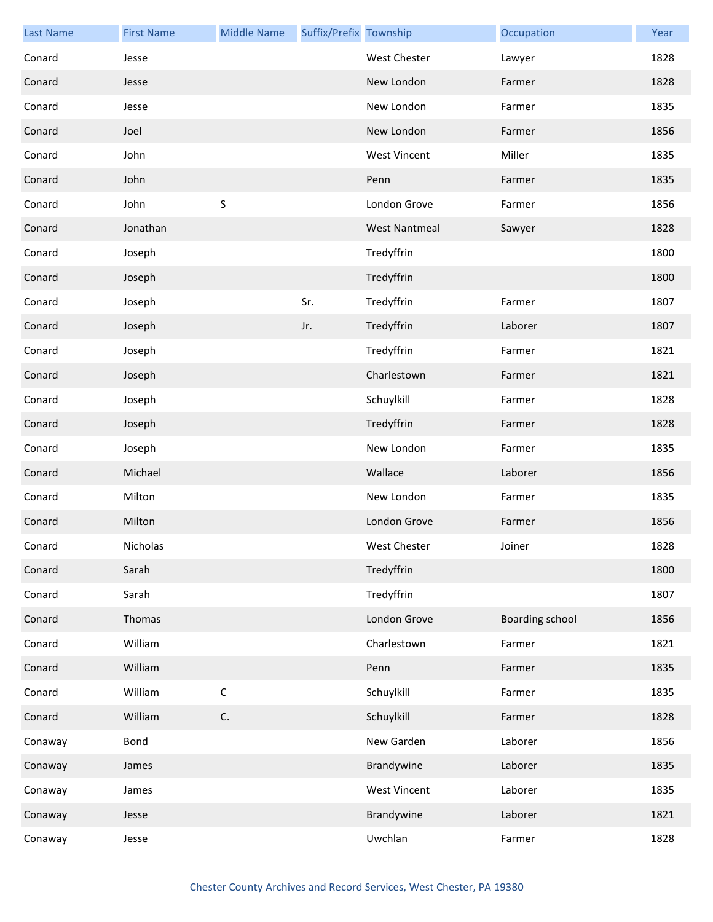| <b>Last Name</b> | <b>First Name</b> | <b>Middle Name</b> | Suffix/Prefix Township |                      | Occupation             | Year |
|------------------|-------------------|--------------------|------------------------|----------------------|------------------------|------|
| Conard           | Jesse             |                    |                        | <b>West Chester</b>  | Lawyer                 | 1828 |
| Conard           | Jesse             |                    |                        | New London           | Farmer                 | 1828 |
| Conard           | Jesse             |                    |                        | New London           | Farmer                 | 1835 |
| Conard           | Joel              |                    |                        | New London           | Farmer                 | 1856 |
| Conard           | John              |                    |                        | <b>West Vincent</b>  | Miller                 | 1835 |
| Conard           | John              |                    |                        | Penn                 | Farmer                 | 1835 |
| Conard           | John              | $\sf S$            |                        | London Grove         | Farmer                 | 1856 |
| Conard           | Jonathan          |                    |                        | <b>West Nantmeal</b> | Sawyer                 | 1828 |
| Conard           | Joseph            |                    |                        | Tredyffrin           |                        | 1800 |
| Conard           | Joseph            |                    |                        | Tredyffrin           |                        | 1800 |
| Conard           | Joseph            |                    | Sr.                    | Tredyffrin           | Farmer                 | 1807 |
| Conard           | Joseph            |                    | Jr.                    | Tredyffrin           | Laborer                | 1807 |
| Conard           | Joseph            |                    |                        | Tredyffrin           | Farmer                 | 1821 |
| Conard           | Joseph            |                    |                        | Charlestown          | Farmer                 | 1821 |
| Conard           | Joseph            |                    |                        | Schuylkill           | Farmer                 | 1828 |
| Conard           | Joseph            |                    |                        | Tredyffrin           | Farmer                 | 1828 |
| Conard           | Joseph            |                    |                        | New London           | Farmer                 | 1835 |
| Conard           | Michael           |                    |                        | Wallace              | Laborer                | 1856 |
| Conard           | Milton            |                    |                        | New London           | Farmer                 | 1835 |
| Conard           | Milton            |                    |                        | London Grove         | Farmer                 | 1856 |
| Conard           | Nicholas          |                    |                        | West Chester         | Joiner                 | 1828 |
| Conard           | Sarah             |                    |                        | Tredyffrin           |                        | 1800 |
| Conard           | Sarah             |                    |                        | Tredyffrin           |                        | 1807 |
| Conard           | Thomas            |                    |                        | London Grove         | <b>Boarding school</b> | 1856 |
| Conard           | William           |                    |                        | Charlestown          | Farmer                 | 1821 |
| Conard           | William           |                    |                        | Penn                 | Farmer                 | 1835 |
| Conard           | William           | $\mathsf C$        |                        | Schuylkill           | Farmer                 | 1835 |
| Conard           | William           | C.                 |                        | Schuylkill           | Farmer                 | 1828 |
| Conaway          | Bond              |                    |                        | New Garden           | Laborer                | 1856 |
| Conaway          | James             |                    |                        | Brandywine           | Laborer                | 1835 |
| Conaway          | James             |                    |                        | <b>West Vincent</b>  | Laborer                | 1835 |
| Conaway          | Jesse             |                    |                        | Brandywine           | Laborer                | 1821 |
| Conaway          | Jesse             |                    |                        | Uwchlan              | Farmer                 | 1828 |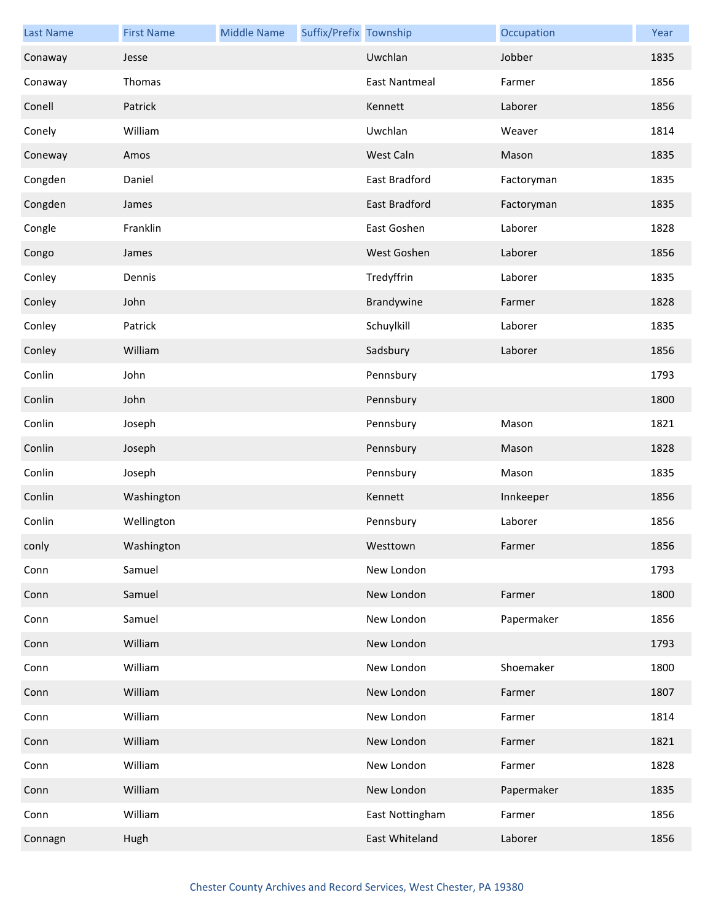| <b>Last Name</b> | <b>First Name</b> | <b>Middle Name</b> | Suffix/Prefix Township |                      | Occupation | Year |
|------------------|-------------------|--------------------|------------------------|----------------------|------------|------|
| Conaway          | Jesse             |                    |                        | Uwchlan              | Jobber     | 1835 |
| Conaway          | Thomas            |                    |                        | <b>East Nantmeal</b> | Farmer     | 1856 |
| Conell           | Patrick           |                    |                        | Kennett              | Laborer    | 1856 |
| Conely           | William           |                    |                        | Uwchlan              | Weaver     | 1814 |
| Coneway          | Amos              |                    |                        | West Caln            | Mason      | 1835 |
| Congden          | Daniel            |                    |                        | East Bradford        | Factoryman | 1835 |
| Congden          | James             |                    |                        | East Bradford        | Factoryman | 1835 |
| Congle           | Franklin          |                    |                        | East Goshen          | Laborer    | 1828 |
| Congo            | James             |                    |                        | West Goshen          | Laborer    | 1856 |
| Conley           | Dennis            |                    |                        | Tredyffrin           | Laborer    | 1835 |
| Conley           | John              |                    |                        | Brandywine           | Farmer     | 1828 |
| Conley           | Patrick           |                    |                        | Schuylkill           | Laborer    | 1835 |
| Conley           | William           |                    |                        | Sadsbury             | Laborer    | 1856 |
| Conlin           | John              |                    |                        | Pennsbury            |            | 1793 |
| Conlin           | John              |                    |                        | Pennsbury            |            | 1800 |
| Conlin           | Joseph            |                    |                        | Pennsbury            | Mason      | 1821 |
| Conlin           | Joseph            |                    |                        | Pennsbury            | Mason      | 1828 |
| Conlin           | Joseph            |                    |                        | Pennsbury            | Mason      | 1835 |
| Conlin           | Washington        |                    |                        | Kennett              | Innkeeper  | 1856 |
| Conlin           | Wellington        |                    |                        | Pennsbury            | Laborer    | 1856 |
| conly            | Washington        |                    |                        | Westtown             | Farmer     | 1856 |
| Conn             | Samuel            |                    |                        | New London           |            | 1793 |
| Conn             | Samuel            |                    |                        | New London           | Farmer     | 1800 |
| Conn             | Samuel            |                    |                        | New London           | Papermaker | 1856 |
| Conn             | William           |                    |                        | New London           |            | 1793 |
| Conn             | William           |                    |                        | New London           | Shoemaker  | 1800 |
| Conn             | William           |                    |                        | New London           | Farmer     | 1807 |
| Conn             | William           |                    |                        | New London           | Farmer     | 1814 |
| Conn             | William           |                    |                        | New London           | Farmer     | 1821 |
| Conn             | William           |                    |                        | New London           | Farmer     | 1828 |
| Conn             | William           |                    |                        | New London           | Papermaker | 1835 |
| Conn             | William           |                    |                        | East Nottingham      | Farmer     | 1856 |
| Connagn          | Hugh              |                    |                        | East Whiteland       | Laborer    | 1856 |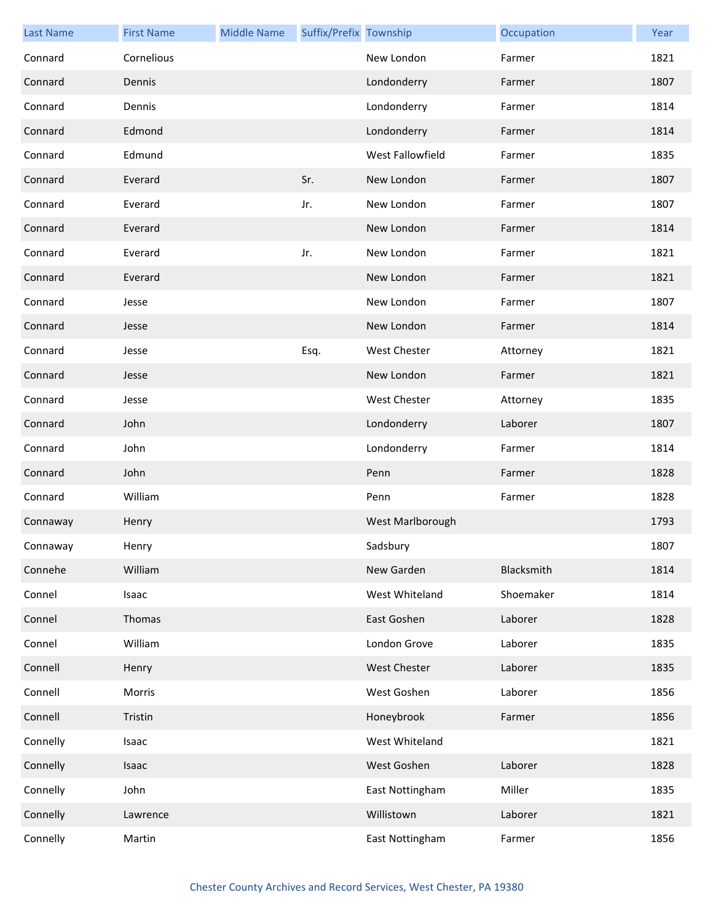| <b>Last Name</b> | <b>First Name</b> | <b>Middle Name</b> | Suffix/Prefix Township |                     | Occupation | Year |
|------------------|-------------------|--------------------|------------------------|---------------------|------------|------|
| Connard          | Cornelious        |                    |                        | New London          | Farmer     | 1821 |
| Connard          | Dennis            |                    |                        | Londonderry         | Farmer     | 1807 |
| Connard          | Dennis            |                    |                        | Londonderry         | Farmer     | 1814 |
| Connard          | Edmond            |                    |                        | Londonderry         | Farmer     | 1814 |
| Connard          | Edmund            |                    |                        | West Fallowfield    | Farmer     | 1835 |
| Connard          | Everard           |                    | Sr.                    | New London          | Farmer     | 1807 |
| Connard          | Everard           |                    | Jr.                    | New London          | Farmer     | 1807 |
| Connard          | Everard           |                    |                        | New London          | Farmer     | 1814 |
| Connard          | Everard           |                    | Jr.                    | New London          | Farmer     | 1821 |
| Connard          | Everard           |                    |                        | New London          | Farmer     | 1821 |
| Connard          | Jesse             |                    |                        | New London          | Farmer     | 1807 |
| Connard          | Jesse             |                    |                        | New London          | Farmer     | 1814 |
| Connard          | Jesse             |                    | Esq.                   | <b>West Chester</b> | Attorney   | 1821 |
| Connard          | Jesse             |                    |                        | New London          | Farmer     | 1821 |
| Connard          | Jesse             |                    |                        | <b>West Chester</b> | Attorney   | 1835 |
| Connard          | John              |                    |                        | Londonderry         | Laborer    | 1807 |
| Connard          | John              |                    |                        | Londonderry         | Farmer     | 1814 |
| Connard          | John              |                    |                        | Penn                | Farmer     | 1828 |
| Connard          | William           |                    |                        | Penn                | Farmer     | 1828 |
| Connaway         | Henry             |                    |                        | West Marlborough    |            | 1793 |
| Connaway         | Henry             |                    |                        | Sadsbury            |            | 1807 |
| Connehe          | William           |                    |                        | New Garden          | Blacksmith | 1814 |
| Connel           | Isaac             |                    |                        | West Whiteland      | Shoemaker  | 1814 |
| Connel           | Thomas            |                    |                        | East Goshen         | Laborer    | 1828 |
| Connel           | William           |                    |                        | London Grove        | Laborer    | 1835 |
| Connell          | Henry             |                    |                        | <b>West Chester</b> | Laborer    | 1835 |
| Connell          | Morris            |                    |                        | West Goshen         | Laborer    | 1856 |
| Connell          | Tristin           |                    |                        | Honeybrook          | Farmer     | 1856 |
| Connelly         | Isaac             |                    |                        | West Whiteland      |            | 1821 |
| Connelly         | Isaac             |                    |                        | West Goshen         | Laborer    | 1828 |
| Connelly         | John              |                    |                        | East Nottingham     | Miller     | 1835 |
| Connelly         | Lawrence          |                    |                        | Willistown          | Laborer    | 1821 |
| Connelly         | Martin            |                    |                        | East Nottingham     | Farmer     | 1856 |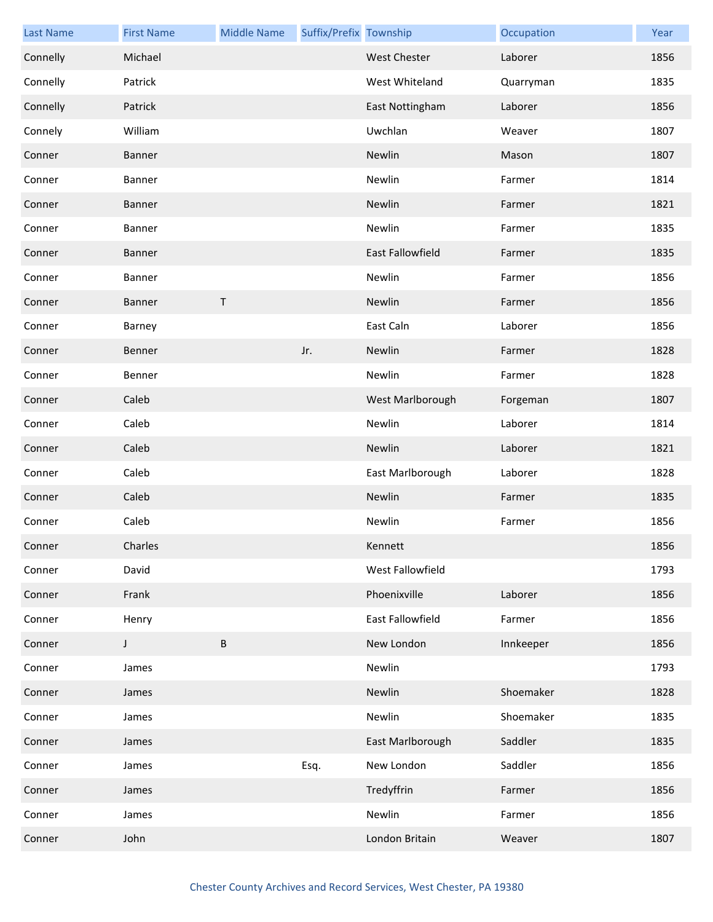| <b>Last Name</b> | <b>First Name</b> | <b>Middle Name</b> | Suffix/Prefix Township |                     | Occupation | Year |
|------------------|-------------------|--------------------|------------------------|---------------------|------------|------|
| Connelly         | Michael           |                    |                        | <b>West Chester</b> | Laborer    | 1856 |
| Connelly         | Patrick           |                    |                        | West Whiteland      | Quarryman  | 1835 |
| Connelly         | Patrick           |                    |                        | East Nottingham     | Laborer    | 1856 |
| Connely          | William           |                    |                        | Uwchlan             | Weaver     | 1807 |
| Conner           | <b>Banner</b>     |                    |                        | Newlin              | Mason      | 1807 |
| Conner           | Banner            |                    |                        | Newlin              | Farmer     | 1814 |
| Conner           | <b>Banner</b>     |                    |                        | Newlin              | Farmer     | 1821 |
| Conner           | Banner            |                    |                        | Newlin              | Farmer     | 1835 |
| Conner           | <b>Banner</b>     |                    |                        | East Fallowfield    | Farmer     | 1835 |
| Conner           | Banner            |                    |                        | Newlin              | Farmer     | 1856 |
| Conner           | <b>Banner</b>     | T                  |                        | Newlin              | Farmer     | 1856 |
| Conner           | Barney            |                    |                        | East Caln           | Laborer    | 1856 |
| Conner           | Benner            |                    | Jr.                    | Newlin              | Farmer     | 1828 |
| Conner           | Benner            |                    |                        | Newlin              | Farmer     | 1828 |
| Conner           | Caleb             |                    |                        | West Marlborough    | Forgeman   | 1807 |
| Conner           | Caleb             |                    |                        | Newlin              | Laborer    | 1814 |
| Conner           | Caleb             |                    |                        | Newlin              | Laborer    | 1821 |
| Conner           | Caleb             |                    |                        | East Marlborough    | Laborer    | 1828 |
| Conner           | Caleb             |                    |                        | Newlin              | Farmer     | 1835 |
| Conner           | Caleb             |                    |                        | Newlin              | Farmer     | 1856 |
| Conner           | Charles           |                    |                        | Kennett             |            | 1856 |
| Conner           | David             |                    |                        | West Fallowfield    |            | 1793 |
| Conner           | Frank             |                    |                        | Phoenixville        | Laborer    | 1856 |
| Conner           | Henry             |                    |                        | East Fallowfield    | Farmer     | 1856 |
| Conner           | J                 | $\sf B$            |                        | New London          | Innkeeper  | 1856 |
| Conner           | James             |                    |                        | Newlin              |            | 1793 |
| Conner           | James             |                    |                        | Newlin              | Shoemaker  | 1828 |
| Conner           | James             |                    |                        | Newlin              | Shoemaker  | 1835 |
| Conner           | James             |                    |                        | East Marlborough    | Saddler    | 1835 |
| Conner           | James             |                    | Esq.                   | New London          | Saddler    | 1856 |
| Conner           | James             |                    |                        | Tredyffrin          | Farmer     | 1856 |
| Conner           | James             |                    |                        | Newlin              | Farmer     | 1856 |
| Conner           | John              |                    |                        | London Britain      | Weaver     | 1807 |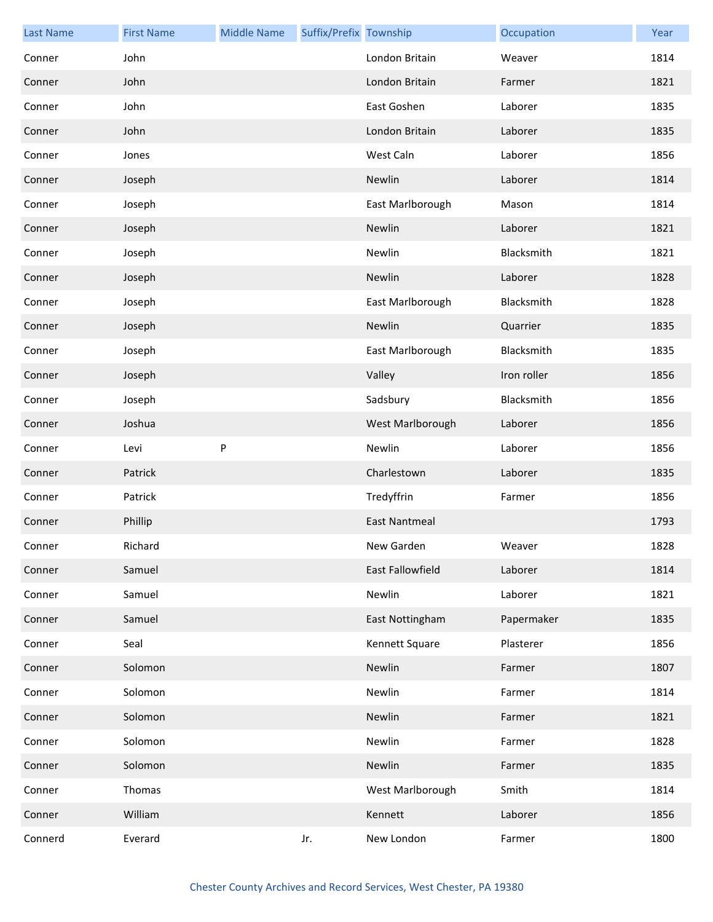| <b>Last Name</b> | <b>First Name</b> | <b>Middle Name</b> | Suffix/Prefix Township |                      | Occupation  | Year |
|------------------|-------------------|--------------------|------------------------|----------------------|-------------|------|
| Conner           | John              |                    |                        | London Britain       | Weaver      | 1814 |
| Conner           | John              |                    |                        | London Britain       | Farmer      | 1821 |
| Conner           | John              |                    |                        | East Goshen          | Laborer     | 1835 |
| Conner           | John              |                    |                        | London Britain       | Laborer     | 1835 |
| Conner           | Jones             |                    |                        | West Caln            | Laborer     | 1856 |
| Conner           | Joseph            |                    |                        | Newlin               | Laborer     | 1814 |
| Conner           | Joseph            |                    |                        | East Marlborough     | Mason       | 1814 |
| Conner           | Joseph            |                    |                        | Newlin               | Laborer     | 1821 |
| Conner           | Joseph            |                    |                        | Newlin               | Blacksmith  | 1821 |
| Conner           | Joseph            |                    |                        | Newlin               | Laborer     | 1828 |
| Conner           | Joseph            |                    |                        | East Marlborough     | Blacksmith  | 1828 |
| Conner           | Joseph            |                    |                        | Newlin               | Quarrier    | 1835 |
| Conner           | Joseph            |                    |                        | East Marlborough     | Blacksmith  | 1835 |
| Conner           | Joseph            |                    |                        | Valley               | Iron roller | 1856 |
| Conner           | Joseph            |                    |                        | Sadsbury             | Blacksmith  | 1856 |
| Conner           | Joshua            |                    |                        | West Marlborough     | Laborer     | 1856 |
| Conner           | Levi              | P                  |                        | Newlin               | Laborer     | 1856 |
| Conner           | Patrick           |                    |                        | Charlestown          | Laborer     | 1835 |
| Conner           | Patrick           |                    |                        | Tredyffrin           | Farmer      | 1856 |
| Conner           | Phillip           |                    |                        | <b>East Nantmeal</b> |             | 1793 |
| Conner           | Richard           |                    |                        | New Garden           | Weaver      | 1828 |
| Conner           | Samuel            |                    |                        | East Fallowfield     | Laborer     | 1814 |
| Conner           | Samuel            |                    |                        | Newlin               | Laborer     | 1821 |
| Conner           | Samuel            |                    |                        | East Nottingham      | Papermaker  | 1835 |
| Conner           | Seal              |                    |                        | Kennett Square       | Plasterer   | 1856 |
| Conner           | Solomon           |                    |                        | Newlin               | Farmer      | 1807 |
| Conner           | Solomon           |                    |                        | Newlin               | Farmer      | 1814 |
| Conner           | Solomon           |                    |                        | Newlin               | Farmer      | 1821 |
| Conner           | Solomon           |                    |                        | Newlin               | Farmer      | 1828 |
| Conner           | Solomon           |                    |                        | Newlin               | Farmer      | 1835 |
| Conner           | Thomas            |                    |                        | West Marlborough     | Smith       | 1814 |
| Conner           | William           |                    |                        | Kennett              | Laborer     | 1856 |
| Connerd          | Everard           |                    | Jr.                    | New London           | Farmer      | 1800 |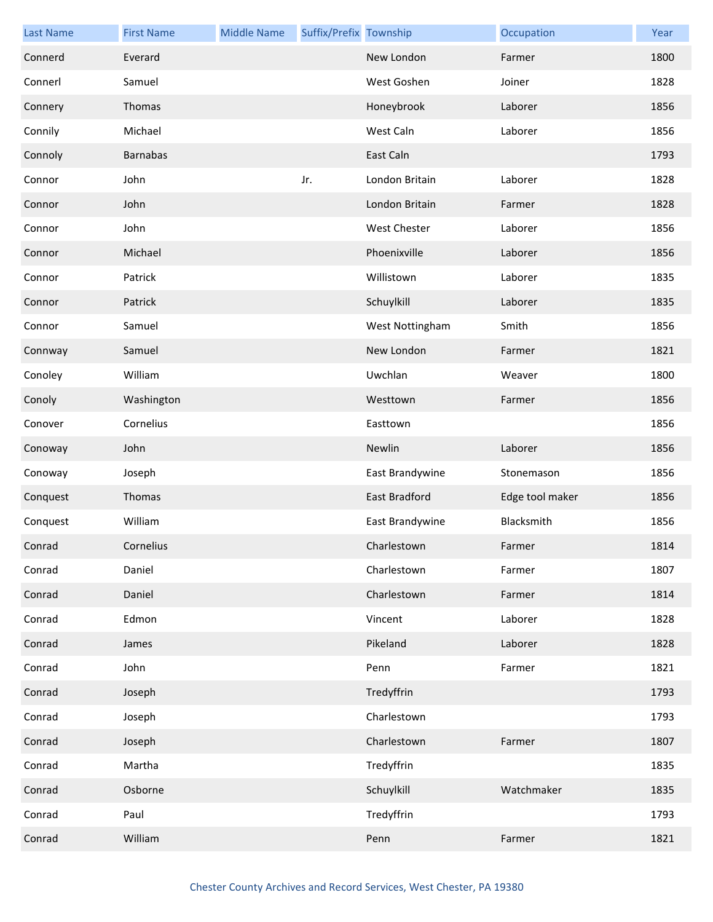| <b>Last Name</b> | <b>First Name</b> | <b>Middle Name</b> | Suffix/Prefix Township |                      | Occupation      | Year |
|------------------|-------------------|--------------------|------------------------|----------------------|-----------------|------|
| Connerd          | Everard           |                    |                        | New London           | Farmer          | 1800 |
| Connerl          | Samuel            |                    |                        | West Goshen          | Joiner          | 1828 |
| Connery          | Thomas            |                    |                        | Honeybrook           | Laborer         | 1856 |
| Connily          | Michael           |                    |                        | West Caln            | Laborer         | 1856 |
| Connoly          | <b>Barnabas</b>   |                    |                        | East Caln            |                 | 1793 |
| Connor           | John              |                    | Jr.                    | London Britain       | Laborer         | 1828 |
| Connor           | John              |                    |                        | London Britain       | Farmer          | 1828 |
| Connor           | John              |                    |                        | West Chester         | Laborer         | 1856 |
| Connor           | Michael           |                    |                        | Phoenixville         | Laborer         | 1856 |
| Connor           | Patrick           |                    |                        | Willistown           | Laborer         | 1835 |
| Connor           | Patrick           |                    |                        | Schuylkill           | Laborer         | 1835 |
| Connor           | Samuel            |                    |                        | West Nottingham      | Smith           | 1856 |
| Connway          | Samuel            |                    |                        | New London           | Farmer          | 1821 |
| Conoley          | William           |                    |                        | Uwchlan              | Weaver          | 1800 |
| Conoly           | Washington        |                    |                        | Westtown             | Farmer          | 1856 |
| Conover          | Cornelius         |                    |                        | Easttown             |                 | 1856 |
| Conoway          | John              |                    |                        | Newlin               | Laborer         | 1856 |
| Conoway          | Joseph            |                    |                        | East Brandywine      | Stonemason      | 1856 |
| Conquest         | Thomas            |                    |                        | <b>East Bradford</b> | Edge tool maker | 1856 |
| Conquest         | William           |                    |                        | East Brandywine      | Blacksmith      | 1856 |
| Conrad           | Cornelius         |                    |                        | Charlestown          | Farmer          | 1814 |
| Conrad           | Daniel            |                    |                        | Charlestown          | Farmer          | 1807 |
| Conrad           | Daniel            |                    |                        | Charlestown          | Farmer          | 1814 |
| Conrad           | Edmon             |                    |                        | Vincent              | Laborer         | 1828 |
| Conrad           | James             |                    |                        | Pikeland             | Laborer         | 1828 |
| Conrad           | John              |                    |                        | Penn                 | Farmer          | 1821 |
| Conrad           | Joseph            |                    |                        | Tredyffrin           |                 | 1793 |
| Conrad           | Joseph            |                    |                        | Charlestown          |                 | 1793 |
| Conrad           | Joseph            |                    |                        | Charlestown          | Farmer          | 1807 |
| Conrad           | Martha            |                    |                        | Tredyffrin           |                 | 1835 |
| Conrad           | Osborne           |                    |                        | Schuylkill           | Watchmaker      | 1835 |
| Conrad           | Paul              |                    |                        | Tredyffrin           |                 | 1793 |
| Conrad           | William           |                    |                        | Penn                 | Farmer          | 1821 |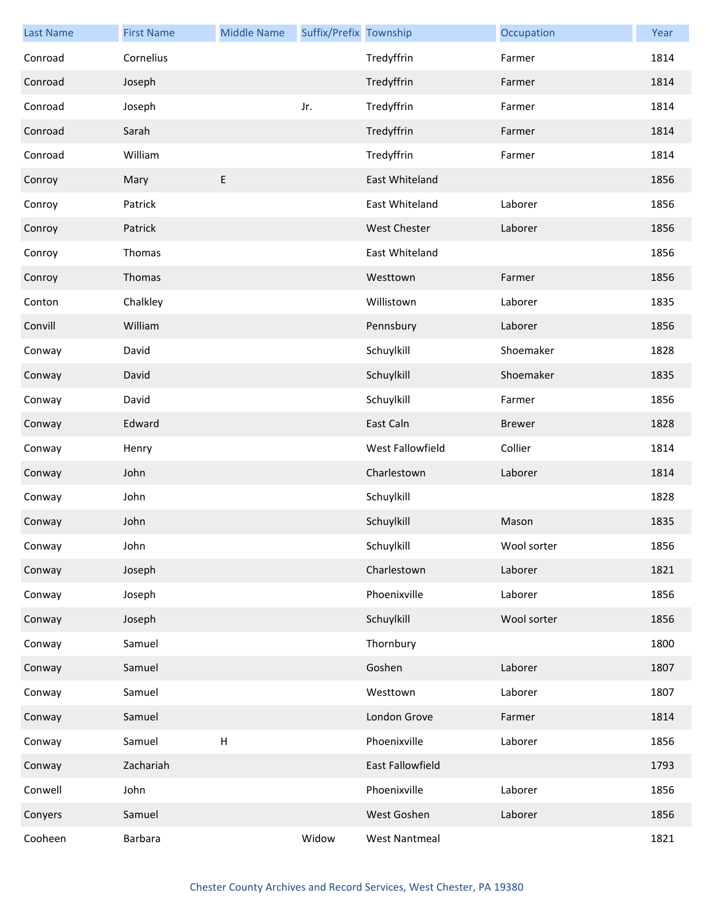| <b>Last Name</b> | <b>First Name</b> | <b>Middle Name</b>        | Suffix/Prefix Township |                      | Occupation    | Year |
|------------------|-------------------|---------------------------|------------------------|----------------------|---------------|------|
| Conroad          | Cornelius         |                           |                        | Tredyffrin           | Farmer        | 1814 |
| Conroad          | Joseph            |                           |                        | Tredyffrin           | Farmer        | 1814 |
| Conroad          | Joseph            |                           | Jr.                    | Tredyffrin           | Farmer        | 1814 |
| Conroad          | Sarah             |                           |                        | Tredyffrin           | Farmer        | 1814 |
| Conroad          | William           |                           |                        | Tredyffrin           | Farmer        | 1814 |
| Conroy           | Mary              | E                         |                        | East Whiteland       |               | 1856 |
| Conroy           | Patrick           |                           |                        | East Whiteland       | Laborer       | 1856 |
| Conroy           | Patrick           |                           |                        | <b>West Chester</b>  | Laborer       | 1856 |
| Conroy           | Thomas            |                           |                        | East Whiteland       |               | 1856 |
| Conroy           | Thomas            |                           |                        | Westtown             | Farmer        | 1856 |
| Conton           | Chalkley          |                           |                        | Willistown           | Laborer       | 1835 |
| Convill          | William           |                           |                        | Pennsbury            | Laborer       | 1856 |
| Conway           | David             |                           |                        | Schuylkill           | Shoemaker     | 1828 |
| Conway           | David             |                           |                        | Schuylkill           | Shoemaker     | 1835 |
| Conway           | David             |                           |                        | Schuylkill           | Farmer        | 1856 |
| Conway           | Edward            |                           |                        | East Caln            | <b>Brewer</b> | 1828 |
| Conway           | Henry             |                           |                        | West Fallowfield     | Collier       | 1814 |
| Conway           | John              |                           |                        | Charlestown          | Laborer       | 1814 |
| Conway           | John              |                           |                        | Schuylkill           |               | 1828 |
| Conway           | John              |                           |                        | Schuylkill           | Mason         | 1835 |
| Conway           | John              |                           |                        | Schuylkill           | Wool sorter   | 1856 |
| Conway           | Joseph            |                           |                        | Charlestown          | Laborer       | 1821 |
| Conway           | Joseph            |                           |                        | Phoenixville         | Laborer       | 1856 |
| Conway           | Joseph            |                           |                        | Schuylkill           | Wool sorter   | 1856 |
| Conway           | Samuel            |                           |                        | Thornbury            |               | 1800 |
| Conway           | Samuel            |                           |                        | Goshen               | Laborer       | 1807 |
| Conway           | Samuel            |                           |                        | Westtown             | Laborer       | 1807 |
| Conway           | Samuel            |                           |                        | London Grove         | Farmer        | 1814 |
| Conway           | Samuel            | $\boldsymbol{\mathsf{H}}$ |                        | Phoenixville         | Laborer       | 1856 |
| Conway           | Zachariah         |                           |                        | East Fallowfield     |               | 1793 |
| Conwell          | John              |                           |                        | Phoenixville         | Laborer       | 1856 |
| Conyers          | Samuel            |                           |                        | West Goshen          | Laborer       | 1856 |
| Cooheen          | Barbara           |                           | Widow                  | <b>West Nantmeal</b> |               | 1821 |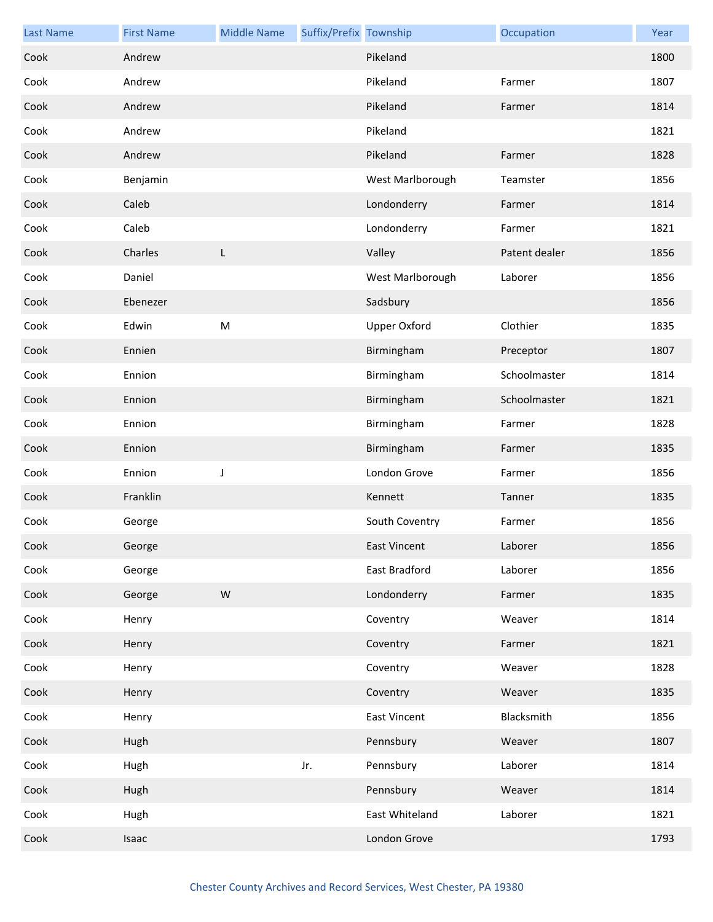| <b>Last Name</b> | <b>First Name</b> | <b>Middle Name</b> | Suffix/Prefix Township |                     | Occupation    | Year |
|------------------|-------------------|--------------------|------------------------|---------------------|---------------|------|
| Cook             | Andrew            |                    |                        | Pikeland            |               | 1800 |
| Cook             | Andrew            |                    |                        | Pikeland            | Farmer        | 1807 |
| Cook             | Andrew            |                    |                        | Pikeland            | Farmer        | 1814 |
| Cook             | Andrew            |                    |                        | Pikeland            |               | 1821 |
| Cook             | Andrew            |                    |                        | Pikeland            | Farmer        | 1828 |
| Cook             | Benjamin          |                    |                        | West Marlborough    | Teamster      | 1856 |
| Cook             | Caleb             |                    |                        | Londonderry         | Farmer        | 1814 |
| Cook             | Caleb             |                    |                        | Londonderry         | Farmer        | 1821 |
| Cook             | Charles           | L                  |                        | Valley              | Patent dealer | 1856 |
| Cook             | Daniel            |                    |                        | West Marlborough    | Laborer       | 1856 |
| Cook             | Ebenezer          |                    |                        | Sadsbury            |               | 1856 |
| Cook             | Edwin             | ${\sf M}$          |                        | <b>Upper Oxford</b> | Clothier      | 1835 |
| Cook             | Ennien            |                    |                        | Birmingham          | Preceptor     | 1807 |
| Cook             | Ennion            |                    |                        | Birmingham          | Schoolmaster  | 1814 |
| Cook             | Ennion            |                    |                        | Birmingham          | Schoolmaster  | 1821 |
| Cook             | Ennion            |                    |                        | Birmingham          | Farmer        | 1828 |
| Cook             | Ennion            |                    |                        | Birmingham          | Farmer        | 1835 |
| Cook             | Ennion            | J                  |                        | London Grove        | Farmer        | 1856 |
| Cook             | Franklin          |                    |                        | Kennett             | Tanner        | 1835 |
| Cook             | George            |                    |                        | South Coventry      | Farmer        | 1856 |
| Cook             | George            |                    |                        | <b>East Vincent</b> | Laborer       | 1856 |
| Cook             | George            |                    |                        | East Bradford       | Laborer       | 1856 |
| Cook             | George            | ${\sf W}$          |                        | Londonderry         | Farmer        | 1835 |
| Cook             | Henry             |                    |                        | Coventry            | Weaver        | 1814 |
| Cook             | Henry             |                    |                        | Coventry            | Farmer        | 1821 |
| Cook             | Henry             |                    |                        | Coventry            | Weaver        | 1828 |
| Cook             | Henry             |                    |                        | Coventry            | Weaver        | 1835 |
| Cook             | Henry             |                    |                        | <b>East Vincent</b> | Blacksmith    | 1856 |
| Cook             | Hugh              |                    |                        | Pennsbury           | Weaver        | 1807 |
| Cook             | Hugh              |                    | Jr.                    | Pennsbury           | Laborer       | 1814 |
| Cook             | Hugh              |                    |                        | Pennsbury           | Weaver        | 1814 |
| Cook             | Hugh              |                    |                        | East Whiteland      | Laborer       | 1821 |
| Cook             | Isaac             |                    |                        | London Grove        |               | 1793 |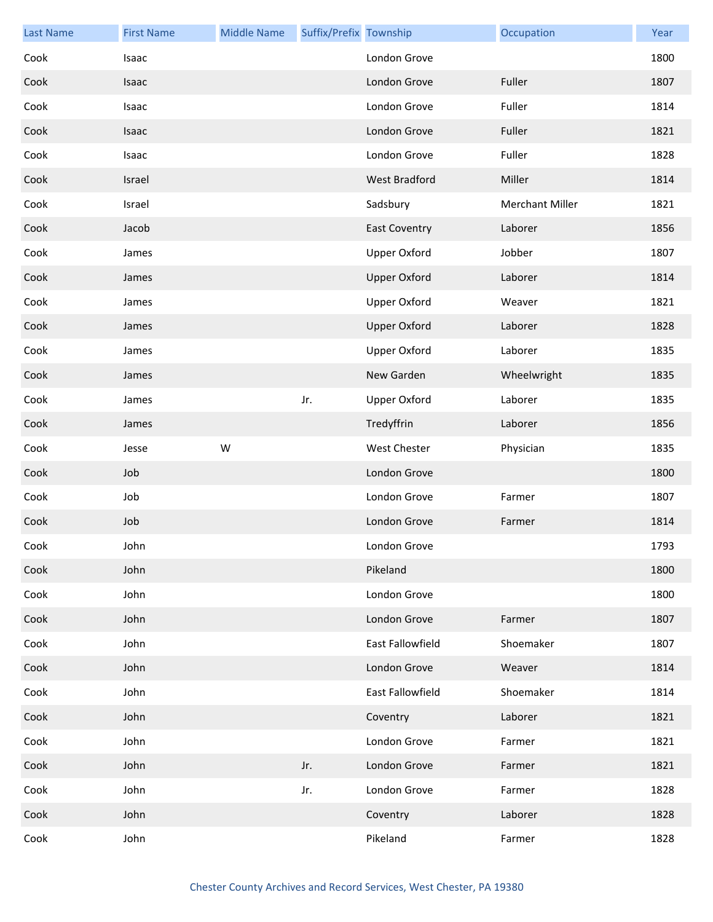| <b>Last Name</b> | <b>First Name</b> | <b>Middle Name</b> | Suffix/Prefix Township |                      | Occupation             | Year |
|------------------|-------------------|--------------------|------------------------|----------------------|------------------------|------|
| Cook             | Isaac             |                    |                        | London Grove         |                        | 1800 |
| Cook             | Isaac             |                    |                        | London Grove         | Fuller                 | 1807 |
| Cook             | Isaac             |                    |                        | London Grove         | Fuller                 | 1814 |
| Cook             | Isaac             |                    |                        | London Grove         | Fuller                 | 1821 |
| Cook             | Isaac             |                    |                        | London Grove         | Fuller                 | 1828 |
| Cook             | Israel            |                    |                        | West Bradford        | Miller                 | 1814 |
| Cook             | Israel            |                    |                        | Sadsbury             | <b>Merchant Miller</b> | 1821 |
| Cook             | Jacob             |                    |                        | <b>East Coventry</b> | Laborer                | 1856 |
| Cook             | James             |                    |                        | <b>Upper Oxford</b>  | Jobber                 | 1807 |
| Cook             | James             |                    |                        | <b>Upper Oxford</b>  | Laborer                | 1814 |
| Cook             | James             |                    |                        | <b>Upper Oxford</b>  | Weaver                 | 1821 |
| Cook             | James             |                    |                        | <b>Upper Oxford</b>  | Laborer                | 1828 |
| Cook             | James             |                    |                        | <b>Upper Oxford</b>  | Laborer                | 1835 |
| Cook             | James             |                    |                        | New Garden           | Wheelwright            | 1835 |
| Cook             | James             |                    | Jr.                    | <b>Upper Oxford</b>  | Laborer                | 1835 |
| Cook             | James             |                    |                        | Tredyffrin           | Laborer                | 1856 |
| Cook             | Jesse             | W                  |                        | <b>West Chester</b>  | Physician              | 1835 |
| Cook             | Job               |                    |                        | London Grove         |                        | 1800 |
| Cook             | Job               |                    |                        | London Grove         | Farmer                 | 1807 |
| Cook             | Job               |                    |                        | London Grove         | Farmer                 | 1814 |
| Cook             | John              |                    |                        | London Grove         |                        | 1793 |
| Cook             | John              |                    |                        | Pikeland             |                        | 1800 |
| Cook             | John              |                    |                        | London Grove         |                        | 1800 |
| Cook             | John              |                    |                        | London Grove         | Farmer                 | 1807 |
| Cook             | John              |                    |                        | East Fallowfield     | Shoemaker              | 1807 |
| Cook             | John              |                    |                        | London Grove         | Weaver                 | 1814 |
| Cook             | John              |                    |                        | East Fallowfield     | Shoemaker              | 1814 |
| Cook             | John              |                    |                        | Coventry             | Laborer                | 1821 |
| Cook             | John              |                    |                        | London Grove         | Farmer                 | 1821 |
| Cook             | John              |                    | Jr.                    | London Grove         | Farmer                 | 1821 |
| Cook             | John              |                    | Jr.                    | London Grove         | Farmer                 | 1828 |
| Cook             | John              |                    |                        | Coventry             | Laborer                | 1828 |
| Cook             | John              |                    |                        | Pikeland             | Farmer                 | 1828 |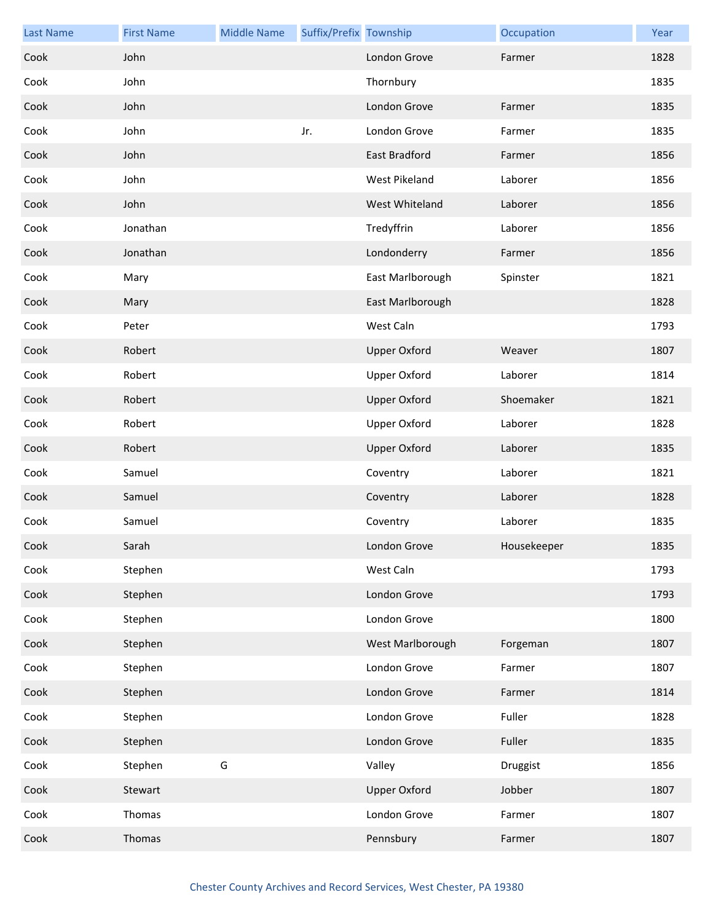| <b>Last Name</b> | <b>First Name</b> | <b>Middle Name</b> | Suffix/Prefix Township |                     | Occupation  | Year |
|------------------|-------------------|--------------------|------------------------|---------------------|-------------|------|
| Cook             | John              |                    |                        | London Grove        | Farmer      | 1828 |
| Cook             | John              |                    |                        | Thornbury           |             | 1835 |
| Cook             | John              |                    |                        | London Grove        | Farmer      | 1835 |
| Cook             | John              |                    | Jr.                    | London Grove        | Farmer      | 1835 |
| Cook             | John              |                    |                        | East Bradford       | Farmer      | 1856 |
| Cook             | John              |                    |                        | West Pikeland       | Laborer     | 1856 |
| Cook             | John              |                    |                        | West Whiteland      | Laborer     | 1856 |
| Cook             | Jonathan          |                    |                        | Tredyffrin          | Laborer     | 1856 |
| Cook             | Jonathan          |                    |                        | Londonderry         | Farmer      | 1856 |
| Cook             | Mary              |                    |                        | East Marlborough    | Spinster    | 1821 |
| Cook             | Mary              |                    |                        | East Marlborough    |             | 1828 |
| Cook             | Peter             |                    |                        | West Caln           |             | 1793 |
| Cook             | Robert            |                    |                        | <b>Upper Oxford</b> | Weaver      | 1807 |
| Cook             | Robert            |                    |                        | Upper Oxford        | Laborer     | 1814 |
| Cook             | Robert            |                    |                        | <b>Upper Oxford</b> | Shoemaker   | 1821 |
| Cook             | Robert            |                    |                        | Upper Oxford        | Laborer     | 1828 |
| Cook             | Robert            |                    |                        | <b>Upper Oxford</b> | Laborer     | 1835 |
| Cook             | Samuel            |                    |                        | Coventry            | Laborer     | 1821 |
| Cook             | Samuel            |                    |                        | Coventry            | Laborer     | 1828 |
| Cook             | Samuel            |                    |                        | Coventry            | Laborer     | 1835 |
| Cook             | Sarah             |                    |                        | London Grove        | Housekeeper | 1835 |
| Cook             | Stephen           |                    |                        | West Caln           |             | 1793 |
| Cook             | Stephen           |                    |                        | London Grove        |             | 1793 |
| Cook             | Stephen           |                    |                        | London Grove        |             | 1800 |
| Cook             | Stephen           |                    |                        | West Marlborough    | Forgeman    | 1807 |
| Cook             | Stephen           |                    |                        | London Grove        | Farmer      | 1807 |
| Cook             | Stephen           |                    |                        | London Grove        | Farmer      | 1814 |
| Cook             | Stephen           |                    |                        | London Grove        | Fuller      | 1828 |
| Cook             | Stephen           |                    |                        | London Grove        | Fuller      | 1835 |
| Cook             | Stephen           | G                  |                        | Valley              | Druggist    | 1856 |
| Cook             | Stewart           |                    |                        | <b>Upper Oxford</b> | Jobber      | 1807 |
| Cook             | Thomas            |                    |                        | London Grove        | Farmer      | 1807 |
| Cook             | Thomas            |                    |                        | Pennsbury           | Farmer      | 1807 |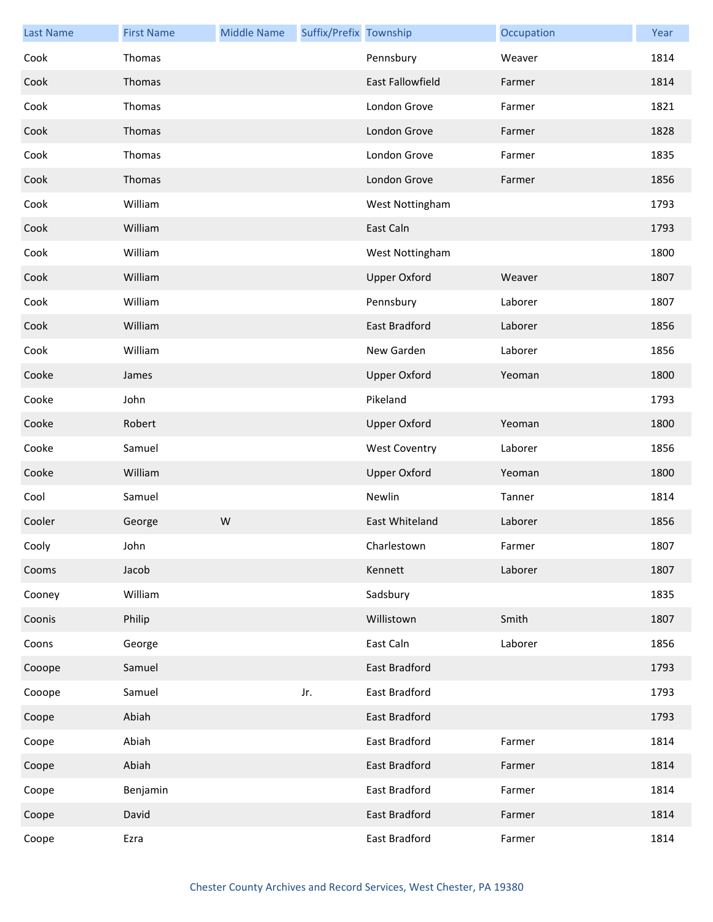| <b>Last Name</b> | <b>First Name</b> | <b>Middle Name</b> | Suffix/Prefix Township |                         | Occupation | Year |
|------------------|-------------------|--------------------|------------------------|-------------------------|------------|------|
| Cook             | Thomas            |                    |                        | Pennsbury               | Weaver     | 1814 |
| Cook             | Thomas            |                    |                        | <b>East Fallowfield</b> | Farmer     | 1814 |
| Cook             | Thomas            |                    |                        | London Grove            | Farmer     | 1821 |
| Cook             | Thomas            |                    |                        | London Grove            | Farmer     | 1828 |
| Cook             | Thomas            |                    |                        | London Grove            | Farmer     | 1835 |
| Cook             | Thomas            |                    |                        | London Grove            | Farmer     | 1856 |
| Cook             | William           |                    |                        | West Nottingham         |            | 1793 |
| Cook             | William           |                    |                        | East Caln               |            | 1793 |
| Cook             | William           |                    |                        | West Nottingham         |            | 1800 |
| Cook             | William           |                    |                        | <b>Upper Oxford</b>     | Weaver     | 1807 |
| Cook             | William           |                    |                        | Pennsbury               | Laborer    | 1807 |
| Cook             | William           |                    |                        | <b>East Bradford</b>    | Laborer    | 1856 |
| Cook             | William           |                    |                        | New Garden              | Laborer    | 1856 |
| Cooke            | James             |                    |                        | <b>Upper Oxford</b>     | Yeoman     | 1800 |
| Cooke            | John              |                    |                        | Pikeland                |            | 1793 |
| Cooke            | Robert            |                    |                        | <b>Upper Oxford</b>     | Yeoman     | 1800 |
| Cooke            | Samuel            |                    |                        | <b>West Coventry</b>    | Laborer    | 1856 |
| Cooke            | William           |                    |                        | <b>Upper Oxford</b>     | Yeoman     | 1800 |
| Cool             | Samuel            |                    |                        | Newlin                  | Tanner     | 1814 |
| Cooler           | George            | W                  |                        | East Whiteland          | Laborer    | 1856 |
| Cooly            | John              |                    |                        | Charlestown             | Farmer     | 1807 |
| Cooms            | Jacob             |                    |                        | Kennett                 | Laborer    | 1807 |
| Cooney           | William           |                    |                        | Sadsbury                |            | 1835 |
| Coonis           | Philip            |                    |                        | Willistown              | Smith      | 1807 |
| Coons            | George            |                    |                        | East Caln               | Laborer    | 1856 |
| Cooope           | Samuel            |                    |                        | <b>East Bradford</b>    |            | 1793 |
| Cooope           | Samuel            |                    | Jr.                    | East Bradford           |            | 1793 |
| Coope            | Abiah             |                    |                        | East Bradford           |            | 1793 |
| Coope            | Abiah             |                    |                        | East Bradford           | Farmer     | 1814 |
| Coope            | Abiah             |                    |                        | East Bradford           | Farmer     | 1814 |
| Coope            | Benjamin          |                    |                        | East Bradford           | Farmer     | 1814 |
| Coope            | David             |                    |                        | East Bradford           | Farmer     | 1814 |
| Coope            | Ezra              |                    |                        | East Bradford           | Farmer     | 1814 |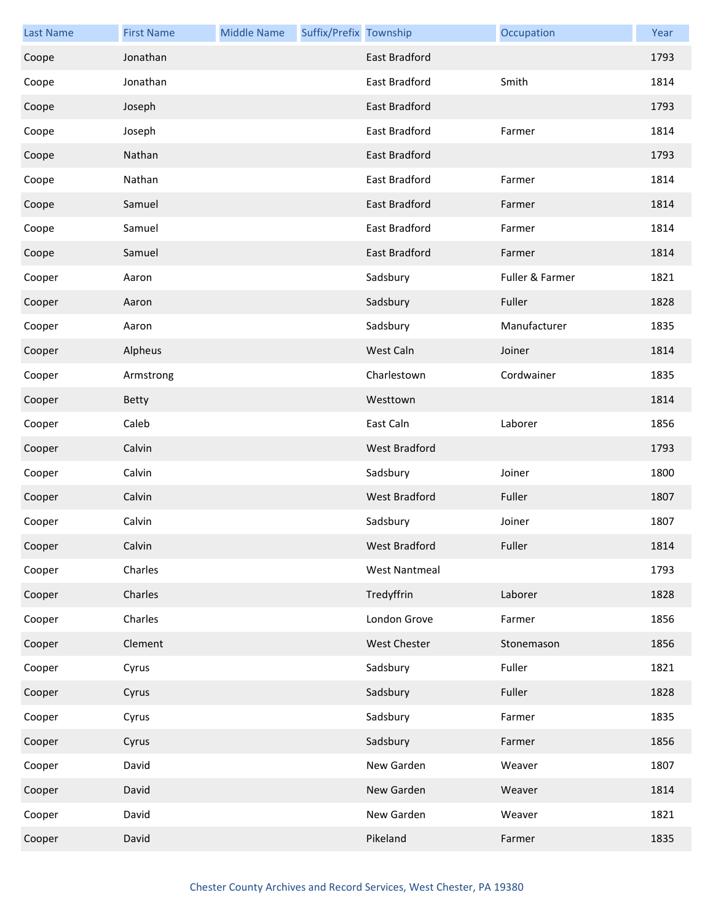| <b>Last Name</b> | <b>First Name</b> | <b>Middle Name</b> | Suffix/Prefix Township |                      | Occupation      | Year |
|------------------|-------------------|--------------------|------------------------|----------------------|-----------------|------|
| Coope            | Jonathan          |                    |                        | East Bradford        |                 | 1793 |
| Coope            | Jonathan          |                    |                        | East Bradford        | Smith           | 1814 |
| Coope            | Joseph            |                    |                        | East Bradford        |                 | 1793 |
| Coope            | Joseph            |                    |                        | East Bradford        | Farmer          | 1814 |
| Coope            | Nathan            |                    |                        | East Bradford        |                 | 1793 |
| Coope            | Nathan            |                    |                        | East Bradford        | Farmer          | 1814 |
| Coope            | Samuel            |                    |                        | East Bradford        | Farmer          | 1814 |
| Coope            | Samuel            |                    |                        | East Bradford        | Farmer          | 1814 |
| Coope            | Samuel            |                    |                        | East Bradford        | Farmer          | 1814 |
| Cooper           | Aaron             |                    |                        | Sadsbury             | Fuller & Farmer | 1821 |
| Cooper           | Aaron             |                    |                        | Sadsbury             | Fuller          | 1828 |
| Cooper           | Aaron             |                    |                        | Sadsbury             | Manufacturer    | 1835 |
| Cooper           | Alpheus           |                    |                        | West Caln            | Joiner          | 1814 |
| Cooper           | Armstrong         |                    |                        | Charlestown          | Cordwainer      | 1835 |
| Cooper           | Betty             |                    |                        | Westtown             |                 | 1814 |
| Cooper           | Caleb             |                    |                        | East Caln            | Laborer         | 1856 |
| Cooper           | Calvin            |                    |                        | West Bradford        |                 | 1793 |
| Cooper           | Calvin            |                    |                        | Sadsbury             | Joiner          | 1800 |
| Cooper           | Calvin            |                    |                        | <b>West Bradford</b> | Fuller          | 1807 |
| Cooper           | Calvin            |                    |                        | Sadsbury             | Joiner          | 1807 |
| Cooper           | Calvin            |                    |                        | West Bradford        | Fuller          | 1814 |
| Cooper           | Charles           |                    |                        | <b>West Nantmeal</b> |                 | 1793 |
| Cooper           | Charles           |                    |                        | Tredyffrin           | Laborer         | 1828 |
| Cooper           | Charles           |                    |                        | London Grove         | Farmer          | 1856 |
| Cooper           | Clement           |                    |                        | West Chester         | Stonemason      | 1856 |
| Cooper           | Cyrus             |                    |                        | Sadsbury             | Fuller          | 1821 |
| Cooper           | Cyrus             |                    |                        | Sadsbury             | Fuller          | 1828 |
| Cooper           | Cyrus             |                    |                        | Sadsbury             | Farmer          | 1835 |
| Cooper           | Cyrus             |                    |                        | Sadsbury             | Farmer          | 1856 |
| Cooper           | David             |                    |                        | New Garden           | Weaver          | 1807 |
| Cooper           | David             |                    |                        | New Garden           | Weaver          | 1814 |
| Cooper           | David             |                    |                        | New Garden           | Weaver          | 1821 |
| Cooper           | David             |                    |                        | Pikeland             | Farmer          | 1835 |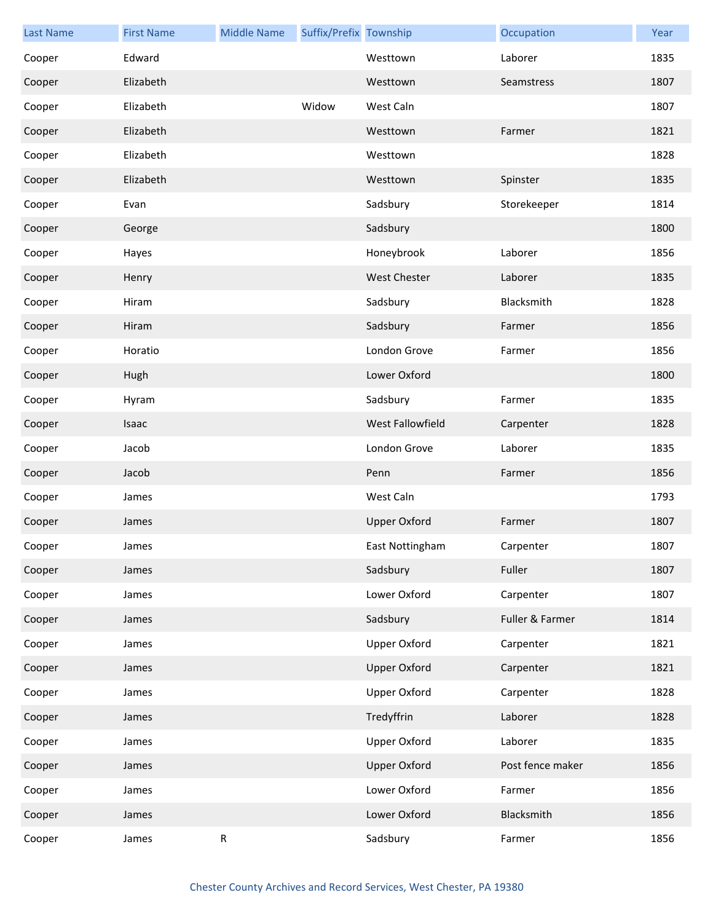| <b>Last Name</b> | <b>First Name</b> | <b>Middle Name</b> | Suffix/Prefix Township |                     | Occupation       | Year |
|------------------|-------------------|--------------------|------------------------|---------------------|------------------|------|
| Cooper           | Edward            |                    |                        | Westtown            | Laborer          | 1835 |
| Cooper           | Elizabeth         |                    |                        | Westtown            | Seamstress       | 1807 |
| Cooper           | Elizabeth         |                    | Widow                  | West Caln           |                  | 1807 |
| Cooper           | Elizabeth         |                    |                        | Westtown            | Farmer           | 1821 |
| Cooper           | Elizabeth         |                    |                        | Westtown            |                  | 1828 |
| Cooper           | Elizabeth         |                    |                        | Westtown            | Spinster         | 1835 |
| Cooper           | Evan              |                    |                        | Sadsbury            | Storekeeper      | 1814 |
| Cooper           | George            |                    |                        | Sadsbury            |                  | 1800 |
| Cooper           | Hayes             |                    |                        | Honeybrook          | Laborer          | 1856 |
| Cooper           | Henry             |                    |                        | <b>West Chester</b> | Laborer          | 1835 |
| Cooper           | Hiram             |                    |                        | Sadsbury            | Blacksmith       | 1828 |
| Cooper           | Hiram             |                    |                        | Sadsbury            | Farmer           | 1856 |
| Cooper           | Horatio           |                    |                        | London Grove        | Farmer           | 1856 |
| Cooper           | Hugh              |                    |                        | Lower Oxford        |                  | 1800 |
| Cooper           | Hyram             |                    |                        | Sadsbury            | Farmer           | 1835 |
| Cooper           | Isaac             |                    |                        | West Fallowfield    | Carpenter        | 1828 |
| Cooper           | Jacob             |                    |                        | London Grove        | Laborer          | 1835 |
| Cooper           | Jacob             |                    |                        | Penn                | Farmer           | 1856 |
| Cooper           | James             |                    |                        | West Caln           |                  | 1793 |
| Cooper           | James             |                    |                        | <b>Upper Oxford</b> | Farmer           | 1807 |
| Cooper           | James             |                    |                        | East Nottingham     | Carpenter        | 1807 |
| Cooper           | James             |                    |                        | Sadsbury            | Fuller           | 1807 |
| Cooper           | James             |                    |                        | Lower Oxford        | Carpenter        | 1807 |
| Cooper           | James             |                    |                        | Sadsbury            | Fuller & Farmer  | 1814 |
| Cooper           | James             |                    |                        | <b>Upper Oxford</b> | Carpenter        | 1821 |
| Cooper           | James             |                    |                        | <b>Upper Oxford</b> | Carpenter        | 1821 |
| Cooper           | James             |                    |                        | <b>Upper Oxford</b> | Carpenter        | 1828 |
| Cooper           | James             |                    |                        | Tredyffrin          | Laborer          | 1828 |
| Cooper           | James             |                    |                        | <b>Upper Oxford</b> | Laborer          | 1835 |
| Cooper           | James             |                    |                        | <b>Upper Oxford</b> | Post fence maker | 1856 |
| Cooper           | James             |                    |                        | Lower Oxford        | Farmer           | 1856 |
| Cooper           | James             |                    |                        | Lower Oxford        | Blacksmith       | 1856 |
| Cooper           | James             | ${\sf R}$          |                        | Sadsbury            | Farmer           | 1856 |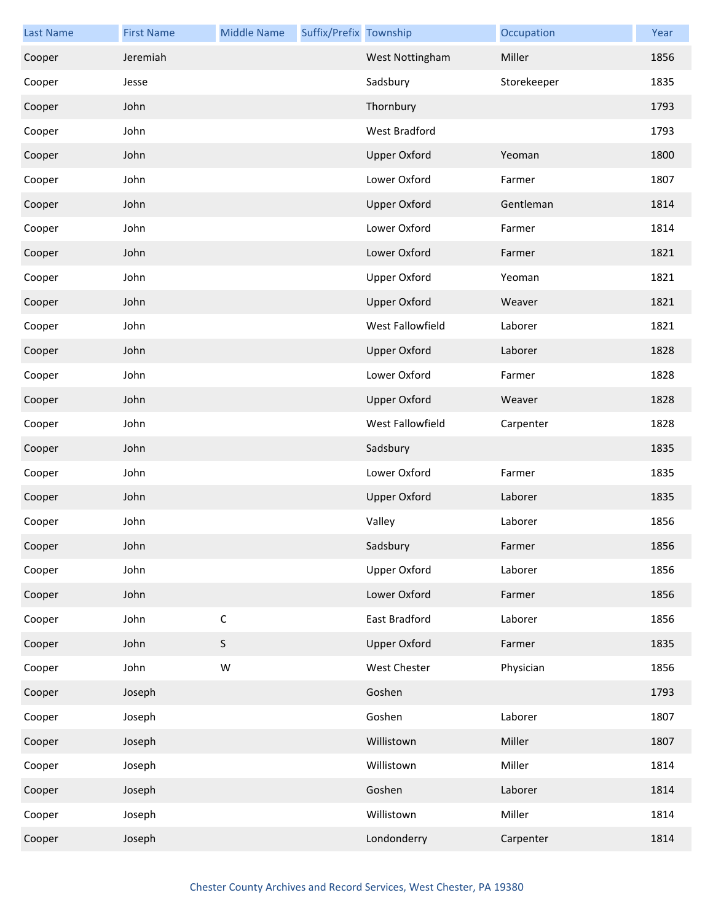| <b>Last Name</b> | <b>First Name</b> | <b>Middle Name</b> | Suffix/Prefix Township |                     | Occupation  | Year |
|------------------|-------------------|--------------------|------------------------|---------------------|-------------|------|
| Cooper           | Jeremiah          |                    |                        | West Nottingham     | Miller      | 1856 |
| Cooper           | Jesse             |                    |                        | Sadsbury            | Storekeeper | 1835 |
| Cooper           | John              |                    |                        | Thornbury           |             | 1793 |
| Cooper           | John              |                    |                        | West Bradford       |             | 1793 |
| Cooper           | John              |                    |                        | <b>Upper Oxford</b> | Yeoman      | 1800 |
| Cooper           | John              |                    |                        | Lower Oxford        | Farmer      | 1807 |
| Cooper           | John              |                    |                        | <b>Upper Oxford</b> | Gentleman   | 1814 |
| Cooper           | John              |                    |                        | Lower Oxford        | Farmer      | 1814 |
| Cooper           | John              |                    |                        | Lower Oxford        | Farmer      | 1821 |
| Cooper           | John              |                    |                        | <b>Upper Oxford</b> | Yeoman      | 1821 |
| Cooper           | John              |                    |                        | <b>Upper Oxford</b> | Weaver      | 1821 |
| Cooper           | John              |                    |                        | West Fallowfield    | Laborer     | 1821 |
| Cooper           | John              |                    |                        | <b>Upper Oxford</b> | Laborer     | 1828 |
| Cooper           | John              |                    |                        | Lower Oxford        | Farmer      | 1828 |
| Cooper           | John              |                    |                        | <b>Upper Oxford</b> | Weaver      | 1828 |
| Cooper           | John              |                    |                        | West Fallowfield    | Carpenter   | 1828 |
| Cooper           | John              |                    |                        | Sadsbury            |             | 1835 |
| Cooper           | John              |                    |                        | Lower Oxford        | Farmer      | 1835 |
| Cooper           | John              |                    |                        | <b>Upper Oxford</b> | Laborer     | 1835 |
| Cooper           | John              |                    |                        | Valley              | Laborer     | 1856 |
| Cooper           | John              |                    |                        | Sadsbury            | Farmer      | 1856 |
| Cooper           | John              |                    |                        | <b>Upper Oxford</b> | Laborer     | 1856 |
| Cooper           | John              |                    |                        | Lower Oxford        | Farmer      | 1856 |
| Cooper           | John              | $\mathsf C$        |                        | East Bradford       | Laborer     | 1856 |
| Cooper           | John              | $\mathsf S$        |                        | <b>Upper Oxford</b> | Farmer      | 1835 |
| Cooper           | John              | W                  |                        | West Chester        | Physician   | 1856 |
| Cooper           | Joseph            |                    |                        | Goshen              |             | 1793 |
| Cooper           | Joseph            |                    |                        | Goshen              | Laborer     | 1807 |
| Cooper           | Joseph            |                    |                        | Willistown          | Miller      | 1807 |
| Cooper           | Joseph            |                    |                        | Willistown          | Miller      | 1814 |
| Cooper           | Joseph            |                    |                        | Goshen              | Laborer     | 1814 |
| Cooper           | Joseph            |                    |                        | Willistown          | Miller      | 1814 |
| Cooper           | Joseph            |                    |                        | Londonderry         | Carpenter   | 1814 |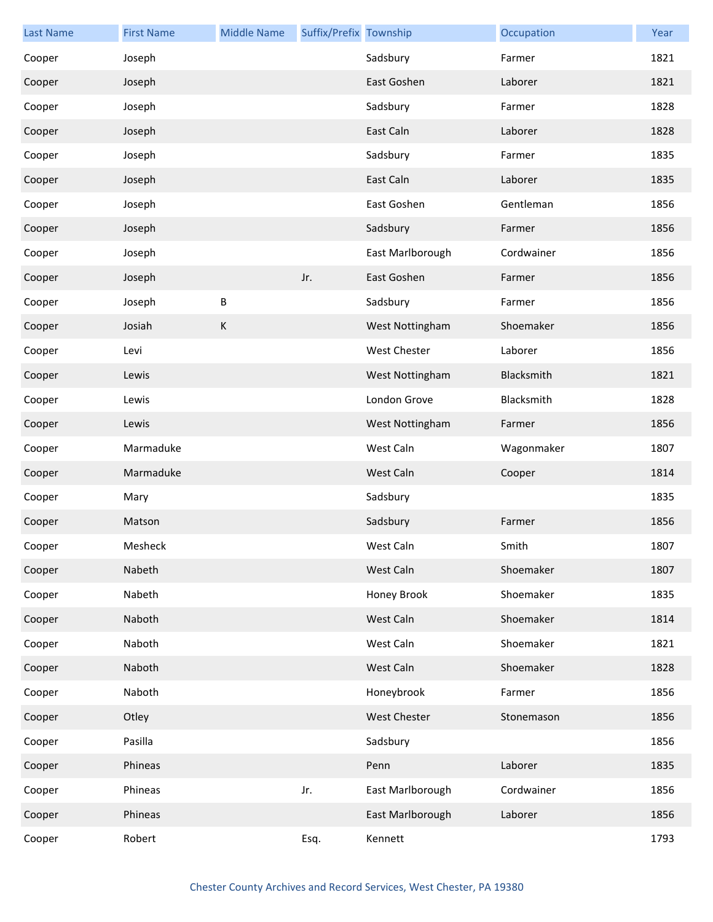| <b>Last Name</b> | <b>First Name</b> | <b>Middle Name</b> | Suffix/Prefix Township |                     | Occupation | Year |
|------------------|-------------------|--------------------|------------------------|---------------------|------------|------|
| Cooper           | Joseph            |                    |                        | Sadsbury            | Farmer     | 1821 |
| Cooper           | Joseph            |                    |                        | East Goshen         | Laborer    | 1821 |
| Cooper           | Joseph            |                    |                        | Sadsbury            | Farmer     | 1828 |
| Cooper           | Joseph            |                    |                        | East Caln           | Laborer    | 1828 |
| Cooper           | Joseph            |                    |                        | Sadsbury            | Farmer     | 1835 |
| Cooper           | Joseph            |                    |                        | East Caln           | Laborer    | 1835 |
| Cooper           | Joseph            |                    |                        | East Goshen         | Gentleman  | 1856 |
| Cooper           | Joseph            |                    |                        | Sadsbury            | Farmer     | 1856 |
| Cooper           | Joseph            |                    |                        | East Marlborough    | Cordwainer | 1856 |
| Cooper           | Joseph            |                    | Jr.                    | East Goshen         | Farmer     | 1856 |
| Cooper           | Joseph            | B                  |                        | Sadsbury            | Farmer     | 1856 |
| Cooper           | Josiah            | $\sf K$            |                        | West Nottingham     | Shoemaker  | 1856 |
| Cooper           | Levi              |                    |                        | West Chester        | Laborer    | 1856 |
| Cooper           | Lewis             |                    |                        | West Nottingham     | Blacksmith | 1821 |
| Cooper           | Lewis             |                    |                        | London Grove        | Blacksmith | 1828 |
| Cooper           | Lewis             |                    |                        | West Nottingham     | Farmer     | 1856 |
| Cooper           | Marmaduke         |                    |                        | West Caln           | Wagonmaker | 1807 |
| Cooper           | Marmaduke         |                    |                        | West Caln           | Cooper     | 1814 |
| Cooper           | Mary              |                    |                        | Sadsbury            |            | 1835 |
| Cooper           | Matson            |                    |                        | Sadsbury            | Farmer     | 1856 |
| Cooper           | Mesheck           |                    |                        | West Caln           | Smith      | 1807 |
| Cooper           | Nabeth            |                    |                        | West Caln           | Shoemaker  | 1807 |
| Cooper           | Nabeth            |                    |                        | Honey Brook         | Shoemaker  | 1835 |
| Cooper           | Naboth            |                    |                        | West Caln           | Shoemaker  | 1814 |
| Cooper           | Naboth            |                    |                        | West Caln           | Shoemaker  | 1821 |
| Cooper           | Naboth            |                    |                        | West Caln           | Shoemaker  | 1828 |
| Cooper           | Naboth            |                    |                        | Honeybrook          | Farmer     | 1856 |
| Cooper           | Otley             |                    |                        | <b>West Chester</b> | Stonemason | 1856 |
| Cooper           | Pasilla           |                    |                        | Sadsbury            |            | 1856 |
| Cooper           | Phineas           |                    |                        | Penn                | Laborer    | 1835 |
| Cooper           | Phineas           |                    | Jr.                    | East Marlborough    | Cordwainer | 1856 |
| Cooper           | Phineas           |                    |                        | East Marlborough    | Laborer    | 1856 |
| Cooper           | Robert            |                    | Esq.                   | Kennett             |            | 1793 |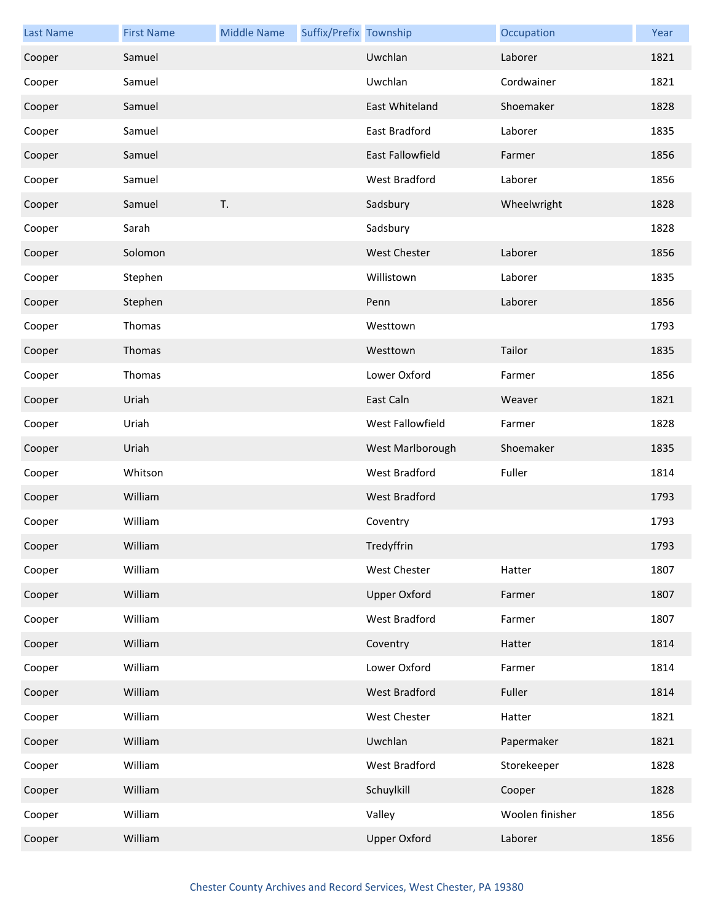| <b>Last Name</b> | <b>First Name</b> | <b>Middle Name</b> | Suffix/Prefix Township |                         | Occupation      | Year |
|------------------|-------------------|--------------------|------------------------|-------------------------|-----------------|------|
| Cooper           | Samuel            |                    |                        | Uwchlan                 | Laborer         | 1821 |
| Cooper           | Samuel            |                    |                        | Uwchlan                 | Cordwainer      | 1821 |
| Cooper           | Samuel            |                    |                        | East Whiteland          | Shoemaker       | 1828 |
| Cooper           | Samuel            |                    |                        | East Bradford           | Laborer         | 1835 |
| Cooper           | Samuel            |                    |                        | <b>East Fallowfield</b> | Farmer          | 1856 |
| Cooper           | Samuel            |                    |                        | West Bradford           | Laborer         | 1856 |
| Cooper           | Samuel            | T.                 |                        | Sadsbury                | Wheelwright     | 1828 |
| Cooper           | Sarah             |                    |                        | Sadsbury                |                 | 1828 |
| Cooper           | Solomon           |                    |                        | <b>West Chester</b>     | Laborer         | 1856 |
| Cooper           | Stephen           |                    |                        | Willistown              | Laborer         | 1835 |
| Cooper           | Stephen           |                    |                        | Penn                    | Laborer         | 1856 |
| Cooper           | Thomas            |                    |                        | Westtown                |                 | 1793 |
| Cooper           | Thomas            |                    |                        | Westtown                | Tailor          | 1835 |
| Cooper           | Thomas            |                    |                        | Lower Oxford            | Farmer          | 1856 |
| Cooper           | Uriah             |                    |                        | East Caln               | Weaver          | 1821 |
| Cooper           | Uriah             |                    |                        | West Fallowfield        | Farmer          | 1828 |
| Cooper           | Uriah             |                    |                        | West Marlborough        | Shoemaker       | 1835 |
| Cooper           | Whitson           |                    |                        | West Bradford           | Fuller          | 1814 |
| Cooper           | William           |                    |                        | West Bradford           |                 | 1793 |
| Cooper           | William           |                    |                        | Coventry                |                 | 1793 |
| Cooper           | William           |                    |                        | Tredyffrin              |                 | 1793 |
| Cooper           | William           |                    |                        | <b>West Chester</b>     | Hatter          | 1807 |
| Cooper           | William           |                    |                        | <b>Upper Oxford</b>     | Farmer          | 1807 |
| Cooper           | William           |                    |                        | West Bradford           | Farmer          | 1807 |
| Cooper           | William           |                    |                        | Coventry                | Hatter          | 1814 |
| Cooper           | William           |                    |                        | Lower Oxford            | Farmer          | 1814 |
| Cooper           | William           |                    |                        | West Bradford           | Fuller          | 1814 |
| Cooper           | William           |                    |                        | <b>West Chester</b>     | Hatter          | 1821 |
| Cooper           | William           |                    |                        | Uwchlan                 | Papermaker      | 1821 |
| Cooper           | William           |                    |                        | West Bradford           | Storekeeper     | 1828 |
| Cooper           | William           |                    |                        | Schuylkill              | Cooper          | 1828 |
| Cooper           | William           |                    |                        | Valley                  | Woolen finisher | 1856 |
| Cooper           | William           |                    |                        | <b>Upper Oxford</b>     | Laborer         | 1856 |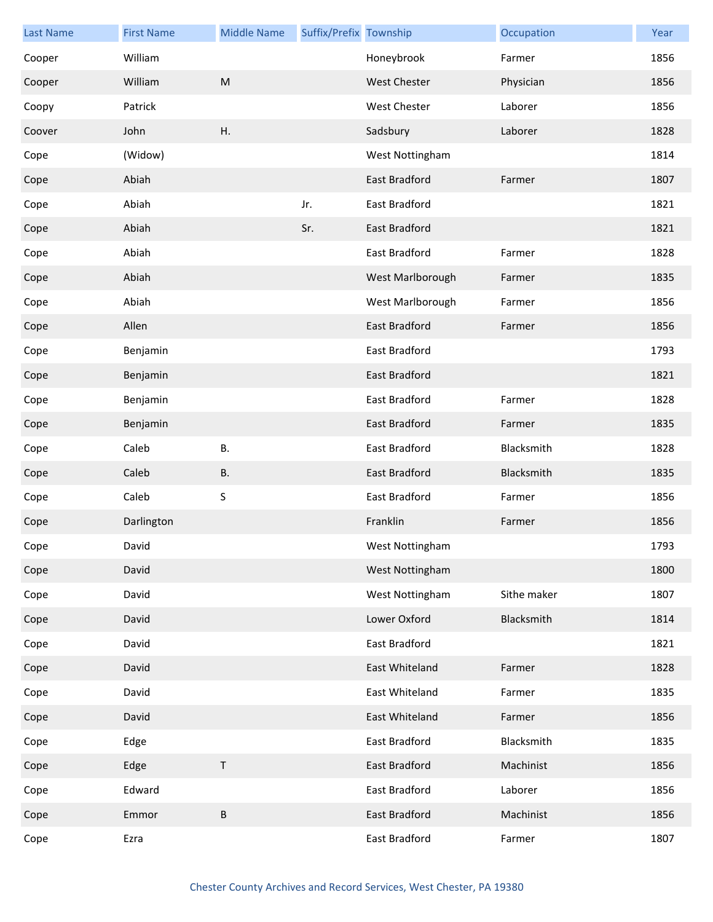| <b>Last Name</b> | <b>First Name</b> | <b>Middle Name</b> | Suffix/Prefix Township |                      | Occupation  | Year |
|------------------|-------------------|--------------------|------------------------|----------------------|-------------|------|
| Cooper           | William           |                    |                        | Honeybrook           | Farmer      | 1856 |
| Cooper           | William           | M                  |                        | <b>West Chester</b>  | Physician   | 1856 |
| Coopy            | Patrick           |                    |                        | West Chester         | Laborer     | 1856 |
| Coover           | John              | Η.                 |                        | Sadsbury             | Laborer     | 1828 |
| Cope             | (Widow)           |                    |                        | West Nottingham      |             | 1814 |
| Cope             | Abiah             |                    |                        | East Bradford        | Farmer      | 1807 |
| Cope             | Abiah             |                    | Jr.                    | East Bradford        |             | 1821 |
| Cope             | Abiah             |                    | Sr.                    | East Bradford        |             | 1821 |
| Cope             | Abiah             |                    |                        | East Bradford        | Farmer      | 1828 |
| Cope             | Abiah             |                    |                        | West Marlborough     | Farmer      | 1835 |
| Cope             | Abiah             |                    |                        | West Marlborough     | Farmer      | 1856 |
| Cope             | Allen             |                    |                        | East Bradford        | Farmer      | 1856 |
| Cope             | Benjamin          |                    |                        | East Bradford        |             | 1793 |
| Cope             | Benjamin          |                    |                        | East Bradford        |             | 1821 |
| Cope             | Benjamin          |                    |                        | East Bradford        | Farmer      | 1828 |
| Cope             | Benjamin          |                    |                        | East Bradford        | Farmer      | 1835 |
| Cope             | Caleb             | В.                 |                        | East Bradford        | Blacksmith  | 1828 |
| Cope             | Caleb             | <b>B.</b>          |                        | East Bradford        | Blacksmith  | 1835 |
| Cope             | Caleb             | S                  |                        | East Bradford        | Farmer      | 1856 |
| Cope             | Darlington        |                    |                        | Franklin             | Farmer      | 1856 |
| Cope             | David             |                    |                        | West Nottingham      |             | 1793 |
| Cope             | David             |                    |                        | West Nottingham      |             | 1800 |
| Cope             | David             |                    |                        | West Nottingham      | Sithe maker | 1807 |
| Cope             | David             |                    |                        | Lower Oxford         | Blacksmith  | 1814 |
| Cope             | David             |                    |                        | East Bradford        |             | 1821 |
| Cope             | David             |                    |                        | East Whiteland       | Farmer      | 1828 |
| Cope             | David             |                    |                        | East Whiteland       | Farmer      | 1835 |
| Cope             | David             |                    |                        | East Whiteland       | Farmer      | 1856 |
| Cope             | Edge              |                    |                        | East Bradford        | Blacksmith  | 1835 |
| Cope             | Edge              | $\sf T$            |                        | <b>East Bradford</b> | Machinist   | 1856 |
| Cope             | Edward            |                    |                        | East Bradford        | Laborer     | 1856 |
| Cope             | Emmor             | $\sf B$            |                        | East Bradford        | Machinist   | 1856 |
| Cope             | Ezra              |                    |                        | East Bradford        | Farmer      | 1807 |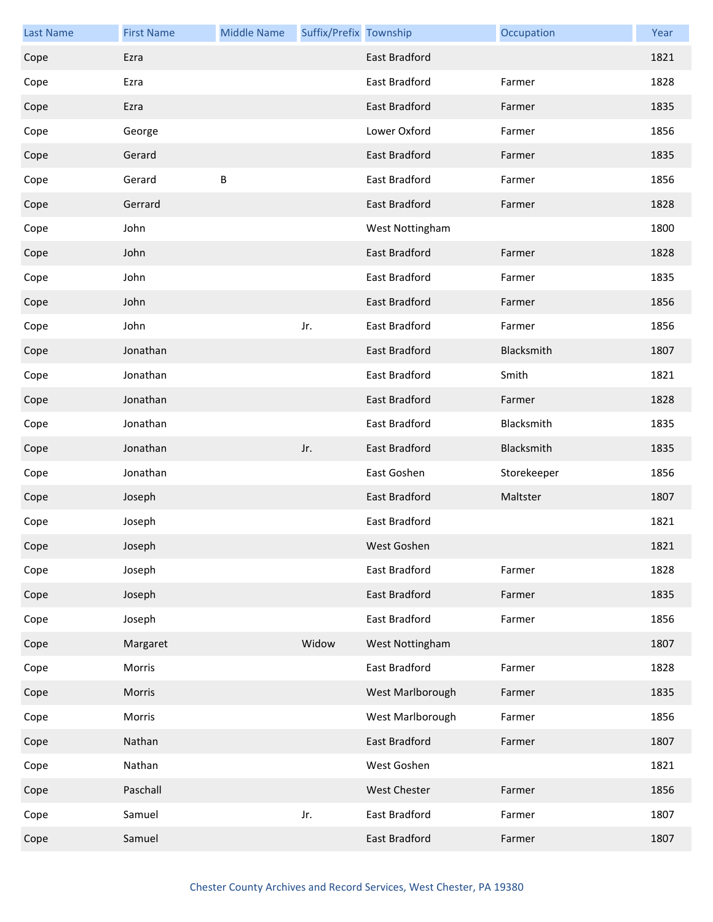| <b>Last Name</b> | <b>First Name</b> | <b>Middle Name</b> | Suffix/Prefix Township |                      | Occupation  | Year |
|------------------|-------------------|--------------------|------------------------|----------------------|-------------|------|
| Cope             | Ezra              |                    |                        | East Bradford        |             | 1821 |
| Cope             | Ezra              |                    |                        | East Bradford        | Farmer      | 1828 |
| Cope             | Ezra              |                    |                        | <b>East Bradford</b> | Farmer      | 1835 |
| Cope             | George            |                    |                        | Lower Oxford         | Farmer      | 1856 |
| Cope             | Gerard            |                    |                        | East Bradford        | Farmer      | 1835 |
| Cope             | Gerard            | B                  |                        | East Bradford        | Farmer      | 1856 |
| Cope             | Gerrard           |                    |                        | East Bradford        | Farmer      | 1828 |
| Cope             | John              |                    |                        | West Nottingham      |             | 1800 |
| Cope             | John              |                    |                        | East Bradford        | Farmer      | 1828 |
| Cope             | John              |                    |                        | East Bradford        | Farmer      | 1835 |
| Cope             | John              |                    |                        | East Bradford        | Farmer      | 1856 |
| Cope             | John              |                    | Jr.                    | East Bradford        | Farmer      | 1856 |
| Cope             | Jonathan          |                    |                        | East Bradford        | Blacksmith  | 1807 |
| Cope             | Jonathan          |                    |                        | East Bradford        | Smith       | 1821 |
| Cope             | Jonathan          |                    |                        | East Bradford        | Farmer      | 1828 |
| Cope             | Jonathan          |                    |                        | East Bradford        | Blacksmith  | 1835 |
| Cope             | Jonathan          |                    | Jr.                    | East Bradford        | Blacksmith  | 1835 |
| Cope             | Jonathan          |                    |                        | East Goshen          | Storekeeper | 1856 |
| Cope             | Joseph            |                    |                        | East Bradford        | Maltster    | 1807 |
| Cope             | Joseph            |                    |                        | East Bradford        |             | 1821 |
| Cope             | Joseph            |                    |                        | West Goshen          |             | 1821 |
| Cope             | Joseph            |                    |                        | East Bradford        | Farmer      | 1828 |
| Cope             | Joseph            |                    |                        | East Bradford        | Farmer      | 1835 |
| Cope             | Joseph            |                    |                        | East Bradford        | Farmer      | 1856 |
| Cope             | Margaret          |                    | Widow                  | West Nottingham      |             | 1807 |
| Cope             | Morris            |                    |                        | East Bradford        | Farmer      | 1828 |
| Cope             | Morris            |                    |                        | West Marlborough     | Farmer      | 1835 |
| Cope             | Morris            |                    |                        | West Marlborough     | Farmer      | 1856 |
| Cope             | Nathan            |                    |                        | East Bradford        | Farmer      | 1807 |
| Cope             | Nathan            |                    |                        | West Goshen          |             | 1821 |
| Cope             | Paschall          |                    |                        | <b>West Chester</b>  | Farmer      | 1856 |
| Cope             | Samuel            |                    | Jr.                    | East Bradford        | Farmer      | 1807 |
| Cope             | Samuel            |                    |                        | East Bradford        | Farmer      | 1807 |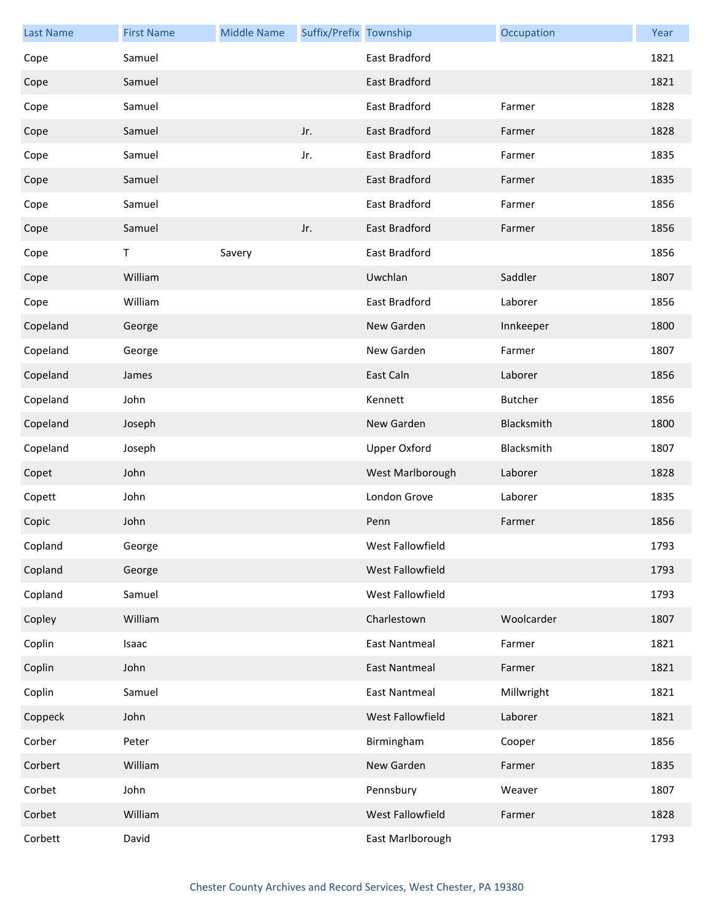| <b>Last Name</b> | <b>First Name</b> | <b>Middle Name</b> | Suffix/Prefix Township |                      | Occupation     | Year |
|------------------|-------------------|--------------------|------------------------|----------------------|----------------|------|
| Cope             | Samuel            |                    |                        | East Bradford        |                | 1821 |
| Cope             | Samuel            |                    |                        | <b>East Bradford</b> |                | 1821 |
| Cope             | Samuel            |                    |                        | East Bradford        | Farmer         | 1828 |
| Cope             | Samuel            |                    | Jr.                    | East Bradford        | Farmer         | 1828 |
| Cope             | Samuel            |                    | Jr.                    | East Bradford        | Farmer         | 1835 |
| Cope             | Samuel            |                    |                        | East Bradford        | Farmer         | 1835 |
| Cope             | Samuel            |                    |                        | East Bradford        | Farmer         | 1856 |
| Cope             | Samuel            |                    | Jr.                    | East Bradford        | Farmer         | 1856 |
| Cope             | Τ                 | Savery             |                        | East Bradford        |                | 1856 |
| Cope             | William           |                    |                        | Uwchlan              | Saddler        | 1807 |
| Cope             | William           |                    |                        | East Bradford        | Laborer        | 1856 |
| Copeland         | George            |                    |                        | New Garden           | Innkeeper      | 1800 |
| Copeland         | George            |                    |                        | New Garden           | Farmer         | 1807 |
| Copeland         | James             |                    |                        | East Caln            | Laborer        | 1856 |
| Copeland         | John              |                    |                        | Kennett              | <b>Butcher</b> | 1856 |
| Copeland         | Joseph            |                    |                        | New Garden           | Blacksmith     | 1800 |
| Copeland         | Joseph            |                    |                        | <b>Upper Oxford</b>  | Blacksmith     | 1807 |
| Copet            | John              |                    |                        | West Marlborough     | Laborer        | 1828 |
| Copett           | John              |                    |                        | London Grove         | Laborer        | 1835 |
| Copic            | John              |                    |                        | Penn                 | Farmer         | 1856 |
| Copland          | George            |                    |                        | West Fallowfield     |                | 1793 |
| Copland          | George            |                    |                        | West Fallowfield     |                | 1793 |
| Copland          | Samuel            |                    |                        | West Fallowfield     |                | 1793 |
| Copley           | William           |                    |                        | Charlestown          | Woolcarder     | 1807 |
| Coplin           | Isaac             |                    |                        | <b>East Nantmeal</b> | Farmer         | 1821 |
| Coplin           | John              |                    |                        | <b>East Nantmeal</b> | Farmer         | 1821 |
| Coplin           | Samuel            |                    |                        | <b>East Nantmeal</b> | Millwright     | 1821 |
| Coppeck          | John              |                    |                        | West Fallowfield     | Laborer        | 1821 |
| Corber           | Peter             |                    |                        | Birmingham           | Cooper         | 1856 |
| Corbert          | William           |                    |                        | New Garden           | Farmer         | 1835 |
| Corbet           | John              |                    |                        | Pennsbury            | Weaver         | 1807 |
| Corbet           | William           |                    |                        | West Fallowfield     | Farmer         | 1828 |
| Corbett          | David             |                    |                        | East Marlborough     |                | 1793 |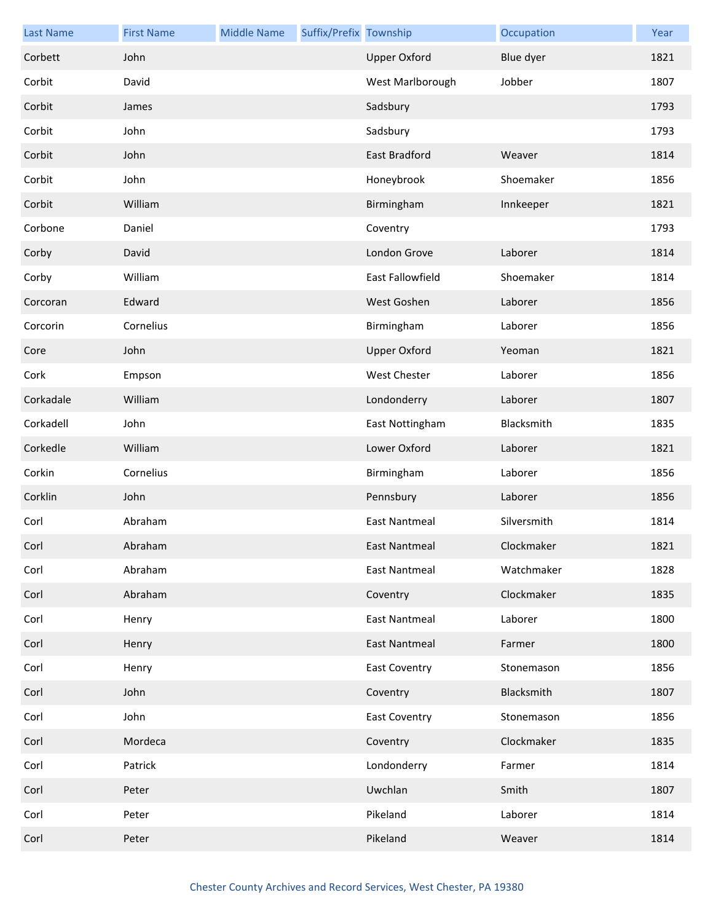| <b>Last Name</b> | <b>First Name</b> | <b>Middle Name</b> | Suffix/Prefix Township |                      | Occupation  | Year |
|------------------|-------------------|--------------------|------------------------|----------------------|-------------|------|
| Corbett          | John              |                    |                        | <b>Upper Oxford</b>  | Blue dyer   | 1821 |
| Corbit           | David             |                    |                        | West Marlborough     | Jobber      | 1807 |
| Corbit           | James             |                    |                        | Sadsbury             |             | 1793 |
| Corbit           | John              |                    |                        | Sadsbury             |             | 1793 |
| Corbit           | John              |                    |                        | East Bradford        | Weaver      | 1814 |
| Corbit           | John              |                    |                        | Honeybrook           | Shoemaker   | 1856 |
| Corbit           | William           |                    |                        | Birmingham           | Innkeeper   | 1821 |
| Corbone          | Daniel            |                    |                        | Coventry             |             | 1793 |
| Corby            | David             |                    |                        | London Grove         | Laborer     | 1814 |
| Corby            | William           |                    |                        | East Fallowfield     | Shoemaker   | 1814 |
| Corcoran         | Edward            |                    |                        | West Goshen          | Laborer     | 1856 |
| Corcorin         | Cornelius         |                    |                        | Birmingham           | Laborer     | 1856 |
| Core             | John              |                    |                        | <b>Upper Oxford</b>  | Yeoman      | 1821 |
| Cork             | Empson            |                    |                        | West Chester         | Laborer     | 1856 |
| Corkadale        | William           |                    |                        | Londonderry          | Laborer     | 1807 |
| Corkadell        | John              |                    |                        | East Nottingham      | Blacksmith  | 1835 |
| Corkedle         | William           |                    |                        | Lower Oxford         | Laborer     | 1821 |
| Corkin           | Cornelius         |                    |                        | Birmingham           | Laborer     | 1856 |
| Corklin          | John              |                    |                        | Pennsbury            | Laborer     | 1856 |
| Corl             | Abraham           |                    |                        | <b>East Nantmeal</b> | Silversmith | 1814 |
| Corl             | Abraham           |                    |                        | East Nantmeal        | Clockmaker  | 1821 |
| Corl             | Abraham           |                    |                        | <b>East Nantmeal</b> | Watchmaker  | 1828 |
| Corl             | Abraham           |                    |                        | Coventry             | Clockmaker  | 1835 |
| Corl             | Henry             |                    |                        | <b>East Nantmeal</b> | Laborer     | 1800 |
| Corl             | Henry             |                    |                        | East Nantmeal        | Farmer      | 1800 |
| Corl             | Henry             |                    |                        | <b>East Coventry</b> | Stonemason  | 1856 |
| Corl             | John              |                    |                        | Coventry             | Blacksmith  | 1807 |
| Corl             | John              |                    |                        | <b>East Coventry</b> | Stonemason  | 1856 |
| Corl             | Mordeca           |                    |                        | Coventry             | Clockmaker  | 1835 |
| Corl             | Patrick           |                    |                        | Londonderry          | Farmer      | 1814 |
| Corl             | Peter             |                    |                        | Uwchlan              | Smith       | 1807 |
| Corl             | Peter             |                    |                        | Pikeland             | Laborer     | 1814 |
| Corl             | Peter             |                    |                        | Pikeland             | Weaver      | 1814 |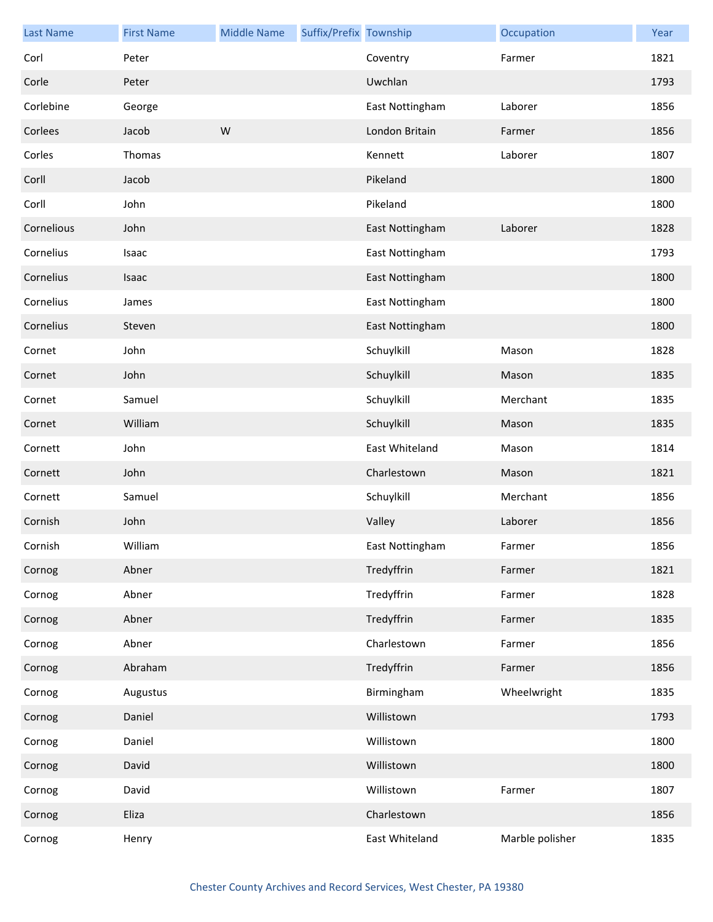| <b>Last Name</b> | <b>First Name</b> | <b>Middle Name</b> | Suffix/Prefix Township |                 | Occupation      | Year |
|------------------|-------------------|--------------------|------------------------|-----------------|-----------------|------|
| Corl             | Peter             |                    |                        | Coventry        | Farmer          | 1821 |
| Corle            | Peter             |                    |                        | Uwchlan         |                 | 1793 |
| Corlebine        | George            |                    |                        | East Nottingham | Laborer         | 1856 |
| Corlees          | Jacob             | W                  |                        | London Britain  | Farmer          | 1856 |
| Corles           | Thomas            |                    |                        | Kennett         | Laborer         | 1807 |
| Corll            | Jacob             |                    |                        | Pikeland        |                 | 1800 |
| Corll            | John              |                    |                        | Pikeland        |                 | 1800 |
| Cornelious       | John              |                    |                        | East Nottingham | Laborer         | 1828 |
| Cornelius        | Isaac             |                    |                        | East Nottingham |                 | 1793 |
| Cornelius        | Isaac             |                    |                        | East Nottingham |                 | 1800 |
| Cornelius        | James             |                    |                        | East Nottingham |                 | 1800 |
| Cornelius        | Steven            |                    |                        | East Nottingham |                 | 1800 |
| Cornet           | John              |                    |                        | Schuylkill      | Mason           | 1828 |
| Cornet           | John              |                    |                        | Schuylkill      | Mason           | 1835 |
| Cornet           | Samuel            |                    |                        | Schuylkill      | Merchant        | 1835 |
| Cornet           | William           |                    |                        | Schuylkill      | Mason           | 1835 |
| Cornett          | John              |                    |                        | East Whiteland  | Mason           | 1814 |
| Cornett          | John              |                    |                        | Charlestown     | Mason           | 1821 |
| Cornett          | Samuel            |                    |                        | Schuylkill      | Merchant        | 1856 |
| Cornish          | John              |                    |                        | Valley          | Laborer         | 1856 |
| Cornish          | William           |                    |                        | East Nottingham | Farmer          | 1856 |
| Cornog           | Abner             |                    |                        | Tredyffrin      | Farmer          | 1821 |
| Cornog           | Abner             |                    |                        | Tredyffrin      | Farmer          | 1828 |
| Cornog           | Abner             |                    |                        | Tredyffrin      | Farmer          | 1835 |
| Cornog           | Abner             |                    |                        | Charlestown     | Farmer          | 1856 |
| Cornog           | Abraham           |                    |                        | Tredyffrin      | Farmer          | 1856 |
| Cornog           | Augustus          |                    |                        | Birmingham      | Wheelwright     | 1835 |
| Cornog           | Daniel            |                    |                        | Willistown      |                 | 1793 |
| Cornog           | Daniel            |                    |                        | Willistown      |                 | 1800 |
| Cornog           | David             |                    |                        | Willistown      |                 | 1800 |
| Cornog           | David             |                    |                        | Willistown      | Farmer          | 1807 |
| Cornog           | Eliza             |                    |                        | Charlestown     |                 | 1856 |
| Cornog           | Henry             |                    |                        | East Whiteland  | Marble polisher | 1835 |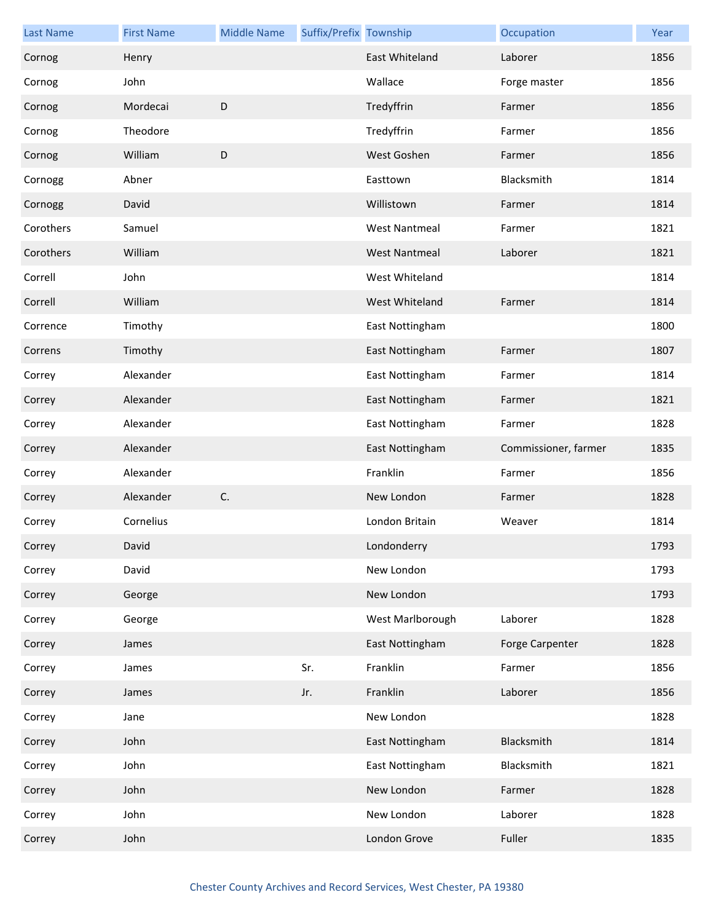| <b>Last Name</b> | <b>First Name</b> | <b>Middle Name</b> | Suffix/Prefix Township |                      | Occupation           | Year |
|------------------|-------------------|--------------------|------------------------|----------------------|----------------------|------|
| Cornog           | Henry             |                    |                        | East Whiteland       | Laborer              | 1856 |
| Cornog           | John              |                    |                        | Wallace              | Forge master         | 1856 |
| Cornog           | Mordecai          | D                  |                        | Tredyffrin           | Farmer               | 1856 |
| Cornog           | Theodore          |                    |                        | Tredyffrin           | Farmer               | 1856 |
| Cornog           | William           | $\mathsf D$        |                        | West Goshen          | Farmer               | 1856 |
| Cornogg          | Abner             |                    |                        | Easttown             | Blacksmith           | 1814 |
| Cornogg          | David             |                    |                        | Willistown           | Farmer               | 1814 |
| Corothers        | Samuel            |                    |                        | <b>West Nantmeal</b> | Farmer               | 1821 |
| Corothers        | William           |                    |                        | <b>West Nantmeal</b> | Laborer              | 1821 |
| Correll          | John              |                    |                        | West Whiteland       |                      | 1814 |
| Correll          | William           |                    |                        | West Whiteland       | Farmer               | 1814 |
| Corrence         | Timothy           |                    |                        | East Nottingham      |                      | 1800 |
| Correns          | Timothy           |                    |                        | East Nottingham      | Farmer               | 1807 |
| Correy           | Alexander         |                    |                        | East Nottingham      | Farmer               | 1814 |
| Correy           | Alexander         |                    |                        | East Nottingham      | Farmer               | 1821 |
| Correy           | Alexander         |                    |                        | East Nottingham      | Farmer               | 1828 |
| Correy           | Alexander         |                    |                        | East Nottingham      | Commissioner, farmer | 1835 |
| Correy           | Alexander         |                    |                        | Franklin             | Farmer               | 1856 |
| Correy           | Alexander         | C.                 |                        | New London           | Farmer               | 1828 |
| Correy           | Cornelius         |                    |                        | London Britain       | Weaver               | 1814 |
| Correy           | David             |                    |                        | Londonderry          |                      | 1793 |
| Correy           | David             |                    |                        | New London           |                      | 1793 |
| Correy           | George            |                    |                        | New London           |                      | 1793 |
| Correy           | George            |                    |                        | West Marlborough     | Laborer              | 1828 |
| Correy           | James             |                    |                        | East Nottingham      | Forge Carpenter      | 1828 |
| Correy           | James             |                    | Sr.                    | Franklin             | Farmer               | 1856 |
| Correy           | James             |                    | Jr.                    | Franklin             | Laborer              | 1856 |
| Correy           | Jane              |                    |                        | New London           |                      | 1828 |
| Correy           | John              |                    |                        | East Nottingham      | Blacksmith           | 1814 |
| Correy           | John              |                    |                        | East Nottingham      | Blacksmith           | 1821 |
| Correy           | John              |                    |                        | New London           | Farmer               | 1828 |
| Correy           | John              |                    |                        | New London           | Laborer              | 1828 |
| Correy           | John              |                    |                        | London Grove         | Fuller               | 1835 |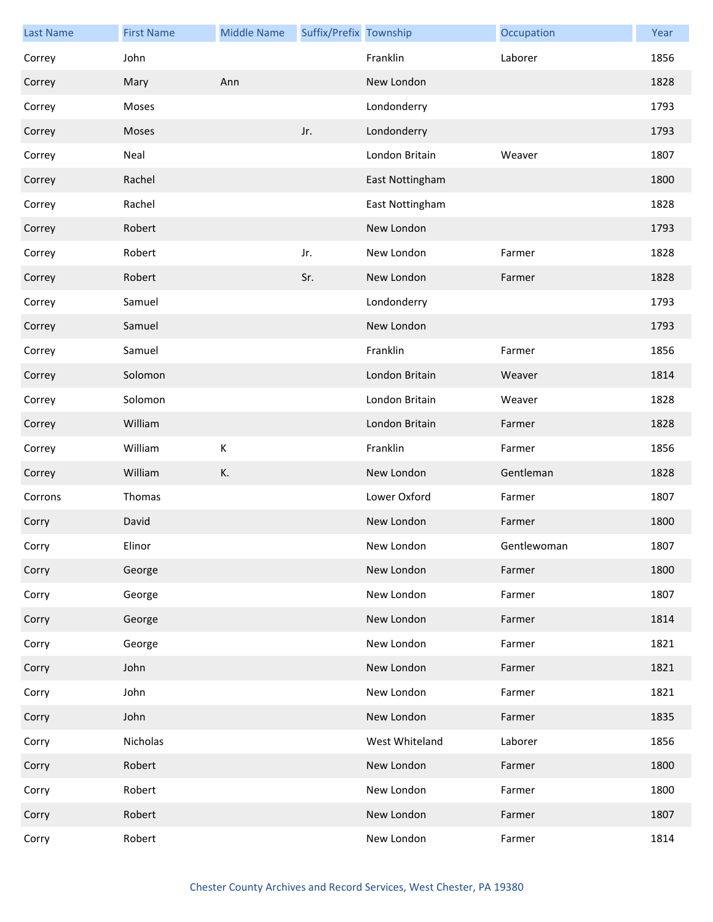| <b>Last Name</b> | <b>First Name</b> | <b>Middle Name</b> | Suffix/Prefix Township |                 | Occupation  | Year |
|------------------|-------------------|--------------------|------------------------|-----------------|-------------|------|
| Correy           | John              |                    |                        | Franklin        | Laborer     | 1856 |
| Correy           | Mary              | Ann                |                        | New London      |             | 1828 |
| Correy           | Moses             |                    |                        | Londonderry     |             | 1793 |
| Correy           | Moses             |                    | Jr.                    | Londonderry     |             | 1793 |
| Correy           | Neal              |                    |                        | London Britain  | Weaver      | 1807 |
| Correy           | Rachel            |                    |                        | East Nottingham |             | 1800 |
| Correy           | Rachel            |                    |                        | East Nottingham |             | 1828 |
| Correy           | Robert            |                    |                        | New London      |             | 1793 |
| Correy           | Robert            |                    | Jr.                    | New London      | Farmer      | 1828 |
| Correy           | Robert            |                    | Sr.                    | New London      | Farmer      | 1828 |
| Correy           | Samuel            |                    |                        | Londonderry     |             | 1793 |
| Correy           | Samuel            |                    |                        | New London      |             | 1793 |
| Correy           | Samuel            |                    |                        | Franklin        | Farmer      | 1856 |
| Correy           | Solomon           |                    |                        | London Britain  | Weaver      | 1814 |
| Correy           | Solomon           |                    |                        | London Britain  | Weaver      | 1828 |
| Correy           | William           |                    |                        | London Britain  | Farmer      | 1828 |
| Correy           | William           | К                  |                        | Franklin        | Farmer      | 1856 |
| Correy           | William           | K.                 |                        | New London      | Gentleman   | 1828 |
| Corrons          | Thomas            |                    |                        | Lower Oxford    | Farmer      | 1807 |
| Corry            | David             |                    |                        | New London      | Farmer      | 1800 |
| Corry            | Elinor            |                    |                        | New London      | Gentlewoman | 1807 |
| Corry            | George            |                    |                        | New London      | Farmer      | 1800 |
| Corry            | George            |                    |                        | New London      | Farmer      | 1807 |
| Corry            | George            |                    |                        | New London      | Farmer      | 1814 |
| Corry            | George            |                    |                        | New London      | Farmer      | 1821 |
| Corry            | John              |                    |                        | New London      | Farmer      | 1821 |
| Corry            | John              |                    |                        | New London      | Farmer      | 1821 |
| Corry            | John              |                    |                        | New London      | Farmer      | 1835 |
| Corry            | Nicholas          |                    |                        | West Whiteland  | Laborer     | 1856 |
| Corry            | Robert            |                    |                        | New London      | Farmer      | 1800 |
| Corry            | Robert            |                    |                        | New London      | Farmer      | 1800 |
| Corry            | Robert            |                    |                        | New London      | Farmer      | 1807 |
| Corry            | Robert            |                    |                        | New London      | Farmer      | 1814 |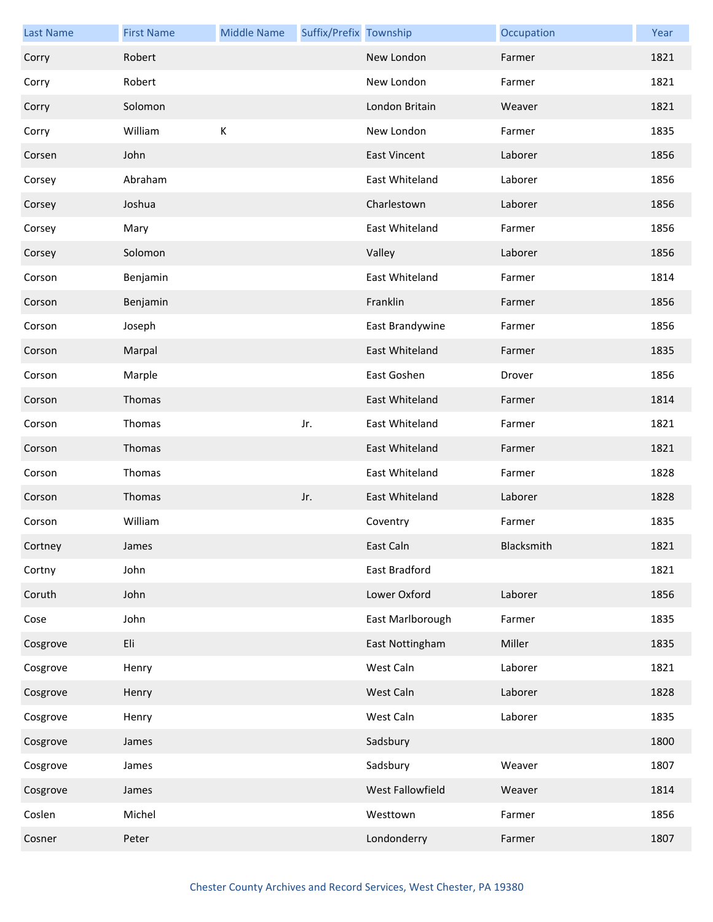| <b>Last Name</b> | <b>First Name</b> | <b>Middle Name</b> | Suffix/Prefix Township |                     | Occupation | Year |
|------------------|-------------------|--------------------|------------------------|---------------------|------------|------|
| Corry            | Robert            |                    |                        | New London          | Farmer     | 1821 |
| Corry            | Robert            |                    |                        | New London          | Farmer     | 1821 |
| Corry            | Solomon           |                    |                        | London Britain      | Weaver     | 1821 |
| Corry            | William           | К                  |                        | New London          | Farmer     | 1835 |
| Corsen           | John              |                    |                        | <b>East Vincent</b> | Laborer    | 1856 |
| Corsey           | Abraham           |                    |                        | East Whiteland      | Laborer    | 1856 |
| Corsey           | Joshua            |                    |                        | Charlestown         | Laborer    | 1856 |
| Corsey           | Mary              |                    |                        | East Whiteland      | Farmer     | 1856 |
| Corsey           | Solomon           |                    |                        | Valley              | Laborer    | 1856 |
| Corson           | Benjamin          |                    |                        | East Whiteland      | Farmer     | 1814 |
| Corson           | Benjamin          |                    |                        | Franklin            | Farmer     | 1856 |
| Corson           | Joseph            |                    |                        | East Brandywine     | Farmer     | 1856 |
| Corson           | Marpal            |                    |                        | East Whiteland      | Farmer     | 1835 |
| Corson           | Marple            |                    |                        | East Goshen         | Drover     | 1856 |
| Corson           | Thomas            |                    |                        | East Whiteland      | Farmer     | 1814 |
| Corson           | Thomas            |                    | Jr.                    | East Whiteland      | Farmer     | 1821 |
| Corson           | Thomas            |                    |                        | East Whiteland      | Farmer     | 1821 |
| Corson           | Thomas            |                    |                        | East Whiteland      | Farmer     | 1828 |
| Corson           | Thomas            |                    | Jr.                    | East Whiteland      | Laborer    | 1828 |
| Corson           | William           |                    |                        | Coventry            | Farmer     | 1835 |
| Cortney          | James             |                    |                        | East Caln           | Blacksmith | 1821 |
| Cortny           | John              |                    |                        | East Bradford       |            | 1821 |
| Coruth           | John              |                    |                        | Lower Oxford        | Laborer    | 1856 |
| Cose             | John              |                    |                        | East Marlborough    | Farmer     | 1835 |
| Cosgrove         | Eli               |                    |                        | East Nottingham     | Miller     | 1835 |
| Cosgrove         | Henry             |                    |                        | West Caln           | Laborer    | 1821 |
| Cosgrove         | Henry             |                    |                        | West Caln           | Laborer    | 1828 |
| Cosgrove         | Henry             |                    |                        | West Caln           | Laborer    | 1835 |
| Cosgrove         | James             |                    |                        | Sadsbury            |            | 1800 |
| Cosgrove         | James             |                    |                        | Sadsbury            | Weaver     | 1807 |
| Cosgrove         | James             |                    |                        | West Fallowfield    | Weaver     | 1814 |
| Coslen           | Michel            |                    |                        | Westtown            | Farmer     | 1856 |
| Cosner           | Peter             |                    |                        | Londonderry         | Farmer     | 1807 |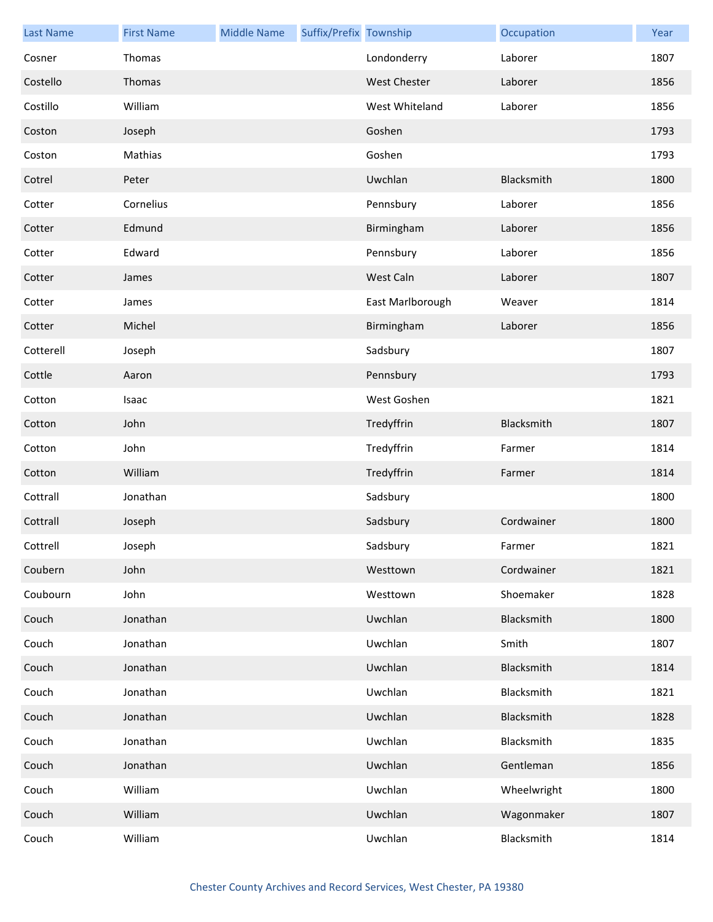| <b>Last Name</b> | <b>First Name</b> | <b>Middle Name</b> | Suffix/Prefix Township |                     | Occupation  | Year |
|------------------|-------------------|--------------------|------------------------|---------------------|-------------|------|
| Cosner           | Thomas            |                    |                        | Londonderry         | Laborer     | 1807 |
| Costello         | Thomas            |                    |                        | <b>West Chester</b> | Laborer     | 1856 |
| Costillo         | William           |                    |                        | West Whiteland      | Laborer     | 1856 |
| Coston           | Joseph            |                    |                        | Goshen              |             | 1793 |
| Coston           | Mathias           |                    |                        | Goshen              |             | 1793 |
| Cotrel           | Peter             |                    |                        | Uwchlan             | Blacksmith  | 1800 |
| Cotter           | Cornelius         |                    |                        | Pennsbury           | Laborer     | 1856 |
| Cotter           | Edmund            |                    |                        | Birmingham          | Laborer     | 1856 |
| Cotter           | Edward            |                    |                        | Pennsbury           | Laborer     | 1856 |
| Cotter           | James             |                    |                        | West Caln           | Laborer     | 1807 |
| Cotter           | James             |                    |                        | East Marlborough    | Weaver      | 1814 |
| Cotter           | Michel            |                    |                        | Birmingham          | Laborer     | 1856 |
| Cotterell        | Joseph            |                    |                        | Sadsbury            |             | 1807 |
| Cottle           | Aaron             |                    |                        | Pennsbury           |             | 1793 |
| Cotton           | Isaac             |                    |                        | West Goshen         |             | 1821 |
| Cotton           | John              |                    |                        | Tredyffrin          | Blacksmith  | 1807 |
| Cotton           | John              |                    |                        | Tredyffrin          | Farmer      | 1814 |
| Cotton           | William           |                    |                        | Tredyffrin          | Farmer      | 1814 |
| Cottrall         | Jonathan          |                    |                        | Sadsbury            |             | 1800 |
| Cottrall         | Joseph            |                    |                        | Sadsbury            | Cordwainer  | 1800 |
| Cottrell         | Joseph            |                    |                        | Sadsbury            | Farmer      | 1821 |
| Coubern          | John              |                    |                        | Westtown            | Cordwainer  | 1821 |
| Coubourn         | John              |                    |                        | Westtown            | Shoemaker   | 1828 |
| Couch            | Jonathan          |                    |                        | Uwchlan             | Blacksmith  | 1800 |
| Couch            | Jonathan          |                    |                        | Uwchlan             | Smith       | 1807 |
| Couch            | Jonathan          |                    |                        | Uwchlan             | Blacksmith  | 1814 |
| Couch            | Jonathan          |                    |                        | Uwchlan             | Blacksmith  | 1821 |
| Couch            | Jonathan          |                    |                        | Uwchlan             | Blacksmith  | 1828 |
| Couch            | Jonathan          |                    |                        | Uwchlan             | Blacksmith  | 1835 |
| Couch            | Jonathan          |                    |                        | Uwchlan             | Gentleman   | 1856 |
| Couch            | William           |                    |                        | Uwchlan             | Wheelwright | 1800 |
| Couch            | William           |                    |                        | Uwchlan             | Wagonmaker  | 1807 |
| Couch            | William           |                    |                        | Uwchlan             | Blacksmith  | 1814 |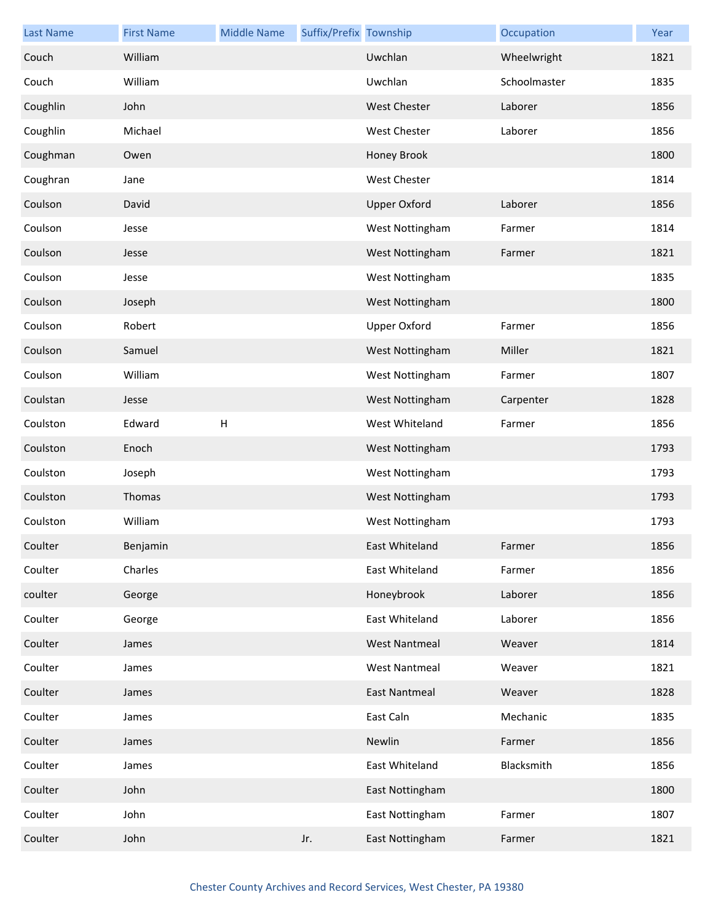| <b>Last Name</b> | <b>First Name</b> | <b>Middle Name</b> | Suffix/Prefix Township |                      | Occupation   | Year |
|------------------|-------------------|--------------------|------------------------|----------------------|--------------|------|
| Couch            | William           |                    |                        | Uwchlan              | Wheelwright  | 1821 |
| Couch            | William           |                    |                        | Uwchlan              | Schoolmaster | 1835 |
| Coughlin         | John              |                    |                        | <b>West Chester</b>  | Laborer      | 1856 |
| Coughlin         | Michael           |                    |                        | West Chester         | Laborer      | 1856 |
| Coughman         | Owen              |                    |                        | Honey Brook          |              | 1800 |
| Coughran         | Jane              |                    |                        | <b>West Chester</b>  |              | 1814 |
| Coulson          | David             |                    |                        | <b>Upper Oxford</b>  | Laborer      | 1856 |
| Coulson          | Jesse             |                    |                        | West Nottingham      | Farmer       | 1814 |
| Coulson          | Jesse             |                    |                        | West Nottingham      | Farmer       | 1821 |
| Coulson          | Jesse             |                    |                        | West Nottingham      |              | 1835 |
| Coulson          | Joseph            |                    |                        | West Nottingham      |              | 1800 |
| Coulson          | Robert            |                    |                        | <b>Upper Oxford</b>  | Farmer       | 1856 |
| Coulson          | Samuel            |                    |                        | West Nottingham      | Miller       | 1821 |
| Coulson          | William           |                    |                        | West Nottingham      | Farmer       | 1807 |
| Coulstan         | Jesse             |                    |                        | West Nottingham      | Carpenter    | 1828 |
| Coulston         | Edward            | $\mathsf{H}$       |                        | West Whiteland       | Farmer       | 1856 |
| Coulston         | Enoch             |                    |                        | West Nottingham      |              | 1793 |
| Coulston         | Joseph            |                    |                        | West Nottingham      |              | 1793 |
| Coulston         | Thomas            |                    |                        | West Nottingham      |              | 1793 |
| Coulston         | William           |                    |                        | West Nottingham      |              | 1793 |
| Coulter          | Benjamin          |                    |                        | East Whiteland       | Farmer       | 1856 |
| Coulter          | Charles           |                    |                        | East Whiteland       | Farmer       | 1856 |
| coulter          | George            |                    |                        | Honeybrook           | Laborer      | 1856 |
| Coulter          | George            |                    |                        | East Whiteland       | Laborer      | 1856 |
| Coulter          | James             |                    |                        | <b>West Nantmeal</b> | Weaver       | 1814 |
| Coulter          | James             |                    |                        | <b>West Nantmeal</b> | Weaver       | 1821 |
| Coulter          | James             |                    |                        | <b>East Nantmeal</b> | Weaver       | 1828 |
| Coulter          | James             |                    |                        | East Caln            | Mechanic     | 1835 |
| Coulter          | James             |                    |                        | Newlin               | Farmer       | 1856 |
| Coulter          | James             |                    |                        | East Whiteland       | Blacksmith   | 1856 |
| Coulter          | John              |                    |                        | East Nottingham      |              | 1800 |
| Coulter          | John              |                    |                        | East Nottingham      | Farmer       | 1807 |
| Coulter          | John              |                    | Jr.                    | East Nottingham      | Farmer       | 1821 |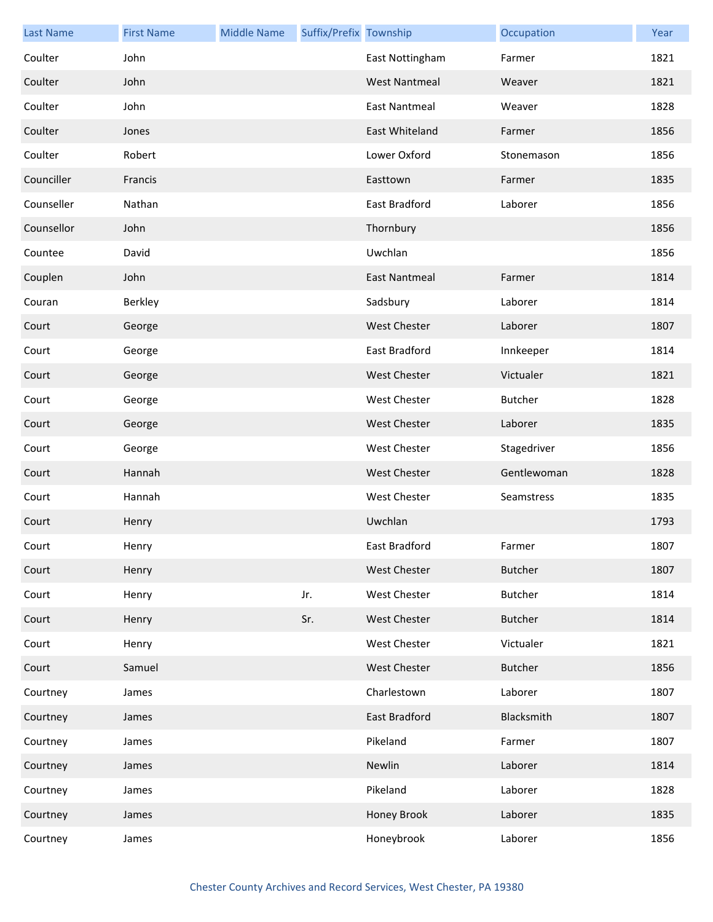| <b>Last Name</b> | <b>First Name</b> | <b>Middle Name</b> | Suffix/Prefix Township |                      | Occupation     | Year |
|------------------|-------------------|--------------------|------------------------|----------------------|----------------|------|
| Coulter          | John              |                    |                        | East Nottingham      | Farmer         | 1821 |
| Coulter          | John              |                    |                        | <b>West Nantmeal</b> | Weaver         | 1821 |
| Coulter          | John              |                    |                        | <b>East Nantmeal</b> | Weaver         | 1828 |
| Coulter          | Jones             |                    |                        | East Whiteland       | Farmer         | 1856 |
| Coulter          | Robert            |                    |                        | Lower Oxford         | Stonemason     | 1856 |
| Counciller       | Francis           |                    |                        | Easttown             | Farmer         | 1835 |
| Counseller       | Nathan            |                    |                        | East Bradford        | Laborer        | 1856 |
| Counsellor       | John              |                    |                        | Thornbury            |                | 1856 |
| Countee          | David             |                    |                        | Uwchlan              |                | 1856 |
| Couplen          | John              |                    |                        | <b>East Nantmeal</b> | Farmer         | 1814 |
| Couran           | Berkley           |                    |                        | Sadsbury             | Laborer        | 1814 |
| Court            | George            |                    |                        | <b>West Chester</b>  | Laborer        | 1807 |
| Court            | George            |                    |                        | East Bradford        | Innkeeper      | 1814 |
| Court            | George            |                    |                        | <b>West Chester</b>  | Victualer      | 1821 |
| Court            | George            |                    |                        | <b>West Chester</b>  | <b>Butcher</b> | 1828 |
| Court            | George            |                    |                        | <b>West Chester</b>  | Laborer        | 1835 |
| Court            | George            |                    |                        | <b>West Chester</b>  | Stagedriver    | 1856 |
| Court            | Hannah            |                    |                        | <b>West Chester</b>  | Gentlewoman    | 1828 |
| Court            | Hannah            |                    |                        | <b>West Chester</b>  | Seamstress     | 1835 |
| Court            | Henry             |                    |                        | Uwchlan              |                | 1793 |
| Court            | Henry             |                    |                        | East Bradford        | Farmer         | 1807 |
| Court            | Henry             |                    |                        | <b>West Chester</b>  | <b>Butcher</b> | 1807 |
| Court            | Henry             |                    | Jr.                    | West Chester         | <b>Butcher</b> | 1814 |
| Court            | Henry             |                    | Sr.                    | West Chester         | <b>Butcher</b> | 1814 |
| Court            | Henry             |                    |                        | West Chester         | Victualer      | 1821 |
| Court            | Samuel            |                    |                        | West Chester         | <b>Butcher</b> | 1856 |
| Courtney         | James             |                    |                        | Charlestown          | Laborer        | 1807 |
| Courtney         | James             |                    |                        | East Bradford        | Blacksmith     | 1807 |
| Courtney         | James             |                    |                        | Pikeland             | Farmer         | 1807 |
| Courtney         | James             |                    |                        | Newlin               | Laborer        | 1814 |
| Courtney         | James             |                    |                        | Pikeland             | Laborer        | 1828 |
| Courtney         | James             |                    |                        | Honey Brook          | Laborer        | 1835 |
| Courtney         | James             |                    |                        | Honeybrook           | Laborer        | 1856 |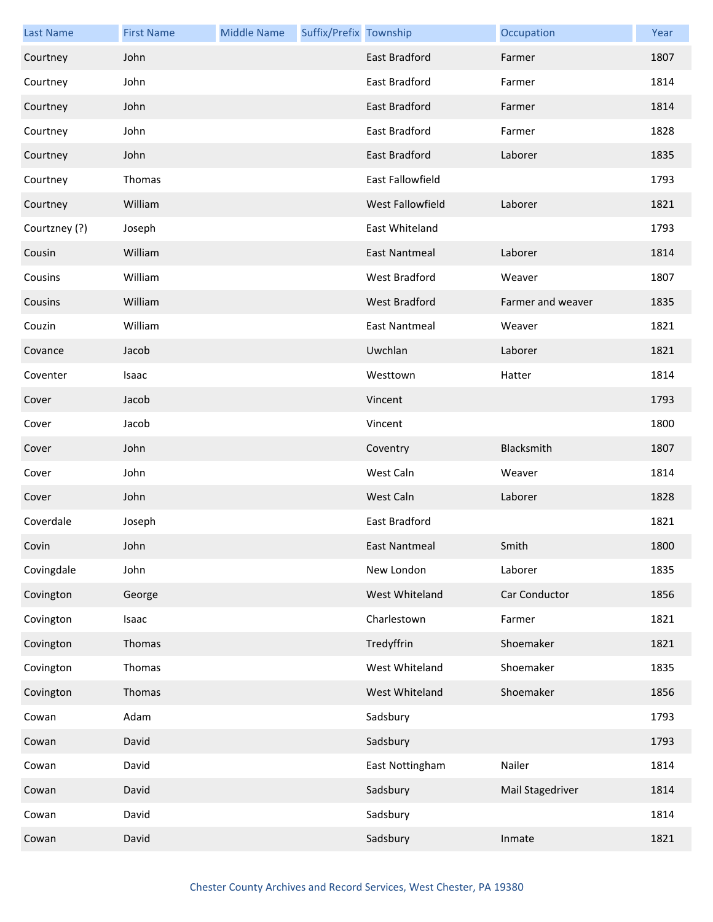| <b>Last Name</b> | <b>First Name</b> | <b>Middle Name</b> | Suffix/Prefix Township |                         | Occupation        | Year |
|------------------|-------------------|--------------------|------------------------|-------------------------|-------------------|------|
| Courtney         | John              |                    |                        | <b>East Bradford</b>    | Farmer            | 1807 |
| Courtney         | John              |                    |                        | East Bradford           | Farmer            | 1814 |
| Courtney         | John              |                    |                        | <b>East Bradford</b>    | Farmer            | 1814 |
| Courtney         | John              |                    |                        | East Bradford           | Farmer            | 1828 |
| Courtney         | John              |                    |                        | East Bradford           | Laborer           | 1835 |
| Courtney         | Thomas            |                    |                        | <b>East Fallowfield</b> |                   | 1793 |
| Courtney         | William           |                    |                        | West Fallowfield        | Laborer           | 1821 |
| Courtzney (?)    | Joseph            |                    |                        | East Whiteland          |                   | 1793 |
| Cousin           | William           |                    |                        | <b>East Nantmeal</b>    | Laborer           | 1814 |
| Cousins          | William           |                    |                        | West Bradford           | Weaver            | 1807 |
| Cousins          | William           |                    |                        | <b>West Bradford</b>    | Farmer and weaver | 1835 |
| Couzin           | William           |                    |                        | <b>East Nantmeal</b>    | Weaver            | 1821 |
| Covance          | Jacob             |                    |                        | Uwchlan                 | Laborer           | 1821 |
| Coventer         | Isaac             |                    |                        | Westtown                | Hatter            | 1814 |
| Cover            | Jacob             |                    |                        | Vincent                 |                   | 1793 |
| Cover            | Jacob             |                    |                        | Vincent                 |                   | 1800 |
| Cover            | John              |                    |                        | Coventry                | Blacksmith        | 1807 |
| Cover            | John              |                    |                        | West Caln               | Weaver            | 1814 |
| Cover            | John              |                    |                        | West Caln               | Laborer           | 1828 |
| Coverdale        | Joseph            |                    |                        | East Bradford           |                   | 1821 |
| Covin            | John              |                    |                        | <b>East Nantmeal</b>    | Smith             | 1800 |
| Covingdale       | John              |                    |                        | New London              | Laborer           | 1835 |
| Covington        | George            |                    |                        | West Whiteland          | Car Conductor     | 1856 |
| Covington        | Isaac             |                    |                        | Charlestown             | Farmer            | 1821 |
| Covington        | Thomas            |                    |                        | Tredyffrin              | Shoemaker         | 1821 |
| Covington        | Thomas            |                    |                        | West Whiteland          | Shoemaker         | 1835 |
| Covington        | Thomas            |                    |                        | West Whiteland          | Shoemaker         | 1856 |
| Cowan            | Adam              |                    |                        | Sadsbury                |                   | 1793 |
| Cowan            | David             |                    |                        | Sadsbury                |                   | 1793 |
| Cowan            | David             |                    |                        | East Nottingham         | Nailer            | 1814 |
| Cowan            | David             |                    |                        | Sadsbury                | Mail Stagedriver  | 1814 |
| Cowan            | David             |                    |                        | Sadsbury                |                   | 1814 |
| Cowan            | David             |                    |                        | Sadsbury                | Inmate            | 1821 |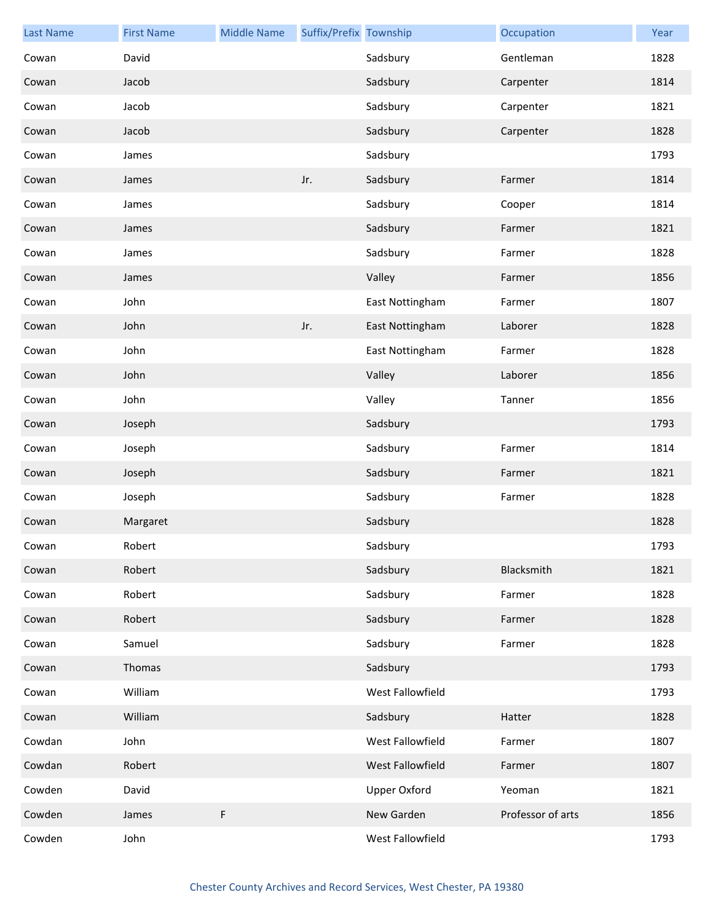| <b>Last Name</b> | <b>First Name</b> | <b>Middle Name</b> | Suffix/Prefix Township |                     | Occupation        | Year |
|------------------|-------------------|--------------------|------------------------|---------------------|-------------------|------|
| Cowan            | David             |                    |                        | Sadsbury            | Gentleman         | 1828 |
| Cowan            | Jacob             |                    |                        | Sadsbury            | Carpenter         | 1814 |
| Cowan            | Jacob             |                    |                        | Sadsbury            | Carpenter         | 1821 |
| Cowan            | Jacob             |                    |                        | Sadsbury            | Carpenter         | 1828 |
| Cowan            | James             |                    |                        | Sadsbury            |                   | 1793 |
| Cowan            | James             |                    | Jr.                    | Sadsbury            | Farmer            | 1814 |
| Cowan            | James             |                    |                        | Sadsbury            | Cooper            | 1814 |
| Cowan            | James             |                    |                        | Sadsbury            | Farmer            | 1821 |
| Cowan            | James             |                    |                        | Sadsbury            | Farmer            | 1828 |
| Cowan            | James             |                    |                        | Valley              | Farmer            | 1856 |
| Cowan            | John              |                    |                        | East Nottingham     | Farmer            | 1807 |
| Cowan            | John              |                    | Jr.                    | East Nottingham     | Laborer           | 1828 |
| Cowan            | John              |                    |                        | East Nottingham     | Farmer            | 1828 |
| Cowan            | John              |                    |                        | Valley              | Laborer           | 1856 |
| Cowan            | John              |                    |                        | Valley              | Tanner            | 1856 |
| Cowan            | Joseph            |                    |                        | Sadsbury            |                   | 1793 |
| Cowan            | Joseph            |                    |                        | Sadsbury            | Farmer            | 1814 |
| Cowan            | Joseph            |                    |                        | Sadsbury            | Farmer            | 1821 |
| Cowan            | Joseph            |                    |                        | Sadsbury            | Farmer            | 1828 |
| Cowan            | Margaret          |                    |                        | Sadsbury            |                   | 1828 |
| Cowan            | Robert            |                    |                        | Sadsbury            |                   | 1793 |
| Cowan            | Robert            |                    |                        | Sadsbury            | Blacksmith        | 1821 |
| Cowan            | Robert            |                    |                        | Sadsbury            | Farmer            | 1828 |
| Cowan            | Robert            |                    |                        | Sadsbury            | Farmer            | 1828 |
| Cowan            | Samuel            |                    |                        | Sadsbury            | Farmer            | 1828 |
| Cowan            | Thomas            |                    |                        | Sadsbury            |                   | 1793 |
| Cowan            | William           |                    |                        | West Fallowfield    |                   | 1793 |
| Cowan            | William           |                    |                        | Sadsbury            | Hatter            | 1828 |
| Cowdan           | John              |                    |                        | West Fallowfield    | Farmer            | 1807 |
| Cowdan           | Robert            |                    |                        | West Fallowfield    | Farmer            | 1807 |
| Cowden           | David             |                    |                        | <b>Upper Oxford</b> | Yeoman            | 1821 |
| Cowden           | James             | F                  |                        | New Garden          | Professor of arts | 1856 |
| Cowden           | John              |                    |                        | West Fallowfield    |                   | 1793 |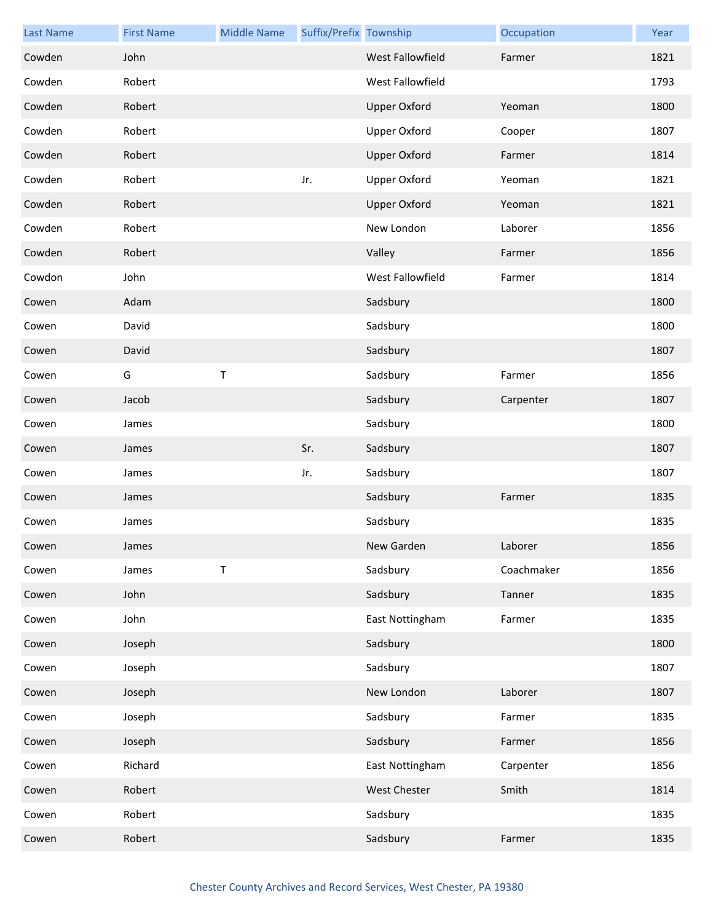| <b>Last Name</b> | <b>First Name</b> | <b>Middle Name</b> | Suffix/Prefix Township |                     | Occupation | Year |
|------------------|-------------------|--------------------|------------------------|---------------------|------------|------|
| Cowden           | John              |                    |                        | West Fallowfield    | Farmer     | 1821 |
| Cowden           | Robert            |                    |                        | West Fallowfield    |            | 1793 |
| Cowden           | Robert            |                    |                        | <b>Upper Oxford</b> | Yeoman     | 1800 |
| Cowden           | Robert            |                    |                        | <b>Upper Oxford</b> | Cooper     | 1807 |
| Cowden           | Robert            |                    |                        | <b>Upper Oxford</b> | Farmer     | 1814 |
| Cowden           | Robert            |                    | Jr.                    | <b>Upper Oxford</b> | Yeoman     | 1821 |
| Cowden           | Robert            |                    |                        | <b>Upper Oxford</b> | Yeoman     | 1821 |
| Cowden           | Robert            |                    |                        | New London          | Laborer    | 1856 |
| Cowden           | Robert            |                    |                        | Valley              | Farmer     | 1856 |
| Cowdon           | John              |                    |                        | West Fallowfield    | Farmer     | 1814 |
| Cowen            | Adam              |                    |                        | Sadsbury            |            | 1800 |
| Cowen            | David             |                    |                        | Sadsbury            |            | 1800 |
| Cowen            | David             |                    |                        | Sadsbury            |            | 1807 |
| Cowen            | G                 | $\sf T$            |                        | Sadsbury            | Farmer     | 1856 |
| Cowen            | Jacob             |                    |                        | Sadsbury            | Carpenter  | 1807 |
| Cowen            | James             |                    |                        | Sadsbury            |            | 1800 |
| Cowen            | James             |                    | Sr.                    | Sadsbury            |            | 1807 |
| Cowen            | James             |                    | Jr.                    | Sadsbury            |            | 1807 |
| Cowen            | James             |                    |                        | Sadsbury            | Farmer     | 1835 |
| Cowen            | James             |                    |                        | Sadsbury            |            | 1835 |
| Cowen            | James             |                    |                        | New Garden          | Laborer    | 1856 |
| Cowen            | James             | $\top$             |                        | Sadsbury            | Coachmaker | 1856 |
| Cowen            | John              |                    |                        | Sadsbury            | Tanner     | 1835 |
| Cowen            | John              |                    |                        | East Nottingham     | Farmer     | 1835 |
| Cowen            | Joseph            |                    |                        | Sadsbury            |            | 1800 |
| Cowen            | Joseph            |                    |                        | Sadsbury            |            | 1807 |
| Cowen            | Joseph            |                    |                        | New London          | Laborer    | 1807 |
| Cowen            | Joseph            |                    |                        | Sadsbury            | Farmer     | 1835 |
| Cowen            | Joseph            |                    |                        | Sadsbury            | Farmer     | 1856 |
| Cowen            | Richard           |                    |                        | East Nottingham     | Carpenter  | 1856 |
| Cowen            | Robert            |                    |                        | West Chester        | Smith      | 1814 |
| Cowen            | Robert            |                    |                        | Sadsbury            |            | 1835 |
| Cowen            | Robert            |                    |                        | Sadsbury            | Farmer     | 1835 |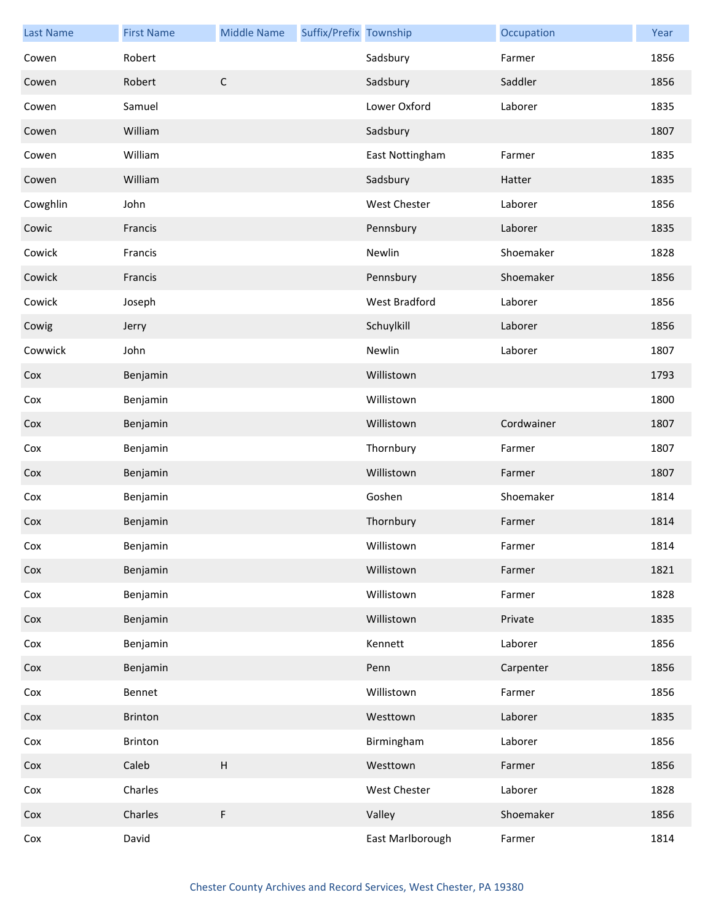| <b>Last Name</b> | <b>First Name</b> | <b>Middle Name</b>        | Suffix/Prefix Township |                      | Occupation | Year |
|------------------|-------------------|---------------------------|------------------------|----------------------|------------|------|
| Cowen            | Robert            |                           |                        | Sadsbury             | Farmer     | 1856 |
| Cowen            | Robert            | $\mathsf C$               |                        | Sadsbury             | Saddler    | 1856 |
| Cowen            | Samuel            |                           |                        | Lower Oxford         | Laborer    | 1835 |
| Cowen            | William           |                           |                        | Sadsbury             |            | 1807 |
| Cowen            | William           |                           |                        | East Nottingham      | Farmer     | 1835 |
| Cowen            | William           |                           |                        | Sadsbury             | Hatter     | 1835 |
| Cowghlin         | John              |                           |                        | West Chester         | Laborer    | 1856 |
| Cowic            | Francis           |                           |                        | Pennsbury            | Laborer    | 1835 |
| Cowick           | Francis           |                           |                        | Newlin               | Shoemaker  | 1828 |
| Cowick           | Francis           |                           |                        | Pennsbury            | Shoemaker  | 1856 |
| Cowick           | Joseph            |                           |                        | <b>West Bradford</b> | Laborer    | 1856 |
| Cowig            | Jerry             |                           |                        | Schuylkill           | Laborer    | 1856 |
| Cowwick          | John              |                           |                        | Newlin               | Laborer    | 1807 |
| Cox              | Benjamin          |                           |                        | Willistown           |            | 1793 |
| Cox              | Benjamin          |                           |                        | Willistown           |            | 1800 |
| Cox              | Benjamin          |                           |                        | Willistown           | Cordwainer | 1807 |
| Cox              | Benjamin          |                           |                        | Thornbury            | Farmer     | 1807 |
| Cox              | Benjamin          |                           |                        | Willistown           | Farmer     | 1807 |
| Cox              | Benjamin          |                           |                        | Goshen               | Shoemaker  | 1814 |
| Cox              | Benjamin          |                           |                        | Thornbury            | Farmer     | 1814 |
| Cox              | Benjamin          |                           |                        | Willistown           | Farmer     | 1814 |
| Cox              | Benjamin          |                           |                        | Willistown           | Farmer     | 1821 |
| Cox              | Benjamin          |                           |                        | Willistown           | Farmer     | 1828 |
| Cox              | Benjamin          |                           |                        | Willistown           | Private    | 1835 |
| Cox              | Benjamin          |                           |                        | Kennett              | Laborer    | 1856 |
| Cox              | Benjamin          |                           |                        | Penn                 | Carpenter  | 1856 |
| Cox              | Bennet            |                           |                        | Willistown           | Farmer     | 1856 |
| Cox              | Brinton           |                           |                        | Westtown             | Laborer    | 1835 |
| Cox              | Brinton           |                           |                        | Birmingham           | Laborer    | 1856 |
| Cox              | Caleb             | $\boldsymbol{\mathsf{H}}$ |                        | Westtown             | Farmer     | 1856 |
| Cox              | Charles           |                           |                        | <b>West Chester</b>  | Laborer    | 1828 |
| Cox              | Charles           | F                         |                        | Valley               | Shoemaker  | 1856 |
| Cox              | David             |                           |                        | East Marlborough     | Farmer     | 1814 |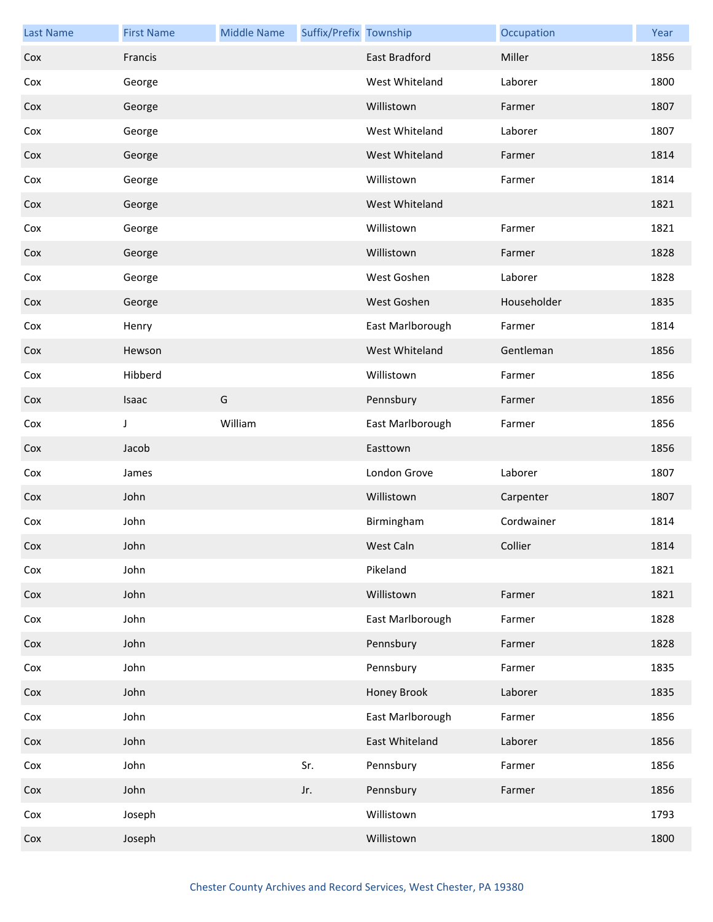| <b>Last Name</b> | <b>First Name</b> | <b>Middle Name</b> | Suffix/Prefix Township |                  | Occupation  | Year |
|------------------|-------------------|--------------------|------------------------|------------------|-------------|------|
| Cox              | Francis           |                    |                        | East Bradford    | Miller      | 1856 |
| Cox              | George            |                    |                        | West Whiteland   | Laborer     | 1800 |
| Cox              | George            |                    |                        | Willistown       | Farmer      | 1807 |
| Cox              | George            |                    |                        | West Whiteland   | Laborer     | 1807 |
| Cox              | George            |                    |                        | West Whiteland   | Farmer      | 1814 |
| Cox              | George            |                    |                        | Willistown       | Farmer      | 1814 |
| Cox              | George            |                    |                        | West Whiteland   |             | 1821 |
| Cox              | George            |                    |                        | Willistown       | Farmer      | 1821 |
| Cox              | George            |                    |                        | Willistown       | Farmer      | 1828 |
| Cox              | George            |                    |                        | West Goshen      | Laborer     | 1828 |
| Cox              | George            |                    |                        | West Goshen      | Householder | 1835 |
| Cox              | Henry             |                    |                        | East Marlborough | Farmer      | 1814 |
| Cox              | Hewson            |                    |                        | West Whiteland   | Gentleman   | 1856 |
| Cox              | Hibberd           |                    |                        | Willistown       | Farmer      | 1856 |
| Cox              | Isaac             | G                  |                        | Pennsbury        | Farmer      | 1856 |
| Cox              | J                 | William            |                        | East Marlborough | Farmer      | 1856 |
| Cox              | Jacob             |                    |                        | Easttown         |             | 1856 |
| Cox              | James             |                    |                        | London Grove     | Laborer     | 1807 |
| Cox              | John              |                    |                        | Willistown       | Carpenter   | 1807 |
| Cox              | John              |                    |                        | Birmingham       | Cordwainer  | 1814 |
| Cox              | John              |                    |                        | West Caln        | Collier     | 1814 |
| Cox              | John              |                    |                        | Pikeland         |             | 1821 |
| Cox              | John              |                    |                        | Willistown       | Farmer      | 1821 |
| Cox              | John              |                    |                        | East Marlborough | Farmer      | 1828 |
| Cox              | John              |                    |                        | Pennsbury        | Farmer      | 1828 |
| Cox              | John              |                    |                        | Pennsbury        | Farmer      | 1835 |
| Cox              | John              |                    |                        | Honey Brook      | Laborer     | 1835 |
| Cox              | John              |                    |                        | East Marlborough | Farmer      | 1856 |
| Cox              | John              |                    |                        | East Whiteland   | Laborer     | 1856 |
| Cox              | John              |                    | Sr.                    | Pennsbury        | Farmer      | 1856 |
| Cox              | John              |                    | Jr.                    | Pennsbury        | Farmer      | 1856 |
| Cox              | Joseph            |                    |                        | Willistown       |             | 1793 |
| Cox              | Joseph            |                    |                        | Willistown       |             | 1800 |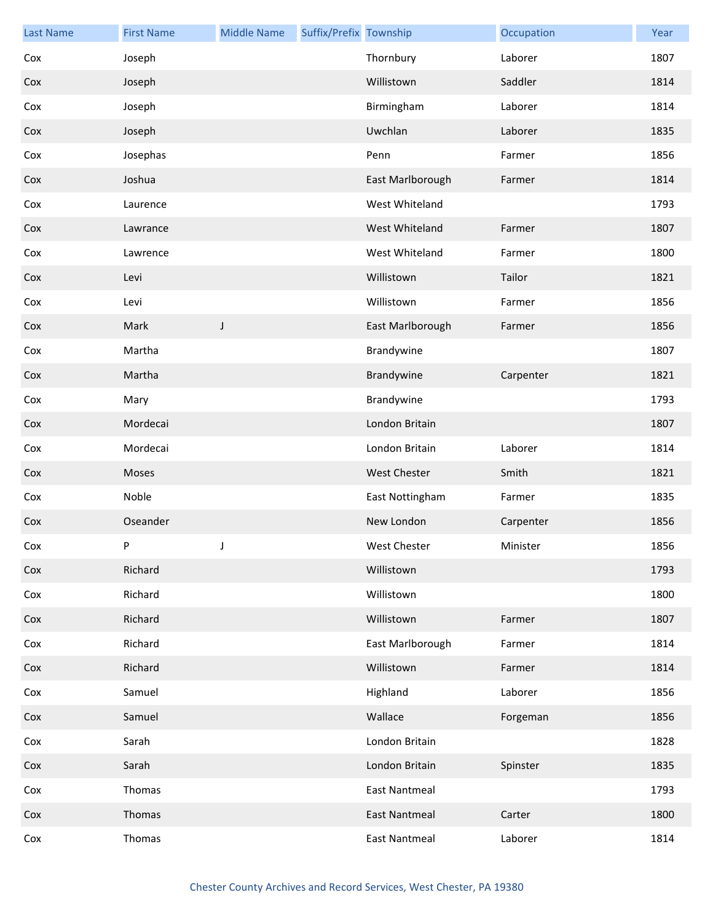| <b>Last Name</b> | <b>First Name</b> | <b>Middle Name</b> | Suffix/Prefix Township |                      | Occupation | Year |
|------------------|-------------------|--------------------|------------------------|----------------------|------------|------|
| Cox              | Joseph            |                    |                        | Thornbury            | Laborer    | 1807 |
| Cox              | Joseph            |                    |                        | Willistown           | Saddler    | 1814 |
| Cox              | Joseph            |                    |                        | Birmingham           | Laborer    | 1814 |
| Cox              | Joseph            |                    |                        | Uwchlan              | Laborer    | 1835 |
| Cox              | Josephas          |                    |                        | Penn                 | Farmer     | 1856 |
| Cox              | Joshua            |                    |                        | East Marlborough     | Farmer     | 1814 |
| Cox              | Laurence          |                    |                        | West Whiteland       |            | 1793 |
| Cox              | Lawrance          |                    |                        | West Whiteland       | Farmer     | 1807 |
| Cox              | Lawrence          |                    |                        | West Whiteland       | Farmer     | 1800 |
| Cox              | Levi              |                    |                        | Willistown           | Tailor     | 1821 |
| Cox              | Levi              |                    |                        | Willistown           | Farmer     | 1856 |
| Cox              | Mark              | J                  |                        | East Marlborough     | Farmer     | 1856 |
| Cox              | Martha            |                    |                        | Brandywine           |            | 1807 |
| Cox              | Martha            |                    |                        | Brandywine           | Carpenter  | 1821 |
| Cox              | Mary              |                    |                        | Brandywine           |            | 1793 |
| Cox              | Mordecai          |                    |                        | London Britain       |            | 1807 |
| Cox              | Mordecai          |                    |                        | London Britain       | Laborer    | 1814 |
| Cox              | Moses             |                    |                        | <b>West Chester</b>  | Smith      | 1821 |
| Cox              | Noble             |                    |                        | East Nottingham      | Farmer     | 1835 |
| Cox              | Oseander          |                    |                        | New London           | Carpenter  | 1856 |
| Cox              | P                 |                    |                        | West Chester         | Minister   | 1856 |
| Cox              | Richard           |                    |                        | Willistown           |            | 1793 |
| Cox              | Richard           |                    |                        | Willistown           |            | 1800 |
| Cox              | Richard           |                    |                        | Willistown           | Farmer     | 1807 |
| Cox              | Richard           |                    |                        | East Marlborough     | Farmer     | 1814 |
| Cox              | Richard           |                    |                        | Willistown           | Farmer     | 1814 |
| Cox              | Samuel            |                    |                        | Highland             | Laborer    | 1856 |
| Cox              | Samuel            |                    |                        | Wallace              | Forgeman   | 1856 |
| Cox              | Sarah             |                    |                        | London Britain       |            | 1828 |
| Cox              | Sarah             |                    |                        | London Britain       | Spinster   | 1835 |
| Cox              | Thomas            |                    |                        | <b>East Nantmeal</b> |            | 1793 |
| Cox              | Thomas            |                    |                        | <b>East Nantmeal</b> | Carter     | 1800 |
| Cox              | Thomas            |                    |                        | <b>East Nantmeal</b> | Laborer    | 1814 |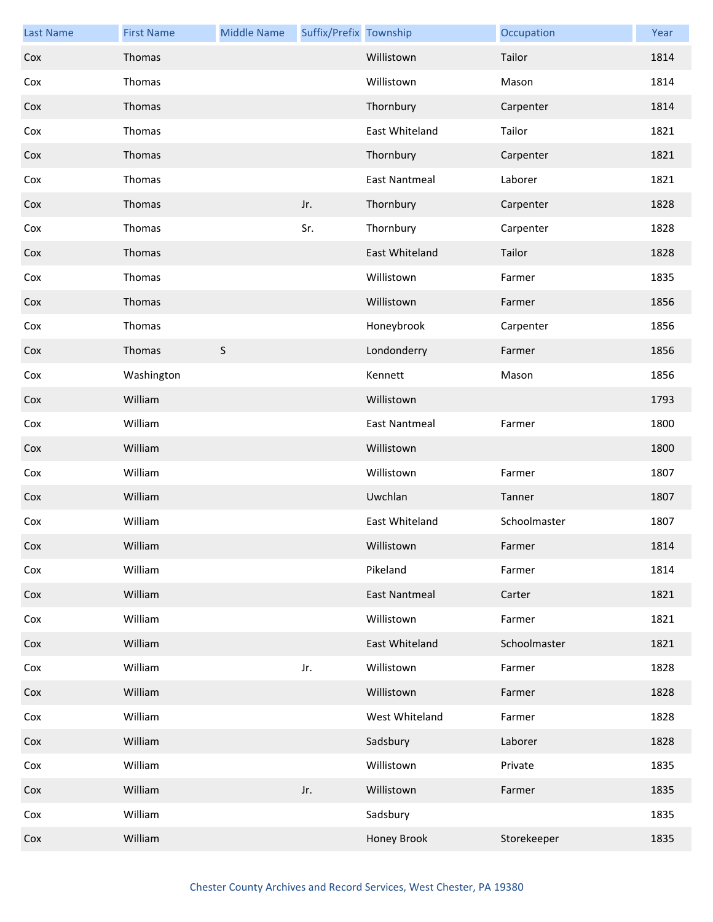| <b>Last Name</b> | <b>First Name</b> | <b>Middle Name</b> | Suffix/Prefix Township |                      | Occupation   | Year |
|------------------|-------------------|--------------------|------------------------|----------------------|--------------|------|
| Cox              | Thomas            |                    |                        | Willistown           | Tailor       | 1814 |
| Cox              | Thomas            |                    |                        | Willistown           | Mason        | 1814 |
| Cox              | Thomas            |                    |                        | Thornbury            | Carpenter    | 1814 |
| Cox              | Thomas            |                    |                        | East Whiteland       | Tailor       | 1821 |
| Cox              | Thomas            |                    |                        | Thornbury            | Carpenter    | 1821 |
| Cox              | Thomas            |                    |                        | <b>East Nantmeal</b> | Laborer      | 1821 |
| Cox              | Thomas            |                    | Jr.                    | Thornbury            | Carpenter    | 1828 |
| Cox              | Thomas            |                    | Sr.                    | Thornbury            | Carpenter    | 1828 |
| Cox              | Thomas            |                    |                        | East Whiteland       | Tailor       | 1828 |
| Cox              | Thomas            |                    |                        | Willistown           | Farmer       | 1835 |
| Cox              | Thomas            |                    |                        | Willistown           | Farmer       | 1856 |
| Cox              | Thomas            |                    |                        | Honeybrook           | Carpenter    | 1856 |
| Cox              | Thomas            | $\sf S$            |                        | Londonderry          | Farmer       | 1856 |
| Cox              | Washington        |                    |                        | Kennett              | Mason        | 1856 |
| Cox              | William           |                    |                        | Willistown           |              | 1793 |
| Cox              | William           |                    |                        | <b>East Nantmeal</b> | Farmer       | 1800 |
| Cox              | William           |                    |                        | Willistown           |              | 1800 |
| Cox              | William           |                    |                        | Willistown           | Farmer       | 1807 |
| Cox              | William           |                    |                        | Uwchlan              | Tanner       | 1807 |
| Cox              | William           |                    |                        | East Whiteland       | Schoolmaster | 1807 |
| Cox              | William           |                    |                        | Willistown           | Farmer       | 1814 |
| Cox              | William           |                    |                        | Pikeland             | Farmer       | 1814 |
| Cox              | William           |                    |                        | <b>East Nantmeal</b> | Carter       | 1821 |
| Cox              | William           |                    |                        | Willistown           | Farmer       | 1821 |
| Cox              | William           |                    |                        | East Whiteland       | Schoolmaster | 1821 |
| Cox              | William           |                    | Jr.                    | Willistown           | Farmer       | 1828 |
| Cox              | William           |                    |                        | Willistown           | Farmer       | 1828 |
| Cox              | William           |                    |                        | West Whiteland       | Farmer       | 1828 |
| Cox              | William           |                    |                        | Sadsbury             | Laborer      | 1828 |
| Cox              | William           |                    |                        | Willistown           | Private      | 1835 |
| Cox              | William           |                    | Jr.                    | Willistown           | Farmer       | 1835 |
| Cox              | William           |                    |                        | Sadsbury             |              | 1835 |
| Cox              | William           |                    |                        | <b>Honey Brook</b>   | Storekeeper  | 1835 |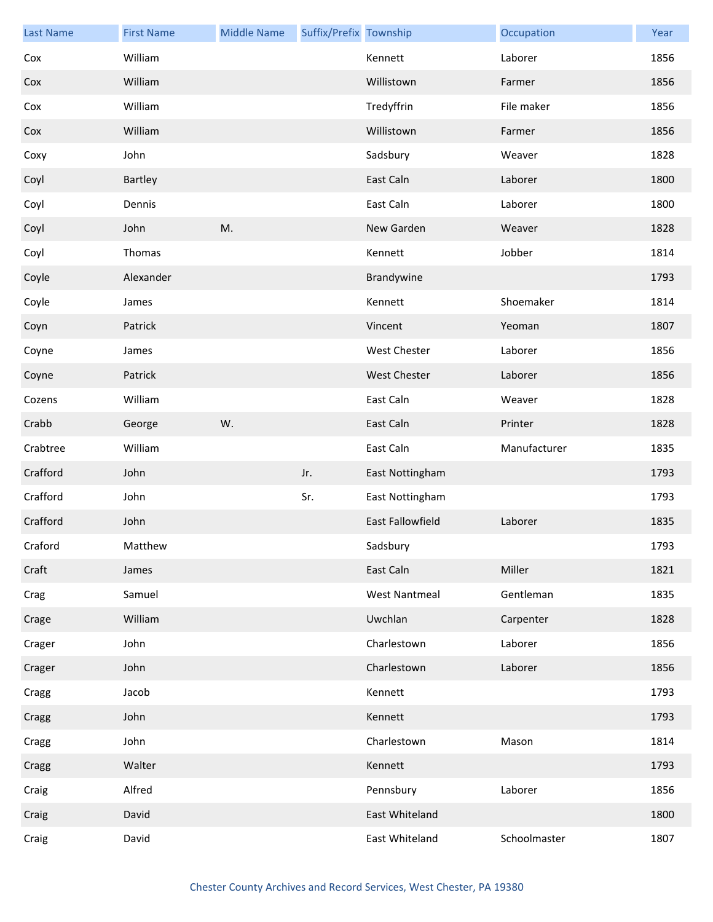| <b>Last Name</b> | <b>First Name</b> | <b>Middle Name</b> | Suffix/Prefix Township |                      | Occupation   | Year |
|------------------|-------------------|--------------------|------------------------|----------------------|--------------|------|
| Cox              | William           |                    |                        | Kennett              | Laborer      | 1856 |
| Cox              | William           |                    |                        | Willistown           | Farmer       | 1856 |
| Cox              | William           |                    |                        | Tredyffrin           | File maker   | 1856 |
| Cox              | William           |                    |                        | Willistown           | Farmer       | 1856 |
| Coxy             | John              |                    |                        | Sadsbury             | Weaver       | 1828 |
| Coyl             | Bartley           |                    |                        | East Caln            | Laborer      | 1800 |
| Coyl             | Dennis            |                    |                        | East Caln            | Laborer      | 1800 |
| Coyl             | John              | M.                 |                        | New Garden           | Weaver       | 1828 |
| Coyl             | Thomas            |                    |                        | Kennett              | Jobber       | 1814 |
| Coyle            | Alexander         |                    |                        | Brandywine           |              | 1793 |
| Coyle            | James             |                    |                        | Kennett              | Shoemaker    | 1814 |
| Coyn             | Patrick           |                    |                        | Vincent              | Yeoman       | 1807 |
| Coyne            | James             |                    |                        | <b>West Chester</b>  | Laborer      | 1856 |
| Coyne            | Patrick           |                    |                        | <b>West Chester</b>  | Laborer      | 1856 |
| Cozens           | William           |                    |                        | East Caln            | Weaver       | 1828 |
| Crabb            | George            | W.                 |                        | East Caln            | Printer      | 1828 |
| Crabtree         | William           |                    |                        | East Caln            | Manufacturer | 1835 |
| Crafford         | John              |                    | Jr.                    | East Nottingham      |              | 1793 |
| Crafford         | John              |                    | Sr.                    | East Nottingham      |              | 1793 |
| Crafford         | John              |                    |                        | East Fallowfield     | Laborer      | 1835 |
| Craford          | Matthew           |                    |                        | Sadsbury             |              | 1793 |
| Craft            | James             |                    |                        | East Caln            | Miller       | 1821 |
| Crag             | Samuel            |                    |                        | <b>West Nantmeal</b> | Gentleman    | 1835 |
| Crage            | William           |                    |                        | Uwchlan              | Carpenter    | 1828 |
| Crager           | John              |                    |                        | Charlestown          | Laborer      | 1856 |
| Crager           | John              |                    |                        | Charlestown          | Laborer      | 1856 |
| Cragg            | Jacob             |                    |                        | Kennett              |              | 1793 |
| Cragg            | John              |                    |                        | Kennett              |              | 1793 |
| Cragg            | John              |                    |                        | Charlestown          | Mason        | 1814 |
| Cragg            | Walter            |                    |                        | Kennett              |              | 1793 |
| Craig            | Alfred            |                    |                        | Pennsbury            | Laborer      | 1856 |
| Craig            | David             |                    |                        | East Whiteland       |              | 1800 |
| Craig            | David             |                    |                        | East Whiteland       | Schoolmaster | 1807 |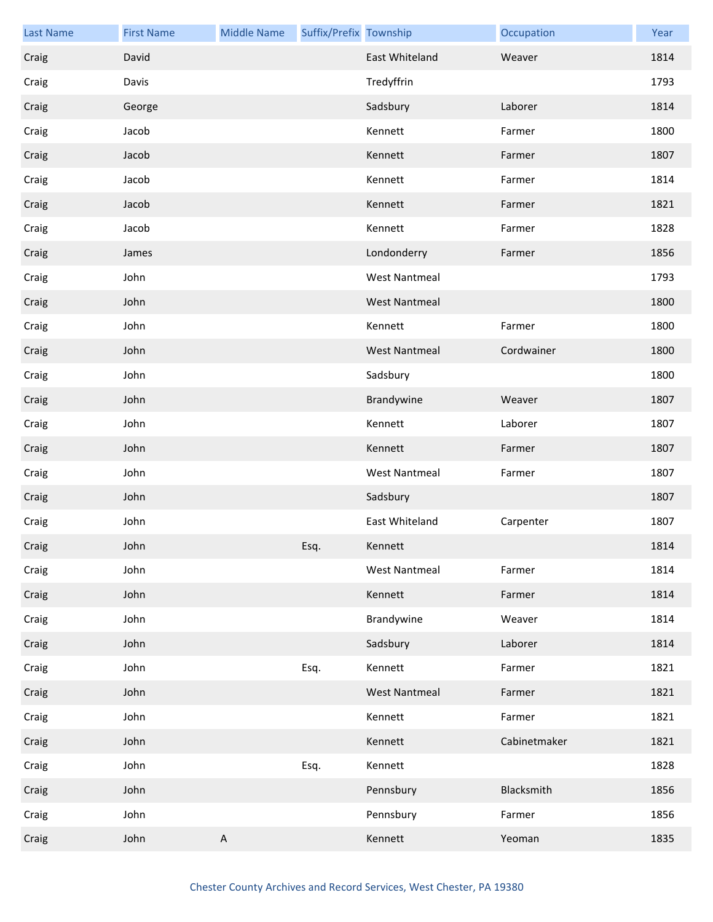| <b>Last Name</b> | <b>First Name</b> | <b>Middle Name</b> | Suffix/Prefix Township |                      | Occupation   | Year |
|------------------|-------------------|--------------------|------------------------|----------------------|--------------|------|
| Craig            | David             |                    |                        | East Whiteland       | Weaver       | 1814 |
| Craig            | Davis             |                    |                        | Tredyffrin           |              | 1793 |
| Craig            | George            |                    |                        | Sadsbury             | Laborer      | 1814 |
| Craig            | Jacob             |                    |                        | Kennett              | Farmer       | 1800 |
| Craig            | Jacob             |                    |                        | Kennett              | Farmer       | 1807 |
| Craig            | Jacob             |                    |                        | Kennett              | Farmer       | 1814 |
| Craig            | Jacob             |                    |                        | Kennett              | Farmer       | 1821 |
| Craig            | Jacob             |                    |                        | Kennett              | Farmer       | 1828 |
| Craig            | James             |                    |                        | Londonderry          | Farmer       | 1856 |
| Craig            | John              |                    |                        | <b>West Nantmeal</b> |              | 1793 |
| Craig            | John              |                    |                        | <b>West Nantmeal</b> |              | 1800 |
| Craig            | John              |                    |                        | Kennett              | Farmer       | 1800 |
| Craig            | John              |                    |                        | <b>West Nantmeal</b> | Cordwainer   | 1800 |
| Craig            | John              |                    |                        | Sadsbury             |              | 1800 |
| Craig            | John              |                    |                        | Brandywine           | Weaver       | 1807 |
| Craig            | John              |                    |                        | Kennett              | Laborer      | 1807 |
| Craig            | John              |                    |                        | Kennett              | Farmer       | 1807 |
| Craig            | John              |                    |                        | <b>West Nantmeal</b> | Farmer       | 1807 |
| Craig            | John              |                    |                        | Sadsbury             |              | 1807 |
| Craig            | John              |                    |                        | East Whiteland       | Carpenter    | 1807 |
| Craig            | John              |                    | Esq.                   | Kennett              |              | 1814 |
| Craig            | John              |                    |                        | <b>West Nantmeal</b> | Farmer       | 1814 |
| Craig            | John              |                    |                        | Kennett              | Farmer       | 1814 |
| Craig            | John              |                    |                        | Brandywine           | Weaver       | 1814 |
| Craig            | John              |                    |                        | Sadsbury             | Laborer      | 1814 |
| Craig            | John              |                    | Esq.                   | Kennett              | Farmer       | 1821 |
| Craig            | John              |                    |                        | <b>West Nantmeal</b> | Farmer       | 1821 |
| Craig            | John              |                    |                        | Kennett              | Farmer       | 1821 |
| Craig            | John              |                    |                        | Kennett              | Cabinetmaker | 1821 |
| Craig            | John              |                    | Esq.                   | Kennett              |              | 1828 |
| Craig            | John              |                    |                        | Pennsbury            | Blacksmith   | 1856 |
| Craig            | John              |                    |                        | Pennsbury            | Farmer       | 1856 |
| Craig            | John              | A                  |                        | Kennett              | Yeoman       | 1835 |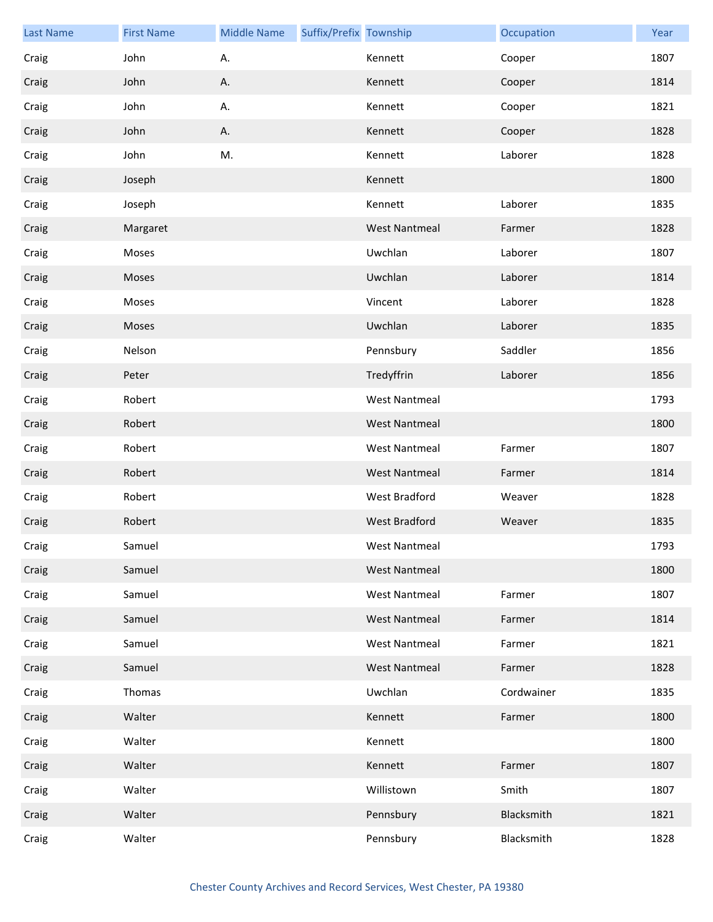| <b>Last Name</b> | <b>First Name</b> | <b>Middle Name</b> | Suffix/Prefix Township |                      | Occupation | Year |
|------------------|-------------------|--------------------|------------------------|----------------------|------------|------|
| Craig            | John              | А.                 |                        | Kennett              | Cooper     | 1807 |
| Craig            | John              | А.                 |                        | Kennett              | Cooper     | 1814 |
| Craig            | John              | А.                 |                        | Kennett              | Cooper     | 1821 |
| Craig            | John              | Α.                 |                        | Kennett              | Cooper     | 1828 |
| Craig            | John              | M.                 |                        | Kennett              | Laborer    | 1828 |
| Craig            | Joseph            |                    |                        | Kennett              |            | 1800 |
| Craig            | Joseph            |                    |                        | Kennett              | Laborer    | 1835 |
| Craig            | Margaret          |                    |                        | <b>West Nantmeal</b> | Farmer     | 1828 |
| Craig            | Moses             |                    |                        | Uwchlan              | Laborer    | 1807 |
| Craig            | Moses             |                    |                        | Uwchlan              | Laborer    | 1814 |
| Craig            | Moses             |                    |                        | Vincent              | Laborer    | 1828 |
| Craig            | Moses             |                    |                        | Uwchlan              | Laborer    | 1835 |
| Craig            | Nelson            |                    |                        | Pennsbury            | Saddler    | 1856 |
| Craig            | Peter             |                    |                        | Tredyffrin           | Laborer    | 1856 |
| Craig            | Robert            |                    |                        | <b>West Nantmeal</b> |            | 1793 |
| Craig            | Robert            |                    |                        | <b>West Nantmeal</b> |            | 1800 |
| Craig            | Robert            |                    |                        | <b>West Nantmeal</b> | Farmer     | 1807 |
| Craig            | Robert            |                    |                        | <b>West Nantmeal</b> | Farmer     | 1814 |
| Craig            | Robert            |                    |                        | West Bradford        | Weaver     | 1828 |
| Craig            | Robert            |                    |                        | West Bradford        | Weaver     | 1835 |
| Craig            | Samuel            |                    |                        | West Nantmeal        |            | 1793 |
| Craig            | Samuel            |                    |                        | <b>West Nantmeal</b> |            | 1800 |
| Craig            | Samuel            |                    |                        | <b>West Nantmeal</b> | Farmer     | 1807 |
| Craig            | Samuel            |                    |                        | <b>West Nantmeal</b> | Farmer     | 1814 |
| Craig            | Samuel            |                    |                        | <b>West Nantmeal</b> | Farmer     | 1821 |
| Craig            | Samuel            |                    |                        | <b>West Nantmeal</b> | Farmer     | 1828 |
| Craig            | Thomas            |                    |                        | Uwchlan              | Cordwainer | 1835 |
| Craig            | Walter            |                    |                        | Kennett              | Farmer     | 1800 |
| Craig            | Walter            |                    |                        | Kennett              |            | 1800 |
| Craig            | Walter            |                    |                        | Kennett              | Farmer     | 1807 |
| Craig            | Walter            |                    |                        | Willistown           | Smith      | 1807 |
| Craig            | Walter            |                    |                        | Pennsbury            | Blacksmith | 1821 |
| Craig            | Walter            |                    |                        | Pennsbury            | Blacksmith | 1828 |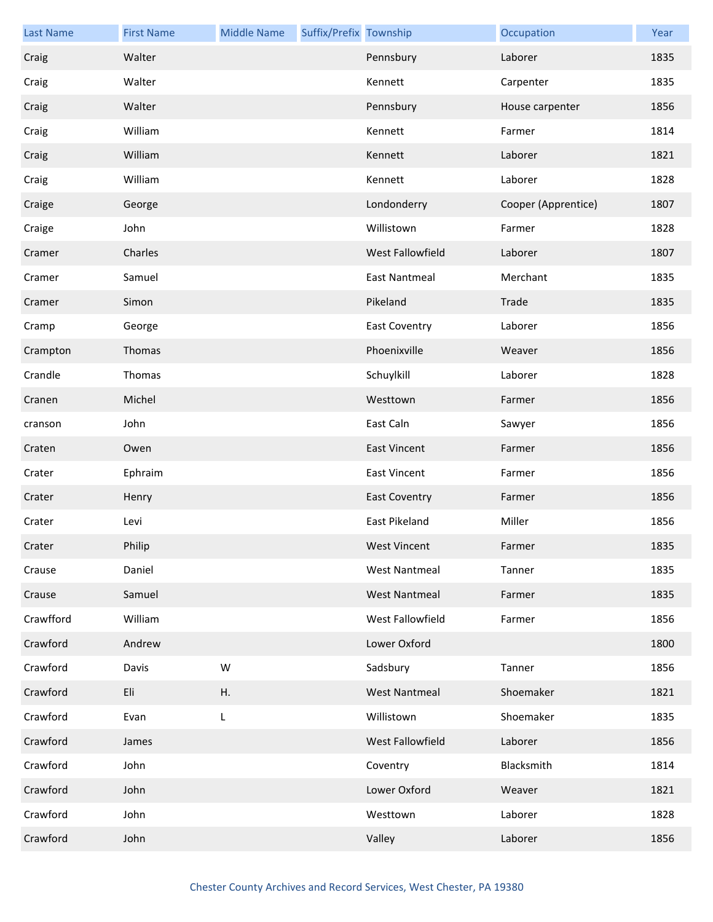| <b>Last Name</b> | <b>First Name</b> | <b>Middle Name</b> | Suffix/Prefix Township |                      | Occupation          | Year |
|------------------|-------------------|--------------------|------------------------|----------------------|---------------------|------|
| Craig            | Walter            |                    |                        | Pennsbury            | Laborer             | 1835 |
| Craig            | Walter            |                    |                        | Kennett              | Carpenter           | 1835 |
| Craig            | Walter            |                    |                        | Pennsbury            | House carpenter     | 1856 |
| Craig            | William           |                    |                        | Kennett              | Farmer              | 1814 |
| Craig            | William           |                    |                        | Kennett              | Laborer             | 1821 |
| Craig            | William           |                    |                        | Kennett              | Laborer             | 1828 |
| Craige           | George            |                    |                        | Londonderry          | Cooper (Apprentice) | 1807 |
| Craige           | John              |                    |                        | Willistown           | Farmer              | 1828 |
| Cramer           | Charles           |                    |                        | West Fallowfield     | Laborer             | 1807 |
| Cramer           | Samuel            |                    |                        | <b>East Nantmeal</b> | Merchant            | 1835 |
| Cramer           | Simon             |                    |                        | Pikeland             | Trade               | 1835 |
| Cramp            | George            |                    |                        | <b>East Coventry</b> | Laborer             | 1856 |
| Crampton         | Thomas            |                    |                        | Phoenixville         | Weaver              | 1856 |
| Crandle          | Thomas            |                    |                        | Schuylkill           | Laborer             | 1828 |
| Cranen           | Michel            |                    |                        | Westtown             | Farmer              | 1856 |
| cranson          | John              |                    |                        | East Caln            | Sawyer              | 1856 |
| Craten           | Owen              |                    |                        | <b>East Vincent</b>  | Farmer              | 1856 |
| Crater           | Ephraim           |                    |                        | <b>East Vincent</b>  | Farmer              | 1856 |
| Crater           | Henry             |                    |                        | <b>East Coventry</b> | Farmer              | 1856 |
| Crater           | Levi              |                    |                        | East Pikeland        | Miller              | 1856 |
| Crater           | Philip            |                    |                        | <b>West Vincent</b>  | Farmer              | 1835 |
| Crause           | Daniel            |                    |                        | <b>West Nantmeal</b> | Tanner              | 1835 |
| Crause           | Samuel            |                    |                        | <b>West Nantmeal</b> | Farmer              | 1835 |
| Crawfford        | William           |                    |                        | West Fallowfield     | Farmer              | 1856 |
| Crawford         | Andrew            |                    |                        | Lower Oxford         |                     | 1800 |
| Crawford         | Davis             | W                  |                        | Sadsbury             | Tanner              | 1856 |
| Crawford         | Eli               | Η.                 |                        | <b>West Nantmeal</b> | Shoemaker           | 1821 |
| Crawford         | Evan              | L                  |                        | Willistown           | Shoemaker           | 1835 |
| Crawford         | James             |                    |                        | West Fallowfield     | Laborer             | 1856 |
| Crawford         | John              |                    |                        | Coventry             | Blacksmith          | 1814 |
| Crawford         | John              |                    |                        | Lower Oxford         | Weaver              | 1821 |
| Crawford         | John              |                    |                        | Westtown             | Laborer             | 1828 |
| Crawford         | John              |                    |                        | Valley               | Laborer             | 1856 |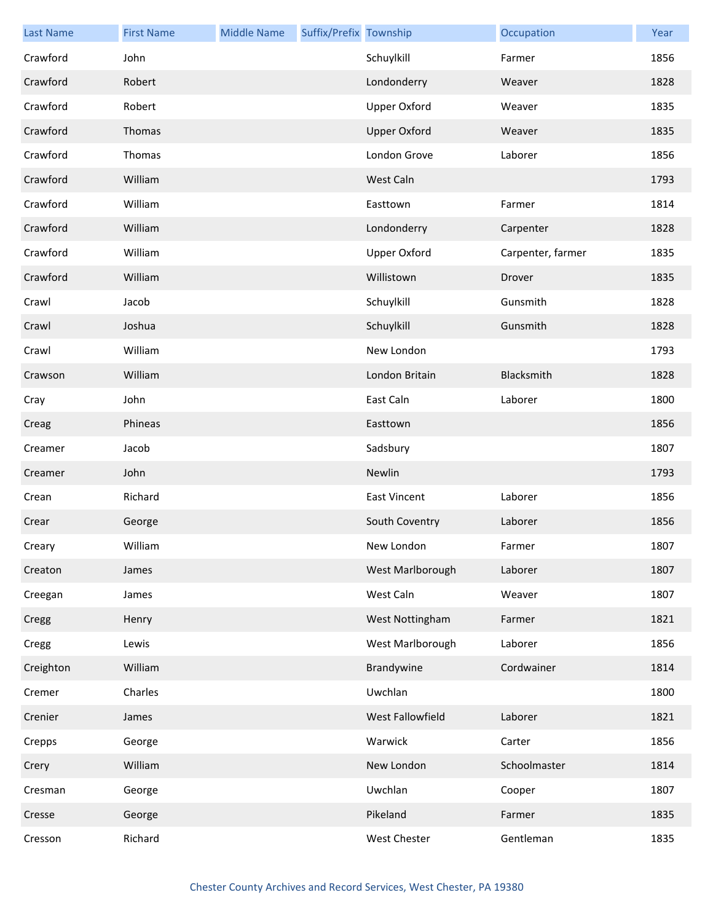| <b>Last Name</b> | <b>First Name</b> | <b>Middle Name</b> | Suffix/Prefix Township |                     | Occupation        | Year |
|------------------|-------------------|--------------------|------------------------|---------------------|-------------------|------|
| Crawford         | John              |                    |                        | Schuylkill          | Farmer            | 1856 |
| Crawford         | Robert            |                    |                        | Londonderry         | Weaver            | 1828 |
| Crawford         | Robert            |                    |                        | <b>Upper Oxford</b> | Weaver            | 1835 |
| Crawford         | Thomas            |                    |                        | <b>Upper Oxford</b> | Weaver            | 1835 |
| Crawford         | Thomas            |                    |                        | London Grove        | Laborer           | 1856 |
| Crawford         | William           |                    |                        | West Caln           |                   | 1793 |
| Crawford         | William           |                    |                        | Easttown            | Farmer            | 1814 |
| Crawford         | William           |                    |                        | Londonderry         | Carpenter         | 1828 |
| Crawford         | William           |                    |                        | <b>Upper Oxford</b> | Carpenter, farmer | 1835 |
| Crawford         | William           |                    |                        | Willistown          | Drover            | 1835 |
| Crawl            | Jacob             |                    |                        | Schuylkill          | Gunsmith          | 1828 |
| Crawl            | Joshua            |                    |                        | Schuylkill          | Gunsmith          | 1828 |
| Crawl            | William           |                    |                        | New London          |                   | 1793 |
| Crawson          | William           |                    |                        | London Britain      | Blacksmith        | 1828 |
| Cray             | John              |                    |                        | East Caln           | Laborer           | 1800 |
| Creag            | Phineas           |                    |                        | Easttown            |                   | 1856 |
| Creamer          | Jacob             |                    |                        | Sadsbury            |                   | 1807 |
| Creamer          | John              |                    |                        | Newlin              |                   | 1793 |
| Crean            | Richard           |                    |                        | <b>East Vincent</b> | Laborer           | 1856 |
| Crear            | George            |                    |                        | South Coventry      | Laborer           | 1856 |
| Creary           | William           |                    |                        | New London          | Farmer            | 1807 |
| Creaton          | James             |                    |                        | West Marlborough    | Laborer           | 1807 |
| Creegan          | James             |                    |                        | West Caln           | Weaver            | 1807 |
| Cregg            | Henry             |                    |                        | West Nottingham     | Farmer            | 1821 |
| Cregg            | Lewis             |                    |                        | West Marlborough    | Laborer           | 1856 |
| Creighton        | William           |                    |                        | Brandywine          | Cordwainer        | 1814 |
| Cremer           | Charles           |                    |                        | Uwchlan             |                   | 1800 |
| Crenier          | James             |                    |                        | West Fallowfield    | Laborer           | 1821 |
| Crepps           | George            |                    |                        | Warwick             | Carter            | 1856 |
| Crery            | William           |                    |                        | New London          | Schoolmaster      | 1814 |
| Cresman          | George            |                    |                        | Uwchlan             | Cooper            | 1807 |
| Cresse           | George            |                    |                        | Pikeland            | Farmer            | 1835 |
| Cresson          | Richard           |                    |                        | West Chester        | Gentleman         | 1835 |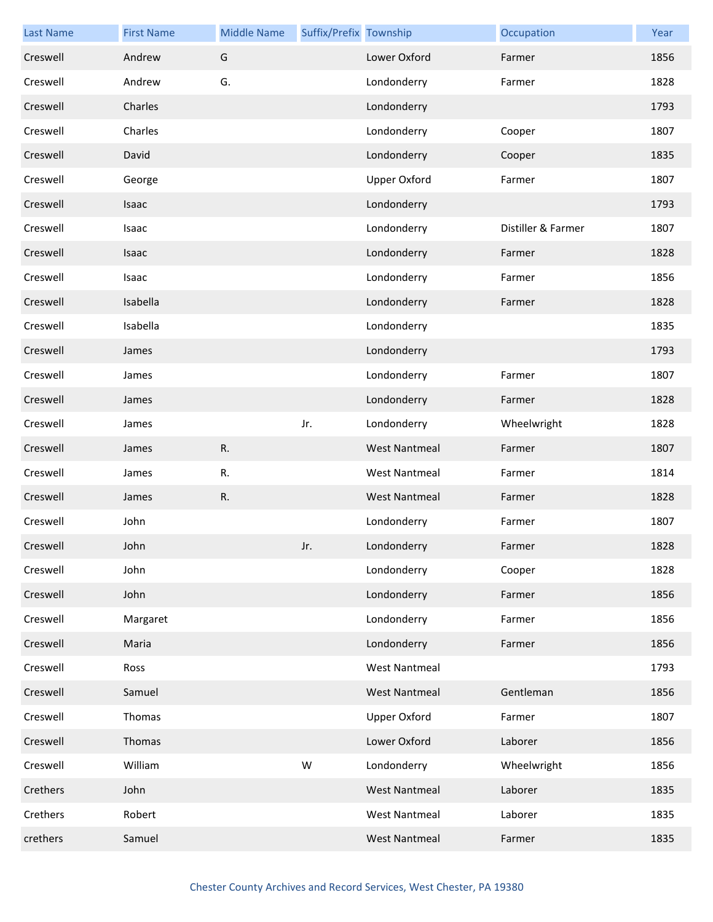| <b>Last Name</b> | <b>First Name</b> | <b>Middle Name</b> | Suffix/Prefix Township |                      | Occupation         | Year |
|------------------|-------------------|--------------------|------------------------|----------------------|--------------------|------|
| Creswell         | Andrew            | G                  |                        | Lower Oxford         | Farmer             | 1856 |
| Creswell         | Andrew            | G.                 |                        | Londonderry          | Farmer             | 1828 |
| Creswell         | Charles           |                    |                        | Londonderry          |                    | 1793 |
| Creswell         | Charles           |                    |                        | Londonderry          | Cooper             | 1807 |
| Creswell         | David             |                    |                        | Londonderry          | Cooper             | 1835 |
| Creswell         | George            |                    |                        | Upper Oxford         | Farmer             | 1807 |
| Creswell         | <b>Isaac</b>      |                    |                        | Londonderry          |                    | 1793 |
| Creswell         | Isaac             |                    |                        | Londonderry          | Distiller & Farmer | 1807 |
| Creswell         | Isaac             |                    |                        | Londonderry          | Farmer             | 1828 |
| Creswell         | Isaac             |                    |                        | Londonderry          | Farmer             | 1856 |
| Creswell         | Isabella          |                    |                        | Londonderry          | Farmer             | 1828 |
| Creswell         | Isabella          |                    |                        | Londonderry          |                    | 1835 |
| Creswell         | James             |                    |                        | Londonderry          |                    | 1793 |
| Creswell         | James             |                    |                        | Londonderry          | Farmer             | 1807 |
| Creswell         | James             |                    |                        | Londonderry          | Farmer             | 1828 |
| Creswell         | James             |                    | Jr.                    | Londonderry          | Wheelwright        | 1828 |
| Creswell         | James             | R.                 |                        | <b>West Nantmeal</b> | Farmer             | 1807 |
| Creswell         | James             | R.                 |                        | <b>West Nantmeal</b> | Farmer             | 1814 |
| Creswell         | James             | R.                 |                        | <b>West Nantmeal</b> | Farmer             | 1828 |
| Creswell         | John              |                    |                        | Londonderry          | Farmer             | 1807 |
| Creswell         | John              |                    | Jr.                    | Londonderry          | Farmer             | 1828 |
| Creswell         | John              |                    |                        | Londonderry          | Cooper             | 1828 |
| Creswell         | John              |                    |                        | Londonderry          | Farmer             | 1856 |
| Creswell         | Margaret          |                    |                        | Londonderry          | Farmer             | 1856 |
| Creswell         | Maria             |                    |                        | Londonderry          | Farmer             | 1856 |
| Creswell         | Ross              |                    |                        | <b>West Nantmeal</b> |                    | 1793 |
| Creswell         | Samuel            |                    |                        | <b>West Nantmeal</b> | Gentleman          | 1856 |
| Creswell         | Thomas            |                    |                        | Upper Oxford         | Farmer             | 1807 |
| Creswell         | Thomas            |                    |                        | Lower Oxford         | Laborer            | 1856 |
| Creswell         | William           |                    | W                      | Londonderry          | Wheelwright        | 1856 |
| Crethers         | John              |                    |                        | <b>West Nantmeal</b> | Laborer            | 1835 |
| Crethers         | Robert            |                    |                        | <b>West Nantmeal</b> | Laborer            | 1835 |
| crethers         | Samuel            |                    |                        | <b>West Nantmeal</b> | Farmer             | 1835 |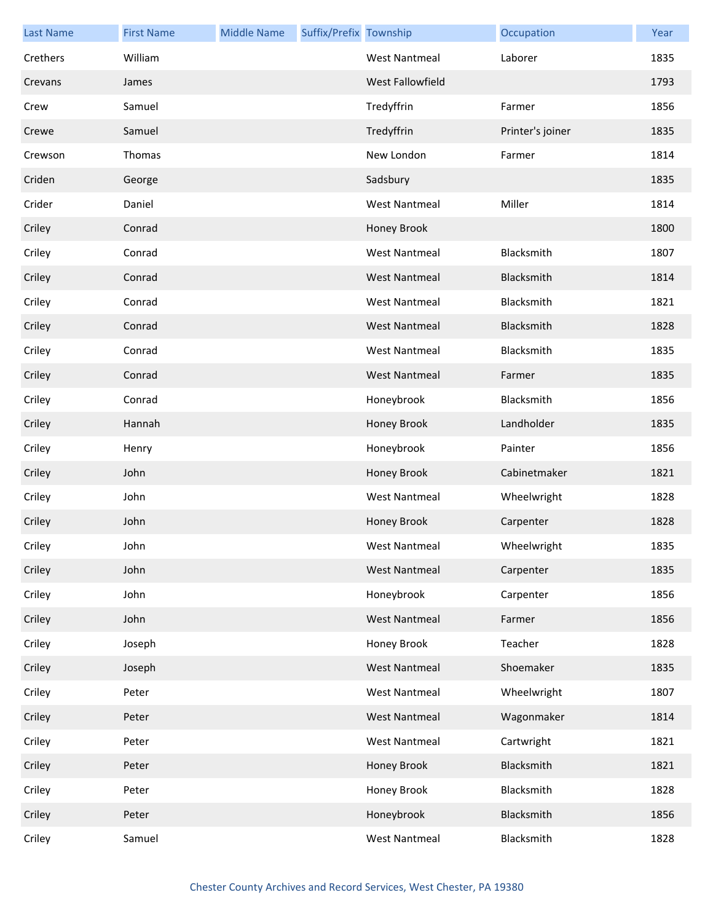| <b>Last Name</b> | <b>First Name</b> | <b>Middle Name</b> | Suffix/Prefix Township |                      | Occupation       | Year |
|------------------|-------------------|--------------------|------------------------|----------------------|------------------|------|
| Crethers         | William           |                    |                        | <b>West Nantmeal</b> | Laborer          | 1835 |
| Crevans          | James             |                    |                        | West Fallowfield     |                  | 1793 |
| Crew             | Samuel            |                    |                        | Tredyffrin           | Farmer           | 1856 |
| Crewe            | Samuel            |                    |                        | Tredyffrin           | Printer's joiner | 1835 |
| Crewson          | Thomas            |                    |                        | New London           | Farmer           | 1814 |
| Criden           | George            |                    |                        | Sadsbury             |                  | 1835 |
| Crider           | Daniel            |                    |                        | <b>West Nantmeal</b> | Miller           | 1814 |
| Criley           | Conrad            |                    |                        | Honey Brook          |                  | 1800 |
| Criley           | Conrad            |                    |                        | <b>West Nantmeal</b> | Blacksmith       | 1807 |
| Criley           | Conrad            |                    |                        | <b>West Nantmeal</b> | Blacksmith       | 1814 |
| Criley           | Conrad            |                    |                        | <b>West Nantmeal</b> | Blacksmith       | 1821 |
| Criley           | Conrad            |                    |                        | <b>West Nantmeal</b> | Blacksmith       | 1828 |
| Criley           | Conrad            |                    |                        | <b>West Nantmeal</b> | Blacksmith       | 1835 |
| Criley           | Conrad            |                    |                        | <b>West Nantmeal</b> | Farmer           | 1835 |
| Criley           | Conrad            |                    |                        | Honeybrook           | Blacksmith       | 1856 |
| Criley           | Hannah            |                    |                        | Honey Brook          | Landholder       | 1835 |
| Criley           | Henry             |                    |                        | Honeybrook           | Painter          | 1856 |
| Criley           | John              |                    |                        | Honey Brook          | Cabinetmaker     | 1821 |
| Criley           | John              |                    |                        | <b>West Nantmeal</b> | Wheelwright      | 1828 |
| Criley           | John              |                    |                        | Honey Brook          | Carpenter        | 1828 |
| Criley           | John              |                    |                        | West Nantmeal        | Wheelwright      | 1835 |
| Criley           | John              |                    |                        | <b>West Nantmeal</b> | Carpenter        | 1835 |
| Criley           | John              |                    |                        | Honeybrook           | Carpenter        | 1856 |
| Criley           | John              |                    |                        | <b>West Nantmeal</b> | Farmer           | 1856 |
| Criley           | Joseph            |                    |                        | Honey Brook          | Teacher          | 1828 |
| Criley           | Joseph            |                    |                        | <b>West Nantmeal</b> | Shoemaker        | 1835 |
| Criley           | Peter             |                    |                        | <b>West Nantmeal</b> | Wheelwright      | 1807 |
| Criley           | Peter             |                    |                        | <b>West Nantmeal</b> | Wagonmaker       | 1814 |
| Criley           | Peter             |                    |                        | <b>West Nantmeal</b> | Cartwright       | 1821 |
| Criley           | Peter             |                    |                        | Honey Brook          | Blacksmith       | 1821 |
| Criley           | Peter             |                    |                        | Honey Brook          | Blacksmith       | 1828 |
| Criley           | Peter             |                    |                        | Honeybrook           | Blacksmith       | 1856 |
| Criley           | Samuel            |                    |                        | <b>West Nantmeal</b> | Blacksmith       | 1828 |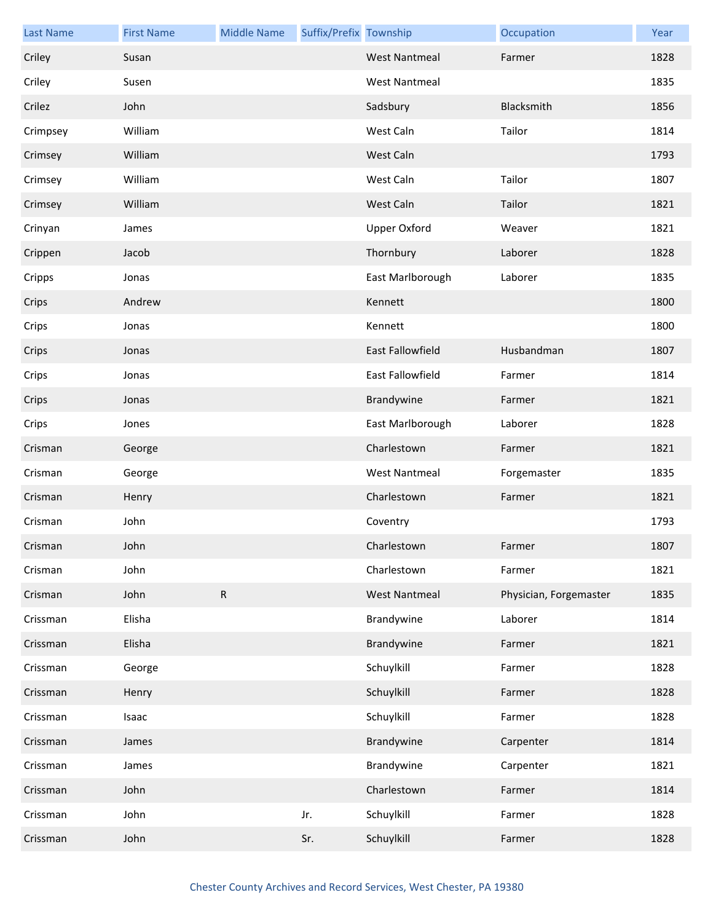| <b>Last Name</b> | <b>First Name</b> | <b>Middle Name</b> | Suffix/Prefix Township |                      | Occupation             | Year |
|------------------|-------------------|--------------------|------------------------|----------------------|------------------------|------|
| Criley           | Susan             |                    |                        | <b>West Nantmeal</b> | Farmer                 | 1828 |
| Criley           | Susen             |                    |                        | <b>West Nantmeal</b> |                        | 1835 |
| Crilez           | John              |                    |                        | Sadsbury             | Blacksmith             | 1856 |
| Crimpsey         | William           |                    |                        | West Caln            | Tailor                 | 1814 |
| Crimsey          | William           |                    |                        | West Caln            |                        | 1793 |
| Crimsey          | William           |                    |                        | West Caln            | Tailor                 | 1807 |
| Crimsey          | William           |                    |                        | West Caln            | Tailor                 | 1821 |
| Crinyan          | James             |                    |                        | Upper Oxford         | Weaver                 | 1821 |
| Crippen          | Jacob             |                    |                        | Thornbury            | Laborer                | 1828 |
| Cripps           | Jonas             |                    |                        | East Marlborough     | Laborer                | 1835 |
| Crips            | Andrew            |                    |                        | Kennett              |                        | 1800 |
| Crips            | Jonas             |                    |                        | Kennett              |                        | 1800 |
| Crips            | Jonas             |                    |                        | East Fallowfield     | Husbandman             | 1807 |
| Crips            | Jonas             |                    |                        | East Fallowfield     | Farmer                 | 1814 |
| Crips            | Jonas             |                    |                        | Brandywine           | Farmer                 | 1821 |
| Crips            | Jones             |                    |                        | East Marlborough     | Laborer                | 1828 |
| Crisman          | George            |                    |                        | Charlestown          | Farmer                 | 1821 |
| Crisman          | George            |                    |                        | <b>West Nantmeal</b> | Forgemaster            | 1835 |
| Crisman          | Henry             |                    |                        | Charlestown          | Farmer                 | 1821 |
| Crisman          | John              |                    |                        | Coventry             |                        | 1793 |
| Crisman          | John              |                    |                        | Charlestown          | Farmer                 | 1807 |
| Crisman          | John              |                    |                        | Charlestown          | Farmer                 | 1821 |
| Crisman          | John              | ${\sf R}$          |                        | <b>West Nantmeal</b> | Physician, Forgemaster | 1835 |
| Crissman         | Elisha            |                    |                        | Brandywine           | Laborer                | 1814 |
| Crissman         | Elisha            |                    |                        | Brandywine           | Farmer                 | 1821 |
| Crissman         | George            |                    |                        | Schuylkill           | Farmer                 | 1828 |
| Crissman         | Henry             |                    |                        | Schuylkill           | Farmer                 | 1828 |
| Crissman         | Isaac             |                    |                        | Schuylkill           | Farmer                 | 1828 |
| Crissman         | James             |                    |                        | Brandywine           | Carpenter              | 1814 |
| Crissman         | James             |                    |                        | Brandywine           | Carpenter              | 1821 |
| Crissman         | John              |                    |                        | Charlestown          | Farmer                 | 1814 |
| Crissman         | John              |                    | Jr.                    | Schuylkill           | Farmer                 | 1828 |
| Crissman         | John              |                    | Sr.                    | Schuylkill           | Farmer                 | 1828 |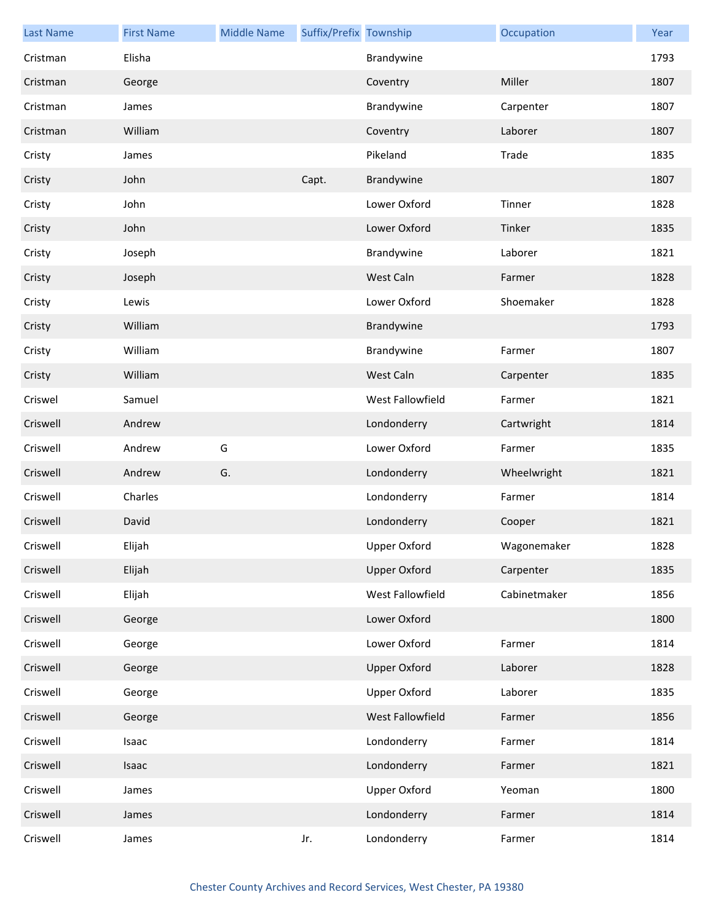| <b>Last Name</b> | <b>First Name</b> | <b>Middle Name</b> | Suffix/Prefix Township |                     | Occupation   | Year |
|------------------|-------------------|--------------------|------------------------|---------------------|--------------|------|
| Cristman         | Elisha            |                    |                        | Brandywine          |              | 1793 |
| Cristman         | George            |                    |                        | Coventry            | Miller       | 1807 |
| Cristman         | James             |                    |                        | Brandywine          | Carpenter    | 1807 |
| Cristman         | William           |                    |                        | Coventry            | Laborer      | 1807 |
| Cristy           | James             |                    |                        | Pikeland            | Trade        | 1835 |
| Cristy           | John              |                    | Capt.                  | Brandywine          |              | 1807 |
| Cristy           | John              |                    |                        | Lower Oxford        | Tinner       | 1828 |
| Cristy           | John              |                    |                        | Lower Oxford        | Tinker       | 1835 |
| Cristy           | Joseph            |                    |                        | Brandywine          | Laborer      | 1821 |
| Cristy           | Joseph            |                    |                        | West Caln           | Farmer       | 1828 |
| Cristy           | Lewis             |                    |                        | Lower Oxford        | Shoemaker    | 1828 |
| Cristy           | William           |                    |                        | Brandywine          |              | 1793 |
| Cristy           | William           |                    |                        | Brandywine          | Farmer       | 1807 |
| Cristy           | William           |                    |                        | West Caln           | Carpenter    | 1835 |
| Criswel          | Samuel            |                    |                        | West Fallowfield    | Farmer       | 1821 |
| Criswell         | Andrew            |                    |                        | Londonderry         | Cartwright   | 1814 |
| Criswell         | Andrew            | G                  |                        | Lower Oxford        | Farmer       | 1835 |
| Criswell         | Andrew            | G.                 |                        | Londonderry         | Wheelwright  | 1821 |
| Criswell         | Charles           |                    |                        | Londonderry         | Farmer       | 1814 |
| Criswell         | David             |                    |                        | Londonderry         | Cooper       | 1821 |
| Criswell         | Elijah            |                    |                        | Upper Oxford        | Wagonemaker  | 1828 |
| Criswell         | Elijah            |                    |                        | <b>Upper Oxford</b> | Carpenter    | 1835 |
| Criswell         | Elijah            |                    |                        | West Fallowfield    | Cabinetmaker | 1856 |
| Criswell         | George            |                    |                        | Lower Oxford        |              | 1800 |
| Criswell         | George            |                    |                        | Lower Oxford        | Farmer       | 1814 |
| Criswell         | George            |                    |                        | <b>Upper Oxford</b> | Laborer      | 1828 |
| Criswell         | George            |                    |                        | <b>Upper Oxford</b> | Laborer      | 1835 |
| Criswell         | George            |                    |                        | West Fallowfield    | Farmer       | 1856 |
| Criswell         | Isaac             |                    |                        | Londonderry         | Farmer       | 1814 |
| Criswell         | Isaac             |                    |                        | Londonderry         | Farmer       | 1821 |
| Criswell         | James             |                    |                        | <b>Upper Oxford</b> | Yeoman       | 1800 |
| Criswell         | James             |                    |                        | Londonderry         | Farmer       | 1814 |
| Criswell         | James             |                    | Jr.                    | Londonderry         | Farmer       | 1814 |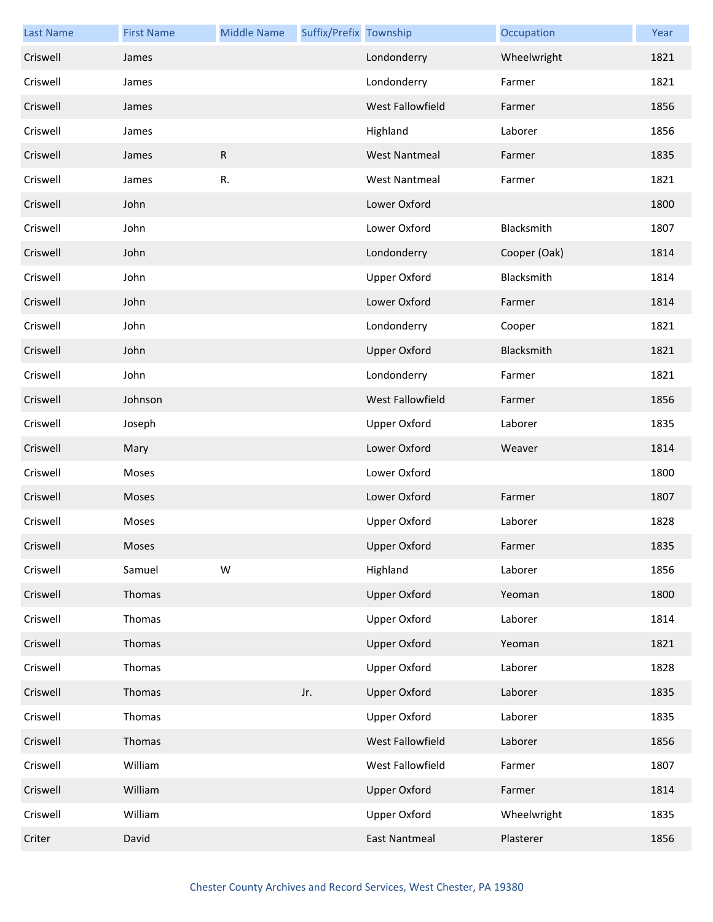| <b>Last Name</b> | <b>First Name</b> | <b>Middle Name</b> | Suffix/Prefix Township |                         | Occupation   | Year |
|------------------|-------------------|--------------------|------------------------|-------------------------|--------------|------|
| Criswell         | James             |                    |                        | Londonderry             | Wheelwright  | 1821 |
| Criswell         | James             |                    |                        | Londonderry             | Farmer       | 1821 |
| Criswell         | James             |                    |                        | <b>West Fallowfield</b> | Farmer       | 1856 |
| Criswell         | James             |                    |                        | Highland                | Laborer      | 1856 |
| Criswell         | James             | $\mathsf{R}$       |                        | <b>West Nantmeal</b>    | Farmer       | 1835 |
| Criswell         | James             | R.                 |                        | <b>West Nantmeal</b>    | Farmer       | 1821 |
| Criswell         | John              |                    |                        | Lower Oxford            |              | 1800 |
| Criswell         | John              |                    |                        | Lower Oxford            | Blacksmith   | 1807 |
| Criswell         | John              |                    |                        | Londonderry             | Cooper (Oak) | 1814 |
| Criswell         | John              |                    |                        | <b>Upper Oxford</b>     | Blacksmith   | 1814 |
| Criswell         | John              |                    |                        | Lower Oxford            | Farmer       | 1814 |
| Criswell         | John              |                    |                        | Londonderry             | Cooper       | 1821 |
| Criswell         | John              |                    |                        | <b>Upper Oxford</b>     | Blacksmith   | 1821 |
| Criswell         | John              |                    |                        | Londonderry             | Farmer       | 1821 |
| Criswell         | Johnson           |                    |                        | West Fallowfield        | Farmer       | 1856 |
| Criswell         | Joseph            |                    |                        | <b>Upper Oxford</b>     | Laborer      | 1835 |
| Criswell         | Mary              |                    |                        | Lower Oxford            | Weaver       | 1814 |
| Criswell         | Moses             |                    |                        | Lower Oxford            |              | 1800 |
| Criswell         | Moses             |                    |                        | Lower Oxford            | Farmer       | 1807 |
| Criswell         | Moses             |                    |                        | <b>Upper Oxford</b>     | Laborer      | 1828 |
| Criswell         | Moses             |                    |                        | Upper Oxford            | Farmer       | 1835 |
| Criswell         | Samuel            | W                  |                        | Highland                | Laborer      | 1856 |
| Criswell         | Thomas            |                    |                        | <b>Upper Oxford</b>     | Yeoman       | 1800 |
| Criswell         | Thomas            |                    |                        | <b>Upper Oxford</b>     | Laborer      | 1814 |
| Criswell         | Thomas            |                    |                        | <b>Upper Oxford</b>     | Yeoman       | 1821 |
| Criswell         | Thomas            |                    |                        | <b>Upper Oxford</b>     | Laborer      | 1828 |
| Criswell         | Thomas            |                    | Jr.                    | <b>Upper Oxford</b>     | Laborer      | 1835 |
| Criswell         | Thomas            |                    |                        | <b>Upper Oxford</b>     | Laborer      | 1835 |
| Criswell         | Thomas            |                    |                        | West Fallowfield        | Laborer      | 1856 |
| Criswell         | William           |                    |                        | West Fallowfield        | Farmer       | 1807 |
| Criswell         | William           |                    |                        | <b>Upper Oxford</b>     | Farmer       | 1814 |
| Criswell         | William           |                    |                        | <b>Upper Oxford</b>     | Wheelwright  | 1835 |
| Criter           | David             |                    |                        | <b>East Nantmeal</b>    | Plasterer    | 1856 |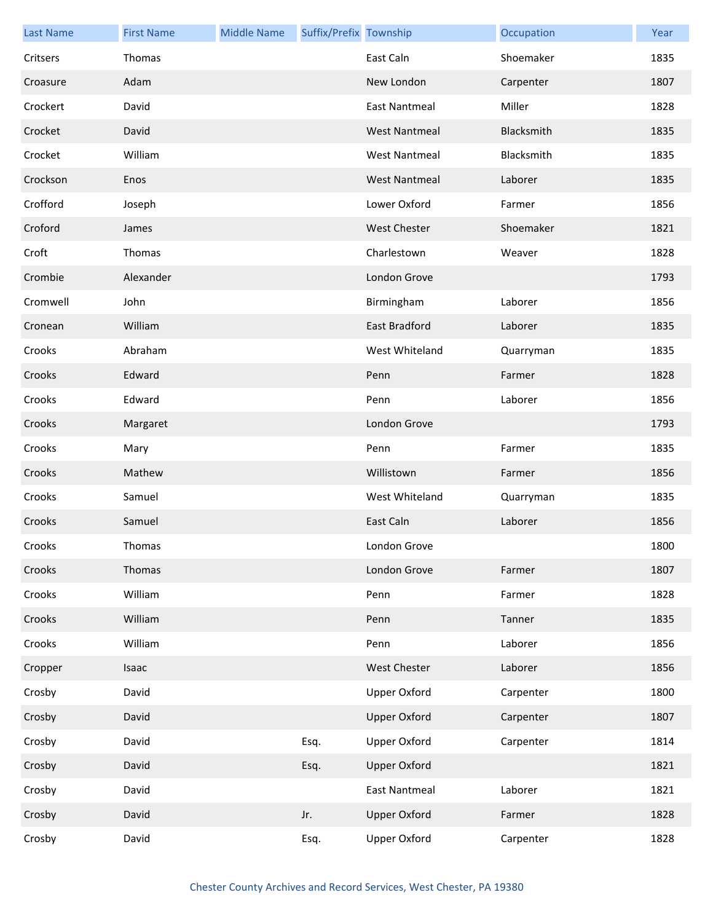| <b>Last Name</b> | <b>First Name</b> | <b>Middle Name</b> | Suffix/Prefix Township |                      | Occupation | Year |
|------------------|-------------------|--------------------|------------------------|----------------------|------------|------|
| Critsers         | Thomas            |                    |                        | East Caln            | Shoemaker  | 1835 |
| Croasure         | Adam              |                    |                        | New London           | Carpenter  | 1807 |
| Crockert         | David             |                    |                        | <b>East Nantmeal</b> | Miller     | 1828 |
| Crocket          | David             |                    |                        | <b>West Nantmeal</b> | Blacksmith | 1835 |
| Crocket          | William           |                    |                        | <b>West Nantmeal</b> | Blacksmith | 1835 |
| Crockson         | Enos              |                    |                        | <b>West Nantmeal</b> | Laborer    | 1835 |
| Crofford         | Joseph            |                    |                        | Lower Oxford         | Farmer     | 1856 |
| Croford          | James             |                    |                        | <b>West Chester</b>  | Shoemaker  | 1821 |
| Croft            | Thomas            |                    |                        | Charlestown          | Weaver     | 1828 |
| Crombie          | Alexander         |                    |                        | London Grove         |            | 1793 |
| Cromwell         | John              |                    |                        | Birmingham           | Laborer    | 1856 |
| Cronean          | William           |                    |                        | <b>East Bradford</b> | Laborer    | 1835 |
| Crooks           | Abraham           |                    |                        | West Whiteland       | Quarryman  | 1835 |
| Crooks           | Edward            |                    |                        | Penn                 | Farmer     | 1828 |
| Crooks           | Edward            |                    |                        | Penn                 | Laborer    | 1856 |
| Crooks           | Margaret          |                    |                        | London Grove         |            | 1793 |
| Crooks           | Mary              |                    |                        | Penn                 | Farmer     | 1835 |
| Crooks           | Mathew            |                    |                        | Willistown           | Farmer     | 1856 |
| Crooks           | Samuel            |                    |                        | West Whiteland       | Quarryman  | 1835 |
| Crooks           | Samuel            |                    |                        | East Caln            | Laborer    | 1856 |
| Crooks           | Thomas            |                    |                        | London Grove         |            | 1800 |
| Crooks           | Thomas            |                    |                        | London Grove         | Farmer     | 1807 |
| Crooks           | William           |                    |                        | Penn                 | Farmer     | 1828 |
| Crooks           | William           |                    |                        | Penn                 | Tanner     | 1835 |
| Crooks           | William           |                    |                        | Penn                 | Laborer    | 1856 |
| Cropper          | Isaac             |                    |                        | West Chester         | Laborer    | 1856 |
| Crosby           | David             |                    |                        | <b>Upper Oxford</b>  | Carpenter  | 1800 |
| Crosby           | David             |                    |                        | <b>Upper Oxford</b>  | Carpenter  | 1807 |
| Crosby           | David             |                    | Esq.                   | <b>Upper Oxford</b>  | Carpenter  | 1814 |
| Crosby           | David             |                    | Esq.                   | <b>Upper Oxford</b>  |            | 1821 |
| Crosby           | David             |                    |                        | <b>East Nantmeal</b> | Laborer    | 1821 |
| Crosby           | David             |                    | Jr.                    | <b>Upper Oxford</b>  | Farmer     | 1828 |
| Crosby           | David             |                    | Esq.                   | <b>Upper Oxford</b>  | Carpenter  | 1828 |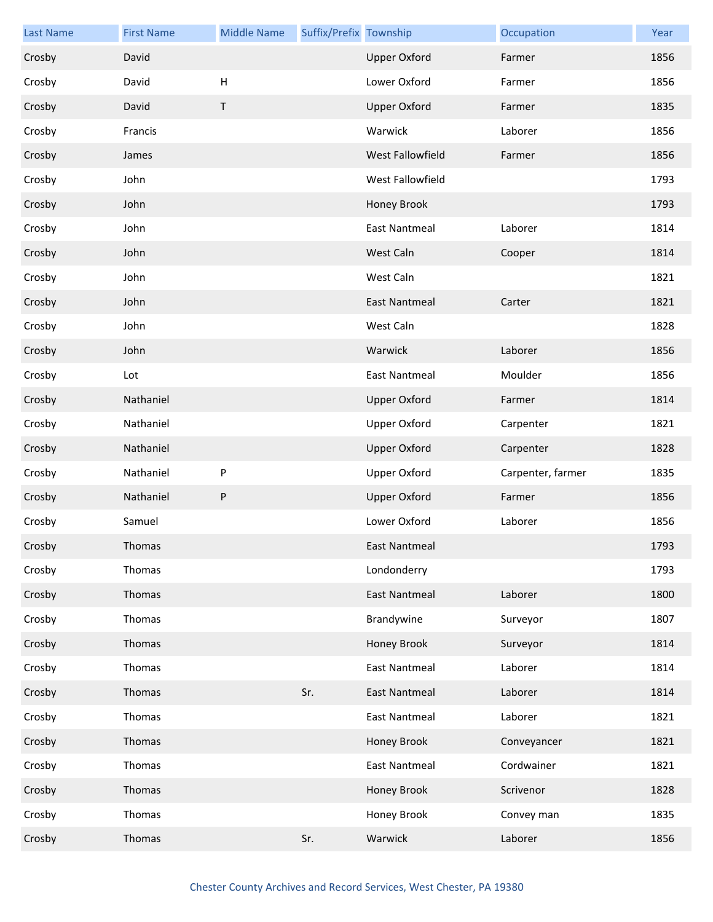| <b>Last Name</b> | <b>First Name</b> | <b>Middle Name</b> | Suffix/Prefix Township |                      | Occupation        | Year |
|------------------|-------------------|--------------------|------------------------|----------------------|-------------------|------|
| Crosby           | David             |                    |                        | <b>Upper Oxford</b>  | Farmer            | 1856 |
| Crosby           | David             | H                  |                        | Lower Oxford         | Farmer            | 1856 |
| Crosby           | David             | $\mathsf T$        |                        | <b>Upper Oxford</b>  | Farmer            | 1835 |
| Crosby           | Francis           |                    |                        | Warwick              | Laborer           | 1856 |
| Crosby           | James             |                    |                        | West Fallowfield     | Farmer            | 1856 |
| Crosby           | John              |                    |                        | West Fallowfield     |                   | 1793 |
| Crosby           | John              |                    |                        | Honey Brook          |                   | 1793 |
| Crosby           | John              |                    |                        | <b>East Nantmeal</b> | Laborer           | 1814 |
| Crosby           | John              |                    |                        | West Caln            | Cooper            | 1814 |
| Crosby           | John              |                    |                        | West Caln            |                   | 1821 |
| Crosby           | John              |                    |                        | <b>East Nantmeal</b> | Carter            | 1821 |
| Crosby           | John              |                    |                        | West Caln            |                   | 1828 |
| Crosby           | John              |                    |                        | Warwick              | Laborer           | 1856 |
| Crosby           | Lot               |                    |                        | <b>East Nantmeal</b> | Moulder           | 1856 |
| Crosby           | Nathaniel         |                    |                        | <b>Upper Oxford</b>  | Farmer            | 1814 |
| Crosby           | Nathaniel         |                    |                        | <b>Upper Oxford</b>  | Carpenter         | 1821 |
| Crosby           | Nathaniel         |                    |                        | <b>Upper Oxford</b>  | Carpenter         | 1828 |
| Crosby           | Nathaniel         | P                  |                        | <b>Upper Oxford</b>  | Carpenter, farmer | 1835 |
| Crosby           | Nathaniel         | P                  |                        | <b>Upper Oxford</b>  | Farmer            | 1856 |
| Crosby           | Samuel            |                    |                        | Lower Oxford         | Laborer           | 1856 |
| Crosby           | Thomas            |                    |                        | East Nantmeal        |                   | 1793 |
| Crosby           | Thomas            |                    |                        | Londonderry          |                   | 1793 |
| Crosby           | Thomas            |                    |                        | <b>East Nantmeal</b> | Laborer           | 1800 |
| Crosby           | Thomas            |                    |                        | Brandywine           | Surveyor          | 1807 |
| Crosby           | Thomas            |                    |                        | Honey Brook          | Surveyor          | 1814 |
| Crosby           | Thomas            |                    |                        | <b>East Nantmeal</b> | Laborer           | 1814 |
| Crosby           | Thomas            |                    | Sr.                    | <b>East Nantmeal</b> | Laborer           | 1814 |
| Crosby           | Thomas            |                    |                        | <b>East Nantmeal</b> | Laborer           | 1821 |
| Crosby           | Thomas            |                    |                        | Honey Brook          | Conveyancer       | 1821 |
| Crosby           | Thomas            |                    |                        | <b>East Nantmeal</b> | Cordwainer        | 1821 |
| Crosby           | Thomas            |                    |                        | Honey Brook          | Scrivenor         | 1828 |
| Crosby           | Thomas            |                    |                        | Honey Brook          | Convey man        | 1835 |
| Crosby           | Thomas            |                    | Sr.                    | Warwick              | Laborer           | 1856 |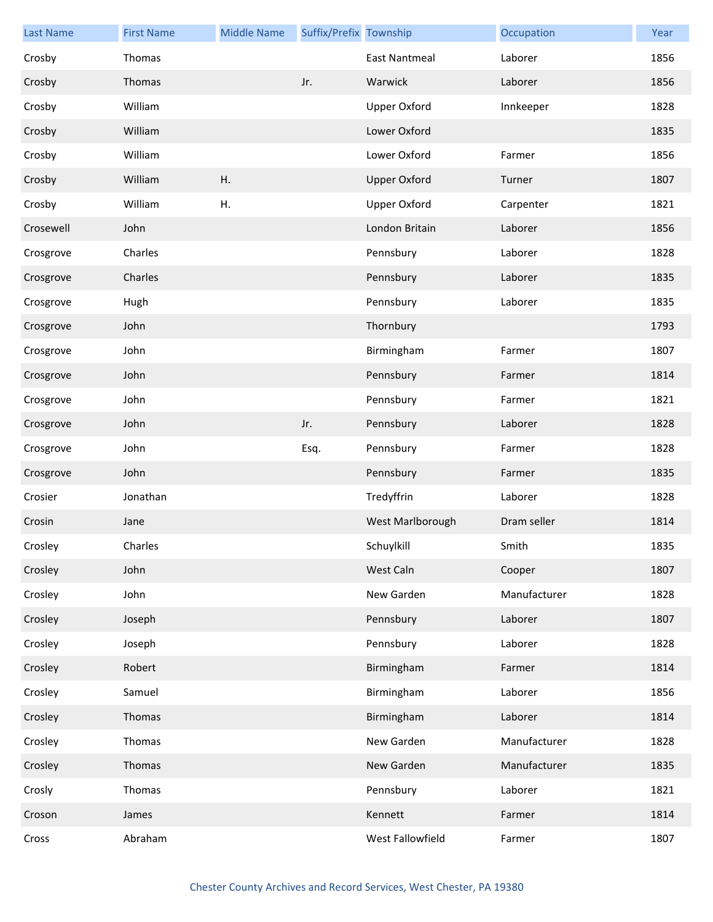| <b>Last Name</b> | <b>First Name</b> | <b>Middle Name</b> | Suffix/Prefix Township |                     | Occupation   | Year |
|------------------|-------------------|--------------------|------------------------|---------------------|--------------|------|
| Crosby           | Thomas            |                    |                        | East Nantmeal       | Laborer      | 1856 |
| Crosby           | Thomas            |                    | Jr.                    | Warwick             | Laborer      | 1856 |
| Crosby           | William           |                    |                        | <b>Upper Oxford</b> | Innkeeper    | 1828 |
| Crosby           | William           |                    |                        | Lower Oxford        |              | 1835 |
| Crosby           | William           |                    |                        | Lower Oxford        | Farmer       | 1856 |
| Crosby           | William           | Η.                 |                        | <b>Upper Oxford</b> | Turner       | 1807 |
| Crosby           | William           | Η.                 |                        | <b>Upper Oxford</b> | Carpenter    | 1821 |
| Crosewell        | John              |                    |                        | London Britain      | Laborer      | 1856 |
| Crosgrove        | Charles           |                    |                        | Pennsbury           | Laborer      | 1828 |
| Crosgrove        | Charles           |                    |                        | Pennsbury           | Laborer      | 1835 |
| Crosgrove        | Hugh              |                    |                        | Pennsbury           | Laborer      | 1835 |
| Crosgrove        | John              |                    |                        | Thornbury           |              | 1793 |
| Crosgrove        | John              |                    |                        | Birmingham          | Farmer       | 1807 |
| Crosgrove        | John              |                    |                        | Pennsbury           | Farmer       | 1814 |
| Crosgrove        | John              |                    |                        | Pennsbury           | Farmer       | 1821 |
| Crosgrove        | John              |                    | Jr.                    | Pennsbury           | Laborer      | 1828 |
| Crosgrove        | John              |                    | Esq.                   | Pennsbury           | Farmer       | 1828 |
| Crosgrove        | John              |                    |                        | Pennsbury           | Farmer       | 1835 |
| Crosier          | Jonathan          |                    |                        | Tredyffrin          | Laborer      | 1828 |
| Crosin           | Jane              |                    |                        | West Marlborough    | Dram seller  | 1814 |
| Crosley          | Charles           |                    |                        | Schuylkill          | Smith        | 1835 |
| Crosley          | John              |                    |                        | West Caln           | Cooper       | 1807 |
| Crosley          | John              |                    |                        | New Garden          | Manufacturer | 1828 |
| Crosley          | Joseph            |                    |                        | Pennsbury           | Laborer      | 1807 |
| Crosley          | Joseph            |                    |                        | Pennsbury           | Laborer      | 1828 |
| Crosley          | Robert            |                    |                        | Birmingham          | Farmer       | 1814 |
| Crosley          | Samuel            |                    |                        | Birmingham          | Laborer      | 1856 |
| Crosley          | Thomas            |                    |                        | Birmingham          | Laborer      | 1814 |
| Crosley          | Thomas            |                    |                        | New Garden          | Manufacturer | 1828 |
| Crosley          | Thomas            |                    |                        | New Garden          | Manufacturer | 1835 |
| Crosly           | Thomas            |                    |                        | Pennsbury           | Laborer      | 1821 |
| Croson           | James             |                    |                        | Kennett             | Farmer       | 1814 |
| Cross            | Abraham           |                    |                        | West Fallowfield    | Farmer       | 1807 |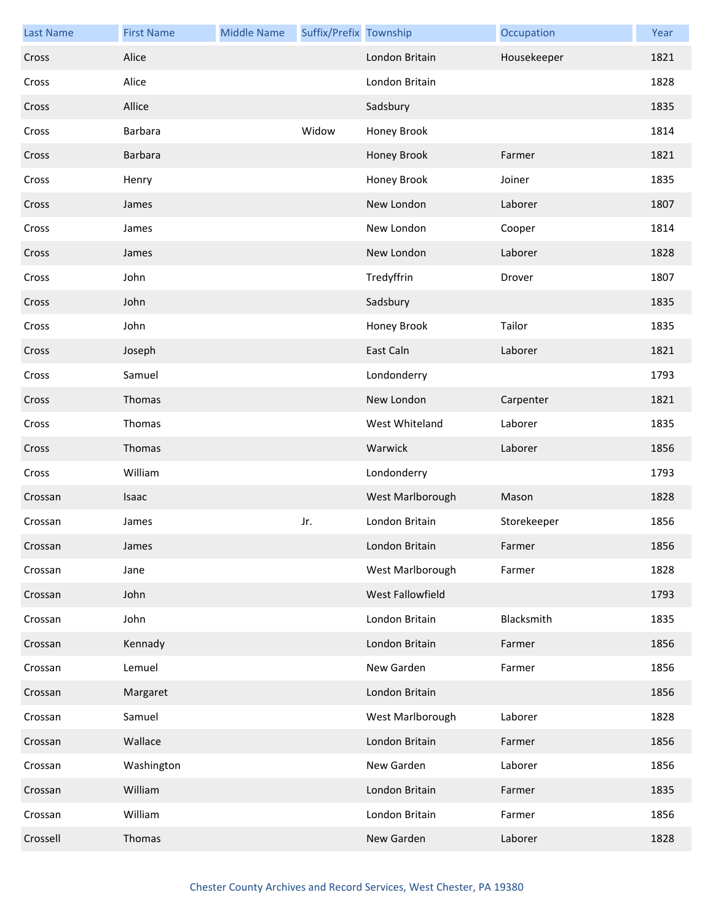| <b>Last Name</b> | <b>First Name</b> | <b>Middle Name</b> | Suffix/Prefix Township |                  | Occupation  | Year |
|------------------|-------------------|--------------------|------------------------|------------------|-------------|------|
| Cross            | Alice             |                    |                        | London Britain   | Housekeeper | 1821 |
| Cross            | Alice             |                    |                        | London Britain   |             | 1828 |
| Cross            | Allice            |                    |                        | Sadsbury         |             | 1835 |
| Cross            | Barbara           |                    | Widow                  | Honey Brook      |             | 1814 |
| Cross            | Barbara           |                    |                        | Honey Brook      | Farmer      | 1821 |
| Cross            | Henry             |                    |                        | Honey Brook      | Joiner      | 1835 |
| Cross            | James             |                    |                        | New London       | Laborer     | 1807 |
| Cross            | James             |                    |                        | New London       | Cooper      | 1814 |
| Cross            | James             |                    |                        | New London       | Laborer     | 1828 |
| Cross            | John              |                    |                        | Tredyffrin       | Drover      | 1807 |
| Cross            | John              |                    |                        | Sadsbury         |             | 1835 |
| Cross            | John              |                    |                        | Honey Brook      | Tailor      | 1835 |
| Cross            | Joseph            |                    |                        | East Caln        | Laborer     | 1821 |
| Cross            | Samuel            |                    |                        | Londonderry      |             | 1793 |
| Cross            | Thomas            |                    |                        | New London       | Carpenter   | 1821 |
| Cross            | Thomas            |                    |                        | West Whiteland   | Laborer     | 1835 |
| Cross            | Thomas            |                    |                        | Warwick          | Laborer     | 1856 |
| Cross            | William           |                    |                        | Londonderry      |             | 1793 |
| Crossan          | Isaac             |                    |                        | West Marlborough | Mason       | 1828 |
| Crossan          | James             |                    | Jr.                    | London Britain   | Storekeeper | 1856 |
| Crossan          | James             |                    |                        | London Britain   | Farmer      | 1856 |
| Crossan          | Jane              |                    |                        | West Marlborough | Farmer      | 1828 |
| Crossan          | John              |                    |                        | West Fallowfield |             | 1793 |
| Crossan          | John              |                    |                        | London Britain   | Blacksmith  | 1835 |
| Crossan          | Kennady           |                    |                        | London Britain   | Farmer      | 1856 |
| Crossan          | Lemuel            |                    |                        | New Garden       | Farmer      | 1856 |
| Crossan          | Margaret          |                    |                        | London Britain   |             | 1856 |
| Crossan          | Samuel            |                    |                        | West Marlborough | Laborer     | 1828 |
| Crossan          | Wallace           |                    |                        | London Britain   | Farmer      | 1856 |
| Crossan          | Washington        |                    |                        | New Garden       | Laborer     | 1856 |
| Crossan          | William           |                    |                        | London Britain   | Farmer      | 1835 |
| Crossan          | William           |                    |                        | London Britain   | Farmer      | 1856 |
| Crossell         | Thomas            |                    |                        | New Garden       | Laborer     | 1828 |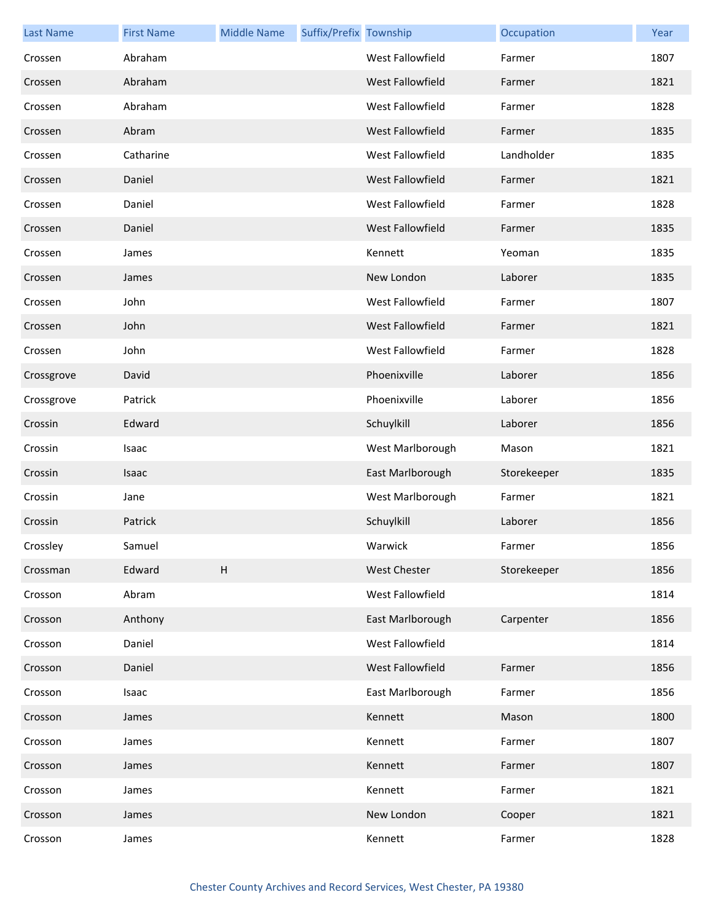| <b>Last Name</b> | <b>First Name</b> | <b>Middle Name</b> | Suffix/Prefix Township |                         | Occupation  | Year |
|------------------|-------------------|--------------------|------------------------|-------------------------|-------------|------|
| Crossen          | Abraham           |                    |                        | <b>West Fallowfield</b> | Farmer      | 1807 |
| Crossen          | Abraham           |                    |                        | West Fallowfield        | Farmer      | 1821 |
| Crossen          | Abraham           |                    |                        | West Fallowfield        | Farmer      | 1828 |
| Crossen          | Abram             |                    |                        | West Fallowfield        | Farmer      | 1835 |
| Crossen          | Catharine         |                    |                        | West Fallowfield        | Landholder  | 1835 |
| Crossen          | Daniel            |                    |                        | West Fallowfield        | Farmer      | 1821 |
| Crossen          | Daniel            |                    |                        | West Fallowfield        | Farmer      | 1828 |
| Crossen          | Daniel            |                    |                        | West Fallowfield        | Farmer      | 1835 |
| Crossen          | James             |                    |                        | Kennett                 | Yeoman      | 1835 |
| Crossen          | James             |                    |                        | New London              | Laborer     | 1835 |
| Crossen          | John              |                    |                        | West Fallowfield        | Farmer      | 1807 |
| Crossen          | John              |                    |                        | West Fallowfield        | Farmer      | 1821 |
| Crossen          | John              |                    |                        | West Fallowfield        | Farmer      | 1828 |
| Crossgrove       | David             |                    |                        | Phoenixville            | Laborer     | 1856 |
| Crossgrove       | Patrick           |                    |                        | Phoenixville            | Laborer     | 1856 |
| Crossin          | Edward            |                    |                        | Schuylkill              | Laborer     | 1856 |
| Crossin          | Isaac             |                    |                        | West Marlborough        | Mason       | 1821 |
| Crossin          | Isaac             |                    |                        | East Marlborough        | Storekeeper | 1835 |
| Crossin          | Jane              |                    |                        | West Marlborough        | Farmer      | 1821 |
| Crossin          | Patrick           |                    |                        | Schuylkill              | Laborer     | 1856 |
| Crossley         | Samuel            |                    |                        | Warwick                 | Farmer      | 1856 |
| Crossman         | Edward            | H                  |                        | <b>West Chester</b>     | Storekeeper | 1856 |
| Crosson          | Abram             |                    |                        | West Fallowfield        |             | 1814 |
| Crosson          | Anthony           |                    |                        | East Marlborough        | Carpenter   | 1856 |
| Crosson          | Daniel            |                    |                        | West Fallowfield        |             | 1814 |
| Crosson          | Daniel            |                    |                        | West Fallowfield        | Farmer      | 1856 |
| Crosson          | Isaac             |                    |                        | East Marlborough        | Farmer      | 1856 |
| Crosson          | James             |                    |                        | Kennett                 | Mason       | 1800 |
| Crosson          | James             |                    |                        | Kennett                 | Farmer      | 1807 |
| Crosson          | James             |                    |                        | Kennett                 | Farmer      | 1807 |
| Crosson          | James             |                    |                        | Kennett                 | Farmer      | 1821 |
| Crosson          | James             |                    |                        | New London              | Cooper      | 1821 |
| Crosson          | James             |                    |                        | Kennett                 | Farmer      | 1828 |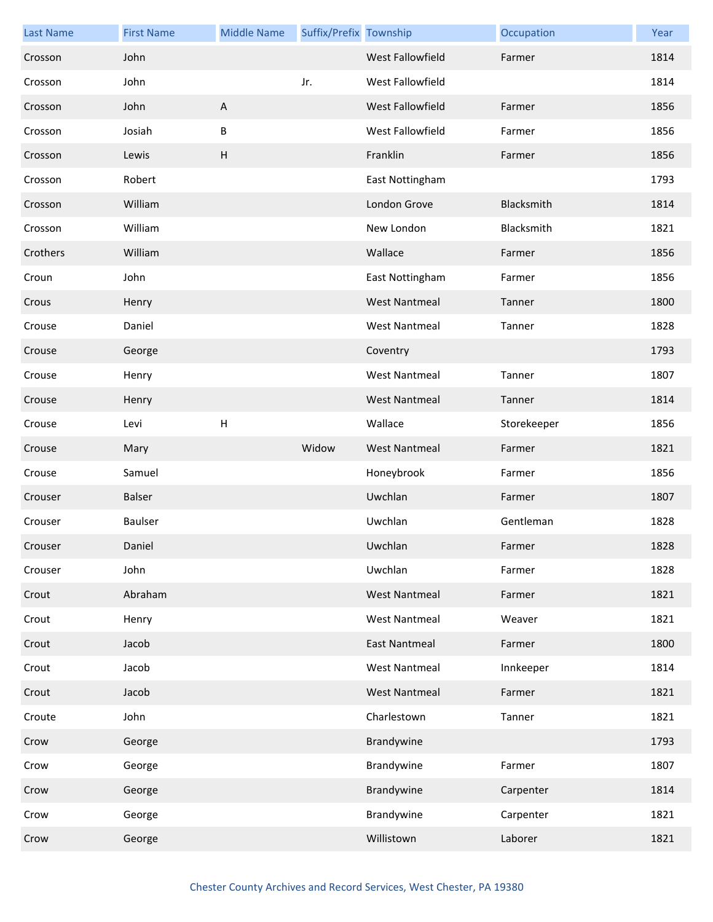| <b>Last Name</b> | <b>First Name</b> | <b>Middle Name</b> | Suffix/Prefix Township |                         | Occupation  | Year |
|------------------|-------------------|--------------------|------------------------|-------------------------|-------------|------|
| Crosson          | John              |                    |                        | <b>West Fallowfield</b> | Farmer      | 1814 |
| Crosson          | John              |                    | Jr.                    | West Fallowfield        |             | 1814 |
| Crosson          | John              | $\mathsf{A}$       |                        | West Fallowfield        | Farmer      | 1856 |
| Crosson          | Josiah            | B                  |                        | West Fallowfield        | Farmer      | 1856 |
| Crosson          | Lewis             | H                  |                        | Franklin                | Farmer      | 1856 |
| Crosson          | Robert            |                    |                        | East Nottingham         |             | 1793 |
| Crosson          | William           |                    |                        | London Grove            | Blacksmith  | 1814 |
| Crosson          | William           |                    |                        | New London              | Blacksmith  | 1821 |
| Crothers         | William           |                    |                        | Wallace                 | Farmer      | 1856 |
| Croun            | John              |                    |                        | East Nottingham         | Farmer      | 1856 |
| Crous            | Henry             |                    |                        | <b>West Nantmeal</b>    | Tanner      | 1800 |
| Crouse           | Daniel            |                    |                        | <b>West Nantmeal</b>    | Tanner      | 1828 |
| Crouse           | George            |                    |                        | Coventry                |             | 1793 |
| Crouse           | Henry             |                    |                        | <b>West Nantmeal</b>    | Tanner      | 1807 |
| Crouse           | Henry             |                    |                        | <b>West Nantmeal</b>    | Tanner      | 1814 |
| Crouse           | Levi              | H                  |                        | Wallace                 | Storekeeper | 1856 |
| Crouse           | Mary              |                    | Widow                  | <b>West Nantmeal</b>    | Farmer      | 1821 |
| Crouse           | Samuel            |                    |                        | Honeybrook              | Farmer      | 1856 |
| Crouser          | Balser            |                    |                        | Uwchlan                 | Farmer      | 1807 |
| Crouser          | Baulser           |                    |                        | Uwchlan                 | Gentleman   | 1828 |
| Crouser          | Daniel            |                    |                        | Uwchlan                 | Farmer      | 1828 |
| Crouser          | John              |                    |                        | Uwchlan                 | Farmer      | 1828 |
| Crout            | Abraham           |                    |                        | <b>West Nantmeal</b>    | Farmer      | 1821 |
| Crout            | Henry             |                    |                        | <b>West Nantmeal</b>    | Weaver      | 1821 |
| Crout            | Jacob             |                    |                        | <b>East Nantmeal</b>    | Farmer      | 1800 |
| Crout            | Jacob             |                    |                        | <b>West Nantmeal</b>    | Innkeeper   | 1814 |
| Crout            | Jacob             |                    |                        | <b>West Nantmeal</b>    | Farmer      | 1821 |
| Croute           | John              |                    |                        | Charlestown             | Tanner      | 1821 |
| Crow             | George            |                    |                        | Brandywine              |             | 1793 |
| Crow             | George            |                    |                        | Brandywine              | Farmer      | 1807 |
| Crow             | George            |                    |                        | Brandywine              | Carpenter   | 1814 |
| Crow             | George            |                    |                        | Brandywine              | Carpenter   | 1821 |
| Crow             | George            |                    |                        | Willistown              | Laborer     | 1821 |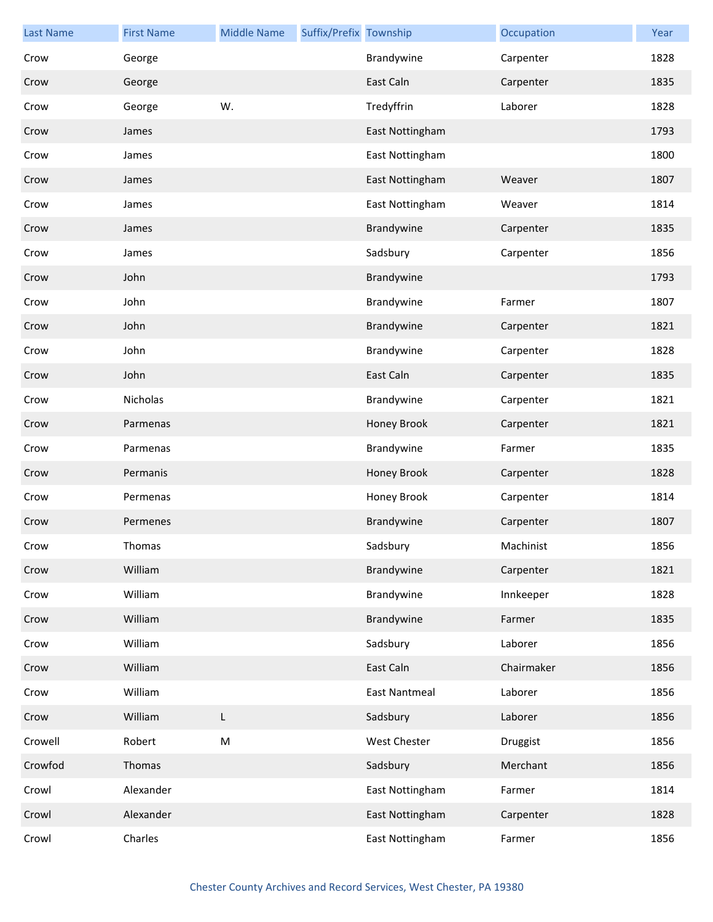| <b>Last Name</b> | <b>First Name</b> | <b>Middle Name</b> | Suffix/Prefix Township |                      | Occupation | Year |
|------------------|-------------------|--------------------|------------------------|----------------------|------------|------|
| Crow             | George            |                    |                        | Brandywine           | Carpenter  | 1828 |
| Crow             | George            |                    |                        | East Caln            | Carpenter  | 1835 |
| Crow             | George            | W.                 |                        | Tredyffrin           | Laborer    | 1828 |
| Crow             | James             |                    |                        | East Nottingham      |            | 1793 |
| Crow             | James             |                    |                        | East Nottingham      |            | 1800 |
| Crow             | James             |                    |                        | East Nottingham      | Weaver     | 1807 |
| Crow             | James             |                    |                        | East Nottingham      | Weaver     | 1814 |
| Crow             | James             |                    |                        | Brandywine           | Carpenter  | 1835 |
| Crow             | James             |                    |                        | Sadsbury             | Carpenter  | 1856 |
| Crow             | John              |                    |                        | Brandywine           |            | 1793 |
| Crow             | John              |                    |                        | Brandywine           | Farmer     | 1807 |
| Crow             | John              |                    |                        | Brandywine           | Carpenter  | 1821 |
| Crow             | John              |                    |                        | Brandywine           | Carpenter  | 1828 |
| Crow             | John              |                    |                        | East Caln            | Carpenter  | 1835 |
| Crow             | Nicholas          |                    |                        | Brandywine           | Carpenter  | 1821 |
| Crow             | Parmenas          |                    |                        | Honey Brook          | Carpenter  | 1821 |
| Crow             | Parmenas          |                    |                        | Brandywine           | Farmer     | 1835 |
| Crow             | Permanis          |                    |                        | Honey Brook          | Carpenter  | 1828 |
| Crow             | Permenas          |                    |                        | Honey Brook          | Carpenter  | 1814 |
| Crow             | Permenes          |                    |                        | Brandywine           | Carpenter  | 1807 |
| Crow             | Thomas            |                    |                        | Sadsbury             | Machinist  | 1856 |
| Crow             | William           |                    |                        | Brandywine           | Carpenter  | 1821 |
| Crow             | William           |                    |                        | Brandywine           | Innkeeper  | 1828 |
| Crow             | William           |                    |                        | Brandywine           | Farmer     | 1835 |
| Crow             | William           |                    |                        | Sadsbury             | Laborer    | 1856 |
| Crow             | William           |                    |                        | East Caln            | Chairmaker | 1856 |
| Crow             | William           |                    |                        | <b>East Nantmeal</b> | Laborer    | 1856 |
| Crow             | William           | L                  |                        | Sadsbury             | Laborer    | 1856 |
| Crowell          | Robert            | ${\sf M}$          |                        | West Chester         | Druggist   | 1856 |
| Crowfod          | Thomas            |                    |                        | Sadsbury             | Merchant   | 1856 |
| Crowl            | Alexander         |                    |                        | East Nottingham      | Farmer     | 1814 |
| Crowl            | Alexander         |                    |                        | East Nottingham      | Carpenter  | 1828 |
| Crowl            | Charles           |                    |                        | East Nottingham      | Farmer     | 1856 |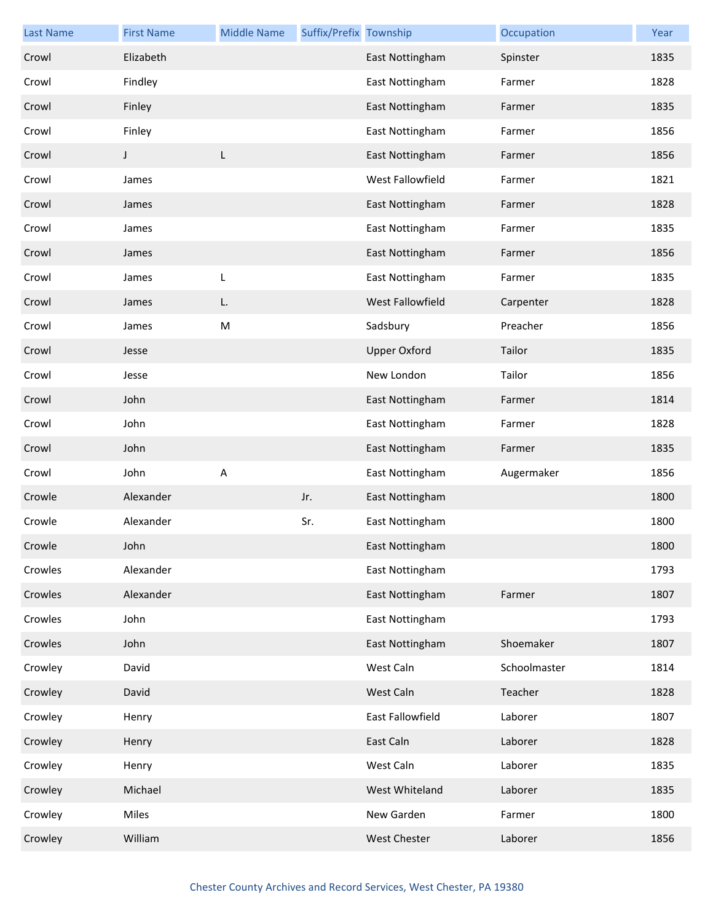| <b>Last Name</b> | <b>First Name</b> | <b>Middle Name</b> | Suffix/Prefix Township |                     | Occupation   | Year |
|------------------|-------------------|--------------------|------------------------|---------------------|--------------|------|
| Crowl            | Elizabeth         |                    |                        | East Nottingham     | Spinster     | 1835 |
| Crowl            | Findley           |                    |                        | East Nottingham     | Farmer       | 1828 |
| Crowl            | Finley            |                    |                        | East Nottingham     | Farmer       | 1835 |
| Crowl            | Finley            |                    |                        | East Nottingham     | Farmer       | 1856 |
| Crowl            | J                 | L                  |                        | East Nottingham     | Farmer       | 1856 |
| Crowl            | James             |                    |                        | West Fallowfield    | Farmer       | 1821 |
| Crowl            | James             |                    |                        | East Nottingham     | Farmer       | 1828 |
| Crowl            | James             |                    |                        | East Nottingham     | Farmer       | 1835 |
| Crowl            | James             |                    |                        | East Nottingham     | Farmer       | 1856 |
| Crowl            | James             | L                  |                        | East Nottingham     | Farmer       | 1835 |
| Crowl            | James             | L.                 |                        | West Fallowfield    | Carpenter    | 1828 |
| Crowl            | James             | M                  |                        | Sadsbury            | Preacher     | 1856 |
| Crowl            | Jesse             |                    |                        | <b>Upper Oxford</b> | Tailor       | 1835 |
| Crowl            | Jesse             |                    |                        | New London          | Tailor       | 1856 |
| Crowl            | John              |                    |                        | East Nottingham     | Farmer       | 1814 |
| Crowl            | John              |                    |                        | East Nottingham     | Farmer       | 1828 |
| Crowl            | John              |                    |                        | East Nottingham     | Farmer       | 1835 |
| Crowl            | John              | $\sf A$            |                        | East Nottingham     | Augermaker   | 1856 |
| Crowle           | Alexander         |                    | Jr.                    | East Nottingham     |              | 1800 |
| Crowle           | Alexander         |                    | Sr.                    | East Nottingham     |              | 1800 |
| Crowle           | John              |                    |                        | East Nottingham     |              | 1800 |
| Crowles          | Alexander         |                    |                        | East Nottingham     |              | 1793 |
| Crowles          | Alexander         |                    |                        | East Nottingham     | Farmer       | 1807 |
| Crowles          | John              |                    |                        | East Nottingham     |              | 1793 |
| Crowles          | John              |                    |                        | East Nottingham     | Shoemaker    | 1807 |
| Crowley          | David             |                    |                        | West Caln           | Schoolmaster | 1814 |
| Crowley          | David             |                    |                        | West Caln           | Teacher      | 1828 |
| Crowley          | Henry             |                    |                        | East Fallowfield    | Laborer      | 1807 |
| Crowley          | Henry             |                    |                        | East Caln           | Laborer      | 1828 |
| Crowley          | Henry             |                    |                        | West Caln           | Laborer      | 1835 |
| Crowley          | Michael           |                    |                        | West Whiteland      | Laborer      | 1835 |
| Crowley          | Miles             |                    |                        | New Garden          | Farmer       | 1800 |
| Crowley          | William           |                    |                        | West Chester        | Laborer      | 1856 |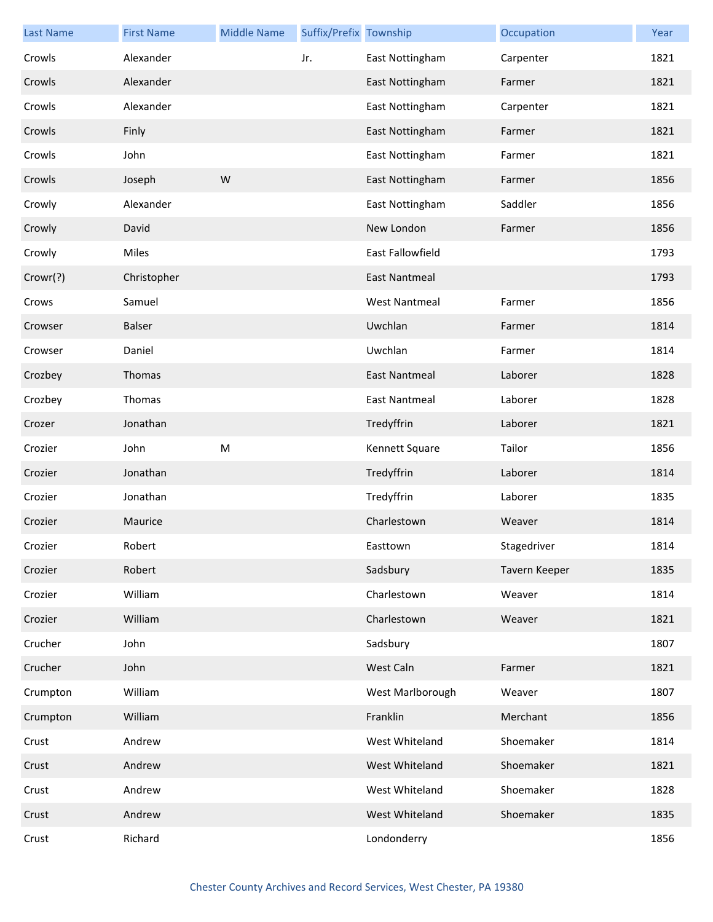| <b>Last Name</b> | <b>First Name</b> | <b>Middle Name</b> | Suffix/Prefix Township |                      | Occupation    | Year |
|------------------|-------------------|--------------------|------------------------|----------------------|---------------|------|
| Crowls           | Alexander         |                    | Jr.                    | East Nottingham      | Carpenter     | 1821 |
| Crowls           | Alexander         |                    |                        | East Nottingham      | Farmer        | 1821 |
| Crowls           | Alexander         |                    |                        | East Nottingham      | Carpenter     | 1821 |
| Crowls           | Finly             |                    |                        | East Nottingham      | Farmer        | 1821 |
| Crowls           | John              |                    |                        | East Nottingham      | Farmer        | 1821 |
| Crowls           | Joseph            | W                  |                        | East Nottingham      | Farmer        | 1856 |
| Crowly           | Alexander         |                    |                        | East Nottingham      | Saddler       | 1856 |
| Crowly           | David             |                    |                        | New London           | Farmer        | 1856 |
| Crowly           | Miles             |                    |                        | East Fallowfield     |               | 1793 |
| Crowr(?)         | Christopher       |                    |                        | <b>East Nantmeal</b> |               | 1793 |
| Crows            | Samuel            |                    |                        | <b>West Nantmeal</b> | Farmer        | 1856 |
| Crowser          | Balser            |                    |                        | Uwchlan              | Farmer        | 1814 |
| Crowser          | Daniel            |                    |                        | Uwchlan              | Farmer        | 1814 |
| Crozbey          | Thomas            |                    |                        | <b>East Nantmeal</b> | Laborer       | 1828 |
| Crozbey          | Thomas            |                    |                        | <b>East Nantmeal</b> | Laborer       | 1828 |
| Crozer           | Jonathan          |                    |                        | Tredyffrin           | Laborer       | 1821 |
| Crozier          | John              | M                  |                        | Kennett Square       | Tailor        | 1856 |
| Crozier          | Jonathan          |                    |                        | Tredyffrin           | Laborer       | 1814 |
| Crozier          | Jonathan          |                    |                        | Tredyffrin           | Laborer       | 1835 |
| Crozier          | Maurice           |                    |                        | Charlestown          | Weaver        | 1814 |
| Crozier          | Robert            |                    |                        | Easttown             | Stagedriver   | 1814 |
| Crozier          | Robert            |                    |                        | Sadsbury             | Tavern Keeper | 1835 |
| Crozier          | William           |                    |                        | Charlestown          | Weaver        | 1814 |
| Crozier          | William           |                    |                        | Charlestown          | Weaver        | 1821 |
| Crucher          | John              |                    |                        | Sadsbury             |               | 1807 |
| Crucher          | John              |                    |                        | West Caln            | Farmer        | 1821 |
| Crumpton         | William           |                    |                        | West Marlborough     | Weaver        | 1807 |
| Crumpton         | William           |                    |                        | Franklin             | Merchant      | 1856 |
| Crust            | Andrew            |                    |                        | West Whiteland       | Shoemaker     | 1814 |
| Crust            | Andrew            |                    |                        | West Whiteland       | Shoemaker     | 1821 |
| Crust            | Andrew            |                    |                        | West Whiteland       | Shoemaker     | 1828 |
| Crust            | Andrew            |                    |                        | West Whiteland       | Shoemaker     | 1835 |
| Crust            | Richard           |                    |                        | Londonderry          |               | 1856 |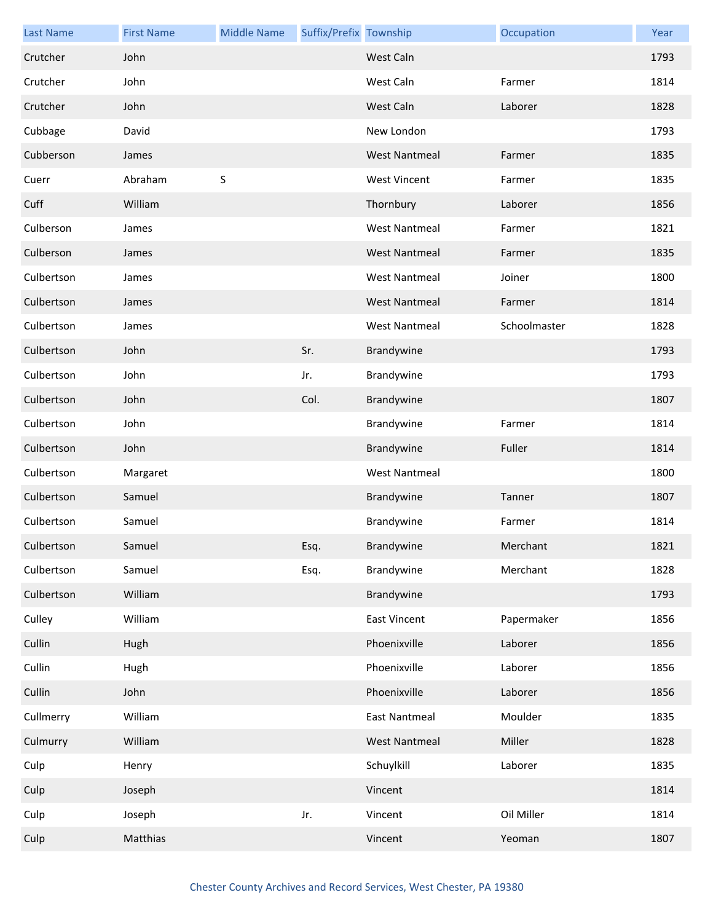| <b>Last Name</b> | <b>First Name</b> | <b>Middle Name</b> | Suffix/Prefix Township |                      | Occupation   | Year |
|------------------|-------------------|--------------------|------------------------|----------------------|--------------|------|
| Crutcher         | John              |                    |                        | West Caln            |              | 1793 |
| Crutcher         | John              |                    |                        | West Caln            | Farmer       | 1814 |
| Crutcher         | John              |                    |                        | West Caln            | Laborer      | 1828 |
| Cubbage          | David             |                    |                        | New London           |              | 1793 |
| Cubberson        | James             |                    |                        | <b>West Nantmeal</b> | Farmer       | 1835 |
| Cuerr            | Abraham           | $\sf S$            |                        | <b>West Vincent</b>  | Farmer       | 1835 |
| Cuff             | William           |                    |                        | Thornbury            | Laborer      | 1856 |
| Culberson        | James             |                    |                        | <b>West Nantmeal</b> | Farmer       | 1821 |
| Culberson        | James             |                    |                        | <b>West Nantmeal</b> | Farmer       | 1835 |
| Culbertson       | James             |                    |                        | <b>West Nantmeal</b> | Joiner       | 1800 |
| Culbertson       | James             |                    |                        | <b>West Nantmeal</b> | Farmer       | 1814 |
| Culbertson       | James             |                    |                        | <b>West Nantmeal</b> | Schoolmaster | 1828 |
| Culbertson       | John              |                    | Sr.                    | Brandywine           |              | 1793 |
| Culbertson       | John              |                    | Jr.                    | Brandywine           |              | 1793 |
| Culbertson       | John              |                    | Col.                   | Brandywine           |              | 1807 |
| Culbertson       | John              |                    |                        | Brandywine           | Farmer       | 1814 |
| Culbertson       | John              |                    |                        | Brandywine           | Fuller       | 1814 |
| Culbertson       | Margaret          |                    |                        | <b>West Nantmeal</b> |              | 1800 |
| Culbertson       | Samuel            |                    |                        | Brandywine           | Tanner       | 1807 |
| Culbertson       | Samuel            |                    |                        | Brandywine           | Farmer       | 1814 |
| Culbertson       | Samuel            |                    | Esq.                   | Brandywine           | Merchant     | 1821 |
| Culbertson       | Samuel            |                    | Esq.                   | Brandywine           | Merchant     | 1828 |
| Culbertson       | William           |                    |                        | Brandywine           |              | 1793 |
| Culley           | William           |                    |                        | <b>East Vincent</b>  | Papermaker   | 1856 |
| Cullin           | Hugh              |                    |                        | Phoenixville         | Laborer      | 1856 |
| Cullin           | Hugh              |                    |                        | Phoenixville         | Laborer      | 1856 |
| Cullin           | John              |                    |                        | Phoenixville         | Laborer      | 1856 |
| Cullmerry        | William           |                    |                        | <b>East Nantmeal</b> | Moulder      | 1835 |
| Culmurry         | William           |                    |                        | <b>West Nantmeal</b> | Miller       | 1828 |
| Culp             | Henry             |                    |                        | Schuylkill           | Laborer      | 1835 |
| Culp             | Joseph            |                    |                        | Vincent              |              | 1814 |
| Culp             | Joseph            |                    | Jr.                    | Vincent              | Oil Miller   | 1814 |
| Culp             | Matthias          |                    |                        | Vincent              | Yeoman       | 1807 |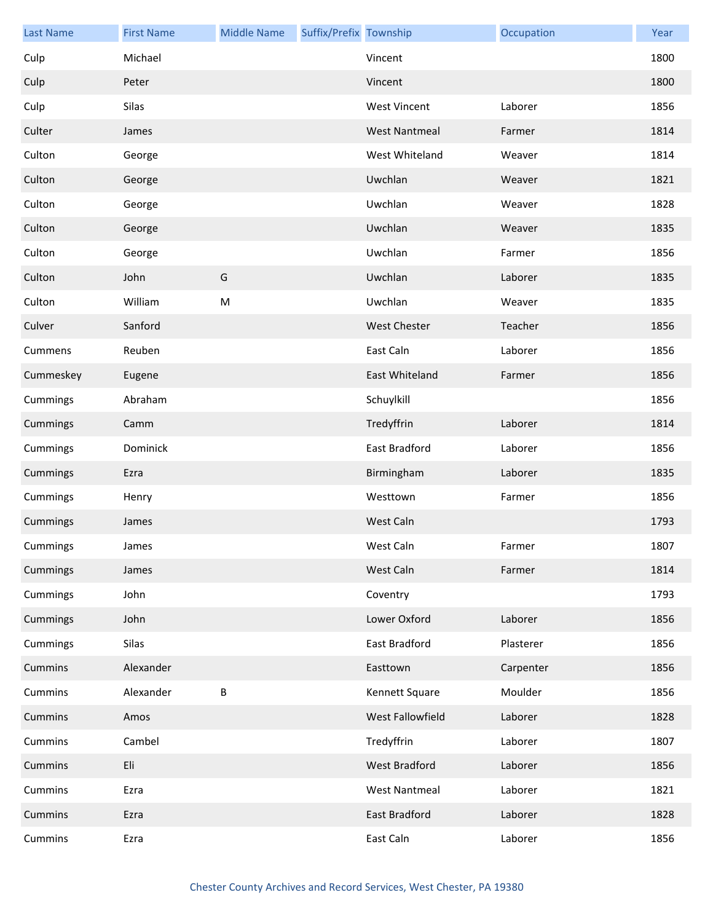| <b>Last Name</b> | <b>First Name</b> | <b>Middle Name</b> | Suffix/Prefix Township |                      | Occupation | Year |
|------------------|-------------------|--------------------|------------------------|----------------------|------------|------|
| Culp             | Michael           |                    |                        | Vincent              |            | 1800 |
| Culp             | Peter             |                    |                        | Vincent              |            | 1800 |
| Culp             | Silas             |                    |                        | <b>West Vincent</b>  | Laborer    | 1856 |
| Culter           | James             |                    |                        | <b>West Nantmeal</b> | Farmer     | 1814 |
| Culton           | George            |                    |                        | West Whiteland       | Weaver     | 1814 |
| Culton           | George            |                    |                        | Uwchlan              | Weaver     | 1821 |
| Culton           | George            |                    |                        | Uwchlan              | Weaver     | 1828 |
| Culton           | George            |                    |                        | Uwchlan              | Weaver     | 1835 |
| Culton           | George            |                    |                        | Uwchlan              | Farmer     | 1856 |
| Culton           | John              | G                  |                        | Uwchlan              | Laborer    | 1835 |
| Culton           | William           | M                  |                        | Uwchlan              | Weaver     | 1835 |
| Culver           | Sanford           |                    |                        | <b>West Chester</b>  | Teacher    | 1856 |
| Cummens          | Reuben            |                    |                        | East Caln            | Laborer    | 1856 |
| Cummeskey        | Eugene            |                    |                        | East Whiteland       | Farmer     | 1856 |
| Cummings         | Abraham           |                    |                        | Schuylkill           |            | 1856 |
| Cummings         | Camm              |                    |                        | Tredyffrin           | Laborer    | 1814 |
| Cummings         | Dominick          |                    |                        | East Bradford        | Laborer    | 1856 |
| Cummings         | Ezra              |                    |                        | Birmingham           | Laborer    | 1835 |
| Cummings         | Henry             |                    |                        | Westtown             | Farmer     | 1856 |
| Cummings         | James             |                    |                        | West Caln            |            | 1793 |
| Cummings         | James             |                    |                        | West Caln            | Farmer     | 1807 |
| Cummings         | James             |                    |                        | West Caln            | Farmer     | 1814 |
| Cummings         | John              |                    |                        | Coventry             |            | 1793 |
| Cummings         | John              |                    |                        | Lower Oxford         | Laborer    | 1856 |
| Cummings         | Silas             |                    |                        | East Bradford        | Plasterer  | 1856 |
| Cummins          | Alexander         |                    |                        | Easttown             | Carpenter  | 1856 |
| Cummins          | Alexander         | B                  |                        | Kennett Square       | Moulder    | 1856 |
| Cummins          | Amos              |                    |                        | West Fallowfield     | Laborer    | 1828 |
| Cummins          | Cambel            |                    |                        | Tredyffrin           | Laborer    | 1807 |
| Cummins          | Eli               |                    |                        | <b>West Bradford</b> | Laborer    | 1856 |
| Cummins          | Ezra              |                    |                        | <b>West Nantmeal</b> | Laborer    | 1821 |
| Cummins          | Ezra              |                    |                        | East Bradford        | Laborer    | 1828 |
| Cummins          | Ezra              |                    |                        | East Caln            | Laborer    | 1856 |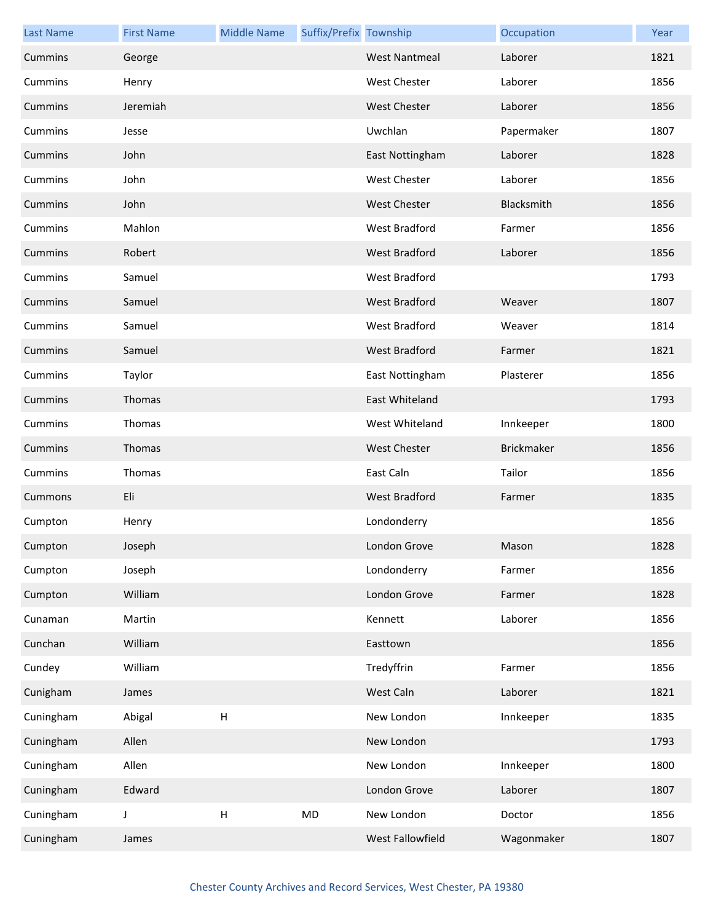| <b>Last Name</b> | <b>First Name</b> | <b>Middle Name</b>        | Suffix/Prefix Township |                      | Occupation        | Year |
|------------------|-------------------|---------------------------|------------------------|----------------------|-------------------|------|
| Cummins          | George            |                           |                        | <b>West Nantmeal</b> | Laborer           | 1821 |
| Cummins          | Henry             |                           |                        | <b>West Chester</b>  | Laborer           | 1856 |
| Cummins          | Jeremiah          |                           |                        | <b>West Chester</b>  | Laborer           | 1856 |
| Cummins          | Jesse             |                           |                        | Uwchlan              | Papermaker        | 1807 |
| Cummins          | John              |                           |                        | East Nottingham      | Laborer           | 1828 |
| Cummins          | John              |                           |                        | <b>West Chester</b>  | Laborer           | 1856 |
| Cummins          | John              |                           |                        | <b>West Chester</b>  | Blacksmith        | 1856 |
| Cummins          | Mahlon            |                           |                        | West Bradford        | Farmer            | 1856 |
| Cummins          | Robert            |                           |                        | West Bradford        | Laborer           | 1856 |
| Cummins          | Samuel            |                           |                        | West Bradford        |                   | 1793 |
| Cummins          | Samuel            |                           |                        | West Bradford        | Weaver            | 1807 |
| Cummins          | Samuel            |                           |                        | West Bradford        | Weaver            | 1814 |
| Cummins          | Samuel            |                           |                        | <b>West Bradford</b> | Farmer            | 1821 |
| Cummins          | Taylor            |                           |                        | East Nottingham      | Plasterer         | 1856 |
| Cummins          | Thomas            |                           |                        | East Whiteland       |                   | 1793 |
| Cummins          | Thomas            |                           |                        | West Whiteland       | Innkeeper         | 1800 |
| Cummins          | Thomas            |                           |                        | <b>West Chester</b>  | <b>Brickmaker</b> | 1856 |
| Cummins          | Thomas            |                           |                        | East Caln            | Tailor            | 1856 |
| Cummons          | Eli               |                           |                        | West Bradford        | Farmer            | 1835 |
| Cumpton          | Henry             |                           |                        | Londonderry          |                   | 1856 |
| Cumpton          | Joseph            |                           |                        | London Grove         | Mason             | 1828 |
| Cumpton          | Joseph            |                           |                        | Londonderry          | Farmer            | 1856 |
| Cumpton          | William           |                           |                        | London Grove         | Farmer            | 1828 |
| Cunaman          | Martin            |                           |                        | Kennett              | Laborer           | 1856 |
| Cunchan          | William           |                           |                        | Easttown             |                   | 1856 |
| Cundey           | William           |                           |                        | Tredyffrin           | Farmer            | 1856 |
| Cunigham         | James             |                           |                        | West Caln            | Laborer           | 1821 |
| Cuningham        | Abigal            | $\boldsymbol{\mathsf{H}}$ |                        | New London           | Innkeeper         | 1835 |
| Cuningham        | Allen             |                           |                        | New London           |                   | 1793 |
| Cuningham        | Allen             |                           |                        | New London           | Innkeeper         | 1800 |
| Cuningham        | Edward            |                           |                        | London Grove         | Laborer           | 1807 |
| Cuningham        | J                 | $\sf H$                   | MD                     | New London           | Doctor            | 1856 |
| Cuningham        | James             |                           |                        | West Fallowfield     | Wagonmaker        | 1807 |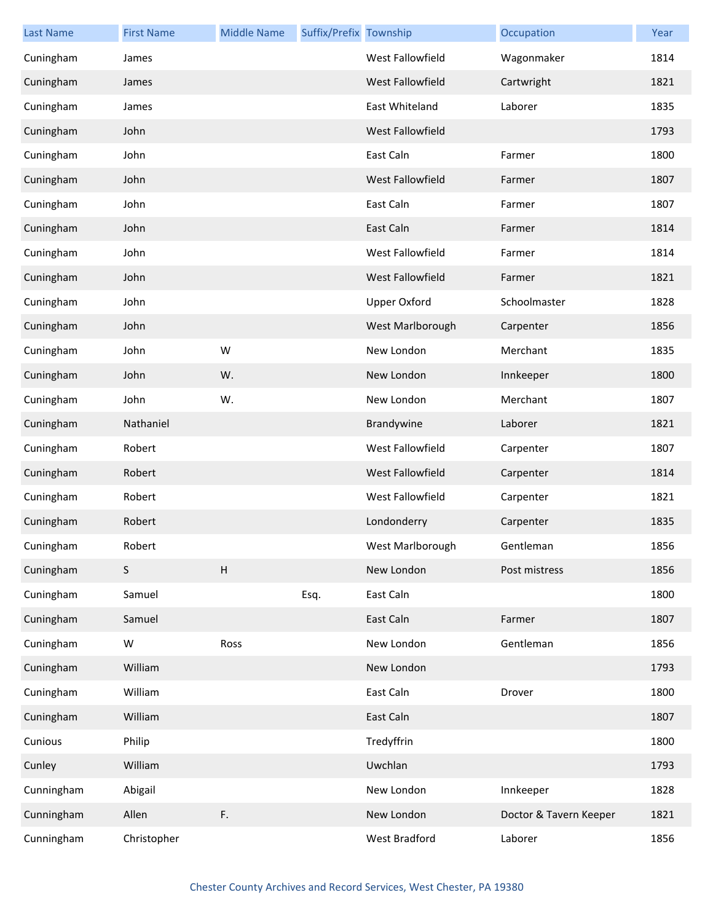| <b>Last Name</b> | <b>First Name</b> | <b>Middle Name</b> | Suffix/Prefix Township |                     | Occupation             | Year |
|------------------|-------------------|--------------------|------------------------|---------------------|------------------------|------|
| Cuningham        | James             |                    |                        | West Fallowfield    | Wagonmaker             | 1814 |
| Cuningham        | James             |                    |                        | West Fallowfield    | Cartwright             | 1821 |
| Cuningham        | James             |                    |                        | East Whiteland      | Laborer                | 1835 |
| Cuningham        | John              |                    |                        | West Fallowfield    |                        | 1793 |
| Cuningham        | John              |                    |                        | East Caln           | Farmer                 | 1800 |
| Cuningham        | John              |                    |                        | West Fallowfield    | Farmer                 | 1807 |
| Cuningham        | John              |                    |                        | East Caln           | Farmer                 | 1807 |
| Cuningham        | John              |                    |                        | East Caln           | Farmer                 | 1814 |
| Cuningham        | John              |                    |                        | West Fallowfield    | Farmer                 | 1814 |
| Cuningham        | John              |                    |                        | West Fallowfield    | Farmer                 | 1821 |
| Cuningham        | John              |                    |                        | <b>Upper Oxford</b> | Schoolmaster           | 1828 |
| Cuningham        | John              |                    |                        | West Marlborough    | Carpenter              | 1856 |
| Cuningham        | John              | W                  |                        | New London          | Merchant               | 1835 |
| Cuningham        | John              | W.                 |                        | New London          | Innkeeper              | 1800 |
| Cuningham        | John              | W.                 |                        | New London          | Merchant               | 1807 |
| Cuningham        | Nathaniel         |                    |                        | Brandywine          | Laborer                | 1821 |
| Cuningham        | Robert            |                    |                        | West Fallowfield    | Carpenter              | 1807 |
| Cuningham        | Robert            |                    |                        | West Fallowfield    | Carpenter              | 1814 |
| Cuningham        | Robert            |                    |                        | West Fallowfield    | Carpenter              | 1821 |
| Cuningham        | Robert            |                    |                        | Londonderry         | Carpenter              | 1835 |
| Cuningham        | Robert            |                    |                        | West Marlborough    | Gentleman              | 1856 |
| Cuningham        | $\mathsf S$       | $\sf H$            |                        | New London          | Post mistress          | 1856 |
| Cuningham        | Samuel            |                    | Esq.                   | East Caln           |                        | 1800 |
| Cuningham        | Samuel            |                    |                        | East Caln           | Farmer                 | 1807 |
| Cuningham        | W                 | Ross               |                        | New London          | Gentleman              | 1856 |
| Cuningham        | William           |                    |                        | New London          |                        | 1793 |
| Cuningham        | William           |                    |                        | East Caln           | Drover                 | 1800 |
| Cuningham        | William           |                    |                        | East Caln           |                        | 1807 |
| Cunious          | Philip            |                    |                        | Tredyffrin          |                        | 1800 |
| Cunley           | William           |                    |                        | Uwchlan             |                        | 1793 |
| Cunningham       | Abigail           |                    |                        | New London          | Innkeeper              | 1828 |
| Cunningham       | Allen             | F.                 |                        | New London          | Doctor & Tavern Keeper | 1821 |
| Cunningham       | Christopher       |                    |                        | West Bradford       | Laborer                | 1856 |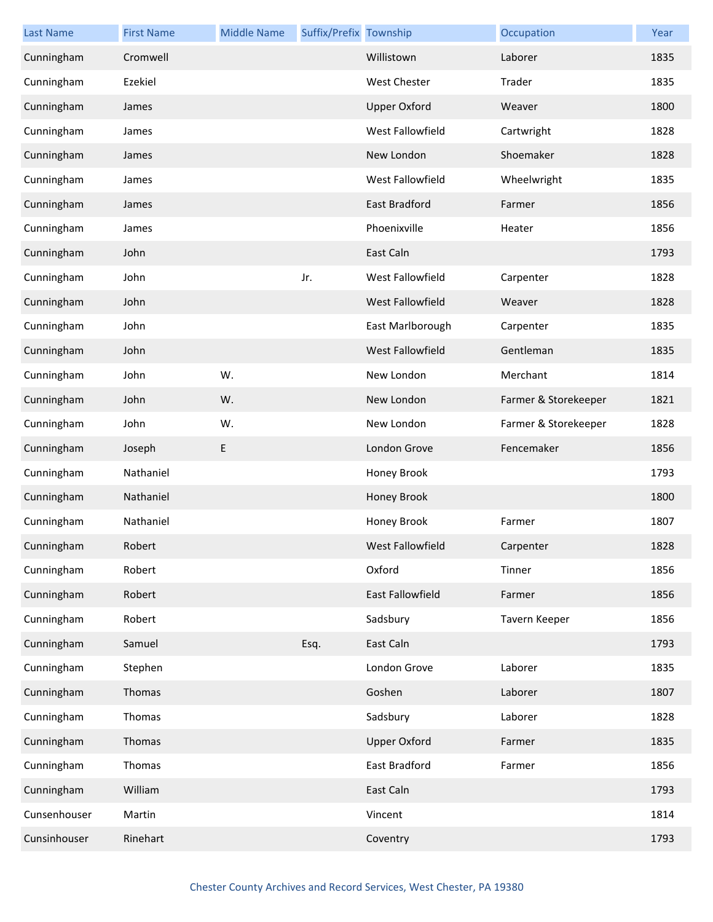| <b>Last Name</b> | <b>First Name</b> | <b>Middle Name</b> | Suffix/Prefix Township |                      | Occupation           | Year |
|------------------|-------------------|--------------------|------------------------|----------------------|----------------------|------|
| Cunningham       | Cromwell          |                    |                        | Willistown           | Laborer              | 1835 |
| Cunningham       | Ezekiel           |                    |                        | <b>West Chester</b>  | Trader               | 1835 |
| Cunningham       | James             |                    |                        | <b>Upper Oxford</b>  | Weaver               | 1800 |
| Cunningham       | James             |                    |                        | West Fallowfield     | Cartwright           | 1828 |
| Cunningham       | James             |                    |                        | New London           | Shoemaker            | 1828 |
| Cunningham       | James             |                    |                        | West Fallowfield     | Wheelwright          | 1835 |
| Cunningham       | James             |                    |                        | <b>East Bradford</b> | Farmer               | 1856 |
| Cunningham       | James             |                    |                        | Phoenixville         | Heater               | 1856 |
| Cunningham       | John              |                    |                        | East Caln            |                      | 1793 |
| Cunningham       | John              |                    | Jr.                    | West Fallowfield     | Carpenter            | 1828 |
| Cunningham       | John              |                    |                        | West Fallowfield     | Weaver               | 1828 |
| Cunningham       | John              |                    |                        | East Marlborough     | Carpenter            | 1835 |
| Cunningham       | John              |                    |                        | West Fallowfield     | Gentleman            | 1835 |
| Cunningham       | John              | W.                 |                        | New London           | Merchant             | 1814 |
| Cunningham       | John              | W.                 |                        | New London           | Farmer & Storekeeper | 1821 |
| Cunningham       | John              | W.                 |                        | New London           | Farmer & Storekeeper | 1828 |
| Cunningham       | Joseph            | E                  |                        | London Grove         | Fencemaker           | 1856 |
| Cunningham       | Nathaniel         |                    |                        | Honey Brook          |                      | 1793 |
| Cunningham       | Nathaniel         |                    |                        | Honey Brook          |                      | 1800 |
| Cunningham       | Nathaniel         |                    |                        | Honey Brook          | Farmer               | 1807 |
| Cunningham       | Robert            |                    |                        | West Fallowfield     | Carpenter            | 1828 |
| Cunningham       | Robert            |                    |                        | Oxford               | Tinner               | 1856 |
| Cunningham       | Robert            |                    |                        | East Fallowfield     | Farmer               | 1856 |
| Cunningham       | Robert            |                    |                        | Sadsbury             | Tavern Keeper        | 1856 |
| Cunningham       | Samuel            |                    | Esq.                   | East Caln            |                      | 1793 |
| Cunningham       | Stephen           |                    |                        | London Grove         | Laborer              | 1835 |
| Cunningham       | Thomas            |                    |                        | Goshen               | Laborer              | 1807 |
| Cunningham       | Thomas            |                    |                        | Sadsbury             | Laborer              | 1828 |
| Cunningham       | Thomas            |                    |                        | <b>Upper Oxford</b>  | Farmer               | 1835 |
| Cunningham       | Thomas            |                    |                        | East Bradford        | Farmer               | 1856 |
| Cunningham       | William           |                    |                        | East Caln            |                      | 1793 |
| Cunsenhouser     | Martin            |                    |                        | Vincent              |                      | 1814 |
| Cunsinhouser     | Rinehart          |                    |                        | Coventry             |                      | 1793 |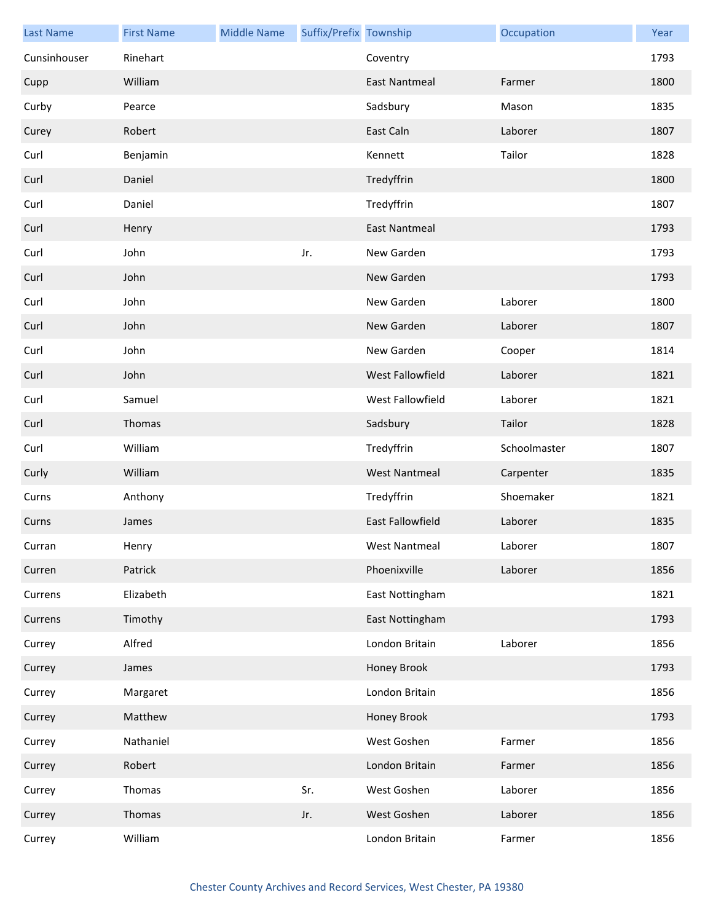| <b>Last Name</b> | <b>First Name</b> | <b>Middle Name</b> | Suffix/Prefix Township |                         | Occupation   | Year |
|------------------|-------------------|--------------------|------------------------|-------------------------|--------------|------|
| Cunsinhouser     | Rinehart          |                    |                        | Coventry                |              | 1793 |
| Cupp             | William           |                    |                        | East Nantmeal           | Farmer       | 1800 |
| Curby            | Pearce            |                    |                        | Sadsbury                | Mason        | 1835 |
| Curey            | Robert            |                    |                        | East Caln               | Laborer      | 1807 |
| Curl             | Benjamin          |                    |                        | Kennett                 | Tailor       | 1828 |
| Curl             | Daniel            |                    |                        | Tredyffrin              |              | 1800 |
| Curl             | Daniel            |                    |                        | Tredyffrin              |              | 1807 |
| Curl             | Henry             |                    |                        | <b>East Nantmeal</b>    |              | 1793 |
| Curl             | John              |                    | Jr.                    | New Garden              |              | 1793 |
| Curl             | John              |                    |                        | New Garden              |              | 1793 |
| Curl             | John              |                    |                        | New Garden              | Laborer      | 1800 |
| Curl             | John              |                    |                        | New Garden              | Laborer      | 1807 |
| Curl             | John              |                    |                        | New Garden              | Cooper       | 1814 |
| Curl             | John              |                    |                        | West Fallowfield        | Laborer      | 1821 |
| Curl             | Samuel            |                    |                        | West Fallowfield        | Laborer      | 1821 |
| Curl             | Thomas            |                    |                        | Sadsbury                | Tailor       | 1828 |
| Curl             | William           |                    |                        | Tredyffrin              | Schoolmaster | 1807 |
| Curly            | William           |                    |                        | <b>West Nantmeal</b>    | Carpenter    | 1835 |
| Curns            | Anthony           |                    |                        | Tredyffrin              | Shoemaker    | 1821 |
| Curns            | James             |                    |                        | <b>East Fallowfield</b> | Laborer      | 1835 |
| Curran           | Henry             |                    |                        | West Nantmeal           | Laborer      | 1807 |
| Curren           | Patrick           |                    |                        | Phoenixville            | Laborer      | 1856 |
| Currens          | Elizabeth         |                    |                        | East Nottingham         |              | 1821 |
| Currens          | Timothy           |                    |                        | East Nottingham         |              | 1793 |
| Currey           | Alfred            |                    |                        | London Britain          | Laborer      | 1856 |
| Currey           | James             |                    |                        | Honey Brook             |              | 1793 |
| Currey           | Margaret          |                    |                        | London Britain          |              | 1856 |
| Currey           | Matthew           |                    |                        | Honey Brook             |              | 1793 |
| Currey           | Nathaniel         |                    |                        | West Goshen             | Farmer       | 1856 |
| Currey           | Robert            |                    |                        | London Britain          | Farmer       | 1856 |
| Currey           | Thomas            |                    | Sr.                    | West Goshen             | Laborer      | 1856 |
| Currey           | Thomas            |                    | Jr.                    | West Goshen             | Laborer      | 1856 |
| Currey           | William           |                    |                        | London Britain          | Farmer       | 1856 |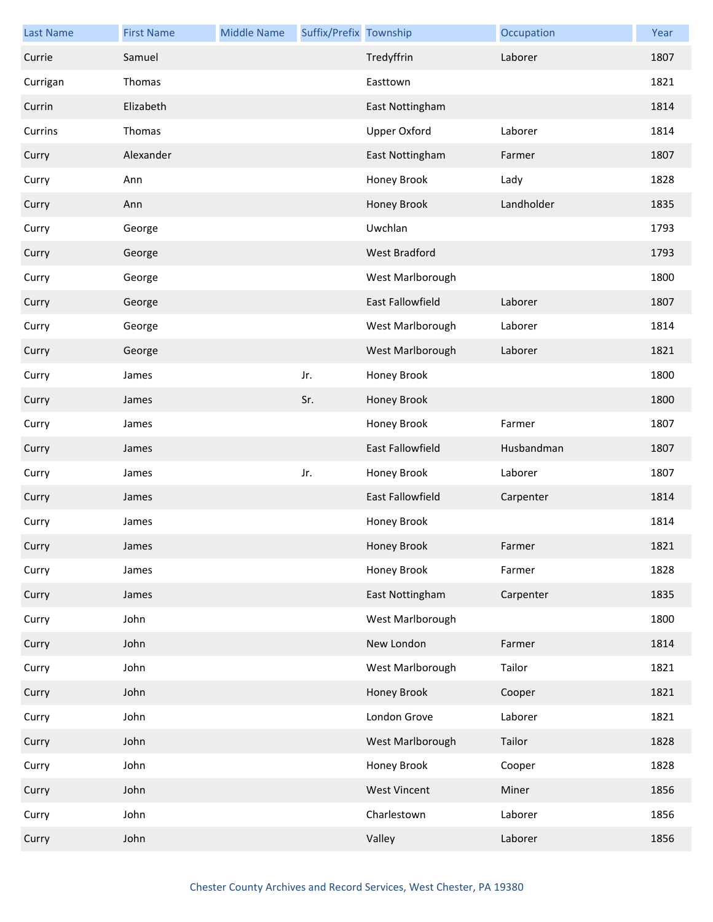| <b>Last Name</b> | <b>First Name</b> | <b>Middle Name</b> | Suffix/Prefix Township |                     | Occupation | Year |
|------------------|-------------------|--------------------|------------------------|---------------------|------------|------|
| Currie           | Samuel            |                    |                        | Tredyffrin          | Laborer    | 1807 |
| Currigan         | Thomas            |                    |                        | Easttown            |            | 1821 |
| Currin           | Elizabeth         |                    |                        | East Nottingham     |            | 1814 |
| Currins          | Thomas            |                    |                        | <b>Upper Oxford</b> | Laborer    | 1814 |
| Curry            | Alexander         |                    |                        | East Nottingham     | Farmer     | 1807 |
| Curry            | Ann               |                    |                        | Honey Brook         | Lady       | 1828 |
| Curry            | Ann               |                    |                        | Honey Brook         | Landholder | 1835 |
| Curry            | George            |                    |                        | Uwchlan             |            | 1793 |
| Curry            | George            |                    |                        | West Bradford       |            | 1793 |
| Curry            | George            |                    |                        | West Marlborough    |            | 1800 |
| Curry            | George            |                    |                        | East Fallowfield    | Laborer    | 1807 |
| Curry            | George            |                    |                        | West Marlborough    | Laborer    | 1814 |
| Curry            | George            |                    |                        | West Marlborough    | Laborer    | 1821 |
| Curry            | James             |                    | Jr.                    | Honey Brook         |            | 1800 |
| Curry            | James             |                    | Sr.                    | Honey Brook         |            | 1800 |
| Curry            | James             |                    |                        | Honey Brook         | Farmer     | 1807 |
| Curry            | James             |                    |                        | East Fallowfield    | Husbandman | 1807 |
| Curry            | James             |                    | Jr.                    | Honey Brook         | Laborer    | 1807 |
| Curry            | James             |                    |                        | East Fallowfield    | Carpenter  | 1814 |
| Curry            | James             |                    |                        | Honey Brook         |            | 1814 |
| Curry            | James             |                    |                        | Honey Brook         | Farmer     | 1821 |
| Curry            | James             |                    |                        | Honey Brook         | Farmer     | 1828 |
| Curry            | James             |                    |                        | East Nottingham     | Carpenter  | 1835 |
| Curry            | John              |                    |                        | West Marlborough    |            | 1800 |
| Curry            | John              |                    |                        | New London          | Farmer     | 1814 |
| Curry            | John              |                    |                        | West Marlborough    | Tailor     | 1821 |
| Curry            | John              |                    |                        | Honey Brook         | Cooper     | 1821 |
| Curry            | John              |                    |                        | London Grove        | Laborer    | 1821 |
| Curry            | John              |                    |                        | West Marlborough    | Tailor     | 1828 |
| Curry            | John              |                    |                        | Honey Brook         | Cooper     | 1828 |
| Curry            | John              |                    |                        | <b>West Vincent</b> | Miner      | 1856 |
| Curry            | John              |                    |                        | Charlestown         | Laborer    | 1856 |
| Curry            | John              |                    |                        | Valley              | Laborer    | 1856 |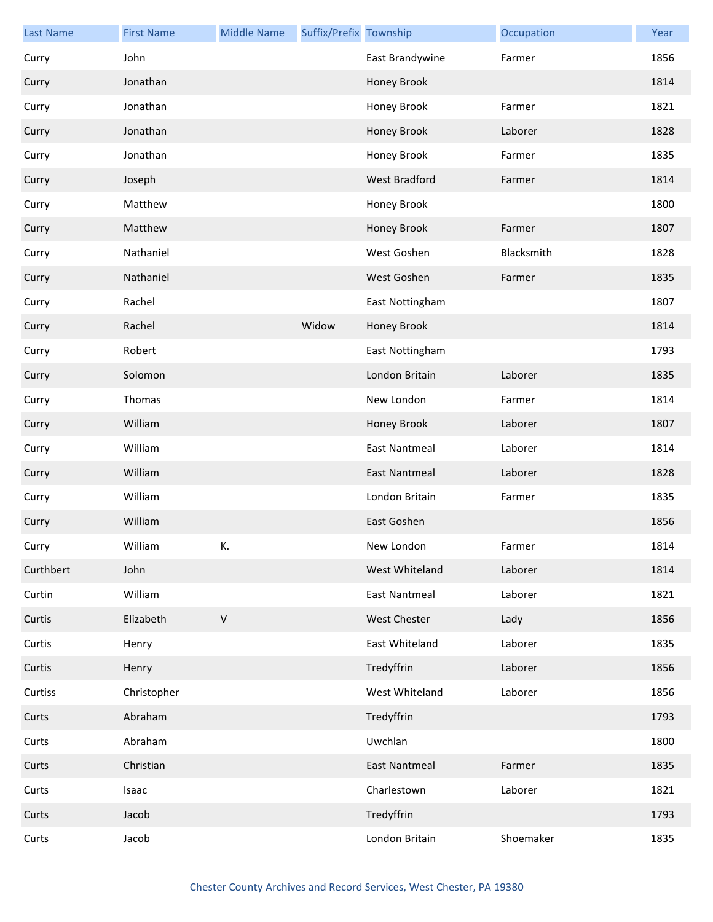| <b>Last Name</b> | <b>First Name</b> | <b>Middle Name</b> | Suffix/Prefix Township |                      | Occupation | Year |
|------------------|-------------------|--------------------|------------------------|----------------------|------------|------|
| Curry            | John              |                    |                        | East Brandywine      | Farmer     | 1856 |
| Curry            | Jonathan          |                    |                        | Honey Brook          |            | 1814 |
| Curry            | Jonathan          |                    |                        | Honey Brook          | Farmer     | 1821 |
| Curry            | Jonathan          |                    |                        | Honey Brook          | Laborer    | 1828 |
| Curry            | Jonathan          |                    |                        | Honey Brook          | Farmer     | 1835 |
| Curry            | Joseph            |                    |                        | West Bradford        | Farmer     | 1814 |
| Curry            | Matthew           |                    |                        | Honey Brook          |            | 1800 |
| Curry            | Matthew           |                    |                        | Honey Brook          | Farmer     | 1807 |
| Curry            | Nathaniel         |                    |                        | West Goshen          | Blacksmith | 1828 |
| Curry            | Nathaniel         |                    |                        | West Goshen          | Farmer     | 1835 |
| Curry            | Rachel            |                    |                        | East Nottingham      |            | 1807 |
| Curry            | Rachel            |                    | Widow                  | Honey Brook          |            | 1814 |
| Curry            | Robert            |                    |                        | East Nottingham      |            | 1793 |
| Curry            | Solomon           |                    |                        | London Britain       | Laborer    | 1835 |
| Curry            | Thomas            |                    |                        | New London           | Farmer     | 1814 |
| Curry            | William           |                    |                        | Honey Brook          | Laborer    | 1807 |
| Curry            | William           |                    |                        | <b>East Nantmeal</b> | Laborer    | 1814 |
| Curry            | William           |                    |                        | <b>East Nantmeal</b> | Laborer    | 1828 |
| Curry            | William           |                    |                        | London Britain       | Farmer     | 1835 |
| Curry            | William           |                    |                        | East Goshen          |            | 1856 |
| Curry            | William           | K.                 |                        | New London           | Farmer     | 1814 |
| Curthbert        | John              |                    |                        | West Whiteland       | Laborer    | 1814 |
| Curtin           | William           |                    |                        | <b>East Nantmeal</b> | Laborer    | 1821 |
| Curtis           | Elizabeth         | $\mathsf V$        |                        | West Chester         | Lady       | 1856 |
| Curtis           | Henry             |                    |                        | East Whiteland       | Laborer    | 1835 |
| Curtis           | Henry             |                    |                        | Tredyffrin           | Laborer    | 1856 |
| Curtiss          | Christopher       |                    |                        | West Whiteland       | Laborer    | 1856 |
| Curts            | Abraham           |                    |                        | Tredyffrin           |            | 1793 |
| Curts            | Abraham           |                    |                        | Uwchlan              |            | 1800 |
| Curts            | Christian         |                    |                        | <b>East Nantmeal</b> | Farmer     | 1835 |
| Curts            | Isaac             |                    |                        | Charlestown          | Laborer    | 1821 |
| Curts            | Jacob             |                    |                        | Tredyffrin           |            | 1793 |
| Curts            | Jacob             |                    |                        | London Britain       | Shoemaker  | 1835 |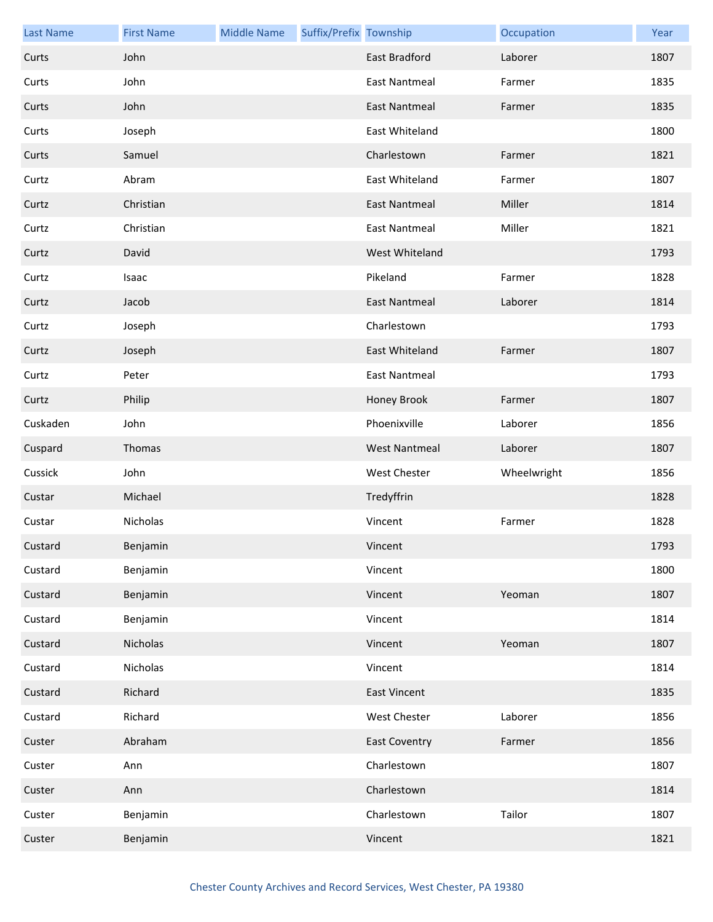| <b>Last Name</b> | <b>First Name</b> | <b>Middle Name</b> | Suffix/Prefix Township |                      | Occupation  | Year |
|------------------|-------------------|--------------------|------------------------|----------------------|-------------|------|
| Curts            | John              |                    |                        | <b>East Bradford</b> | Laborer     | 1807 |
| Curts            | John              |                    |                        | <b>East Nantmeal</b> | Farmer      | 1835 |
| Curts            | John              |                    |                        | <b>East Nantmeal</b> | Farmer      | 1835 |
| Curts            | Joseph            |                    |                        | East Whiteland       |             | 1800 |
| Curts            | Samuel            |                    |                        | Charlestown          | Farmer      | 1821 |
| Curtz            | Abram             |                    |                        | East Whiteland       | Farmer      | 1807 |
| Curtz            | Christian         |                    |                        | <b>East Nantmeal</b> | Miller      | 1814 |
| Curtz            | Christian         |                    |                        | <b>East Nantmeal</b> | Miller      | 1821 |
| Curtz            | David             |                    |                        | West Whiteland       |             | 1793 |
| Curtz            | Isaac             |                    |                        | Pikeland             | Farmer      | 1828 |
| Curtz            | Jacob             |                    |                        | <b>East Nantmeal</b> | Laborer     | 1814 |
| Curtz            | Joseph            |                    |                        | Charlestown          |             | 1793 |
| Curtz            | Joseph            |                    |                        | East Whiteland       | Farmer      | 1807 |
| Curtz            | Peter             |                    |                        | <b>East Nantmeal</b> |             | 1793 |
| Curtz            | Philip            |                    |                        | Honey Brook          | Farmer      | 1807 |
| Cuskaden         | John              |                    |                        | Phoenixville         | Laborer     | 1856 |
| Cuspard          | Thomas            |                    |                        | <b>West Nantmeal</b> | Laborer     | 1807 |
| Cussick          | John              |                    |                        | <b>West Chester</b>  | Wheelwright | 1856 |
| Custar           | Michael           |                    |                        | Tredyffrin           |             | 1828 |
| Custar           | Nicholas          |                    |                        | Vincent              | Farmer      | 1828 |
| Custard          | Benjamin          |                    |                        | Vincent              |             | 1793 |
| Custard          | Benjamin          |                    |                        | Vincent              |             | 1800 |
| Custard          | Benjamin          |                    |                        | Vincent              | Yeoman      | 1807 |
| Custard          | Benjamin          |                    |                        | Vincent              |             | 1814 |
| Custard          | Nicholas          |                    |                        | Vincent              | Yeoman      | 1807 |
| Custard          | Nicholas          |                    |                        | Vincent              |             | 1814 |
| Custard          | Richard           |                    |                        | <b>East Vincent</b>  |             | 1835 |
| Custard          | Richard           |                    |                        | <b>West Chester</b>  | Laborer     | 1856 |
| Custer           | Abraham           |                    |                        | <b>East Coventry</b> | Farmer      | 1856 |
| Custer           | Ann               |                    |                        | Charlestown          |             | 1807 |
| Custer           | Ann               |                    |                        | Charlestown          |             | 1814 |
| Custer           | Benjamin          |                    |                        | Charlestown          | Tailor      | 1807 |
| Custer           | Benjamin          |                    |                        | Vincent              |             | 1821 |